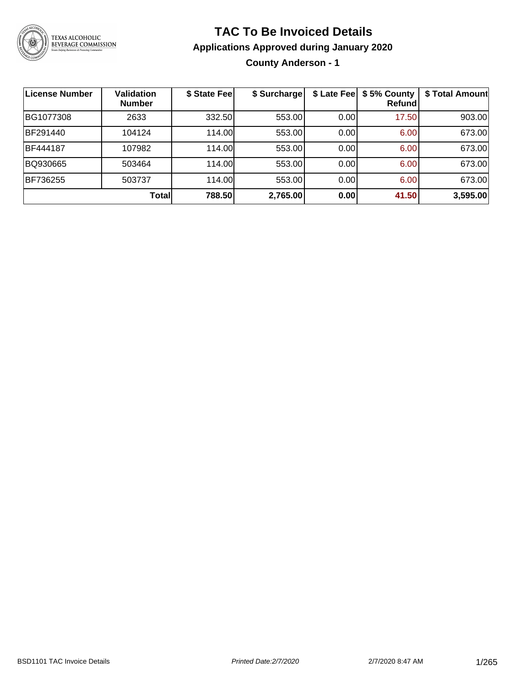

#### **TAC To Be Invoiced Details**

**Applications Approved during January 2020**

**County Anderson - 1**

| <b>License Number</b> | <b>Validation</b><br><b>Number</b> | \$ State Fee | \$ Surcharge | \$ Late Fee | \$5% County<br>Refundl | \$ Total Amount |
|-----------------------|------------------------------------|--------------|--------------|-------------|------------------------|-----------------|
| BG1077308             | 2633                               | 332.50       | 553.00       | 0.00        | 17.50                  | 903.00          |
| BF291440              | 104124                             | 114.00       | 553.00       | 0.00        | 6.00                   | 673.00          |
| BF444187              | 107982                             | 114.00       | 553.00       | 0.00        | 6.00                   | 673.00          |
| BQ930665              | 503464                             | 114.00       | 553.00       | 0.00        | 6.00                   | 673.00          |
| BF736255              | 503737                             | 114.00       | 553.00       | 0.00        | 6.00                   | 673.00          |
|                       | Totall                             | 788.50       | 2,765.00     | 0.00        | 41.50                  | 3,595.00        |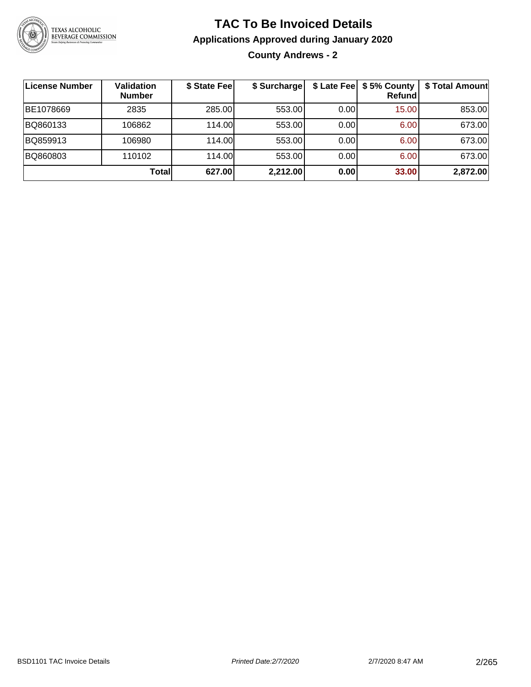

**County Andrews - 2**

| License Number | <b>Validation</b><br><b>Number</b> | \$ State Fee | \$ Surcharge |      | \$ Late Fee   \$5% County<br><b>Refund</b> | \$ Total Amount |
|----------------|------------------------------------|--------------|--------------|------|--------------------------------------------|-----------------|
| BE1078669      | 2835                               | 285.00       | 553.00       | 0.00 | 15.00                                      | 853.00          |
| BQ860133       | 106862                             | 114.00L      | 553.00       | 0.00 | 6.00                                       | 673.00          |
| BQ859913       | 106980                             | 114.00L      | 553.00       | 0.00 | 6.00                                       | 673.00          |
| BQ860803       | 110102                             | 114.00       | 553.00       | 0.00 | 6.00                                       | 673.00          |
|                | Totall                             | 627.00       | 2,212.00     | 0.00 | 33.00                                      | 2,872.00        |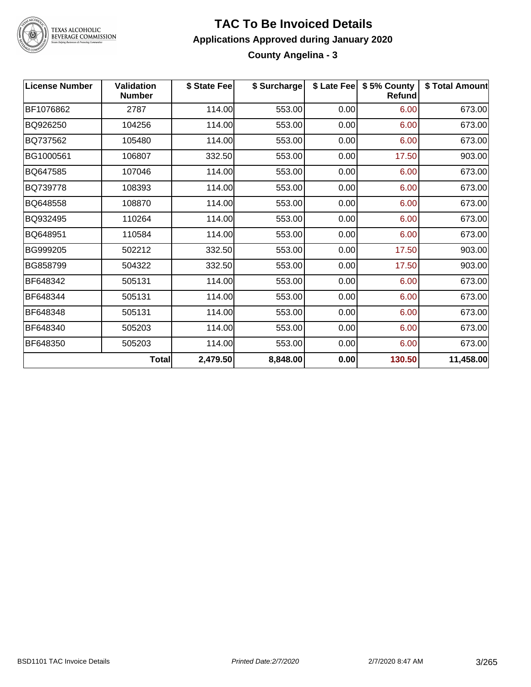

#### **TAC To Be Invoiced Details Applications Approved during January 2020 County Angelina - 3**

| <b>License Number</b> | <b>Validation</b><br><b>Number</b> | \$ State Fee | \$ Surcharge |      | \$ Late Fee   \$5% County<br><b>Refund</b> | \$ Total Amount |
|-----------------------|------------------------------------|--------------|--------------|------|--------------------------------------------|-----------------|
| BF1076862             | 2787                               | 114.00       | 553.00       | 0.00 | 6.00                                       | 673.00          |
| BQ926250              | 104256                             | 114.00       | 553.00       | 0.00 | 6.00                                       | 673.00          |
| BQ737562              | 105480                             | 114.00       | 553.00       | 0.00 | 6.00                                       | 673.00          |
| BG1000561             | 106807                             | 332.50       | 553.00       | 0.00 | 17.50                                      | 903.00          |
| BQ647585              | 107046                             | 114.00       | 553.00       | 0.00 | 6.00                                       | 673.00          |
| BQ739778              | 108393                             | 114.00       | 553.00       | 0.00 | 6.00                                       | 673.00          |
| BQ648558              | 108870                             | 114.00       | 553.00       | 0.00 | 6.00                                       | 673.00          |
| BQ932495              | 110264                             | 114.00       | 553.00       | 0.00 | 6.00                                       | 673.00          |
| BQ648951              | 110584                             | 114.00       | 553.00       | 0.00 | 6.00                                       | 673.00          |
| BG999205              | 502212                             | 332.50       | 553.00       | 0.00 | 17.50                                      | 903.00          |
| BG858799              | 504322                             | 332.50       | 553.00       | 0.00 | 17.50                                      | 903.00          |
| BF648342              | 505131                             | 114.00       | 553.00       | 0.00 | 6.00                                       | 673.00          |
| BF648344              | 505131                             | 114.00       | 553.00       | 0.00 | 6.00                                       | 673.00          |
| BF648348              | 505131                             | 114.00       | 553.00       | 0.00 | 6.00                                       | 673.00          |
| BF648340              | 505203                             | 114.00       | 553.00       | 0.00 | 6.00                                       | 673.00          |
| BF648350              | 505203                             | 114.00       | 553.00       | 0.00 | 6.00                                       | 673.00          |
|                       | Total                              | 2,479.50     | 8,848.00     | 0.00 | 130.50                                     | 11,458.00       |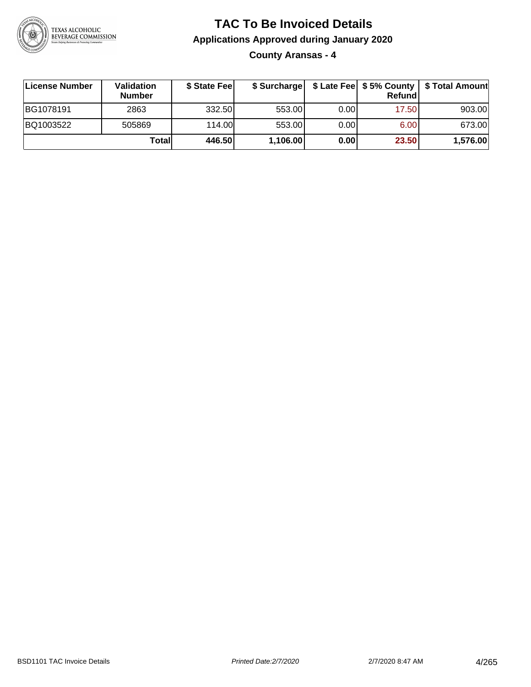

**County Aransas - 4**

| ∣License Number | Validation<br><b>Number</b> | \$ State Feel | \$ Surcharge |       | Refundl |          |
|-----------------|-----------------------------|---------------|--------------|-------|---------|----------|
| BG1078191       | 2863                        | 332.50        | 553.00       | 0.001 | 17.50   | 903.00   |
| BQ1003522       | 505869                      | 114.00L       | 553.00       | 0.001 | 6.00    | 673.00   |
|                 | Totall                      | 446.50        | 1,106.00     | 0.00  | 23.50   | 1,576.00 |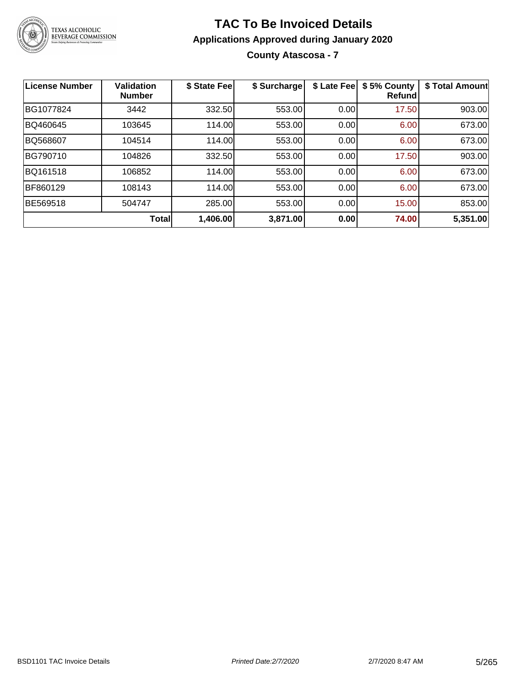

#### **TAC To Be Invoiced Details Applications Approved during January 2020 County Atascosa - 7**

**License Number Validation Number \$ State Fee \$ Surcharge \$ Late Fee \$ 5% County Refund \$ Total Amount** BG1077824 3442 332.50 553.00 0.00 17.50 903.00 BQ460645 103645 114.00 553.00 0.00 6.00 673.00 BQ568607 104514 114.00 553.00 0.00 6.00 673.00 BG790710 | 104826 | 332.50| 553.00| 0.00| 17.50| 903.00 BQ161518 | 106852 | 114.00| 553.00| 0.00| 6.00| 673.00 BF860129 108143 114.00 553.00 0.00 6.00 673.00 BE569518 504747 285.00 553.00 0.00 15.00 853.00 **Total 1,406.00 3,871.00 0.00 74.00 5,351.00**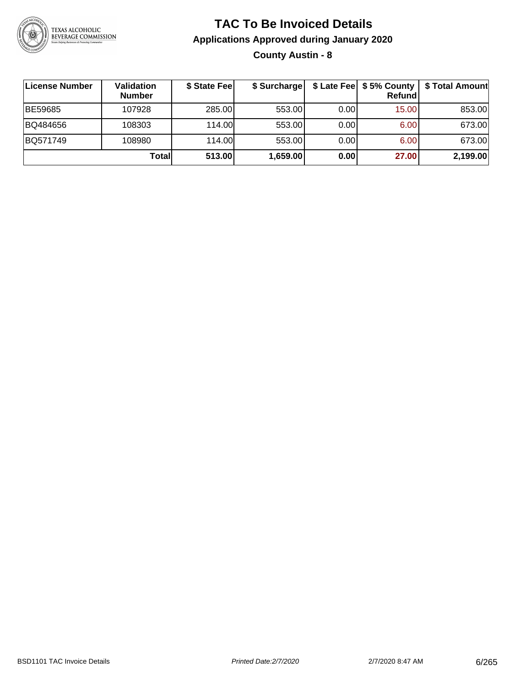

#### **TAC To Be Invoiced Details Applications Approved during January 2020 County Austin - 8**

| License Number | <b>Validation</b><br><b>Number</b> | \$ State Fee | \$ Surcharge |      | \$ Late Fee   \$5% County  <br><b>Refund</b> | \$ Total Amount |
|----------------|------------------------------------|--------------|--------------|------|----------------------------------------------|-----------------|
| BE59685        | 107928                             | 285.00       | 553.00       | 0.00 | 15.00                                        | 853.00          |
| BQ484656       | 108303                             | 114.00       | 553.00       | 0.00 | 6.00                                         | 673.00          |
| BQ571749       | 108980                             | 114.00       | 553.00       | 0.00 | 6.00                                         | 673.00          |
|                | Total                              | 513.00       | 1,659.00     | 0.00 | 27.00                                        | 2,199.00        |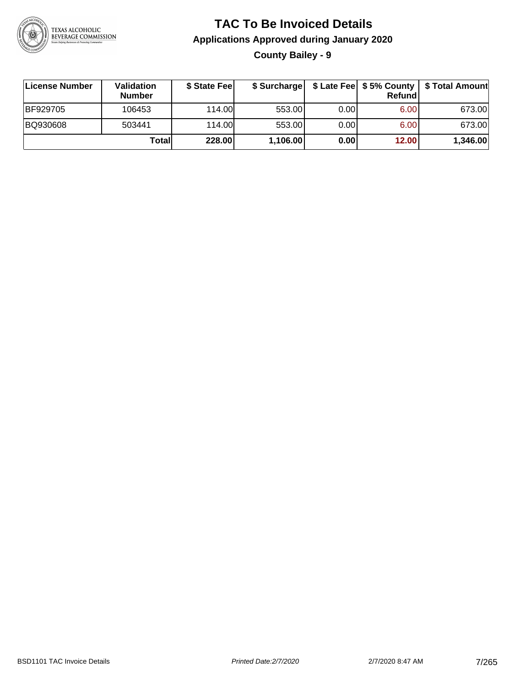

**County Bailey - 9**

| License Number | Validation<br><b>Number</b> | \$ State Fee | \$ Surcharge |       | Refundl | \$ Late Fee   \$5% County   \$ Total Amount |
|----------------|-----------------------------|--------------|--------------|-------|---------|---------------------------------------------|
| BF929705       | 106453                      | 114.00       | 553.00       | 0.00  | 6.00    | 673.00                                      |
| BQ930608       | 503441                      | 114.00       | 553.00       | 0.001 | 6.00    | 673.00                                      |
|                | Totall                      | 228.00       | 1,106.00     | 0.00  | 12.00   | 1,346.00                                    |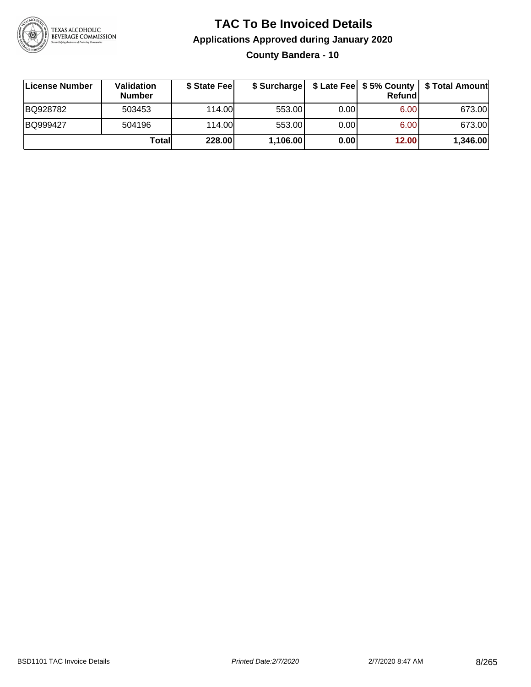

#### **TAC To Be Invoiced Details Applications Approved during January 2020 County Bandera - 10**

| License Number | <b>Validation</b><br><b>Number</b> | \$ State Feel | \$ Surcharge |      | Refund | \$ Late Fee   \$5% County   \$ Total Amount |
|----------------|------------------------------------|---------------|--------------|------|--------|---------------------------------------------|
| BQ928782       | 503453                             | 114.00L       | 553.00       | 0.00 | 6.00   | 673.00                                      |
| BQ999427       | 504196                             | 114.00L       | 553.00       | 0.00 | 6.00   | 673.00                                      |
|                | Totall                             | <b>228.00</b> | 1,106.00     | 0.00 | 12.00  | 1,346.00                                    |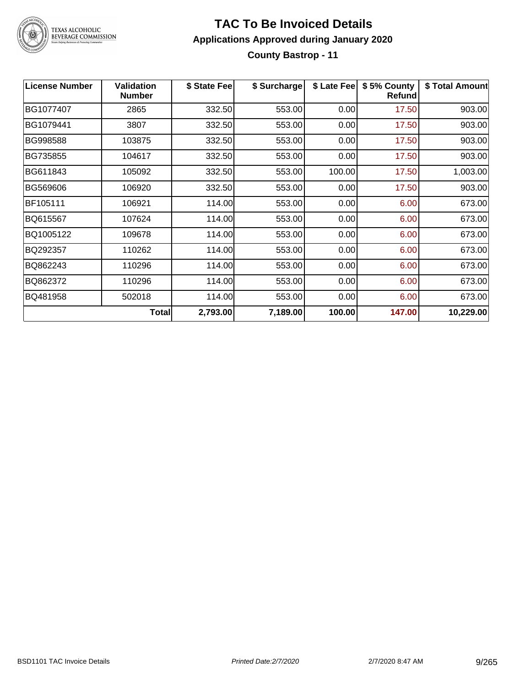

#### **TAC To Be Invoiced Details Applications Approved during January 2020 County Bastrop - 11**

| <b>License Number</b> | <b>Validation</b><br><b>Number</b> | \$ State Fee | \$ Surcharge | \$ Late Fee | \$5% County<br>Refund | \$ Total Amount |
|-----------------------|------------------------------------|--------------|--------------|-------------|-----------------------|-----------------|
| BG1077407             | 2865                               | 332.50       | 553.00       | 0.00        | 17.50                 | 903.00          |
| BG1079441             | 3807                               | 332.50       | 553.00       | 0.00        | 17.50                 | 903.00          |
| BG998588              | 103875                             | 332.50       | 553.00       | 0.00        | 17.50                 | 903.00          |
| BG735855              | 104617                             | 332.50       | 553.00       | 0.00        | 17.50                 | 903.00          |
| BG611843              | 105092                             | 332.50       | 553.00       | 100.00      | 17.50                 | 1,003.00        |
| BG569606              | 106920                             | 332.50       | 553.00       | 0.00        | 17.50                 | 903.00          |
| BF105111              | 106921                             | 114.00       | 553.00       | 0.00        | 6.00                  | 673.00          |
| BQ615567              | 107624                             | 114.00       | 553.00       | 0.00        | 6.00                  | 673.00          |
| BQ1005122             | 109678                             | 114.00       | 553.00       | 0.00        | 6.00                  | 673.00          |
| BQ292357              | 110262                             | 114.00       | 553.00       | 0.00        | 6.00                  | 673.00          |
| BQ862243              | 110296                             | 114.00       | 553.00       | 0.00        | 6.00                  | 673.00          |
| BQ862372              | 110296                             | 114.00       | 553.00       | 0.00        | 6.00                  | 673.00          |
| BQ481958              | 502018                             | 114.00       | 553.00       | 0.00        | 6.00                  | 673.00          |
|                       | Total                              | 2,793.00     | 7,189.00     | 100.00      | 147.00                | 10,229.00       |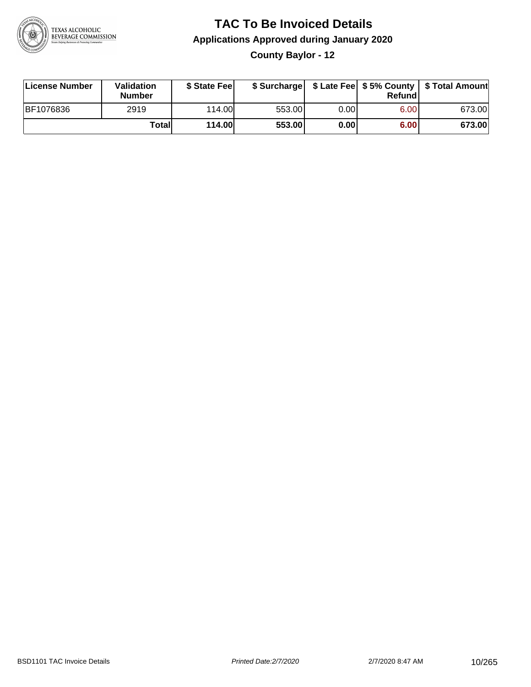

**County Baylor - 12**

| License Number | Validation<br><b>Number</b> | \$ State Fee  | \$ Surcharge |      | Refundl | \$ Late Fee   \$5% County   \$ Total Amount |
|----------------|-----------------------------|---------------|--------------|------|---------|---------------------------------------------|
| BF1076836      | 2919                        | 114.00        | 553.00       | 0.00 | 6.00    | 673.00                                      |
|                | Totall                      | <b>114.00</b> | 553.00       | 0.00 | 6.00    | 673.00                                      |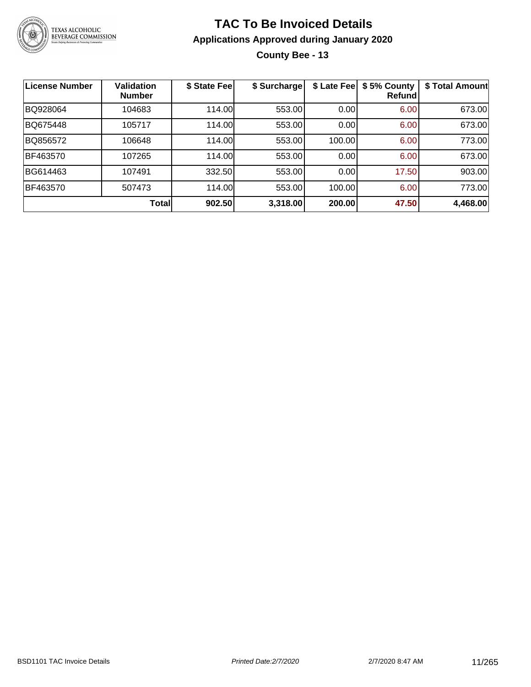

#### **TAC To Be Invoiced Details Applications Approved during January 2020 County Bee - 13**

| <b>License Number</b> | Validation<br><b>Number</b> | \$ State Fee | \$ Surcharge | \$ Late Fee | \$5% County<br>Refundl | \$ Total Amount |
|-----------------------|-----------------------------|--------------|--------------|-------------|------------------------|-----------------|
| BQ928064              | 104683                      | 114.00       | 553.00       | 0.00        | 6.00                   | 673.00          |
| BQ675448              | 105717                      | 114.00       | 553.00       | 0.00        | 6.00                   | 673.00          |
| BQ856572              | 106648                      | 114.00       | 553.00       | 100.00      | 6.00                   | 773.00          |
| BF463570              | 107265                      | 114.00       | 553.00       | 0.00        | 6.00                   | 673.00          |
| BG614463              | 107491                      | 332.50       | 553.00       | 0.00        | 17.50                  | 903.00          |
| BF463570              | 507473                      | 114.00       | 553.00       | 100.00      | 6.00                   | 773.00          |
|                       | <b>Total</b>                | 902.50       | 3,318.00     | 200.00      | 47.50                  | 4,468.00        |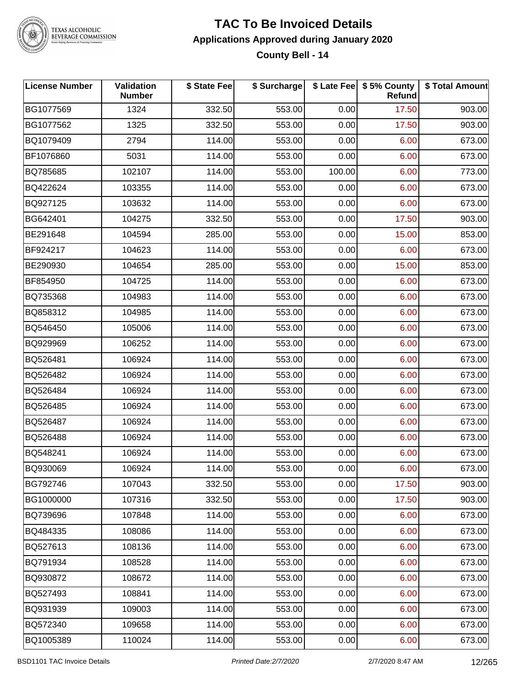

#### **TAC To Be Invoiced Details Applications Approved during January 2020 County Bell - 14**

| <b>License Number</b> | Validation<br><b>Number</b> | \$ State Fee | \$ Surcharge |        | \$ Late Fee   \$5% County<br>Refund | \$ Total Amount |
|-----------------------|-----------------------------|--------------|--------------|--------|-------------------------------------|-----------------|
| BG1077569             | 1324                        | 332.50       | 553.00       | 0.00   | 17.50                               | 903.00          |
| BG1077562             | 1325                        | 332.50       | 553.00       | 0.00   | 17.50                               | 903.00          |
| BQ1079409             | 2794                        | 114.00       | 553.00       | 0.00   | 6.00                                | 673.00          |
| BF1076860             | 5031                        | 114.00       | 553.00       | 0.00   | 6.00                                | 673.00          |
| BQ785685              | 102107                      | 114.00       | 553.00       | 100.00 | 6.00                                | 773.00          |
| BQ422624              | 103355                      | 114.00       | 553.00       | 0.00   | 6.00                                | 673.00          |
| BQ927125              | 103632                      | 114.00       | 553.00       | 0.00   | 6.00                                | 673.00          |
| BG642401              | 104275                      | 332.50       | 553.00       | 0.00   | 17.50                               | 903.00          |
| BE291648              | 104594                      | 285.00       | 553.00       | 0.00   | 15.00                               | 853.00          |
| BF924217              | 104623                      | 114.00       | 553.00       | 0.00   | 6.00                                | 673.00          |
| BE290930              | 104654                      | 285.00       | 553.00       | 0.00   | 15.00                               | 853.00          |
| BF854950              | 104725                      | 114.00       | 553.00       | 0.00   | 6.00                                | 673.00          |
| BQ735368              | 104983                      | 114.00       | 553.00       | 0.00   | 6.00                                | 673.00          |
| BQ858312              | 104985                      | 114.00       | 553.00       | 0.00   | 6.00                                | 673.00          |
| BQ546450              | 105006                      | 114.00       | 553.00       | 0.00   | 6.00                                | 673.00          |
| BQ929969              | 106252                      | 114.00       | 553.00       | 0.00   | 6.00                                | 673.00          |
| BQ526481              | 106924                      | 114.00       | 553.00       | 0.00   | 6.00                                | 673.00          |
| BQ526482              | 106924                      | 114.00       | 553.00       | 0.00   | 6.00                                | 673.00          |
| BQ526484              | 106924                      | 114.00       | 553.00       | 0.00   | 6.00                                | 673.00          |
| BQ526485              | 106924                      | 114.00       | 553.00       | 0.00   | 6.00                                | 673.00          |
| BQ526487              | 106924                      | 114.00       | 553.00       | 0.00   | 6.00                                | 673.00          |
| BQ526488              | 106924                      | 114.00       | 553.00       | 0.00   | 6.00                                | 673.00          |
| BQ548241              | 106924                      | 114.00       | 553.00       | 0.00   | 6.00                                | 673.00          |
| BQ930069              | 106924                      | 114.00       | 553.00       | 0.00   | 6.00                                | 673.00          |
| BG792746              | 107043                      | 332.50       | 553.00       | 0.00   | 17.50                               | 903.00          |
| BG1000000             | 107316                      | 332.50       | 553.00       | 0.00   | 17.50                               | 903.00          |
| BQ739696              | 107848                      | 114.00       | 553.00       | 0.00   | 6.00                                | 673.00          |
| BQ484335              | 108086                      | 114.00       | 553.00       | 0.00   | 6.00                                | 673.00          |
| BQ527613              | 108136                      | 114.00       | 553.00       | 0.00   | 6.00                                | 673.00          |
| BQ791934              | 108528                      | 114.00       | 553.00       | 0.00   | 6.00                                | 673.00          |
| BQ930872              | 108672                      | 114.00       | 553.00       | 0.00   | 6.00                                | 673.00          |
| BQ527493              | 108841                      | 114.00       | 553.00       | 0.00   | 6.00                                | 673.00          |
| BQ931939              | 109003                      | 114.00       | 553.00       | 0.00   | 6.00                                | 673.00          |
| BQ572340              | 109658                      | 114.00       | 553.00       | 0.00   | 6.00                                | 673.00          |
| BQ1005389             | 110024                      | 114.00       | 553.00       | 0.00   | 6.00                                | 673.00          |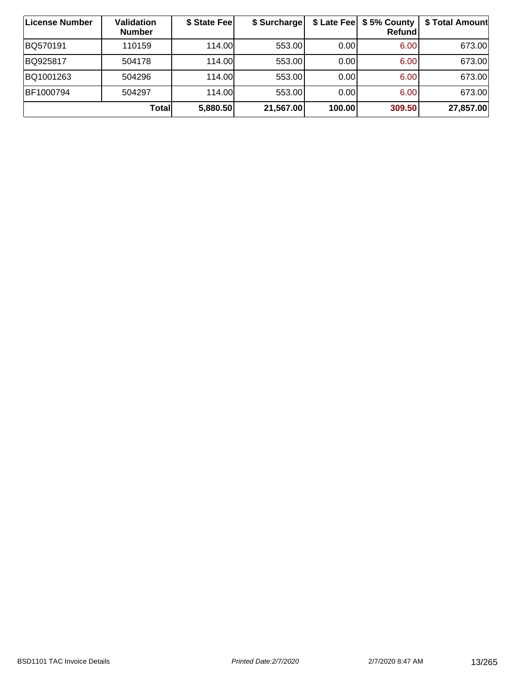| ∣License Number | <b>Validation</b><br><b>Number</b> | \$ State Fee | \$ Surcharge |        | \$ Late Fee   \$5% County  <br><b>Refund</b> | \$ Total Amount |
|-----------------|------------------------------------|--------------|--------------|--------|----------------------------------------------|-----------------|
| BQ570191        | 110159                             | 114.00       | 553.00       | 0.00   | 6.00                                         | 673.00          |
| BQ925817        | 504178                             | 114.00L      | 553.00       | 0.00   | 6.00                                         | 673.00          |
| BQ1001263       | 504296                             | 114.00L      | 553.00       | 0.00   | 6.00                                         | 673.00          |
| BF1000794       | 504297                             | 114.00       | 553.00       | 0.00   | 6.00                                         | 673.00          |
|                 | Total                              | 5,880.50     | 21,567.00    | 100.00 | 309.50                                       | 27,857.00       |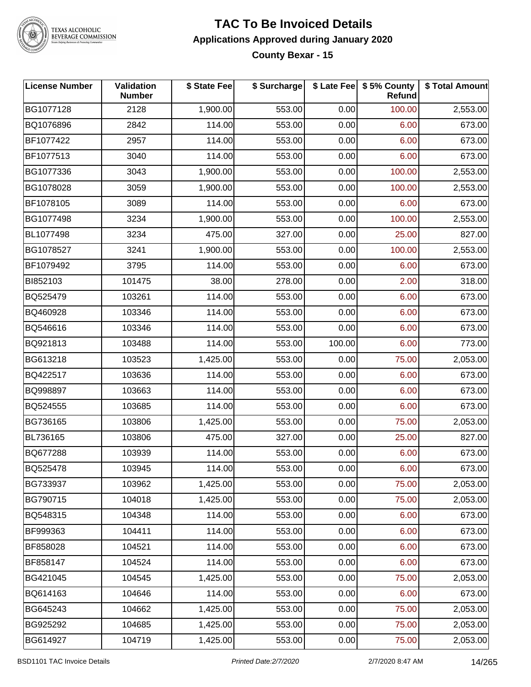

#### **TAC To Be Invoiced Details Applications Approved during January 2020 County Bexar - 15**

| <b>License Number</b> | Validation<br><b>Number</b> | \$ State Fee | \$ Surcharge |        | \$ Late Fee   \$5% County<br>Refund | \$ Total Amount |
|-----------------------|-----------------------------|--------------|--------------|--------|-------------------------------------|-----------------|
| BG1077128             | 2128                        | 1,900.00     | 553.00       | 0.00   | 100.00                              | 2,553.00        |
| BQ1076896             | 2842                        | 114.00       | 553.00       | 0.00   | 6.00                                | 673.00          |
| BF1077422             | 2957                        | 114.00       | 553.00       | 0.00   | 6.00                                | 673.00          |
| BF1077513             | 3040                        | 114.00       | 553.00       | 0.00   | 6.00                                | 673.00          |
| BG1077336             | 3043                        | 1,900.00     | 553.00       | 0.00   | 100.00                              | 2,553.00        |
| BG1078028             | 3059                        | 1,900.00     | 553.00       | 0.00   | 100.00                              | 2,553.00        |
| BF1078105             | 3089                        | 114.00       | 553.00       | 0.00   | 6.00                                | 673.00          |
| BG1077498             | 3234                        | 1,900.00     | 553.00       | 0.00   | 100.00                              | 2,553.00        |
| BL1077498             | 3234                        | 475.00       | 327.00       | 0.00   | 25.00                               | 827.00          |
| BG1078527             | 3241                        | 1,900.00     | 553.00       | 0.00   | 100.00                              | 2,553.00        |
| BF1079492             | 3795                        | 114.00       | 553.00       | 0.00   | 6.00                                | 673.00          |
| BI852103              | 101475                      | 38.00        | 278.00       | 0.00   | 2.00                                | 318.00          |
| BQ525479              | 103261                      | 114.00       | 553.00       | 0.00   | 6.00                                | 673.00          |
| BQ460928              | 103346                      | 114.00       | 553.00       | 0.00   | 6.00                                | 673.00          |
| BQ546616              | 103346                      | 114.00       | 553.00       | 0.00   | 6.00                                | 673.00          |
| BQ921813              | 103488                      | 114.00       | 553.00       | 100.00 | 6.00                                | 773.00          |
| BG613218              | 103523                      | 1,425.00     | 553.00       | 0.00   | 75.00                               | 2,053.00        |
| BQ422517              | 103636                      | 114.00       | 553.00       | 0.00   | 6.00                                | 673.00          |
| BQ998897              | 103663                      | 114.00       | 553.00       | 0.00   | 6.00                                | 673.00          |
| BQ524555              | 103685                      | 114.00       | 553.00       | 0.00   | 6.00                                | 673.00          |
| BG736165              | 103806                      | 1,425.00     | 553.00       | 0.00   | 75.00                               | 2,053.00        |
| BL736165              | 103806                      | 475.00       | 327.00       | 0.00   | 25.00                               | 827.00          |
| BQ677288              | 103939                      | 114.00       | 553.00       | 0.00   | 6.00                                | 673.00          |
| BQ525478              | 103945                      | 114.00       | 553.00       | 0.00   | 6.00                                | 673.00          |
| BG733937              | 103962                      | 1,425.00     | 553.00       | 0.00   | 75.00                               | 2,053.00        |
| BG790715              | 104018                      | 1,425.00     | 553.00       | 0.00   | 75.00                               | 2,053.00        |
| BQ548315              | 104348                      | 114.00       | 553.00       | 0.00   | 6.00                                | 673.00          |
| BF999363              | 104411                      | 114.00       | 553.00       | 0.00   | 6.00                                | 673.00          |
| BF858028              | 104521                      | 114.00       | 553.00       | 0.00   | 6.00                                | 673.00          |
| BF858147              | 104524                      | 114.00       | 553.00       | 0.00   | 6.00                                | 673.00          |
| BG421045              | 104545                      | 1,425.00     | 553.00       | 0.00   | 75.00                               | 2,053.00        |
| BQ614163              | 104646                      | 114.00       | 553.00       | 0.00   | 6.00                                | 673.00          |
| BG645243              | 104662                      | 1,425.00     | 553.00       | 0.00   | 75.00                               | 2,053.00        |
| BG925292              | 104685                      | 1,425.00     | 553.00       | 0.00   | 75.00                               | 2,053.00        |
| BG614927              | 104719                      | 1,425.00     | 553.00       | 0.00   | 75.00                               | 2,053.00        |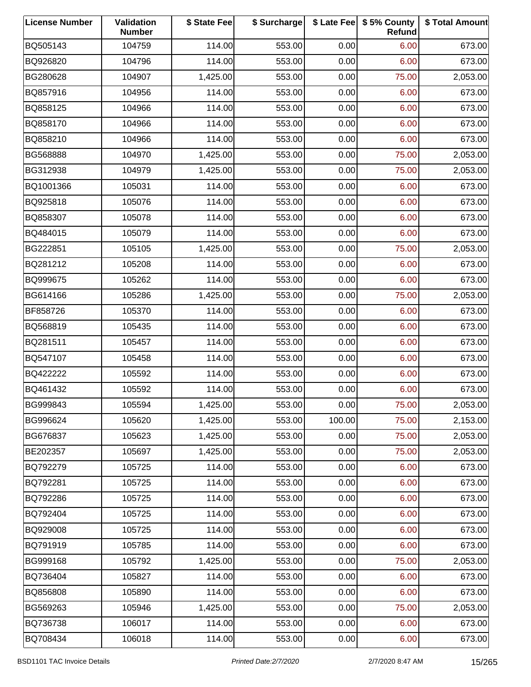| <b>License Number</b> | Validation<br><b>Number</b> | \$ State Fee | \$ Surcharge |        | \$ Late Fee   \$5% County<br>Refund | \$ Total Amount |
|-----------------------|-----------------------------|--------------|--------------|--------|-------------------------------------|-----------------|
| BQ505143              | 104759                      | 114.00       | 553.00       | 0.00   | 6.00                                | 673.00          |
| BQ926820              | 104796                      | 114.00       | 553.00       | 0.00   | 6.00                                | 673.00          |
| BG280628              | 104907                      | 1,425.00     | 553.00       | 0.00   | 75.00                               | 2,053.00        |
| BQ857916              | 104956                      | 114.00       | 553.00       | 0.00   | 6.00                                | 673.00          |
| BQ858125              | 104966                      | 114.00       | 553.00       | 0.00   | 6.00                                | 673.00          |
| BQ858170              | 104966                      | 114.00       | 553.00       | 0.00   | 6.00                                | 673.00          |
| BQ858210              | 104966                      | 114.00       | 553.00       | 0.00   | 6.00                                | 673.00          |
| BG568888              | 104970                      | 1,425.00     | 553.00       | 0.00   | 75.00                               | 2,053.00        |
| BG312938              | 104979                      | 1,425.00     | 553.00       | 0.00   | 75.00                               | 2,053.00        |
| BQ1001366             | 105031                      | 114.00       | 553.00       | 0.00   | 6.00                                | 673.00          |
| BQ925818              | 105076                      | 114.00       | 553.00       | 0.00   | 6.00                                | 673.00          |
| BQ858307              | 105078                      | 114.00       | 553.00       | 0.00   | 6.00                                | 673.00          |
| BQ484015              | 105079                      | 114.00       | 553.00       | 0.00   | 6.00                                | 673.00          |
| BG222851              | 105105                      | 1,425.00     | 553.00       | 0.00   | 75.00                               | 2,053.00        |
| BQ281212              | 105208                      | 114.00       | 553.00       | 0.00   | 6.00                                | 673.00          |
| BQ999675              | 105262                      | 114.00       | 553.00       | 0.00   | 6.00                                | 673.00          |
| BG614166              | 105286                      | 1,425.00     | 553.00       | 0.00   | 75.00                               | 2,053.00        |
| BF858726              | 105370                      | 114.00       | 553.00       | 0.00   | 6.00                                | 673.00          |
| BQ568819              | 105435                      | 114.00       | 553.00       | 0.00   | 6.00                                | 673.00          |
| BQ281511              | 105457                      | 114.00       | 553.00       | 0.00   | 6.00                                | 673.00          |
| BQ547107              | 105458                      | 114.00       | 553.00       | 0.00   | 6.00                                | 673.00          |
| BQ422222              | 105592                      | 114.00       | 553.00       | 0.00   | 6.00                                | 673.00          |
| BQ461432              | 105592                      | 114.00       | 553.00       | 0.00   | 6.00                                | 673.00          |
| BG999843              | 105594                      | 1,425.00     | 553.00       | 0.00   | 75.00                               | 2,053.00        |
| BG996624              | 105620                      | 1,425.00     | 553.00       | 100.00 | 75.00                               | 2,153.00        |
| BG676837              | 105623                      | 1,425.00     | 553.00       | 0.00   | 75.00                               | 2,053.00        |
| BE202357              | 105697                      | 1,425.00     | 553.00       | 0.00   | 75.00                               | 2,053.00        |
| BQ792279              | 105725                      | 114.00       | 553.00       | 0.00   | 6.00                                | 673.00          |
| BQ792281              | 105725                      | 114.00       | 553.00       | 0.00   | 6.00                                | 673.00          |
| BQ792286              | 105725                      | 114.00       | 553.00       | 0.00   | 6.00                                | 673.00          |
| BQ792404              | 105725                      | 114.00       | 553.00       | 0.00   | 6.00                                | 673.00          |
| BQ929008              | 105725                      | 114.00       | 553.00       | 0.00   | 6.00                                | 673.00          |
| BQ791919              | 105785                      | 114.00       | 553.00       | 0.00   | 6.00                                | 673.00          |
| BG999168              | 105792                      | 1,425.00     | 553.00       | 0.00   | 75.00                               | 2,053.00        |
| BQ736404              | 105827                      | 114.00       | 553.00       | 0.00   | 6.00                                | 673.00          |
| BQ856808              | 105890                      | 114.00       | 553.00       | 0.00   | 6.00                                | 673.00          |
| BG569263              | 105946                      | 1,425.00     | 553.00       | 0.00   | 75.00                               | 2,053.00        |
| BQ736738              | 106017                      | 114.00       | 553.00       | 0.00   | 6.00                                | 673.00          |
| BQ708434              | 106018                      | 114.00       | 553.00       | 0.00   | 6.00                                | 673.00          |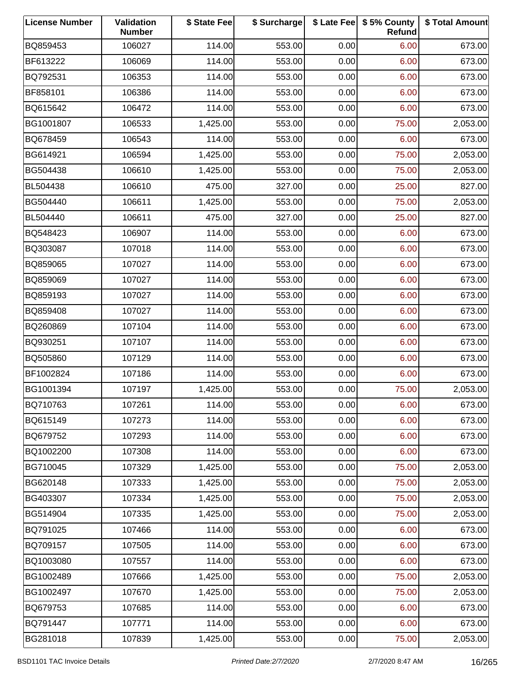| <b>License Number</b> | Validation<br><b>Number</b> | \$ State Fee | \$ Surcharge |      | \$ Late Fee   \$5% County<br>Refund | \$ Total Amount |
|-----------------------|-----------------------------|--------------|--------------|------|-------------------------------------|-----------------|
| BQ859453              | 106027                      | 114.00       | 553.00       | 0.00 | 6.00                                | 673.00          |
| BF613222              | 106069                      | 114.00       | 553.00       | 0.00 | 6.00                                | 673.00          |
| BQ792531              | 106353                      | 114.00       | 553.00       | 0.00 | 6.00                                | 673.00          |
| BF858101              | 106386                      | 114.00       | 553.00       | 0.00 | 6.00                                | 673.00          |
| BQ615642              | 106472                      | 114.00       | 553.00       | 0.00 | 6.00                                | 673.00          |
| BG1001807             | 106533                      | 1,425.00     | 553.00       | 0.00 | 75.00                               | 2,053.00        |
| BQ678459              | 106543                      | 114.00       | 553.00       | 0.00 | 6.00                                | 673.00          |
| BG614921              | 106594                      | 1,425.00     | 553.00       | 0.00 | 75.00                               | 2,053.00        |
| BG504438              | 106610                      | 1,425.00     | 553.00       | 0.00 | 75.00                               | 2,053.00        |
| BL504438              | 106610                      | 475.00       | 327.00       | 0.00 | 25.00                               | 827.00          |
| BG504440              | 106611                      | 1,425.00     | 553.00       | 0.00 | 75.00                               | 2,053.00        |
| BL504440              | 106611                      | 475.00       | 327.00       | 0.00 | 25.00                               | 827.00          |
| BQ548423              | 106907                      | 114.00       | 553.00       | 0.00 | 6.00                                | 673.00          |
| BQ303087              | 107018                      | 114.00       | 553.00       | 0.00 | 6.00                                | 673.00          |
| BQ859065              | 107027                      | 114.00       | 553.00       | 0.00 | 6.00                                | 673.00          |
| BQ859069              | 107027                      | 114.00       | 553.00       | 0.00 | 6.00                                | 673.00          |
| BQ859193              | 107027                      | 114.00       | 553.00       | 0.00 | 6.00                                | 673.00          |
| BQ859408              | 107027                      | 114.00       | 553.00       | 0.00 | 6.00                                | 673.00          |
| BQ260869              | 107104                      | 114.00       | 553.00       | 0.00 | 6.00                                | 673.00          |
| BQ930251              | 107107                      | 114.00       | 553.00       | 0.00 | 6.00                                | 673.00          |
| BQ505860              | 107129                      | 114.00       | 553.00       | 0.00 | 6.00                                | 673.00          |
| BF1002824             | 107186                      | 114.00       | 553.00       | 0.00 | 6.00                                | 673.00          |
| BG1001394             | 107197                      | 1,425.00     | 553.00       | 0.00 | 75.00                               | 2,053.00        |
| BQ710763              | 107261                      | 114.00       | 553.00       | 0.00 | 6.00                                | 673.00          |
| BQ615149              | 107273                      | 114.00       | 553.00       | 0.00 | 6.00                                | 673.00          |
| BQ679752              | 107293                      | 114.00       | 553.00       | 0.00 | 6.00                                | 673.00          |
| BQ1002200             | 107308                      | 114.00       | 553.00       | 0.00 | 6.00                                | 673.00          |
| BG710045              | 107329                      | 1,425.00     | 553.00       | 0.00 | 75.00                               | 2,053.00        |
| BG620148              | 107333                      | 1,425.00     | 553.00       | 0.00 | 75.00                               | 2,053.00        |
| BG403307              | 107334                      | 1,425.00     | 553.00       | 0.00 | 75.00                               | 2,053.00        |
| BG514904              | 107335                      | 1,425.00     | 553.00       | 0.00 | 75.00                               | 2,053.00        |
| BQ791025              | 107466                      | 114.00       | 553.00       | 0.00 | 6.00                                | 673.00          |
| BQ709157              | 107505                      | 114.00       | 553.00       | 0.00 | 6.00                                | 673.00          |
| BQ1003080             | 107557                      | 114.00       | 553.00       | 0.00 | 6.00                                | 673.00          |
| BG1002489             | 107666                      | 1,425.00     | 553.00       | 0.00 | 75.00                               | 2,053.00        |
| BG1002497             | 107670                      | 1,425.00     | 553.00       | 0.00 | 75.00                               | 2,053.00        |
| BQ679753              | 107685                      | 114.00       | 553.00       | 0.00 | 6.00                                | 673.00          |
| BQ791447              | 107771                      | 114.00       | 553.00       | 0.00 | 6.00                                | 673.00          |
| BG281018              | 107839                      | 1,425.00     | 553.00       | 0.00 | 75.00                               | 2,053.00        |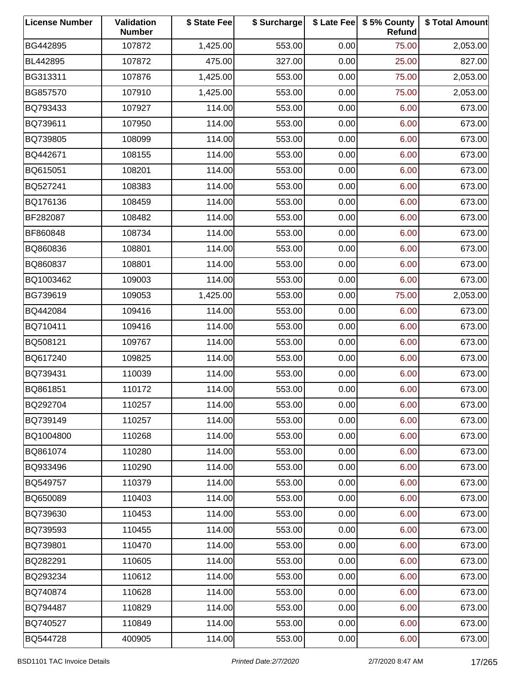| <b>License Number</b> | Validation<br><b>Number</b> | \$ State Fee | \$ Surcharge |      | \$ Late Fee   \$5% County<br>Refund | \$ Total Amount |
|-----------------------|-----------------------------|--------------|--------------|------|-------------------------------------|-----------------|
| BG442895              | 107872                      | 1,425.00     | 553.00       | 0.00 | 75.00                               | 2,053.00        |
| BL442895              | 107872                      | 475.00       | 327.00       | 0.00 | 25.00                               | 827.00          |
| BG313311              | 107876                      | 1,425.00     | 553.00       | 0.00 | 75.00                               | 2,053.00        |
| BG857570              | 107910                      | 1,425.00     | 553.00       | 0.00 | 75.00                               | 2,053.00        |
| BQ793433              | 107927                      | 114.00       | 553.00       | 0.00 | 6.00                                | 673.00          |
| BQ739611              | 107950                      | 114.00       | 553.00       | 0.00 | 6.00                                | 673.00          |
| BQ739805              | 108099                      | 114.00       | 553.00       | 0.00 | 6.00                                | 673.00          |
| BQ442671              | 108155                      | 114.00       | 553.00       | 0.00 | 6.00                                | 673.00          |
| BQ615051              | 108201                      | 114.00       | 553.00       | 0.00 | 6.00                                | 673.00          |
| BQ527241              | 108383                      | 114.00       | 553.00       | 0.00 | 6.00                                | 673.00          |
| BQ176136              | 108459                      | 114.00       | 553.00       | 0.00 | 6.00                                | 673.00          |
| BF282087              | 108482                      | 114.00       | 553.00       | 0.00 | 6.00                                | 673.00          |
| BF860848              | 108734                      | 114.00       | 553.00       | 0.00 | 6.00                                | 673.00          |
| BQ860836              | 108801                      | 114.00       | 553.00       | 0.00 | 6.00                                | 673.00          |
| BQ860837              | 108801                      | 114.00       | 553.00       | 0.00 | 6.00                                | 673.00          |
| BQ1003462             | 109003                      | 114.00       | 553.00       | 0.00 | 6.00                                | 673.00          |
| BG739619              | 109053                      | 1,425.00     | 553.00       | 0.00 | 75.00                               | 2,053.00        |
| BQ442084              | 109416                      | 114.00       | 553.00       | 0.00 | 6.00                                | 673.00          |
| BQ710411              | 109416                      | 114.00       | 553.00       | 0.00 | 6.00                                | 673.00          |
| BQ508121              | 109767                      | 114.00       | 553.00       | 0.00 | 6.00                                | 673.00          |
| BQ617240              | 109825                      | 114.00       | 553.00       | 0.00 | 6.00                                | 673.00          |
| BQ739431              | 110039                      | 114.00       | 553.00       | 0.00 | 6.00                                | 673.00          |
| BQ861851              | 110172                      | 114.00       | 553.00       | 0.00 | 6.00                                | 673.00          |
| BQ292704              | 110257                      | 114.00       | 553.00       | 0.00 | 6.00                                | 673.00          |
| BQ739149              | 110257                      | 114.00       | 553.00       | 0.00 | 6.00                                | 673.00          |
| BQ1004800             | 110268                      | 114.00       | 553.00       | 0.00 | 6.00                                | 673.00          |
| BQ861074              | 110280                      | 114.00       | 553.00       | 0.00 | 6.00                                | 673.00          |
| BQ933496              | 110290                      | 114.00       | 553.00       | 0.00 | 6.00                                | 673.00          |
| BQ549757              | 110379                      | 114.00       | 553.00       | 0.00 | 6.00                                | 673.00          |
| BQ650089              | 110403                      | 114.00       | 553.00       | 0.00 | 6.00                                | 673.00          |
| BQ739630              | 110453                      | 114.00       | 553.00       | 0.00 | 6.00                                | 673.00          |
| BQ739593              | 110455                      | 114.00       | 553.00       | 0.00 | 6.00                                | 673.00          |
| BQ739801              | 110470                      | 114.00       | 553.00       | 0.00 | 6.00                                | 673.00          |
| BQ282291              | 110605                      | 114.00       | 553.00       | 0.00 | 6.00                                | 673.00          |
| BQ293234              | 110612                      | 114.00       | 553.00       | 0.00 | 6.00                                | 673.00          |
| BQ740874              | 110628                      | 114.00       | 553.00       | 0.00 | 6.00                                | 673.00          |
| BQ794487              | 110829                      | 114.00       | 553.00       | 0.00 | 6.00                                | 673.00          |
| BQ740527              | 110849                      | 114.00       | 553.00       | 0.00 | 6.00                                | 673.00          |
| BQ544728              | 400905                      | 114.00       | 553.00       | 0.00 | 6.00                                | 673.00          |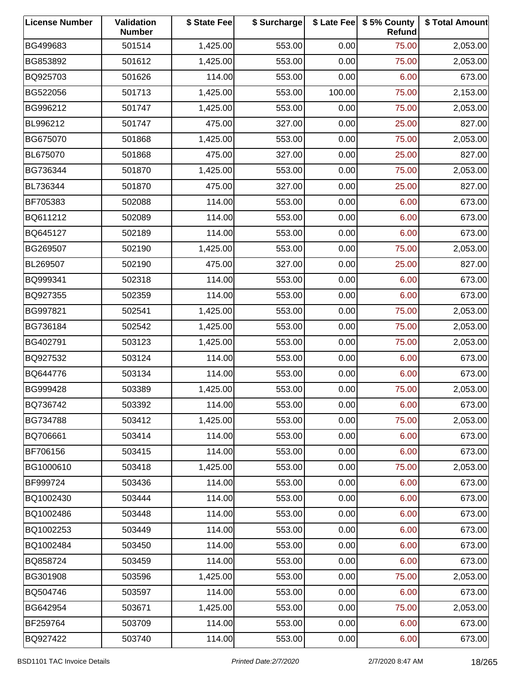| <b>License Number</b> | Validation<br><b>Number</b> | \$ State Fee | \$ Surcharge |        | \$ Late Fee   \$5% County<br>Refund | \$ Total Amount |
|-----------------------|-----------------------------|--------------|--------------|--------|-------------------------------------|-----------------|
| BG499683              | 501514                      | 1,425.00     | 553.00       | 0.00   | 75.00                               | 2,053.00        |
| BG853892              | 501612                      | 1,425.00     | 553.00       | 0.00   | 75.00                               | 2,053.00        |
| BQ925703              | 501626                      | 114.00       | 553.00       | 0.00   | 6.00                                | 673.00          |
| BG522056              | 501713                      | 1,425.00     | 553.00       | 100.00 | 75.00                               | 2,153.00        |
| BG996212              | 501747                      | 1,425.00     | 553.00       | 0.00   | 75.00                               | 2,053.00        |
| BL996212              | 501747                      | 475.00       | 327.00       | 0.00   | 25.00                               | 827.00          |
| BG675070              | 501868                      | 1,425.00     | 553.00       | 0.00   | 75.00                               | 2,053.00        |
| BL675070              | 501868                      | 475.00       | 327.00       | 0.00   | 25.00                               | 827.00          |
| BG736344              | 501870                      | 1,425.00     | 553.00       | 0.00   | 75.00                               | 2,053.00        |
| BL736344              | 501870                      | 475.00       | 327.00       | 0.00   | 25.00                               | 827.00          |
| BF705383              | 502088                      | 114.00       | 553.00       | 0.00   | 6.00                                | 673.00          |
| BQ611212              | 502089                      | 114.00       | 553.00       | 0.00   | 6.00                                | 673.00          |
| BQ645127              | 502189                      | 114.00       | 553.00       | 0.00   | 6.00                                | 673.00          |
| BG269507              | 502190                      | 1,425.00     | 553.00       | 0.00   | 75.00                               | 2,053.00        |
| BL269507              | 502190                      | 475.00       | 327.00       | 0.00   | 25.00                               | 827.00          |
| BQ999341              | 502318                      | 114.00       | 553.00       | 0.00   | 6.00                                | 673.00          |
| BQ927355              | 502359                      | 114.00       | 553.00       | 0.00   | 6.00                                | 673.00          |
| BG997821              | 502541                      | 1,425.00     | 553.00       | 0.00   | 75.00                               | 2,053.00        |
| BG736184              | 502542                      | 1,425.00     | 553.00       | 0.00   | 75.00                               | 2,053.00        |
| BG402791              | 503123                      | 1,425.00     | 553.00       | 0.00   | 75.00                               | 2,053.00        |
| BQ927532              | 503124                      | 114.00       | 553.00       | 0.00   | 6.00                                | 673.00          |
| BQ644776              | 503134                      | 114.00       | 553.00       | 0.00   | 6.00                                | 673.00          |
| BG999428              | 503389                      | 1,425.00     | 553.00       | 0.00   | 75.00                               | 2,053.00        |
| BQ736742              | 503392                      | 114.00       | 553.00       | 0.00   | 6.00                                | 673.00          |
| BG734788              | 503412                      | 1,425.00     | 553.00       | 0.00   | 75.00                               | 2,053.00        |
| BQ706661              | 503414                      | 114.00       | 553.00       | 0.00   | 6.00                                | 673.00          |
| BF706156              | 503415                      | 114.00       | 553.00       | 0.00   | 6.00                                | 673.00          |
| BG1000610             | 503418                      | 1,425.00     | 553.00       | 0.00   | 75.00                               | 2,053.00        |
| BF999724              | 503436                      | 114.00       | 553.00       | 0.00   | 6.00                                | 673.00          |
| BQ1002430             | 503444                      | 114.00       | 553.00       | 0.00   | 6.00                                | 673.00          |
| BQ1002486             | 503448                      | 114.00       | 553.00       | 0.00   | 6.00                                | 673.00          |
| BQ1002253             | 503449                      | 114.00       | 553.00       | 0.00   | 6.00                                | 673.00          |
| BQ1002484             | 503450                      | 114.00       | 553.00       | 0.00   | 6.00                                | 673.00          |
| BQ858724              | 503459                      | 114.00       | 553.00       | 0.00   | 6.00                                | 673.00          |
| BG301908              | 503596                      | 1,425.00     | 553.00       | 0.00   | 75.00                               | 2,053.00        |
| BQ504746              | 503597                      | 114.00       | 553.00       | 0.00   | 6.00                                | 673.00          |
| BG642954              | 503671                      | 1,425.00     | 553.00       | 0.00   | 75.00                               | 2,053.00        |
| BF259764              | 503709                      | 114.00       | 553.00       | 0.00   | 6.00                                | 673.00          |
| BQ927422              | 503740                      | 114.00       | 553.00       | 0.00   | 6.00                                | 673.00          |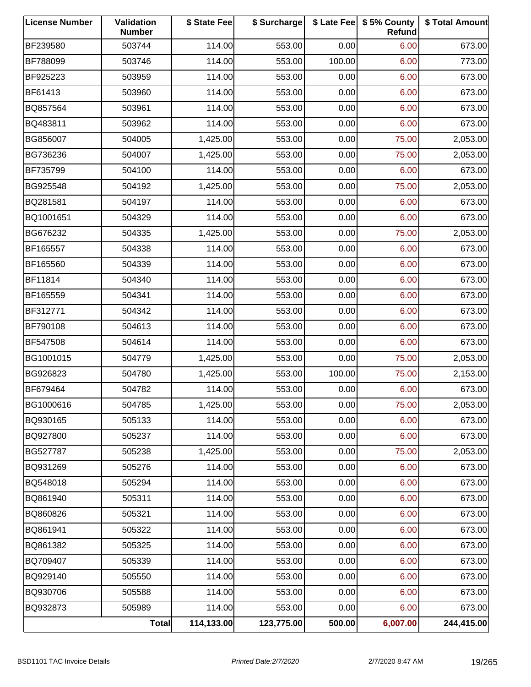| <b>License Number</b> | Validation<br><b>Number</b> | \$ State Fee | \$ Surcharge |        | \$ Late Fee   \$5% County<br>Refund | \$ Total Amount |
|-----------------------|-----------------------------|--------------|--------------|--------|-------------------------------------|-----------------|
| BF239580              | 503744                      | 114.00       | 553.00       | 0.00   | 6.00                                | 673.00          |
| BF788099              | 503746                      | 114.00       | 553.00       | 100.00 | 6.00                                | 773.00          |
| BF925223              | 503959                      | 114.00       | 553.00       | 0.00   | 6.00                                | 673.00          |
| BF61413               | 503960                      | 114.00       | 553.00       | 0.00   | 6.00                                | 673.00          |
| BQ857564              | 503961                      | 114.00       | 553.00       | 0.00   | 6.00                                | 673.00          |
| BQ483811              | 503962                      | 114.00       | 553.00       | 0.00   | 6.00                                | 673.00          |
| BG856007              | 504005                      | 1,425.00     | 553.00       | 0.00   | 75.00                               | 2,053.00        |
| BG736236              | 504007                      | 1,425.00     | 553.00       | 0.00   | 75.00                               | 2,053.00        |
| BF735799              | 504100                      | 114.00       | 553.00       | 0.00   | 6.00                                | 673.00          |
| BG925548              | 504192                      | 1,425.00     | 553.00       | 0.00   | 75.00                               | 2,053.00        |
| BQ281581              | 504197                      | 114.00       | 553.00       | 0.00   | 6.00                                | 673.00          |
| BQ1001651             | 504329                      | 114.00       | 553.00       | 0.00   | 6.00                                | 673.00          |
| BG676232              | 504335                      | 1,425.00     | 553.00       | 0.00   | 75.00                               | 2,053.00        |
| BF165557              | 504338                      | 114.00       | 553.00       | 0.00   | 6.00                                | 673.00          |
| BF165560              | 504339                      | 114.00       | 553.00       | 0.00   | 6.00                                | 673.00          |
| BF11814               | 504340                      | 114.00       | 553.00       | 0.00   | 6.00                                | 673.00          |
| BF165559              | 504341                      | 114.00       | 553.00       | 0.00   | 6.00                                | 673.00          |
| BF312771              | 504342                      | 114.00       | 553.00       | 0.00   | 6.00                                | 673.00          |
| BF790108              | 504613                      | 114.00       | 553.00       | 0.00   | 6.00                                | 673.00          |
| BF547508              | 504614                      | 114.00       | 553.00       | 0.00   | 6.00                                | 673.00          |
| BG1001015             | 504779                      | 1,425.00     | 553.00       | 0.00   | 75.00                               | 2,053.00        |
| BG926823              | 504780                      | 1,425.00     | 553.00       | 100.00 | 75.00                               | 2,153.00        |
| BF679464              | 504782                      | 114.00       | 553.00       | 0.00   | 6.00                                | 673.00          |
| BG1000616             | 504785                      | 1,425.00     | 553.00       | 0.00   | 75.00                               | 2,053.00        |
| BQ930165              | 505133                      | 114.00       | 553.00       | 0.00   | 6.00                                | 673.00          |
| BQ927800              | 505237                      | 114.00       | 553.00       | 0.00   | 6.00                                | 673.00          |
| BG527787              | 505238                      | 1,425.00     | 553.00       | 0.00   | 75.00                               | 2,053.00        |
| BQ931269              | 505276                      | 114.00       | 553.00       | 0.00   | 6.00                                | 673.00          |
| BQ548018              | 505294                      | 114.00       | 553.00       | 0.00   | 6.00                                | 673.00          |
| BQ861940              | 505311                      | 114.00       | 553.00       | 0.00   | 6.00                                | 673.00          |
| BQ860826              | 505321                      | 114.00       | 553.00       | 0.00   | 6.00                                | 673.00          |
| BQ861941              | 505322                      | 114.00       | 553.00       | 0.00   | 6.00                                | 673.00          |
| BQ861382              | 505325                      | 114.00       | 553.00       | 0.00   | 6.00                                | 673.00          |
| BQ709407              | 505339                      | 114.00       | 553.00       | 0.00   | 6.00                                | 673.00          |
| BQ929140              | 505550                      | 114.00       | 553.00       | 0.00   | 6.00                                | 673.00          |
| BQ930706              | 505588                      | 114.00       | 553.00       | 0.00   | 6.00                                | 673.00          |
| BQ932873              | 505989                      | 114.00       | 553.00       | 0.00   | 6.00                                | 673.00          |
|                       | Total                       | 114,133.00   | 123,775.00   | 500.00 | 6,007.00                            | 244,415.00      |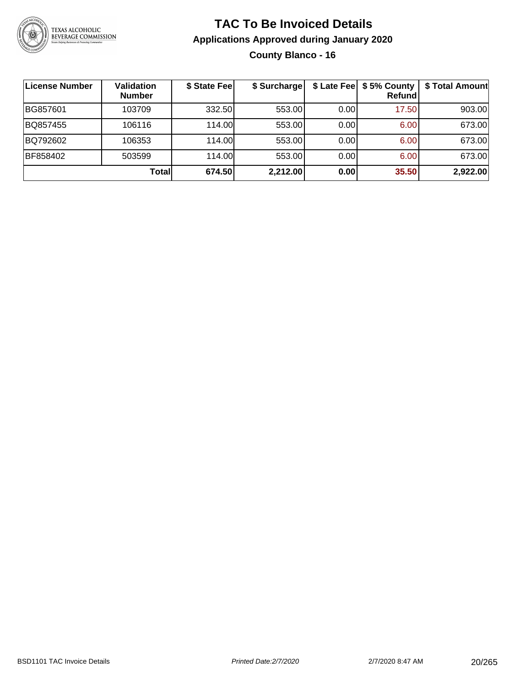

#### **TAC To Be Invoiced Details Applications Approved during January 2020 County Blanco - 16**

| License Number | <b>Validation</b><br><b>Number</b> | \$ State Fee | \$ Surcharge |      | \$ Late Fee   \$5% County  <br>Refundl | \$ Total Amount |
|----------------|------------------------------------|--------------|--------------|------|----------------------------------------|-----------------|
| BG857601       | 103709                             | 332.50       | 553.00       | 0.00 | 17.50                                  | 903.00          |
| BQ857455       | 106116                             | 114.00       | 553.00       | 0.00 | 6.00                                   | 673.00          |
| BQ792602       | 106353                             | 114.00       | 553.00       | 0.00 | 6.00                                   | 673.00          |
| BF858402       | 503599                             | 114.00       | 553.00       | 0.00 | 6.00                                   | 673.00          |
|                | Total                              | 674.50       | 2,212.00     | 0.00 | 35.50                                  | 2,922.00        |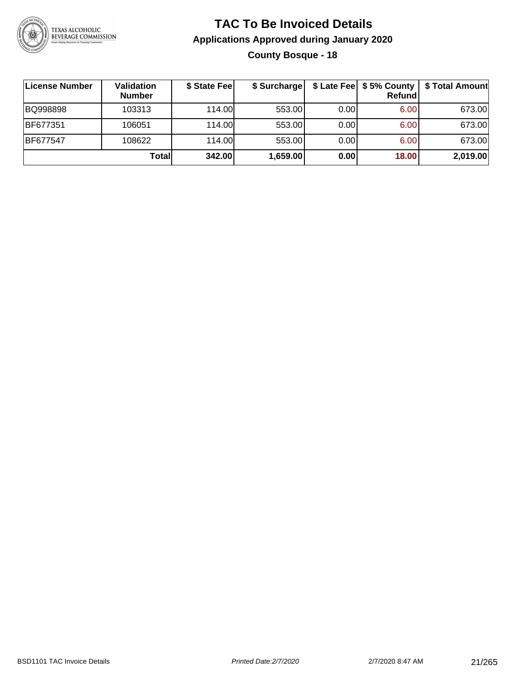

#### **TAC To Be Invoiced Details Applications Approved during January 2020 County Bosque - 18**

| ∣License Number | Validation<br><b>Number</b> | \$ State Fee | \$ Surcharge |      | \$ Late Fee   \$5% County<br>Refundl | \$ Total Amount |
|-----------------|-----------------------------|--------------|--------------|------|--------------------------------------|-----------------|
| BQ998898        | 103313                      | 114.00       | 553.00       | 0.00 | 6.00                                 | 673.00          |
| BF677351        | 106051                      | 114.00       | 553.00       | 0.00 | 6.00                                 | 673.00          |
| BF677547        | 108622                      | 114.00       | 553.00       | 0.00 | 6.00                                 | 673.00          |
|                 | <b>Total</b>                | 342.00       | 1,659.00     | 0.00 | 18.00                                | 2,019.00        |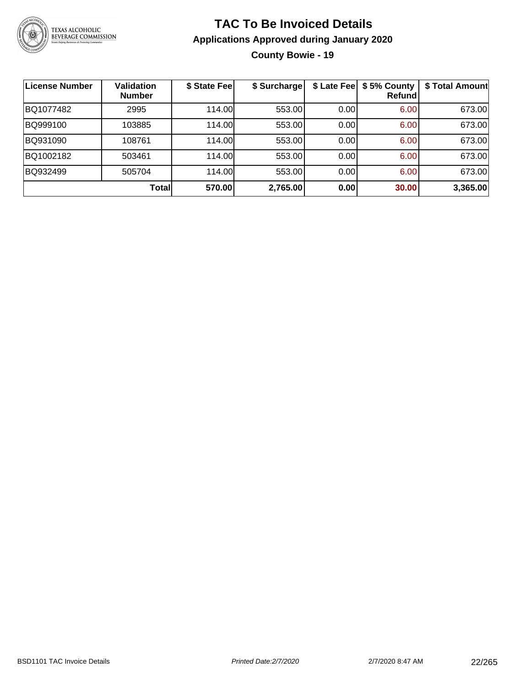

#### **TAC To Be Invoiced Details Applications Approved during January 2020 County Bowie - 19**

| License Number | <b>Validation</b><br><b>Number</b> | \$ State Fee | \$ Surcharge |      | \$ Late Fee   \$5% County<br>Refund | \$ Total Amount |
|----------------|------------------------------------|--------------|--------------|------|-------------------------------------|-----------------|
| BQ1077482      | 2995                               | 114.00       | 553.00       | 0.00 | 6.00                                | 673.00          |
| BQ999100       | 103885                             | 114.00       | 553.00       | 0.00 | 6.00                                | 673.00          |
| BQ931090       | 108761                             | 114.00       | 553.00       | 0.00 | 6.00                                | 673.00          |
| BQ1002182      | 503461                             | 114.00       | 553.00       | 0.00 | 6.00                                | 673.00          |
| BQ932499       | 505704                             | 114.00       | 553.00       | 0.00 | 6.00                                | 673.00          |
|                | Total                              | 570.00       | 2,765.00     | 0.00 | 30.00                               | 3,365.00        |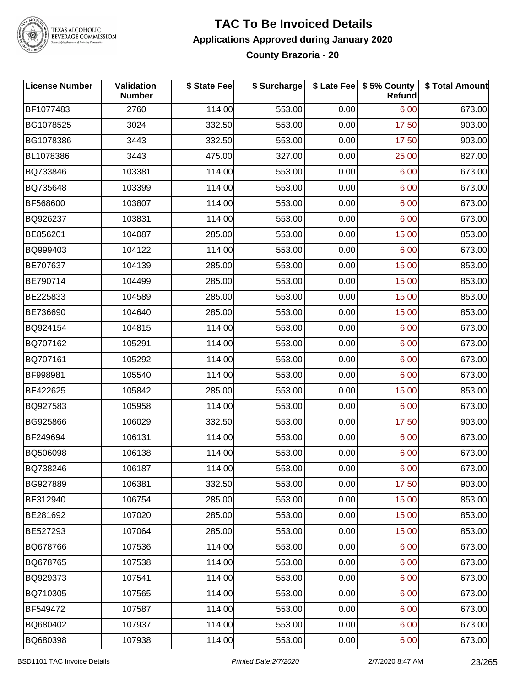

#### **TAC To Be Invoiced Details Applications Approved during January 2020 County Brazoria - 20**

| <b>License Number</b> | Validation<br><b>Number</b> | \$ State Fee | \$ Surcharge |      | \$ Late Fee   \$5% County<br><b>Refund</b> | \$ Total Amount |
|-----------------------|-----------------------------|--------------|--------------|------|--------------------------------------------|-----------------|
| BF1077483             | 2760                        | 114.00       | 553.00       | 0.00 | 6.00                                       | 673.00          |
| BG1078525             | 3024                        | 332.50       | 553.00       | 0.00 | 17.50                                      | 903.00          |
| BG1078386             | 3443                        | 332.50       | 553.00       | 0.00 | 17.50                                      | 903.00          |
| BL1078386             | 3443                        | 475.00       | 327.00       | 0.00 | 25.00                                      | 827.00          |
| BQ733846              | 103381                      | 114.00       | 553.00       | 0.00 | 6.00                                       | 673.00          |
| BQ735648              | 103399                      | 114.00       | 553.00       | 0.00 | 6.00                                       | 673.00          |
| BF568600              | 103807                      | 114.00       | 553.00       | 0.00 | 6.00                                       | 673.00          |
| BQ926237              | 103831                      | 114.00       | 553.00       | 0.00 | 6.00                                       | 673.00          |
| BE856201              | 104087                      | 285.00       | 553.00       | 0.00 | 15.00                                      | 853.00          |
| BQ999403              | 104122                      | 114.00       | 553.00       | 0.00 | 6.00                                       | 673.00          |
| BE707637              | 104139                      | 285.00       | 553.00       | 0.00 | 15.00                                      | 853.00          |
| BE790714              | 104499                      | 285.00       | 553.00       | 0.00 | 15.00                                      | 853.00          |
| BE225833              | 104589                      | 285.00       | 553.00       | 0.00 | 15.00                                      | 853.00          |
| BE736690              | 104640                      | 285.00       | 553.00       | 0.00 | 15.00                                      | 853.00          |
| BQ924154              | 104815                      | 114.00       | 553.00       | 0.00 | 6.00                                       | 673.00          |
| BQ707162              | 105291                      | 114.00       | 553.00       | 0.00 | 6.00                                       | 673.00          |
| BQ707161              | 105292                      | 114.00       | 553.00       | 0.00 | 6.00                                       | 673.00          |
| BF998981              | 105540                      | 114.00       | 553.00       | 0.00 | 6.00                                       | 673.00          |
| BE422625              | 105842                      | 285.00       | 553.00       | 0.00 | 15.00                                      | 853.00          |
| BQ927583              | 105958                      | 114.00       | 553.00       | 0.00 | 6.00                                       | 673.00          |
| BG925866              | 106029                      | 332.50       | 553.00       | 0.00 | 17.50                                      | 903.00          |
| BF249694              | 106131                      | 114.00       | 553.00       | 0.00 | 6.00                                       | 673.00          |
| BQ506098              | 106138                      | 114.00       | 553.00       | 0.00 | 6.00                                       | 673.00          |
| BQ738246              | 106187                      | 114.00       | 553.00       | 0.00 | 6.00                                       | 673.00          |
| BG927889              | 106381                      | 332.50       | 553.00       | 0.00 | 17.50                                      | 903.00          |
| BE312940              | 106754                      | 285.00       | 553.00       | 0.00 | 15.00                                      | 853.00          |
| BE281692              | 107020                      | 285.00       | 553.00       | 0.00 | 15.00                                      | 853.00          |
| BE527293              | 107064                      | 285.00       | 553.00       | 0.00 | 15.00                                      | 853.00          |
| BQ678766              | 107536                      | 114.00       | 553.00       | 0.00 | 6.00                                       | 673.00          |
| BQ678765              | 107538                      | 114.00       | 553.00       | 0.00 | 6.00                                       | 673.00          |
| BQ929373              | 107541                      | 114.00       | 553.00       | 0.00 | 6.00                                       | 673.00          |
| BQ710305              | 107565                      | 114.00       | 553.00       | 0.00 | 6.00                                       | 673.00          |
| BF549472              | 107587                      | 114.00       | 553.00       | 0.00 | 6.00                                       | 673.00          |
| BQ680402              | 107937                      | 114.00       | 553.00       | 0.00 | 6.00                                       | 673.00          |
| BQ680398              | 107938                      | 114.00       | 553.00       | 0.00 | 6.00                                       | 673.00          |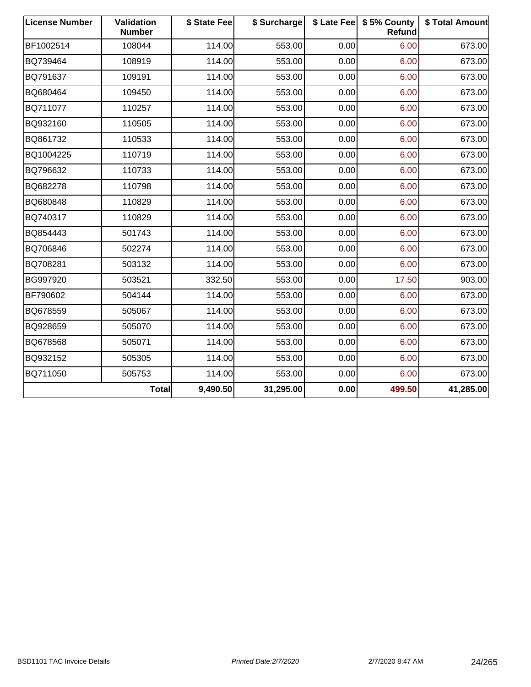| <b>License Number</b> | Validation<br><b>Number</b> | \$ State Fee | \$ Surcharge |      | \$ Late Fee   \$5% County<br>Refund | \$ Total Amount |
|-----------------------|-----------------------------|--------------|--------------|------|-------------------------------------|-----------------|
| BF1002514             | 108044                      | 114.00       | 553.00       | 0.00 | 6.00                                | 673.00          |
| BQ739464              | 108919                      | 114.00       | 553.00       | 0.00 | 6.00                                | 673.00          |
| BQ791637              | 109191                      | 114.00       | 553.00       | 0.00 | 6.00                                | 673.00          |
| BQ680464              | 109450                      | 114.00       | 553.00       | 0.00 | 6.00                                | 673.00          |
| BQ711077              | 110257                      | 114.00       | 553.00       | 0.00 | 6.00                                | 673.00          |
| BQ932160              | 110505                      | 114.00       | 553.00       | 0.00 | 6.00                                | 673.00          |
| BQ861732              | 110533                      | 114.00       | 553.00       | 0.00 | 6.00                                | 673.00          |
| BQ1004225             | 110719                      | 114.00       | 553.00       | 0.00 | 6.00                                | 673.00          |
| BQ796632              | 110733                      | 114.00       | 553.00       | 0.00 | 6.00                                | 673.00          |
| BQ682278              | 110798                      | 114.00       | 553.00       | 0.00 | 6.00                                | 673.00          |
| BQ680848              | 110829                      | 114.00       | 553.00       | 0.00 | 6.00                                | 673.00          |
| BQ740317              | 110829                      | 114.00       | 553.00       | 0.00 | 6.00                                | 673.00          |
| BQ854443              | 501743                      | 114.00       | 553.00       | 0.00 | 6.00                                | 673.00          |
| BQ706846              | 502274                      | 114.00       | 553.00       | 0.00 | 6.00                                | 673.00          |
| BQ708281              | 503132                      | 114.00       | 553.00       | 0.00 | 6.00                                | 673.00          |
| BG997920              | 503521                      | 332.50       | 553.00       | 0.00 | 17.50                               | 903.00          |
| BF790602              | 504144                      | 114.00       | 553.00       | 0.00 | 6.00                                | 673.00          |
| BQ678559              | 505067                      | 114.00       | 553.00       | 0.00 | 6.00                                | 673.00          |
| BQ928659              | 505070                      | 114.00       | 553.00       | 0.00 | 6.00                                | 673.00          |
| BQ678568              | 505071                      | 114.00       | 553.00       | 0.00 | 6.00                                | 673.00          |
| BQ932152              | 505305                      | 114.00       | 553.00       | 0.00 | 6.00                                | 673.00          |
| BQ711050              | 505753                      | 114.00       | 553.00       | 0.00 | 6.00                                | 673.00          |
|                       | Total                       | 9,490.50     | 31,295.00    | 0.00 | 499.50                              | 41,285.00       |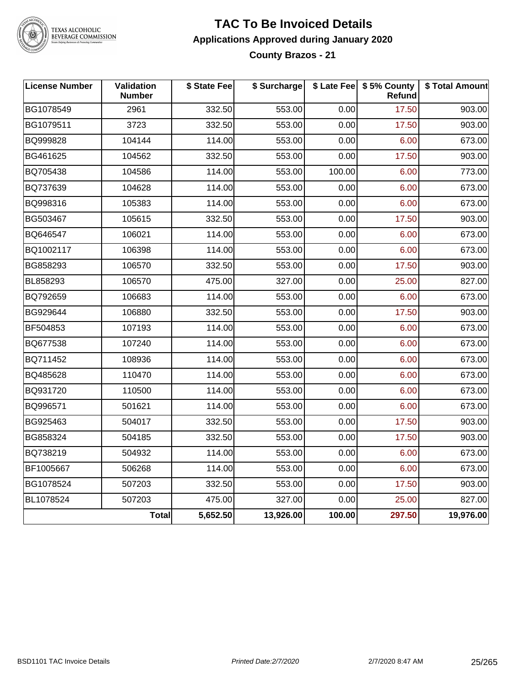

#### **TAC To Be Invoiced Details Applications Approved during January 2020 County Brazos - 21**

| <b>License Number</b> | Validation<br><b>Number</b> | \$ State Fee | \$ Surcharge |        | \$ Late Fee   \$5% County<br>Refund | \$ Total Amount |
|-----------------------|-----------------------------|--------------|--------------|--------|-------------------------------------|-----------------|
| BG1078549             | 2961                        | 332.50       | 553.00       | 0.00   | 17.50                               | 903.00          |
| BG1079511             | 3723                        | 332.50       | 553.00       | 0.00   | 17.50                               | 903.00          |
| BQ999828              | 104144                      | 114.00       | 553.00       | 0.00   | 6.00                                | 673.00          |
| BG461625              | 104562                      | 332.50       | 553.00       | 0.00   | 17.50                               | 903.00          |
| BQ705438              | 104586                      | 114.00       | 553.00       | 100.00 | 6.00                                | 773.00          |
| BQ737639              | 104628                      | 114.00       | 553.00       | 0.00   | 6.00                                | 673.00          |
| BQ998316              | 105383                      | 114.00       | 553.00       | 0.00   | 6.00                                | 673.00          |
| BG503467              | 105615                      | 332.50       | 553.00       | 0.00   | 17.50                               | 903.00          |
| BQ646547              | 106021                      | 114.00       | 553.00       | 0.00   | 6.00                                | 673.00          |
| BQ1002117             | 106398                      | 114.00       | 553.00       | 0.00   | 6.00                                | 673.00          |
| BG858293              | 106570                      | 332.50       | 553.00       | 0.00   | 17.50                               | 903.00          |
| BL858293              | 106570                      | 475.00       | 327.00       | 0.00   | 25.00                               | 827.00          |
| BQ792659              | 106683                      | 114.00       | 553.00       | 0.00   | 6.00                                | 673.00          |
| BG929644              | 106880                      | 332.50       | 553.00       | 0.00   | 17.50                               | 903.00          |
| BF504853              | 107193                      | 114.00       | 553.00       | 0.00   | 6.00                                | 673.00          |
| BQ677538              | 107240                      | 114.00       | 553.00       | 0.00   | 6.00                                | 673.00          |
| BQ711452              | 108936                      | 114.00       | 553.00       | 0.00   | 6.00                                | 673.00          |
| BQ485628              | 110470                      | 114.00       | 553.00       | 0.00   | 6.00                                | 673.00          |
| BQ931720              | 110500                      | 114.00       | 553.00       | 0.00   | 6.00                                | 673.00          |
| BQ996571              | 501621                      | 114.00       | 553.00       | 0.00   | 6.00                                | 673.00          |
| BG925463              | 504017                      | 332.50       | 553.00       | 0.00   | 17.50                               | 903.00          |
| BG858324              | 504185                      | 332.50       | 553.00       | 0.00   | 17.50                               | 903.00          |
| BQ738219              | 504932                      | 114.00       | 553.00       | 0.00   | 6.00                                | 673.00          |
| BF1005667             | 506268                      | 114.00       | 553.00       | 0.00   | 6.00                                | 673.00          |
| BG1078524             | 507203                      | 332.50       | 553.00       | 0.00   | 17.50                               | 903.00          |
| BL1078524             | 507203                      | 475.00       | 327.00       | 0.00   | 25.00                               | 827.00          |
|                       | Total                       | 5,652.50     | 13,926.00    | 100.00 | 297.50                              | 19,976.00       |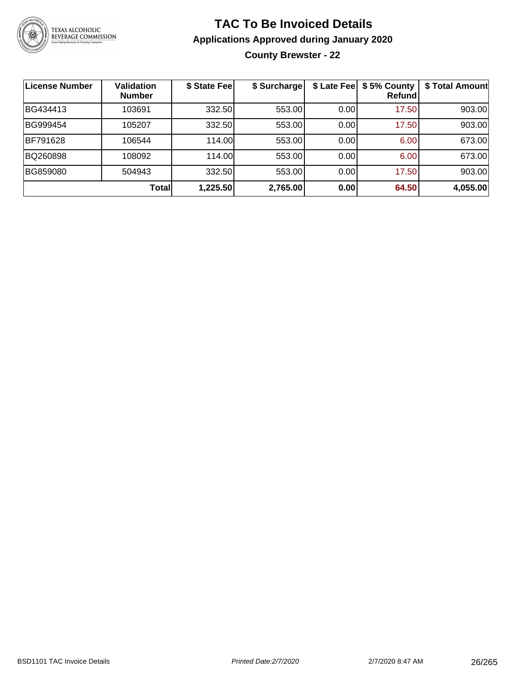

**County Brewster - 22**

| License Number | <b>Validation</b><br><b>Number</b> | \$ State Fee | \$ Surcharge | \$ Late Feel | \$5% County<br>Refundl | \$ Total Amount |
|----------------|------------------------------------|--------------|--------------|--------------|------------------------|-----------------|
| BG434413       | 103691                             | 332.50       | 553.00       | 0.00         | 17.50                  | 903.00          |
| BG999454       | 105207                             | 332.50       | 553.00       | 0.00         | 17.50                  | 903.00          |
| BF791628       | 106544                             | 114.00       | 553.00       | 0.00         | 6.00                   | 673.00          |
| BQ260898       | 108092                             | 114.00       | 553.00       | 0.00         | 6.00                   | 673.00          |
| BG859080       | 504943                             | 332.50       | 553.00       | 0.00         | 17.50                  | 903.00          |
|                | Totall                             | 1,225.50     | 2,765.00     | 0.00         | 64.50                  | 4,055.00        |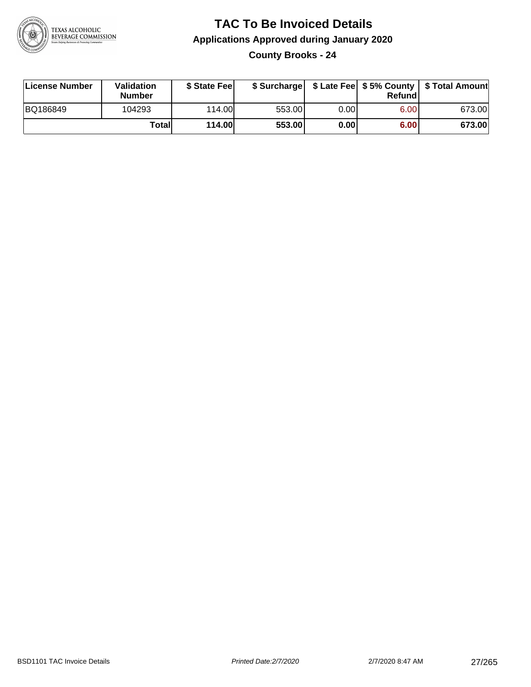

**County Brooks - 24**

| License Number | Validation<br><b>Number</b> | \$ State Fee  | \$ Surcharge |      | Refundl |        |
|----------------|-----------------------------|---------------|--------------|------|---------|--------|
| BQ186849       | 104293                      | 114.00        | 553.00       | 0.00 | 6.00    | 673.00 |
|                | Totall                      | <b>114.00</b> | 553.00       | 0.00 | 6.00    | 673.00 |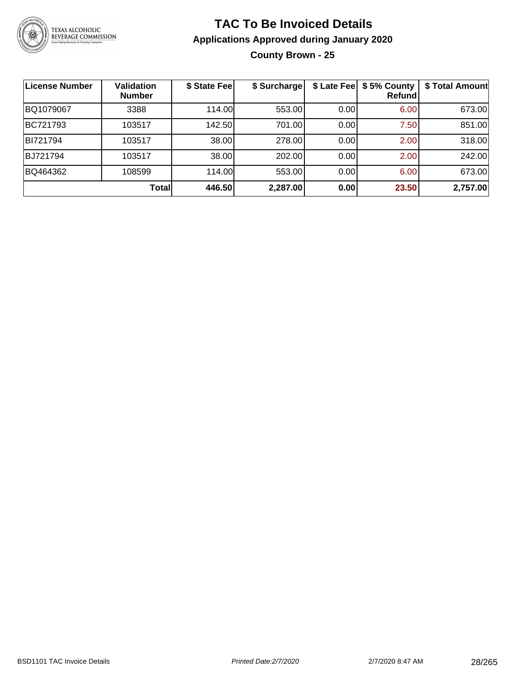

#### **TAC To Be Invoiced Details Applications Approved during January 2020 County Brown - 25**

| License Number | <b>Validation</b><br><b>Number</b> | \$ State Fee | \$ Surcharge | \$ Late Fee | \$5% County<br>Refundl | \$ Total Amount |
|----------------|------------------------------------|--------------|--------------|-------------|------------------------|-----------------|
| BQ1079067      | 3388                               | 114.00       | 553.00       | 0.00        | 6.00                   | 673.00          |
| BC721793       | 103517                             | 142.50       | 701.00       | 0.00        | 7.50                   | 851.00          |
| BI721794       | 103517                             | 38.00        | 278.00       | 0.00        | 2.00                   | 318.00          |
| BJ721794       | 103517                             | 38.00        | 202.00       | 0.00        | 2.00                   | 242.00          |
| BQ464362       | 108599                             | 114.00       | 553.00       | 0.00        | 6.00                   | 673.00          |
|                | Total                              | 446.50       | 2,287.00     | 0.00        | 23.50                  | 2,757.00        |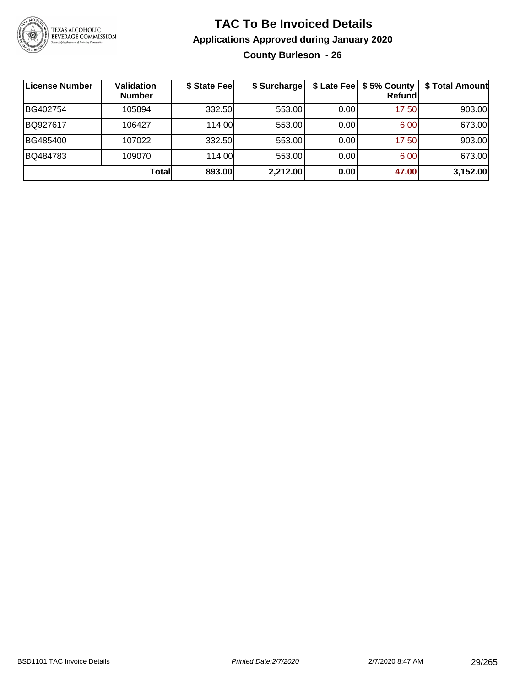

#### **TAC To Be Invoiced Details Applications Approved during January 2020 County Burleson - 26**

| License Number | Validation<br><b>Number</b> | \$ State Fee | \$ Surcharge | \$ Late Fee | \$5% County<br>Refundl | \$ Total Amount |
|----------------|-----------------------------|--------------|--------------|-------------|------------------------|-----------------|
| BG402754       | 105894                      | 332.50       | 553.00       | 0.00        | 17.50                  | 903.00          |
| BQ927617       | 106427                      | 114.00L      | 553.00       | 0.00        | 6.00                   | 673.00          |
| BG485400       | 107022                      | 332.50       | 553.00       | 0.00        | 17.50                  | 903.00          |
| BQ484783       | 109070                      | 114.00       | 553.00       | 0.00        | 6.00                   | 673.00          |
|                | <b>Total</b>                | 893.00       | 2,212.00     | 0.00        | 47.00                  | 3,152.00        |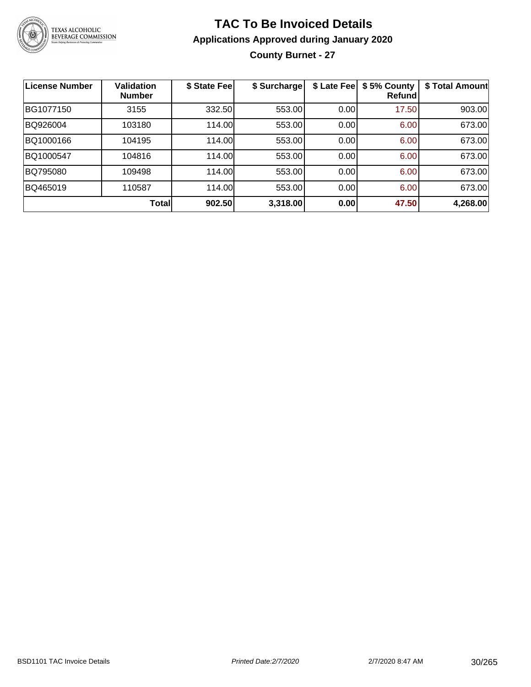

#### **TAC To Be Invoiced Details Applications Approved during January 2020 County Burnet - 27**

| <b>License Number</b> | <b>Validation</b><br><b>Number</b> | \$ State Fee | \$ Surcharge | \$ Late Fee | \$5% County<br>Refund | \$ Total Amount |
|-----------------------|------------------------------------|--------------|--------------|-------------|-----------------------|-----------------|
| BG1077150             | 3155                               | 332.50       | 553.00       | 0.00        | 17.50                 | 903.00          |
| BQ926004              | 103180                             | 114.00       | 553.00       | 0.00        | 6.00                  | 673.00          |
| BQ1000166             | 104195                             | 114.00       | 553.00       | 0.00        | 6.00                  | 673.00          |
| BQ1000547             | 104816                             | 114.00       | 553.00       | 0.00        | 6.00                  | 673.00          |
| BQ795080              | 109498                             | 114.00       | 553.00       | 0.00        | 6.00                  | 673.00          |
| BQ465019              | 110587                             | 114.00       | 553.00       | 0.00        | 6.00                  | 673.00          |
|                       | <b>Total</b>                       | 902.50       | 3,318.00     | 0.00        | 47.50                 | 4,268.00        |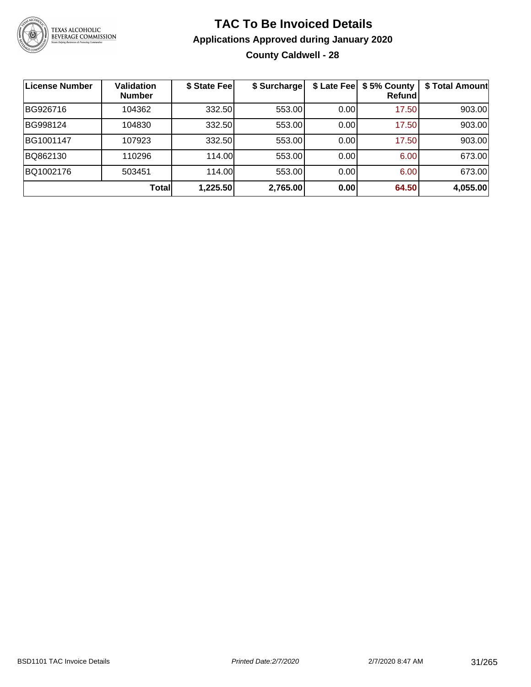

#### **TAC To Be Invoiced Details Applications Approved during January 2020 County Caldwell - 28**

| <b>License Number</b> | <b>Validation</b><br><b>Number</b> | \$ State Fee | \$ Surcharge |      | \$ Late Fee   \$5% County<br>Refundl | \$ Total Amount |
|-----------------------|------------------------------------|--------------|--------------|------|--------------------------------------|-----------------|
| BG926716              | 104362                             | 332.50       | 553.00       | 0.00 | 17.50                                | 903.00          |
| BG998124              | 104830                             | 332.50       | 553.00       | 0.00 | 17.50                                | 903.00          |
| BG1001147             | 107923                             | 332.50       | 553.00       | 0.00 | 17.50                                | 903.00          |
| BQ862130              | 110296                             | 114.00       | 553.00       | 0.00 | 6.00                                 | 673.00          |
| BQ1002176             | 503451                             | 114.00       | 553.00       | 0.00 | 6.00                                 | 673.00          |
|                       | <b>Total</b>                       | 1,225.50     | 2,765.00     | 0.00 | 64.50                                | 4,055.00        |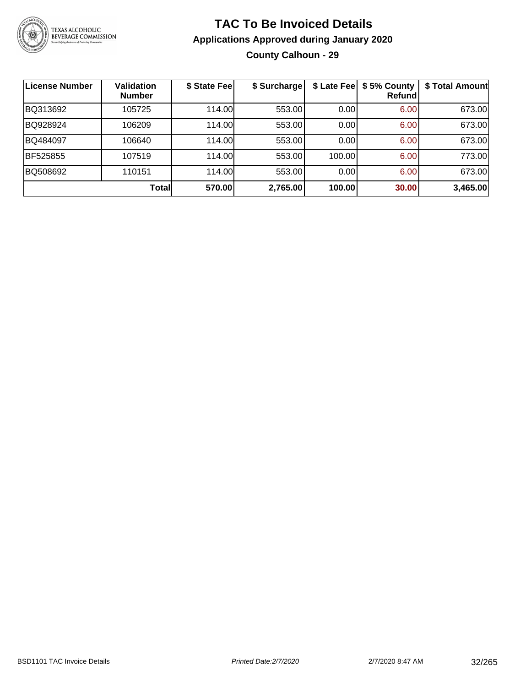

#### **TAC To Be Invoiced Details Applications Approved during January 2020 County Calhoun - 29**

| <b>License Number</b> | <b>Validation</b><br><b>Number</b> | \$ State Fee | \$ Surcharge |        | \$ Late Fee   \$5% County<br><b>Refund</b> | \$ Total Amount |
|-----------------------|------------------------------------|--------------|--------------|--------|--------------------------------------------|-----------------|
| BQ313692              | 105725                             | 114.00L      | 553.00       | 0.00   | 6.00                                       | 673.00          |
| BQ928924              | 106209                             | 114.00       | 553.00       | 0.00   | 6.00                                       | 673.00          |
| BQ484097              | 106640                             | 114.00       | 553.00       | 0.00   | 6.00                                       | 673.00          |
| <b>BF525855</b>       | 107519                             | 114.00       | 553.00       | 100.00 | 6.00                                       | 773.00          |
| BQ508692              | 110151                             | 114.00       | 553.00       | 0.00   | 6.00                                       | 673.00          |
|                       | Total                              | 570.00       | 2,765.00     | 100.00 | 30.00                                      | 3,465.00        |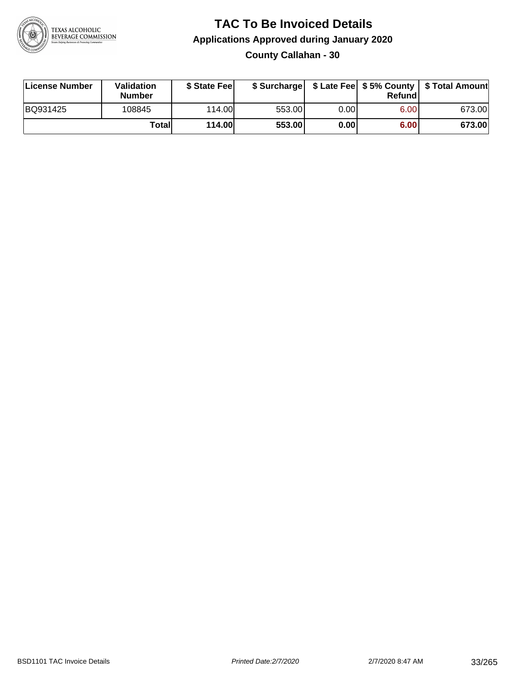

**County Callahan - 30**

| License Number | Validation<br><b>Number</b> | \$ State Feel | \$ Surcharge |             | Refundl |        |
|----------------|-----------------------------|---------------|--------------|-------------|---------|--------|
| BQ931425       | 108845                      | 114.00        | 553.00       | $0.00\vert$ | 6.00    | 673.00 |
|                | Totall                      | <b>114.00</b> | 553.00       | 0.00        | 6.00    | 673.00 |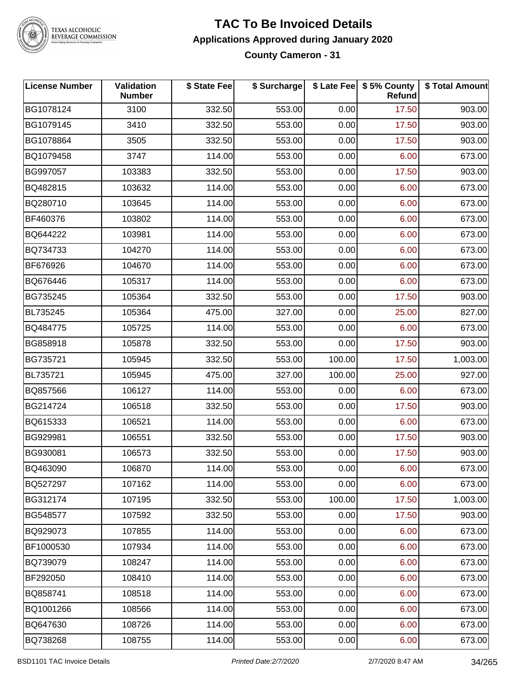

#### **TAC To Be Invoiced Details Applications Approved during January 2020 County Cameron - 31**

| <b>License Number</b> | Validation<br><b>Number</b> | \$ State Fee | \$ Surcharge |        | \$ Late Fee   \$5% County<br>Refund | \$ Total Amount |
|-----------------------|-----------------------------|--------------|--------------|--------|-------------------------------------|-----------------|
| BG1078124             | 3100                        | 332.50       | 553.00       | 0.00   | 17.50                               | 903.00          |
| BG1079145             | 3410                        | 332.50       | 553.00       | 0.00   | 17.50                               | 903.00          |
| BG1078864             | 3505                        | 332.50       | 553.00       | 0.00   | 17.50                               | 903.00          |
| BQ1079458             | 3747                        | 114.00       | 553.00       | 0.00   | 6.00                                | 673.00          |
| BG997057              | 103383                      | 332.50       | 553.00       | 0.00   | 17.50                               | 903.00          |
| BQ482815              | 103632                      | 114.00       | 553.00       | 0.00   | 6.00                                | 673.00          |
| BQ280710              | 103645                      | 114.00       | 553.00       | 0.00   | 6.00                                | 673.00          |
| BF460376              | 103802                      | 114.00       | 553.00       | 0.00   | 6.00                                | 673.00          |
| BQ644222              | 103981                      | 114.00       | 553.00       | 0.00   | 6.00                                | 673.00          |
| BQ734733              | 104270                      | 114.00       | 553.00       | 0.00   | 6.00                                | 673.00          |
| BF676926              | 104670                      | 114.00       | 553.00       | 0.00   | 6.00                                | 673.00          |
| BQ676446              | 105317                      | 114.00       | 553.00       | 0.00   | 6.00                                | 673.00          |
| BG735245              | 105364                      | 332.50       | 553.00       | 0.00   | 17.50                               | 903.00          |
| BL735245              | 105364                      | 475.00       | 327.00       | 0.00   | 25.00                               | 827.00          |
| BQ484775              | 105725                      | 114.00       | 553.00       | 0.00   | 6.00                                | 673.00          |
| BG858918              | 105878                      | 332.50       | 553.00       | 0.00   | 17.50                               | 903.00          |
| BG735721              | 105945                      | 332.50       | 553.00       | 100.00 | 17.50                               | 1,003.00        |
| BL735721              | 105945                      | 475.00       | 327.00       | 100.00 | 25.00                               | 927.00          |
| BQ857566              | 106127                      | 114.00       | 553.00       | 0.00   | 6.00                                | 673.00          |
| BG214724              | 106518                      | 332.50       | 553.00       | 0.00   | 17.50                               | 903.00          |
| BQ615333              | 106521                      | 114.00       | 553.00       | 0.00   | 6.00                                | 673.00          |
| BG929981              | 106551                      | 332.50       | 553.00       | 0.00   | 17.50                               | 903.00          |
| BG930081              | 106573                      | 332.50       | 553.00       | 0.00   | 17.50                               | 903.00          |
| BQ463090              | 106870                      | 114.00       | 553.00       | 0.00   | 6.00                                | 673.00          |
| BQ527297              | 107162                      | 114.00       | 553.00       | 0.00   | 6.00                                | 673.00          |
| BG312174              | 107195                      | 332.50       | 553.00       | 100.00 | 17.50                               | 1,003.00        |
| BG548577              | 107592                      | 332.50       | 553.00       | 0.00   | 17.50                               | 903.00          |
| BQ929073              | 107855                      | 114.00       | 553.00       | 0.00   | 6.00                                | 673.00          |
| BF1000530             | 107934                      | 114.00       | 553.00       | 0.00   | 6.00                                | 673.00          |
| BQ739079              | 108247                      | 114.00       | 553.00       | 0.00   | 6.00                                | 673.00          |
| BF292050              | 108410                      | 114.00       | 553.00       | 0.00   | 6.00                                | 673.00          |
| BQ858741              | 108518                      | 114.00       | 553.00       | 0.00   | 6.00                                | 673.00          |
| BQ1001266             | 108566                      | 114.00       | 553.00       | 0.00   | 6.00                                | 673.00          |
| BQ647630              | 108726                      | 114.00       | 553.00       | 0.00   | 6.00                                | 673.00          |
| BQ738268              | 108755                      | 114.00       | 553.00       | 0.00   | 6.00                                | 673.00          |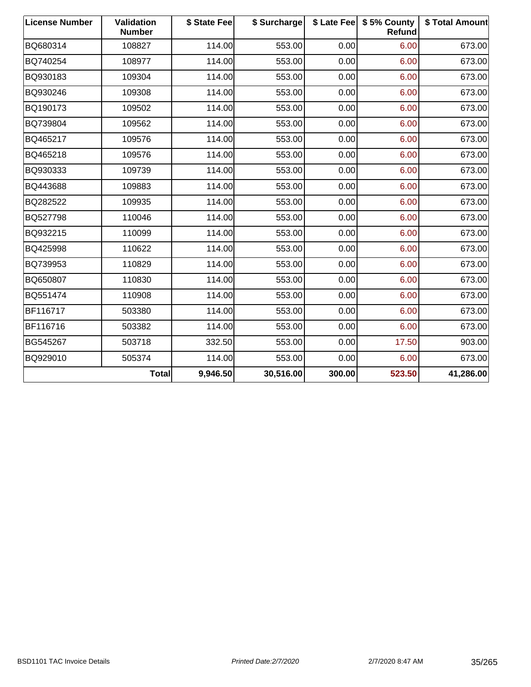| <b>License Number</b> | <b>Validation</b><br><b>Number</b> | \$ State Fee | \$ Surcharge |        | \$ Late Fee   \$5% County<br>Refund | \$ Total Amount |
|-----------------------|------------------------------------|--------------|--------------|--------|-------------------------------------|-----------------|
| BQ680314              | 108827                             | 114.00       | 553.00       | 0.00   | 6.00                                | 673.00          |
| BQ740254              | 108977                             | 114.00       | 553.00       | 0.00   | 6.00                                | 673.00          |
| BQ930183              | 109304                             | 114.00       | 553.00       | 0.00   | 6.00                                | 673.00          |
| BQ930246              | 109308                             | 114.00       | 553.00       | 0.00   | 6.00                                | 673.00          |
| BQ190173              | 109502                             | 114.00       | 553.00       | 0.00   | 6.00                                | 673.00          |
| BQ739804              | 109562                             | 114.00       | 553.00       | 0.00   | 6.00                                | 673.00          |
| BQ465217              | 109576                             | 114.00       | 553.00       | 0.00   | 6.00                                | 673.00          |
| BQ465218              | 109576                             | 114.00       | 553.00       | 0.00   | 6.00                                | 673.00          |
| BQ930333              | 109739                             | 114.00       | 553.00       | 0.00   | 6.00                                | 673.00          |
| BQ443688              | 109883                             | 114.00       | 553.00       | 0.00   | 6.00                                | 673.00          |
| BQ282522              | 109935                             | 114.00       | 553.00       | 0.00   | 6.00                                | 673.00          |
| BQ527798              | 110046                             | 114.00       | 553.00       | 0.00   | 6.00                                | 673.00          |
| BQ932215              | 110099                             | 114.00       | 553.00       | 0.00   | 6.00                                | 673.00          |
| BQ425998              | 110622                             | 114.00       | 553.00       | 0.00   | 6.00                                | 673.00          |
| BQ739953              | 110829                             | 114.00       | 553.00       | 0.00   | 6.00                                | 673.00          |
| BQ650807              | 110830                             | 114.00       | 553.00       | 0.00   | 6.00                                | 673.00          |
| BQ551474              | 110908                             | 114.00       | 553.00       | 0.00   | 6.00                                | 673.00          |
| BF116717              | 503380                             | 114.00       | 553.00       | 0.00   | 6.00                                | 673.00          |
| BF116716              | 503382                             | 114.00       | 553.00       | 0.00   | 6.00                                | 673.00          |
| BG545267              | 503718                             | 332.50       | 553.00       | 0.00   | 17.50                               | 903.00          |
| BQ929010              | 505374                             | 114.00       | 553.00       | 0.00   | 6.00                                | 673.00          |
|                       | <b>Total</b>                       | 9,946.50     | 30,516.00    | 300.00 | 523.50                              | 41,286.00       |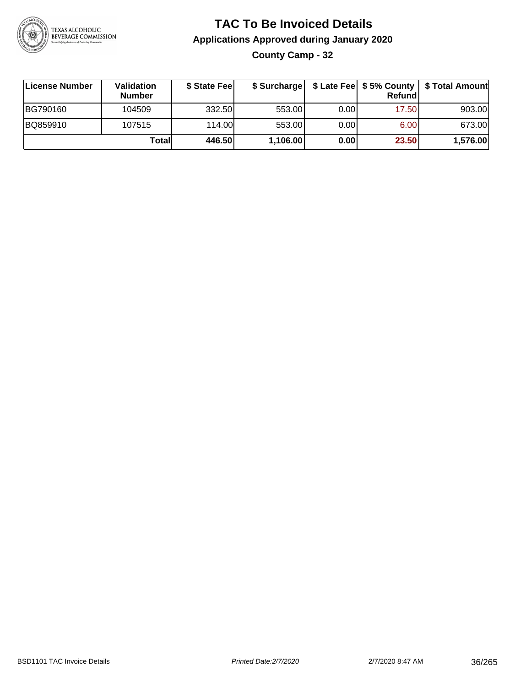

#### **TAC To Be Invoiced Details Applications Approved during January 2020 County Camp - 32**

| License Number | Validation<br><b>Number</b> | \$ State Fee | \$ Surcharge |      | <b>Refund</b> | \$ Late Fee   \$5% County   \$ Total Amount |
|----------------|-----------------------------|--------------|--------------|------|---------------|---------------------------------------------|
| BG790160       | 104509                      | 332.50       | 553.00       | 0.00 | 17.50         | 903.00                                      |
| BQ859910       | 107515                      | 114.00       | 553.00       | 0.00 | 6.00          | 673.00                                      |
|                | Totall                      | 446.50       | 1,106.00     | 0.00 | 23.50         | 1,576.00                                    |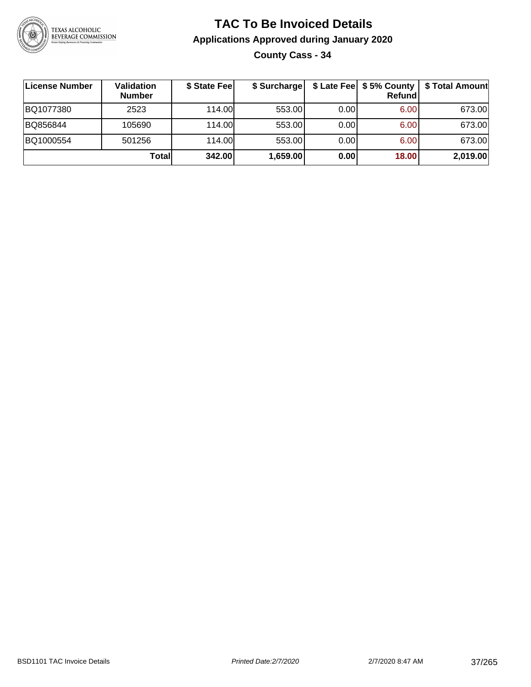

## **TAC To Be Invoiced Details Applications Approved during January 2020 County Cass - 34**

| License Number | Validation<br><b>Number</b> | \$ State Fee | \$ Surcharge |      | \$ Late Fee   \$5% County  <br>Refund | \$ Total Amount |
|----------------|-----------------------------|--------------|--------------|------|---------------------------------------|-----------------|
| BQ1077380      | 2523                        | 114.00       | 553.00       | 0.00 | 6.00                                  | 673.00          |
| BQ856844       | 105690                      | 114.00       | 553.00       | 0.00 | 6.00                                  | 673.00          |
| BQ1000554      | 501256                      | 114.00       | 553.00       | 0.00 | 6.00                                  | 673.00          |
|                | Totall                      | 342.00       | 1,659.00     | 0.00 | 18.00                                 | 2,019.00        |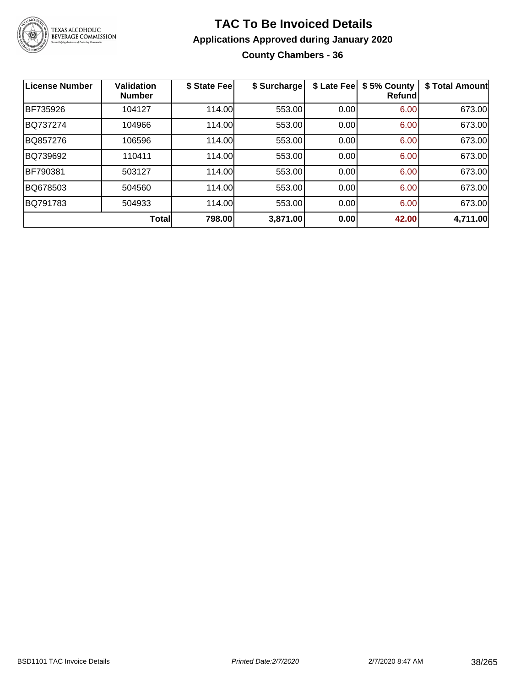

## **TAC To Be Invoiced Details Applications Approved during January 2020 County Chambers - 36**

| <b>License Number</b> | <b>Validation</b><br><b>Number</b> | \$ State Fee | \$ Surcharge | \$ Late Fee | \$5% County<br><b>Refund</b> | \$ Total Amount |
|-----------------------|------------------------------------|--------------|--------------|-------------|------------------------------|-----------------|
| BF735926              | 104127                             | 114.00       | 553.00       | 0.00        | 6.00                         | 673.00          |
| BQ737274              | 104966                             | 114.00       | 553.00       | 0.00        | 6.00                         | 673.00          |
| BQ857276              | 106596                             | 114.00       | 553.00       | 0.00        | 6.00                         | 673.00          |
| BQ739692              | 110411                             | 114.00       | 553.00       | 0.00        | 6.00                         | 673.00          |
| BF790381              | 503127                             | 114.00       | 553.00       | 0.00        | 6.00                         | 673.00          |
| BQ678503              | 504560                             | 114.00       | 553.00       | 0.00        | 6.00                         | 673.00          |
| BQ791783              | 504933                             | 114.00       | 553.00       | 0.00        | 6.00                         | 673.00          |
|                       | Total                              | 798.00       | 3,871.00     | 0.00        | 42.00                        | 4,711.00        |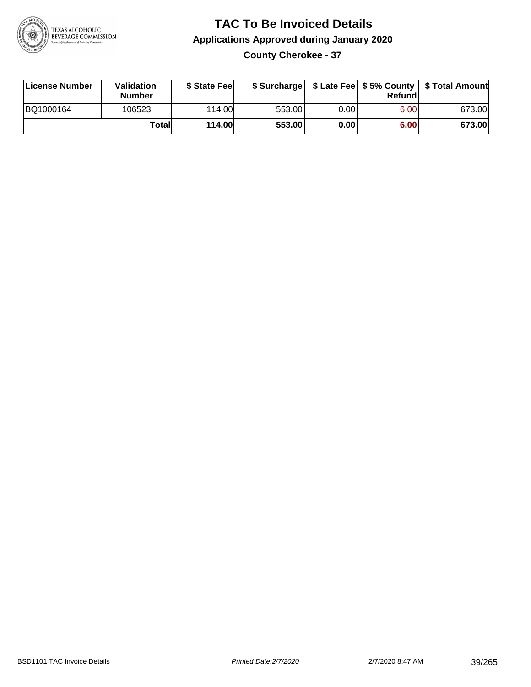

### **TAC To Be Invoiced Details Applications Approved during January 2020 County Cherokee - 37**

| License Number | Validation<br><b>Number</b> | \$ State Fee |        |      | Refund | \$ Surcharge   \$ Late Fee   \$5% County   \$ Total Amount |
|----------------|-----------------------------|--------------|--------|------|--------|------------------------------------------------------------|
| BQ1000164      | 106523                      | 114.00       | 553.00 | 0.00 | 6.00   | 673.00                                                     |
|                | Totall                      | 114.00       | 553.00 | 0.00 | 6.00   | 673.00                                                     |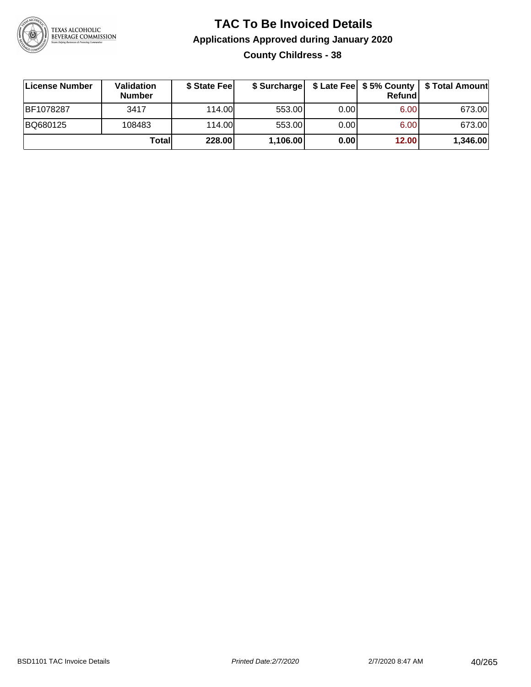

## **TAC To Be Invoiced Details Applications Approved during January 2020 County Childress - 38**

| License Number | <b>Validation</b><br><b>Number</b> | \$ State Feel |          |      | <b>Refund</b> | \$ Surcharge   \$ Late Fee   \$5% County   \$ Total Amount |
|----------------|------------------------------------|---------------|----------|------|---------------|------------------------------------------------------------|
| BF1078287      | 3417                               | 114.00L       | 553.00   | 0.00 | 6.00          | 673.00                                                     |
| BQ680125       | 108483                             | 114.00L       | 553.00   | 0.00 | 6.00          | 673.00                                                     |
|                | Totall                             | 228.00        | 1,106.00 | 0.00 | 12.00         | 1,346.00                                                   |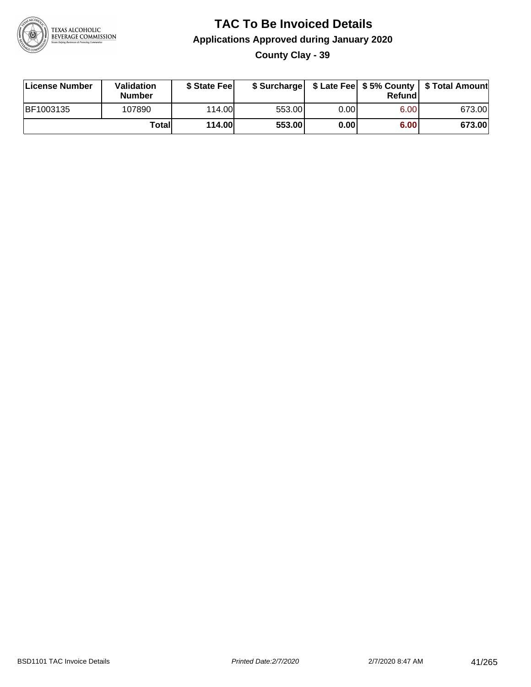

**County Clay - 39**

| License Number | Validation<br><b>Number</b> | \$ State Feel | \$ Surcharge |      | Refundl | \$ Late Fee   \$5% County   \$ Total Amount |
|----------------|-----------------------------|---------------|--------------|------|---------|---------------------------------------------|
| BF1003135      | 107890                      | 114.00L       | 553.00       | 0.00 | 6.00    | 673.00                                      |
|                | Totall                      | <b>114.00</b> | 553.00       | 0.00 | 6.00    | 673.00                                      |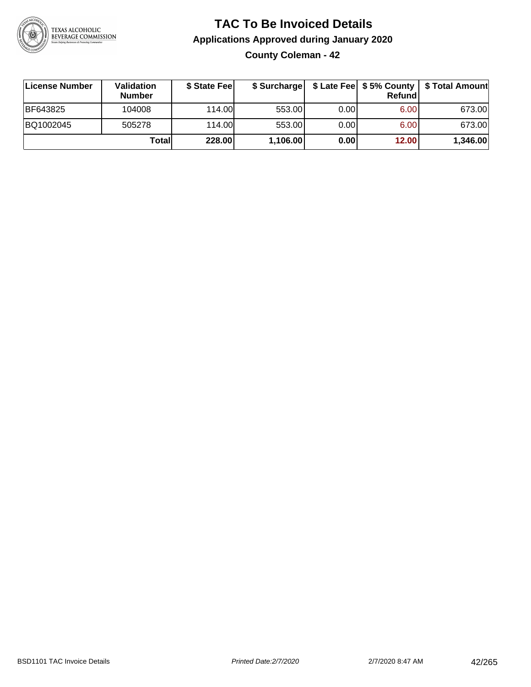

**County Coleman - 42**

| ∣License Number | <b>Validation</b><br><b>Number</b> | \$ State Fee |          |      | <b>Refund</b> | \$ Surcharge   \$ Late Fee   \$5% County   \$ Total Amount |
|-----------------|------------------------------------|--------------|----------|------|---------------|------------------------------------------------------------|
| BF643825        | 104008                             | 114.00L      | 553.00   | 0.00 | 6.00          | 673.00                                                     |
| BQ1002045       | 505278                             | 114.00L      | 553.00   | 0.00 | 6.00          | 673.00                                                     |
|                 | Totall                             | 228.00       | 1,106.00 | 0.00 | 12.00         | 1,346.00                                                   |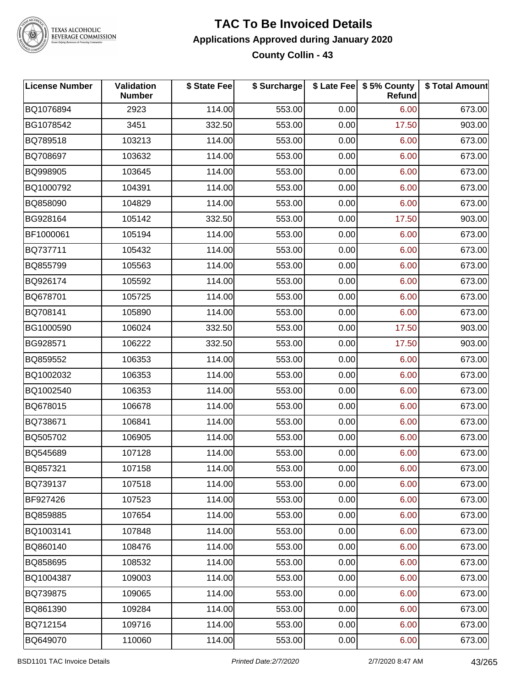

#### **TAC To Be Invoiced Details Applications Approved during January 2020 County Collin - 43**

| <b>License Number</b> | Validation<br><b>Number</b> | \$ State Fee | \$ Surcharge |      | \$ Late Fee   \$5% County<br>Refund | \$ Total Amount |
|-----------------------|-----------------------------|--------------|--------------|------|-------------------------------------|-----------------|
| BQ1076894             | 2923                        | 114.00       | 553.00       | 0.00 | 6.00                                | 673.00          |
| BG1078542             | 3451                        | 332.50       | 553.00       | 0.00 | 17.50                               | 903.00          |
| BQ789518              | 103213                      | 114.00       | 553.00       | 0.00 | 6.00                                | 673.00          |
| BQ708697              | 103632                      | 114.00       | 553.00       | 0.00 | 6.00                                | 673.00          |
| BQ998905              | 103645                      | 114.00       | 553.00       | 0.00 | 6.00                                | 673.00          |
| BQ1000792             | 104391                      | 114.00       | 553.00       | 0.00 | 6.00                                | 673.00          |
| BQ858090              | 104829                      | 114.00       | 553.00       | 0.00 | 6.00                                | 673.00          |
| BG928164              | 105142                      | 332.50       | 553.00       | 0.00 | 17.50                               | 903.00          |
| BF1000061             | 105194                      | 114.00       | 553.00       | 0.00 | 6.00                                | 673.00          |
| BQ737711              | 105432                      | 114.00       | 553.00       | 0.00 | 6.00                                | 673.00          |
| BQ855799              | 105563                      | 114.00       | 553.00       | 0.00 | 6.00                                | 673.00          |
| BQ926174              | 105592                      | 114.00       | 553.00       | 0.00 | 6.00                                | 673.00          |
| BQ678701              | 105725                      | 114.00       | 553.00       | 0.00 | 6.00                                | 673.00          |
| BQ708141              | 105890                      | 114.00       | 553.00       | 0.00 | 6.00                                | 673.00          |
| BG1000590             | 106024                      | 332.50       | 553.00       | 0.00 | 17.50                               | 903.00          |
| BG928571              | 106222                      | 332.50       | 553.00       | 0.00 | 17.50                               | 903.00          |
| BQ859552              | 106353                      | 114.00       | 553.00       | 0.00 | 6.00                                | 673.00          |
| BQ1002032             | 106353                      | 114.00       | 553.00       | 0.00 | 6.00                                | 673.00          |
| BQ1002540             | 106353                      | 114.00       | 553.00       | 0.00 | 6.00                                | 673.00          |
| BQ678015              | 106678                      | 114.00       | 553.00       | 0.00 | 6.00                                | 673.00          |
| BQ738671              | 106841                      | 114.00       | 553.00       | 0.00 | 6.00                                | 673.00          |
| BQ505702              | 106905                      | 114.00       | 553.00       | 0.00 | 6.00                                | 673.00          |
| BQ545689              | 107128                      | 114.00       | 553.00       | 0.00 | 6.00                                | 673.00          |
| BQ857321              | 107158                      | 114.00       | 553.00       | 0.00 | 6.00                                | 673.00          |
| BQ739137              | 107518                      | 114.00       | 553.00       | 0.00 | 6.00                                | 673.00          |
| BF927426              | 107523                      | 114.00       | 553.00       | 0.00 | 6.00                                | 673.00          |
| BQ859885              | 107654                      | 114.00       | 553.00       | 0.00 | 6.00                                | 673.00          |
| BQ1003141             | 107848                      | 114.00       | 553.00       | 0.00 | 6.00                                | 673.00          |
| BQ860140              | 108476                      | 114.00       | 553.00       | 0.00 | 6.00                                | 673.00          |
| BQ858695              | 108532                      | 114.00       | 553.00       | 0.00 | 6.00                                | 673.00          |
| BQ1004387             | 109003                      | 114.00       | 553.00       | 0.00 | 6.00                                | 673.00          |
| BQ739875              | 109065                      | 114.00       | 553.00       | 0.00 | 6.00                                | 673.00          |
| BQ861390              | 109284                      | 114.00       | 553.00       | 0.00 | 6.00                                | 673.00          |
| BQ712154              | 109716                      | 114.00       | 553.00       | 0.00 | 6.00                                | 673.00          |
| BQ649070              | 110060                      | 114.00       | 553.00       | 0.00 | 6.00                                | 673.00          |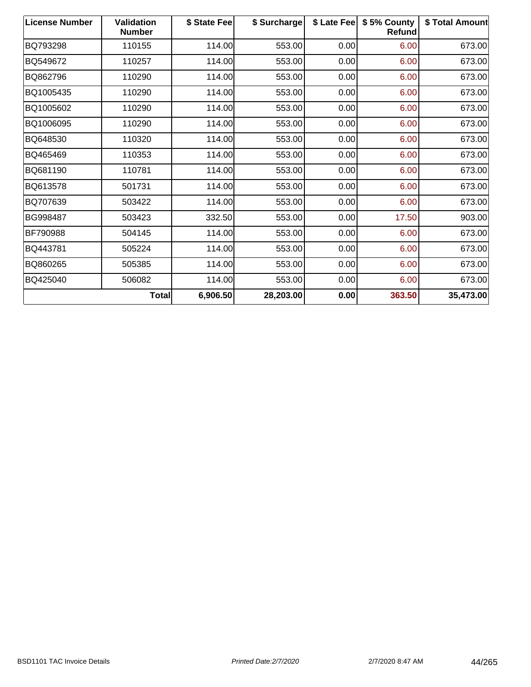| <b>License Number</b> | <b>Validation</b><br><b>Number</b> | \$ State Fee | \$ Surcharge | \$ Late Fee | \$5% County<br>Refund | \$ Total Amount |
|-----------------------|------------------------------------|--------------|--------------|-------------|-----------------------|-----------------|
| BQ793298              | 110155                             | 114.00       | 553.00       | 0.00        | 6.00                  | 673.00          |
| BQ549672              | 110257                             | 114.00       | 553.00       | 0.00        | 6.00                  | 673.00          |
| BQ862796              | 110290                             | 114.00       | 553.00       | 0.00        | 6.00                  | 673.00          |
| BQ1005435             | 110290                             | 114.00       | 553.00       | 0.00        | 6.00                  | 673.00          |
| BQ1005602             | 110290                             | 114.00       | 553.00       | 0.00        | 6.00                  | 673.00          |
| BQ1006095             | 110290                             | 114.00       | 553.00       | 0.00        | 6.00                  | 673.00          |
| BQ648530              | 110320                             | 114.00       | 553.00       | 0.00        | 6.00                  | 673.00          |
| BQ465469              | 110353                             | 114.00       | 553.00       | 0.00        | 6.00                  | 673.00          |
| BQ681190              | 110781                             | 114.00       | 553.00       | 0.00        | 6.00                  | 673.00          |
| BQ613578              | 501731                             | 114.00       | 553.00       | 0.00        | 6.00                  | 673.00          |
| BQ707639              | 503422                             | 114.00       | 553.00       | 0.00        | 6.00                  | 673.00          |
| BG998487              | 503423                             | 332.50       | 553.00       | 0.00        | 17.50                 | 903.00          |
| BF790988              | 504145                             | 114.00       | 553.00       | 0.00        | 6.00                  | 673.00          |
| BQ443781              | 505224                             | 114.00       | 553.00       | 0.00        | 6.00                  | 673.00          |
| BQ860265              | 505385                             | 114.00       | 553.00       | 0.00        | 6.00                  | 673.00          |
| BQ425040              | 506082                             | 114.00       | 553.00       | 0.00        | 6.00                  | 673.00          |
|                       | Total                              | 6,906.50     | 28,203.00    | 0.00        | 363.50                | 35,473.00       |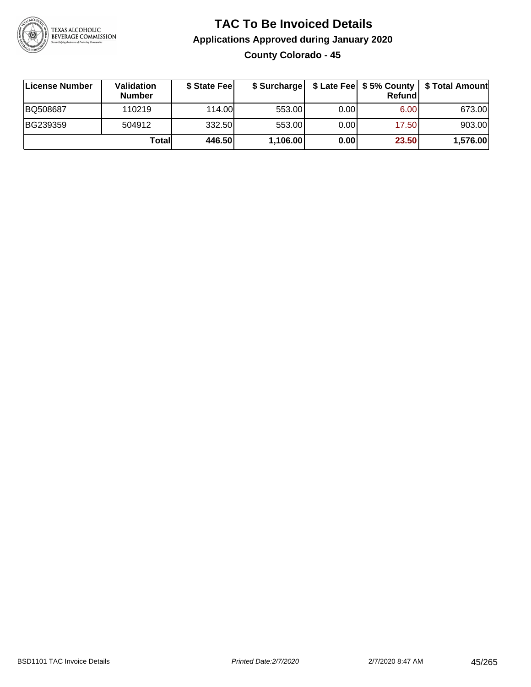

**County Colorado - 45**

| ∣License Number | Validation<br><b>Number</b> | \$ State Fee | \$ Surcharge |       | <b>Refund</b> | \$ Late Fee   \$5% County   \$ Total Amount |
|-----------------|-----------------------------|--------------|--------------|-------|---------------|---------------------------------------------|
| <b>BQ508687</b> | 110219                      | 114.00       | 553.00       | 0.00  | 6.00          | 673.00                                      |
| BG239359        | 504912                      | 332.50       | 553.00       | 0.001 | 17.50         | 903.00                                      |
|                 | Totall                      | 446.50       | 1,106.00     | 0.00  | 23.50         | 1,576.00                                    |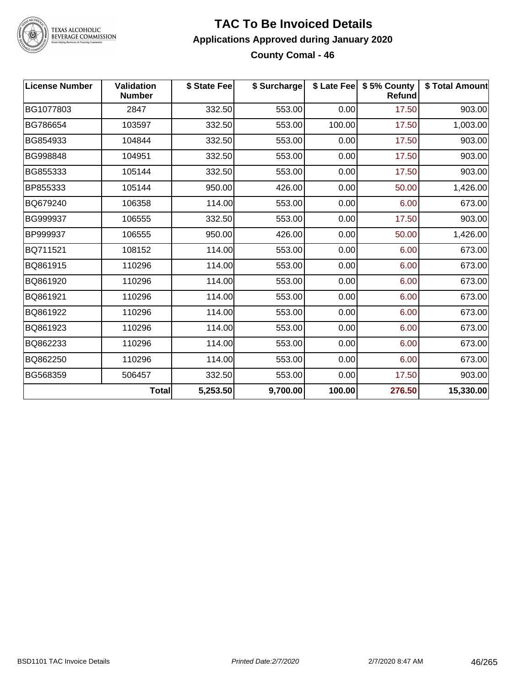

#### **TAC To Be Invoiced Details Applications Approved during January 2020 County Comal - 46**

| <b>License Number</b> | <b>Validation</b><br><b>Number</b> | \$ State Fee | \$ Surcharge |        | \$ Late Fee   \$5% County<br><b>Refund</b> | \$ Total Amount |
|-----------------------|------------------------------------|--------------|--------------|--------|--------------------------------------------|-----------------|
| BG1077803             | 2847                               | 332.50       | 553.00       | 0.00   | 17.50                                      | 903.00          |
| BG786654              | 103597                             | 332.50       | 553.00       | 100.00 | 17.50                                      | 1,003.00        |
| BG854933              | 104844                             | 332.50       | 553.00       | 0.00   | 17.50                                      | 903.00          |
| BG998848              | 104951                             | 332.50       | 553.00       | 0.00   | 17.50                                      | 903.00          |
| BG855333              | 105144                             | 332.50       | 553.00       | 0.00   | 17.50                                      | 903.00          |
| BP855333              | 105144                             | 950.00       | 426.00       | 0.00   | 50.00                                      | 1,426.00        |
| BQ679240              | 106358                             | 114.00       | 553.00       | 0.00   | 6.00                                       | 673.00          |
| BG999937              | 106555                             | 332.50       | 553.00       | 0.00   | 17.50                                      | 903.00          |
| BP999937              | 106555                             | 950.00       | 426.00       | 0.00   | 50.00                                      | 1,426.00        |
| BQ711521              | 108152                             | 114.00       | 553.00       | 0.00   | 6.00                                       | 673.00          |
| BQ861915              | 110296                             | 114.00       | 553.00       | 0.00   | 6.00                                       | 673.00          |
| BQ861920              | 110296                             | 114.00       | 553.00       | 0.00   | 6.00                                       | 673.00          |
| BQ861921              | 110296                             | 114.00       | 553.00       | 0.00   | 6.00                                       | 673.00          |
| BQ861922              | 110296                             | 114.00       | 553.00       | 0.00   | 6.00                                       | 673.00          |
| BQ861923              | 110296                             | 114.00       | 553.00       | 0.00   | 6.00                                       | 673.00          |
| BQ862233              | 110296                             | 114.00       | 553.00       | 0.00   | 6.00                                       | 673.00          |
| BQ862250              | 110296                             | 114.00       | 553.00       | 0.00   | 6.00                                       | 673.00          |
| BG568359              | 506457                             | 332.50       | 553.00       | 0.00   | 17.50                                      | 903.00          |
|                       | <b>Total</b>                       | 5,253.50     | 9,700.00     | 100.00 | 276.50                                     | 15,330.00       |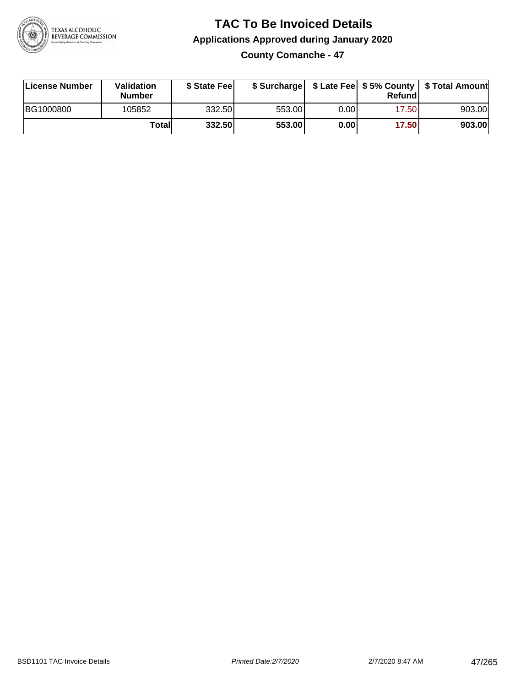

**County Comanche - 47**

| License Number | <b>Validation</b><br><b>Number</b> | \$ State Feel |        |      | Refundl | \$ Surcharge   \$ Late Fee   \$5% County   \$ Total Amount |
|----------------|------------------------------------|---------------|--------|------|---------|------------------------------------------------------------|
| BG1000800      | 105852                             | 332.50        | 553.00 | 0.00 | 17.50   | 903.00                                                     |
|                | Totall                             | 332.50        | 553.00 | 0.00 | 17.50   | 903.00                                                     |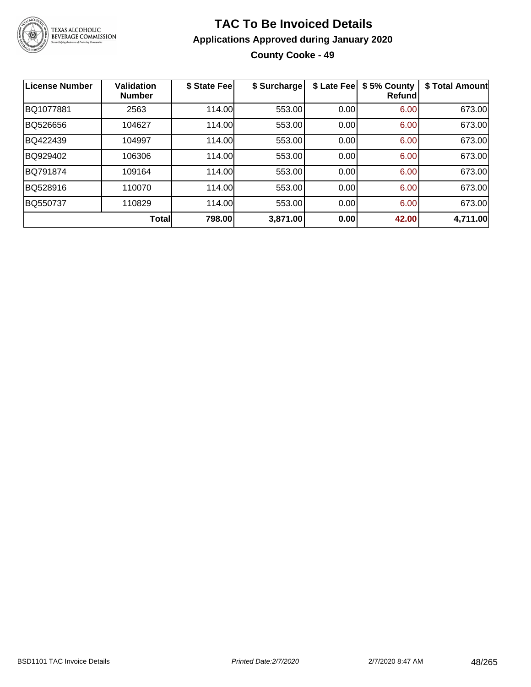

## **TAC To Be Invoiced Details Applications Approved during January 2020 County Cooke - 49**

| <b>License Number</b> | <b>Validation</b><br><b>Number</b> | \$ State Fee | \$ Surcharge | \$ Late Fee | \$5% County<br><b>Refund</b> | \$ Total Amount |
|-----------------------|------------------------------------|--------------|--------------|-------------|------------------------------|-----------------|
| BQ1077881             | 2563                               | 114.00       | 553.00       | 0.00        | 6.00                         | 673.00          |
| BQ526656              | 104627                             | 114.00       | 553.00       | 0.00        | 6.00                         | 673.00          |
| BQ422439              | 104997                             | 114.00       | 553.00       | 0.00        | 6.00                         | 673.00          |
| BQ929402              | 106306                             | 114.00       | 553.00       | 0.00        | 6.00                         | 673.00          |
| BQ791874              | 109164                             | 114.00       | 553.00       | 0.00        | 6.00                         | 673.00          |
| BQ528916              | 110070                             | 114.00       | 553.00       | 0.00        | 6.00                         | 673.00          |
| <b>BQ550737</b>       | 110829                             | 114.00       | 553.00       | 0.00        | 6.00                         | 673.00          |
|                       | <b>Total</b>                       | 798.00       | 3,871.00     | 0.00        | 42.00                        | 4,711.00        |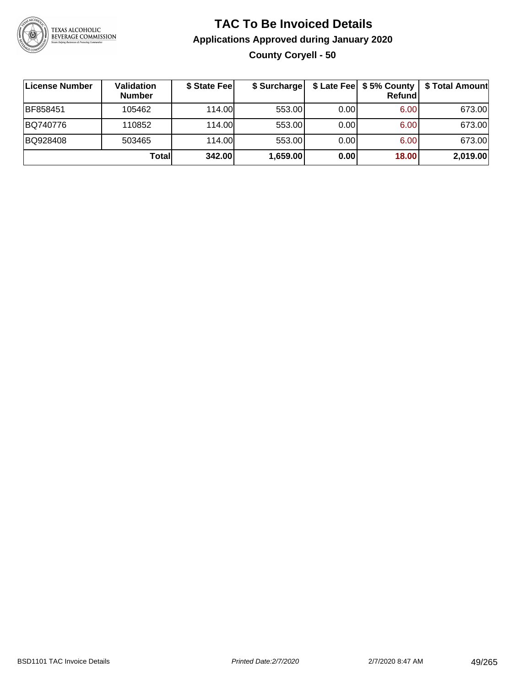

## **TAC To Be Invoiced Details Applications Approved during January 2020 County Coryell - 50**

| License Number | Validation<br><b>Number</b> | \$ State Fee | \$ Surcharge |      | Refund | \$ Late Fee   \$5% County   \$ Total Amount |
|----------------|-----------------------------|--------------|--------------|------|--------|---------------------------------------------|
| BF858451       | 105462                      | 114.00L      | 553.00       | 0.00 | 6.00   | 673.00                                      |
| BQ740776       | 110852                      | 114.00L      | 553.00       | 0.00 | 6.00   | 673.00                                      |
| BQ928408       | 503465                      | 114.00L      | 553.00       | 0.00 | 6.00   | 673.00                                      |
|                | Totall                      | 342.00       | 1,659.00     | 0.00 | 18.00  | 2,019.00                                    |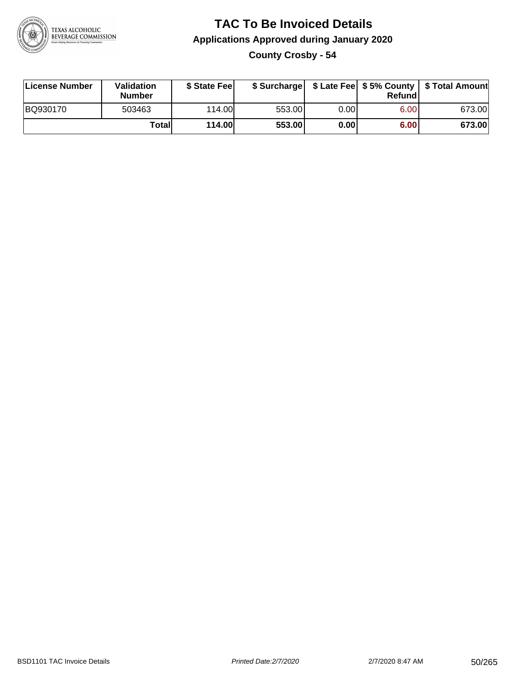

**County Crosby - 54**

| License Number | <b>Validation</b><br>Number | \$ State Fee | \$ Surcharge |       | Refundl | \$ Late Fee   \$5% County   \$ Total Amount |
|----------------|-----------------------------|--------------|--------------|-------|---------|---------------------------------------------|
| BQ930170       | 503463                      | 114.00       | 553.00       | 0.001 | 6.00    | 673.00                                      |
|                | Totall                      | 114.00       | 553.00       | 0.00  | 6.00    | 673.00                                      |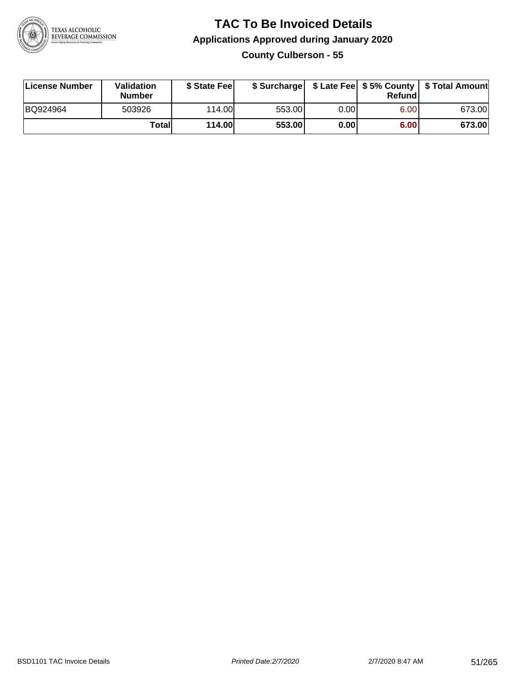

**County Culberson - 55**

| License Number | Validation<br><b>Number</b> | \$ State Fee  | \$ Surcharge |      | Refundl | \$ Late Fee   \$5% County   \$ Total Amount |
|----------------|-----------------------------|---------------|--------------|------|---------|---------------------------------------------|
| BQ924964       | 503926                      | 114.00        | 553.00       | 0.00 | 6.00    | 673.00                                      |
|                | Totall                      | <b>114.00</b> | 553.00       | 0.00 | 6.00    | 673.00                                      |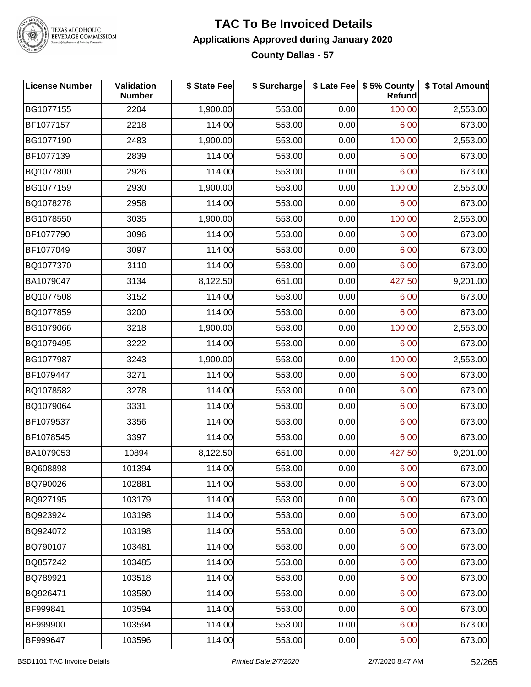

#### **TAC To Be Invoiced Details Applications Approved during January 2020 County Dallas - 57**

| <b>License Number</b> | Validation<br><b>Number</b> | \$ State Fee | \$ Surcharge |      | \$ Late Fee   \$5% County<br>Refund | \$ Total Amount |
|-----------------------|-----------------------------|--------------|--------------|------|-------------------------------------|-----------------|
| BG1077155             | 2204                        | 1,900.00     | 553.00       | 0.00 | 100.00                              | 2,553.00        |
| BF1077157             | 2218                        | 114.00       | 553.00       | 0.00 | 6.00                                | 673.00          |
| BG1077190             | 2483                        | 1,900.00     | 553.00       | 0.00 | 100.00                              | 2,553.00        |
| BF1077139             | 2839                        | 114.00       | 553.00       | 0.00 | 6.00                                | 673.00          |
| BQ1077800             | 2926                        | 114.00       | 553.00       | 0.00 | 6.00                                | 673.00          |
| BG1077159             | 2930                        | 1,900.00     | 553.00       | 0.00 | 100.00                              | 2,553.00        |
| BQ1078278             | 2958                        | 114.00       | 553.00       | 0.00 | 6.00                                | 673.00          |
| BG1078550             | 3035                        | 1,900.00     | 553.00       | 0.00 | 100.00                              | 2,553.00        |
| BF1077790             | 3096                        | 114.00       | 553.00       | 0.00 | 6.00                                | 673.00          |
| BF1077049             | 3097                        | 114.00       | 553.00       | 0.00 | 6.00                                | 673.00          |
| BQ1077370             | 3110                        | 114.00       | 553.00       | 0.00 | 6.00                                | 673.00          |
| BA1079047             | 3134                        | 8,122.50     | 651.00       | 0.00 | 427.50                              | 9,201.00        |
| BQ1077508             | 3152                        | 114.00       | 553.00       | 0.00 | 6.00                                | 673.00          |
| BQ1077859             | 3200                        | 114.00       | 553.00       | 0.00 | 6.00                                | 673.00          |
| BG1079066             | 3218                        | 1,900.00     | 553.00       | 0.00 | 100.00                              | 2,553.00        |
| BQ1079495             | 3222                        | 114.00       | 553.00       | 0.00 | 6.00                                | 673.00          |
| BG1077987             | 3243                        | 1,900.00     | 553.00       | 0.00 | 100.00                              | 2,553.00        |
| BF1079447             | 3271                        | 114.00       | 553.00       | 0.00 | 6.00                                | 673.00          |
| BQ1078582             | 3278                        | 114.00       | 553.00       | 0.00 | 6.00                                | 673.00          |
| BQ1079064             | 3331                        | 114.00       | 553.00       | 0.00 | 6.00                                | 673.00          |
| BF1079537             | 3356                        | 114.00       | 553.00       | 0.00 | 6.00                                | 673.00          |
| BF1078545             | 3397                        | 114.00       | 553.00       | 0.00 | 6.00                                | 673.00          |
| BA1079053             | 10894                       | 8,122.50     | 651.00       | 0.00 | 427.50                              | 9,201.00        |
| BQ608898              | 101394                      | 114.00       | 553.00       | 0.00 | 6.00                                | 673.00          |
| BQ790026              | 102881                      | 114.00       | 553.00       | 0.00 | 6.00                                | 673.00          |
| BQ927195              | 103179                      | 114.00       | 553.00       | 0.00 | 6.00                                | 673.00          |
| BQ923924              | 103198                      | 114.00       | 553.00       | 0.00 | 6.00                                | 673.00          |
| BQ924072              | 103198                      | 114.00       | 553.00       | 0.00 | 6.00                                | 673.00          |
| BQ790107              | 103481                      | 114.00       | 553.00       | 0.00 | 6.00                                | 673.00          |
| BQ857242              | 103485                      | 114.00       | 553.00       | 0.00 | 6.00                                | 673.00          |
| BQ789921              | 103518                      | 114.00       | 553.00       | 0.00 | 6.00                                | 673.00          |
| BQ926471              | 103580                      | 114.00       | 553.00       | 0.00 | 6.00                                | 673.00          |
| BF999841              | 103594                      | 114.00       | 553.00       | 0.00 | 6.00                                | 673.00          |
| BF999900              | 103594                      | 114.00       | 553.00       | 0.00 | 6.00                                | 673.00          |
| BF999647              | 103596                      | 114.00       | 553.00       | 0.00 | 6.00                                | 673.00          |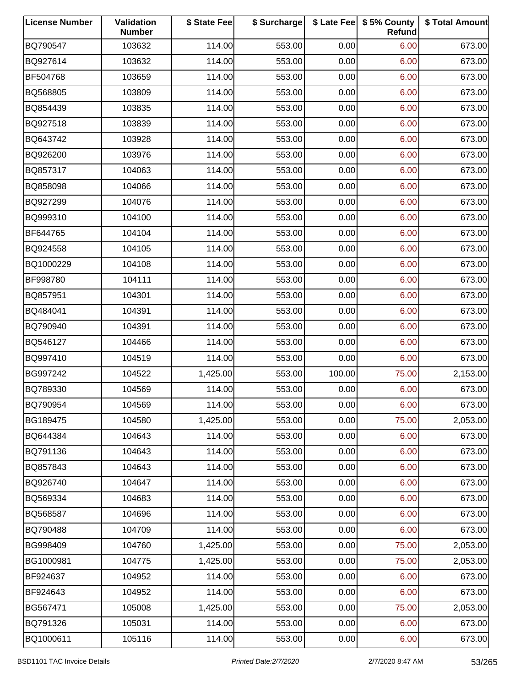| <b>License Number</b> | Validation<br><b>Number</b> | \$ State Fee | \$ Surcharge |        | \$ Late Fee   \$5% County<br>Refund | \$ Total Amount |
|-----------------------|-----------------------------|--------------|--------------|--------|-------------------------------------|-----------------|
| BQ790547              | 103632                      | 114.00       | 553.00       | 0.00   | 6.00                                | 673.00          |
| BQ927614              | 103632                      | 114.00       | 553.00       | 0.00   | 6.00                                | 673.00          |
| BF504768              | 103659                      | 114.00       | 553.00       | 0.00   | 6.00                                | 673.00          |
| BQ568805              | 103809                      | 114.00       | 553.00       | 0.00   | 6.00                                | 673.00          |
| BQ854439              | 103835                      | 114.00       | 553.00       | 0.00   | 6.00                                | 673.00          |
| BQ927518              | 103839                      | 114.00       | 553.00       | 0.00   | 6.00                                | 673.00          |
| BQ643742              | 103928                      | 114.00       | 553.00       | 0.00   | 6.00                                | 673.00          |
| BQ926200              | 103976                      | 114.00       | 553.00       | 0.00   | 6.00                                | 673.00          |
| BQ857317              | 104063                      | 114.00       | 553.00       | 0.00   | 6.00                                | 673.00          |
| BQ858098              | 104066                      | 114.00       | 553.00       | 0.00   | 6.00                                | 673.00          |
| BQ927299              | 104076                      | 114.00       | 553.00       | 0.00   | 6.00                                | 673.00          |
| BQ999310              | 104100                      | 114.00       | 553.00       | 0.00   | 6.00                                | 673.00          |
| BF644765              | 104104                      | 114.00       | 553.00       | 0.00   | 6.00                                | 673.00          |
| BQ924558              | 104105                      | 114.00       | 553.00       | 0.00   | 6.00                                | 673.00          |
| BQ1000229             | 104108                      | 114.00       | 553.00       | 0.00   | 6.00                                | 673.00          |
| BF998780              | 104111                      | 114.00       | 553.00       | 0.00   | 6.00                                | 673.00          |
| BQ857951              | 104301                      | 114.00       | 553.00       | 0.00   | 6.00                                | 673.00          |
| BQ484041              | 104391                      | 114.00       | 553.00       | 0.00   | 6.00                                | 673.00          |
| BQ790940              | 104391                      | 114.00       | 553.00       | 0.00   | 6.00                                | 673.00          |
| BQ546127              | 104466                      | 114.00       | 553.00       | 0.00   | 6.00                                | 673.00          |
| BQ997410              | 104519                      | 114.00       | 553.00       | 0.00   | 6.00                                | 673.00          |
| BG997242              | 104522                      | 1,425.00     | 553.00       | 100.00 | 75.00                               | 2,153.00        |
| BQ789330              | 104569                      | 114.00       | 553.00       | 0.00   | 6.00                                | 673.00          |
| BQ790954              | 104569                      | 114.00       | 553.00       | 0.00   | 6.00                                | 673.00          |
| BG189475              | 104580                      | 1,425.00     | 553.00       | 0.00   | 75.00                               | 2,053.00        |
| BQ644384              | 104643                      | 114.00       | 553.00       | 0.00   | 6.00                                | 673.00          |
| BQ791136              | 104643                      | 114.00       | 553.00       | 0.00   | 6.00                                | 673.00          |
| BQ857843              | 104643                      | 114.00       | 553.00       | 0.00   | 6.00                                | 673.00          |
| BQ926740              | 104647                      | 114.00       | 553.00       | 0.00   | 6.00                                | 673.00          |
| BQ569334              | 104683                      | 114.00       | 553.00       | 0.00   | 6.00                                | 673.00          |
| BQ568587              | 104696                      | 114.00       | 553.00       | 0.00   | 6.00                                | 673.00          |
| BQ790488              | 104709                      | 114.00       | 553.00       | 0.00   | 6.00                                | 673.00          |
| BG998409              | 104760                      | 1,425.00     | 553.00       | 0.00   | 75.00                               | 2,053.00        |
| BG1000981             | 104775                      | 1,425.00     | 553.00       | 0.00   | 75.00                               | 2,053.00        |
| BF924637              | 104952                      | 114.00       | 553.00       | 0.00   | 6.00                                | 673.00          |
| BF924643              | 104952                      | 114.00       | 553.00       | 0.00   | 6.00                                | 673.00          |
| BG567471              | 105008                      | 1,425.00     | 553.00       | 0.00   | 75.00                               | 2,053.00        |
| BQ791326              | 105031                      | 114.00       | 553.00       | 0.00   | 6.00                                | 673.00          |
| BQ1000611             | 105116                      | 114.00       | 553.00       | 0.00   | 6.00                                | 673.00          |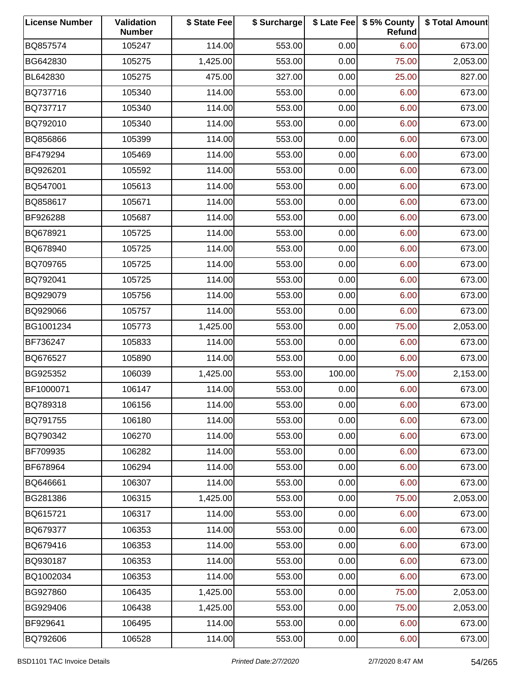| <b>License Number</b> | Validation<br><b>Number</b> | \$ State Fee | \$ Surcharge |        | \$ Late Fee   \$5% County<br>Refund | \$ Total Amount |
|-----------------------|-----------------------------|--------------|--------------|--------|-------------------------------------|-----------------|
| BQ857574              | 105247                      | 114.00       | 553.00       | 0.00   | 6.00                                | 673.00          |
| BG642830              | 105275                      | 1,425.00     | 553.00       | 0.00   | 75.00                               | 2,053.00        |
| BL642830              | 105275                      | 475.00       | 327.00       | 0.00   | 25.00                               | 827.00          |
| BQ737716              | 105340                      | 114.00       | 553.00       | 0.00   | 6.00                                | 673.00          |
| BQ737717              | 105340                      | 114.00       | 553.00       | 0.00   | 6.00                                | 673.00          |
| BQ792010              | 105340                      | 114.00       | 553.00       | 0.00   | 6.00                                | 673.00          |
| BQ856866              | 105399                      | 114.00       | 553.00       | 0.00   | 6.00                                | 673.00          |
| BF479294              | 105469                      | 114.00       | 553.00       | 0.00   | 6.00                                | 673.00          |
| BQ926201              | 105592                      | 114.00       | 553.00       | 0.00   | 6.00                                | 673.00          |
| BQ547001              | 105613                      | 114.00       | 553.00       | 0.00   | 6.00                                | 673.00          |
| BQ858617              | 105671                      | 114.00       | 553.00       | 0.00   | 6.00                                | 673.00          |
| BF926288              | 105687                      | 114.00       | 553.00       | 0.00   | 6.00                                | 673.00          |
| BQ678921              | 105725                      | 114.00       | 553.00       | 0.00   | 6.00                                | 673.00          |
| BQ678940              | 105725                      | 114.00       | 553.00       | 0.00   | 6.00                                | 673.00          |
| BQ709765              | 105725                      | 114.00       | 553.00       | 0.00   | 6.00                                | 673.00          |
| BQ792041              | 105725                      | 114.00       | 553.00       | 0.00   | 6.00                                | 673.00          |
| BQ929079              | 105756                      | 114.00       | 553.00       | 0.00   | 6.00                                | 673.00          |
| BQ929066              | 105757                      | 114.00       | 553.00       | 0.00   | 6.00                                | 673.00          |
| BG1001234             | 105773                      | 1,425.00     | 553.00       | 0.00   | 75.00                               | 2,053.00        |
| BF736247              | 105833                      | 114.00       | 553.00       | 0.00   | 6.00                                | 673.00          |
| BQ676527              | 105890                      | 114.00       | 553.00       | 0.00   | 6.00                                | 673.00          |
| BG925352              | 106039                      | 1,425.00     | 553.00       | 100.00 | 75.00                               | 2,153.00        |
| BF1000071             | 106147                      | 114.00       | 553.00       | 0.00   | 6.00                                | 673.00          |
| BQ789318              | 106156                      | 114.00       | 553.00       | 0.00   | 6.00                                | 673.00          |
| BQ791755              | 106180                      | 114.00       | 553.00       | 0.00   | 6.00                                | 673.00          |
| BQ790342              | 106270                      | 114.00       | 553.00       | 0.00   | 6.00                                | 673.00          |
| BF709935              | 106282                      | 114.00       | 553.00       | 0.00   | 6.00                                | 673.00          |
| BF678964              | 106294                      | 114.00       | 553.00       | 0.00   | 6.00                                | 673.00          |
| BQ646661              | 106307                      | 114.00       | 553.00       | 0.00   | 6.00                                | 673.00          |
| BG281386              | 106315                      | 1,425.00     | 553.00       | 0.00   | 75.00                               | 2,053.00        |
| BQ615721              | 106317                      | 114.00       | 553.00       | 0.00   | 6.00                                | 673.00          |
| BQ679377              | 106353                      | 114.00       | 553.00       | 0.00   | 6.00                                | 673.00          |
| BQ679416              | 106353                      | 114.00       | 553.00       | 0.00   | 6.00                                | 673.00          |
| BQ930187              | 106353                      | 114.00       | 553.00       | 0.00   | 6.00                                | 673.00          |
| BQ1002034             | 106353                      | 114.00       | 553.00       | 0.00   | 6.00                                | 673.00          |
| BG927860              | 106435                      | 1,425.00     | 553.00       | 0.00   | 75.00                               | 2,053.00        |
| BG929406              | 106438                      | 1,425.00     | 553.00       | 0.00   | 75.00                               | 2,053.00        |
| BF929641              | 106495                      | 114.00       | 553.00       | 0.00   | 6.00                                | 673.00          |
| BQ792606              | 106528                      | 114.00       | 553.00       | 0.00   | 6.00                                | 673.00          |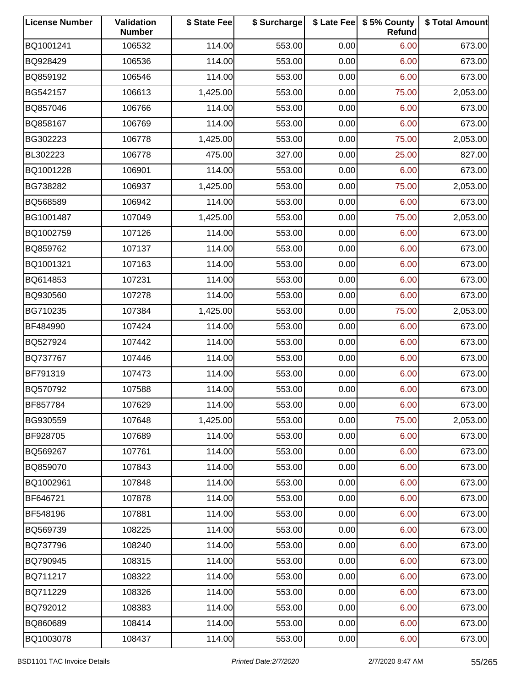| <b>License Number</b> | Validation<br><b>Number</b> | \$ State Fee | \$ Surcharge |      | \$ Late Fee   \$5% County<br>Refund | \$ Total Amount |
|-----------------------|-----------------------------|--------------|--------------|------|-------------------------------------|-----------------|
| BQ1001241             | 106532                      | 114.00       | 553.00       | 0.00 | 6.00                                | 673.00          |
| BQ928429              | 106536                      | 114.00       | 553.00       | 0.00 | 6.00                                | 673.00          |
| BQ859192              | 106546                      | 114.00       | 553.00       | 0.00 | 6.00                                | 673.00          |
| BG542157              | 106613                      | 1,425.00     | 553.00       | 0.00 | 75.00                               | 2,053.00        |
| BQ857046              | 106766                      | 114.00       | 553.00       | 0.00 | 6.00                                | 673.00          |
| BQ858167              | 106769                      | 114.00       | 553.00       | 0.00 | 6.00                                | 673.00          |
| BG302223              | 106778                      | 1,425.00     | 553.00       | 0.00 | 75.00                               | 2,053.00        |
| BL302223              | 106778                      | 475.00       | 327.00       | 0.00 | 25.00                               | 827.00          |
| BQ1001228             | 106901                      | 114.00       | 553.00       | 0.00 | 6.00                                | 673.00          |
| BG738282              | 106937                      | 1,425.00     | 553.00       | 0.00 | 75.00                               | 2,053.00        |
| BQ568589              | 106942                      | 114.00       | 553.00       | 0.00 | 6.00                                | 673.00          |
| BG1001487             | 107049                      | 1,425.00     | 553.00       | 0.00 | 75.00                               | 2,053.00        |
| BQ1002759             | 107126                      | 114.00       | 553.00       | 0.00 | 6.00                                | 673.00          |
| BQ859762              | 107137                      | 114.00       | 553.00       | 0.00 | 6.00                                | 673.00          |
| BQ1001321             | 107163                      | 114.00       | 553.00       | 0.00 | 6.00                                | 673.00          |
| BQ614853              | 107231                      | 114.00       | 553.00       | 0.00 | 6.00                                | 673.00          |
| BQ930560              | 107278                      | 114.00       | 553.00       | 0.00 | 6.00                                | 673.00          |
| BG710235              | 107384                      | 1,425.00     | 553.00       | 0.00 | 75.00                               | 2,053.00        |
| BF484990              | 107424                      | 114.00       | 553.00       | 0.00 | 6.00                                | 673.00          |
| BQ527924              | 107442                      | 114.00       | 553.00       | 0.00 | 6.00                                | 673.00          |
| BQ737767              | 107446                      | 114.00       | 553.00       | 0.00 | 6.00                                | 673.00          |
| BF791319              | 107473                      | 114.00       | 553.00       | 0.00 | 6.00                                | 673.00          |
| BQ570792              | 107588                      | 114.00       | 553.00       | 0.00 | 6.00                                | 673.00          |
| BF857784              | 107629                      | 114.00       | 553.00       | 0.00 | 6.00                                | 673.00          |
| BG930559              | 107648                      | 1,425.00     | 553.00       | 0.00 | 75.00                               | 2,053.00        |
| BF928705              | 107689                      | 114.00       | 553.00       | 0.00 | 6.00                                | 673.00          |
| BQ569267              | 107761                      | 114.00       | 553.00       | 0.00 | 6.00                                | 673.00          |
| BQ859070              | 107843                      | 114.00       | 553.00       | 0.00 | 6.00                                | 673.00          |
| BQ1002961             | 107848                      | 114.00       | 553.00       | 0.00 | 6.00                                | 673.00          |
| BF646721              | 107878                      | 114.00       | 553.00       | 0.00 | 6.00                                | 673.00          |
| BF548196              | 107881                      | 114.00       | 553.00       | 0.00 | 6.00                                | 673.00          |
| BQ569739              | 108225                      | 114.00       | 553.00       | 0.00 | 6.00                                | 673.00          |
| BQ737796              | 108240                      | 114.00       | 553.00       | 0.00 | 6.00                                | 673.00          |
| BQ790945              | 108315                      | 114.00       | 553.00       | 0.00 | 6.00                                | 673.00          |
| BQ711217              | 108322                      | 114.00       | 553.00       | 0.00 | 6.00                                | 673.00          |
| BQ711229              | 108326                      | 114.00       | 553.00       | 0.00 | 6.00                                | 673.00          |
| BQ792012              | 108383                      | 114.00       | 553.00       | 0.00 | 6.00                                | 673.00          |
| BQ860689              | 108414                      | 114.00       | 553.00       | 0.00 | 6.00                                | 673.00          |
| BQ1003078             | 108437                      | 114.00       | 553.00       | 0.00 | 6.00                                | 673.00          |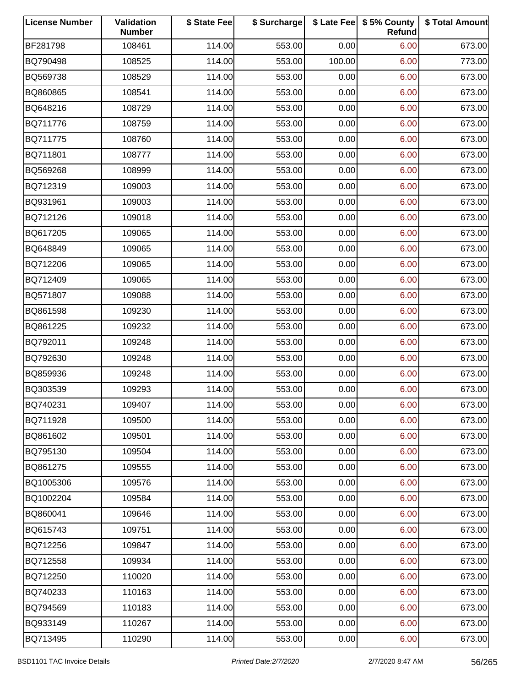| <b>License Number</b> | Validation<br><b>Number</b> | \$ State Fee | \$ Surcharge |        | \$ Late Fee   \$5% County<br>Refund | \$ Total Amount |
|-----------------------|-----------------------------|--------------|--------------|--------|-------------------------------------|-----------------|
| BF281798              | 108461                      | 114.00       | 553.00       | 0.00   | 6.00                                | 673.00          |
| BQ790498              | 108525                      | 114.00       | 553.00       | 100.00 | 6.00                                | 773.00          |
| BQ569738              | 108529                      | 114.00       | 553.00       | 0.00   | 6.00                                | 673.00          |
| BQ860865              | 108541                      | 114.00       | 553.00       | 0.00   | 6.00                                | 673.00          |
| BQ648216              | 108729                      | 114.00       | 553.00       | 0.00   | 6.00                                | 673.00          |
| BQ711776              | 108759                      | 114.00       | 553.00       | 0.00   | 6.00                                | 673.00          |
| BQ711775              | 108760                      | 114.00       | 553.00       | 0.00   | 6.00                                | 673.00          |
| BQ711801              | 108777                      | 114.00       | 553.00       | 0.00   | 6.00                                | 673.00          |
| BQ569268              | 108999                      | 114.00       | 553.00       | 0.00   | 6.00                                | 673.00          |
| BQ712319              | 109003                      | 114.00       | 553.00       | 0.00   | 6.00                                | 673.00          |
| BQ931961              | 109003                      | 114.00       | 553.00       | 0.00   | 6.00                                | 673.00          |
| BQ712126              | 109018                      | 114.00       | 553.00       | 0.00   | 6.00                                | 673.00          |
| BQ617205              | 109065                      | 114.00       | 553.00       | 0.00   | 6.00                                | 673.00          |
| BQ648849              | 109065                      | 114.00       | 553.00       | 0.00   | 6.00                                | 673.00          |
| BQ712206              | 109065                      | 114.00       | 553.00       | 0.00   | 6.00                                | 673.00          |
| BQ712409              | 109065                      | 114.00       | 553.00       | 0.00   | 6.00                                | 673.00          |
| BQ571807              | 109088                      | 114.00       | 553.00       | 0.00   | 6.00                                | 673.00          |
| BQ861598              | 109230                      | 114.00       | 553.00       | 0.00   | 6.00                                | 673.00          |
| BQ861225              | 109232                      | 114.00       | 553.00       | 0.00   | 6.00                                | 673.00          |
| BQ792011              | 109248                      | 114.00       | 553.00       | 0.00   | 6.00                                | 673.00          |
| BQ792630              | 109248                      | 114.00       | 553.00       | 0.00   | 6.00                                | 673.00          |
| BQ859936              | 109248                      | 114.00       | 553.00       | 0.00   | 6.00                                | 673.00          |
| BQ303539              | 109293                      | 114.00       | 553.00       | 0.00   | 6.00                                | 673.00          |
| BQ740231              | 109407                      | 114.00       | 553.00       | 0.00   | 6.00                                | 673.00          |
| BQ711928              | 109500                      | 114.00       | 553.00       | 0.00   | 6.00                                | 673.00          |
| BQ861602              | 109501                      | 114.00       | 553.00       | 0.00   | 6.00                                | 673.00          |
| BQ795130              | 109504                      | 114.00       | 553.00       | 0.00   | 6.00                                | 673.00          |
| BQ861275              | 109555                      | 114.00       | 553.00       | 0.00   | 6.00                                | 673.00          |
| BQ1005306             | 109576                      | 114.00       | 553.00       | 0.00   | 6.00                                | 673.00          |
| BQ1002204             | 109584                      | 114.00       | 553.00       | 0.00   | 6.00                                | 673.00          |
| BQ860041              | 109646                      | 114.00       | 553.00       | 0.00   | 6.00                                | 673.00          |
| BQ615743              | 109751                      | 114.00       | 553.00       | 0.00   | 6.00                                | 673.00          |
| BQ712256              | 109847                      | 114.00       | 553.00       | 0.00   | 6.00                                | 673.00          |
| BQ712558              | 109934                      | 114.00       | 553.00       | 0.00   | 6.00                                | 673.00          |
| BQ712250              | 110020                      | 114.00       | 553.00       | 0.00   | 6.00                                | 673.00          |
| BQ740233              | 110163                      | 114.00       | 553.00       | 0.00   | 6.00                                | 673.00          |
| BQ794569              | 110183                      | 114.00       | 553.00       | 0.00   | 6.00                                | 673.00          |
| BQ933149              | 110267                      | 114.00       | 553.00       | 0.00   | 6.00                                | 673.00          |
| BQ713495              | 110290                      | 114.00       | 553.00       | 0.00   | 6.00                                | 673.00          |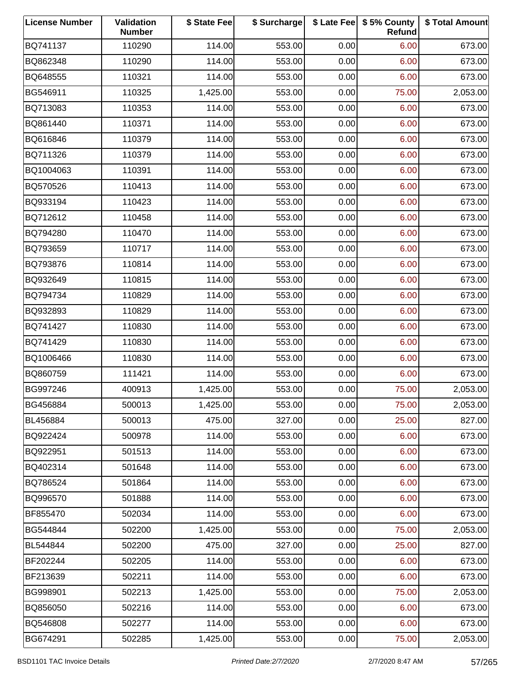| <b>License Number</b> | Validation<br><b>Number</b> | \$ State Fee | \$ Surcharge |      | \$ Late Fee   \$5% County<br>Refund | \$ Total Amount |
|-----------------------|-----------------------------|--------------|--------------|------|-------------------------------------|-----------------|
| BQ741137              | 110290                      | 114.00       | 553.00       | 0.00 | 6.00                                | 673.00          |
| BQ862348              | 110290                      | 114.00       | 553.00       | 0.00 | 6.00                                | 673.00          |
| BQ648555              | 110321                      | 114.00       | 553.00       | 0.00 | 6.00                                | 673.00          |
| BG546911              | 110325                      | 1,425.00     | 553.00       | 0.00 | 75.00                               | 2,053.00        |
| BQ713083              | 110353                      | 114.00       | 553.00       | 0.00 | 6.00                                | 673.00          |
| BQ861440              | 110371                      | 114.00       | 553.00       | 0.00 | 6.00                                | 673.00          |
| BQ616846              | 110379                      | 114.00       | 553.00       | 0.00 | 6.00                                | 673.00          |
| BQ711326              | 110379                      | 114.00       | 553.00       | 0.00 | 6.00                                | 673.00          |
| BQ1004063             | 110391                      | 114.00       | 553.00       | 0.00 | 6.00                                | 673.00          |
| BQ570526              | 110413                      | 114.00       | 553.00       | 0.00 | 6.00                                | 673.00          |
| BQ933194              | 110423                      | 114.00       | 553.00       | 0.00 | 6.00                                | 673.00          |
| BQ712612              | 110458                      | 114.00       | 553.00       | 0.00 | 6.00                                | 673.00          |
| BQ794280              | 110470                      | 114.00       | 553.00       | 0.00 | 6.00                                | 673.00          |
| BQ793659              | 110717                      | 114.00       | 553.00       | 0.00 | 6.00                                | 673.00          |
| BQ793876              | 110814                      | 114.00       | 553.00       | 0.00 | 6.00                                | 673.00          |
| BQ932649              | 110815                      | 114.00       | 553.00       | 0.00 | 6.00                                | 673.00          |
| BQ794734              | 110829                      | 114.00       | 553.00       | 0.00 | 6.00                                | 673.00          |
| BQ932893              | 110829                      | 114.00       | 553.00       | 0.00 | 6.00                                | 673.00          |
| BQ741427              | 110830                      | 114.00       | 553.00       | 0.00 | 6.00                                | 673.00          |
| BQ741429              | 110830                      | 114.00       | 553.00       | 0.00 | 6.00                                | 673.00          |
| BQ1006466             | 110830                      | 114.00       | 553.00       | 0.00 | 6.00                                | 673.00          |
| BQ860759              | 111421                      | 114.00       | 553.00       | 0.00 | 6.00                                | 673.00          |
| BG997246              | 400913                      | 1,425.00     | 553.00       | 0.00 | 75.00                               | 2,053.00        |
| BG456884              | 500013                      | 1,425.00     | 553.00       | 0.00 | 75.00                               | 2,053.00        |
| BL456884              | 500013                      | 475.00       | 327.00       | 0.00 | 25.00                               | 827.00          |
| BQ922424              | 500978                      | 114.00       | 553.00       | 0.00 | 6.00                                | 673.00          |
| BQ922951              | 501513                      | 114.00       | 553.00       | 0.00 | 6.00                                | 673.00          |
| BQ402314              | 501648                      | 114.00       | 553.00       | 0.00 | 6.00                                | 673.00          |
| BQ786524              | 501864                      | 114.00       | 553.00       | 0.00 | 6.00                                | 673.00          |
| BQ996570              | 501888                      | 114.00       | 553.00       | 0.00 | 6.00                                | 673.00          |
| BF855470              | 502034                      | 114.00       | 553.00       | 0.00 | 6.00                                | 673.00          |
| BG544844              | 502200                      | 1,425.00     | 553.00       | 0.00 | 75.00                               | 2,053.00        |
| BL544844              | 502200                      | 475.00       | 327.00       | 0.00 | 25.00                               | 827.00          |
| BF202244              | 502205                      | 114.00       | 553.00       | 0.00 | 6.00                                | 673.00          |
| BF213639              | 502211                      | 114.00       | 553.00       | 0.00 | 6.00                                | 673.00          |
| BG998901              | 502213                      | 1,425.00     | 553.00       | 0.00 | 75.00                               | 2,053.00        |
| BQ856050              | 502216                      | 114.00       | 553.00       | 0.00 | 6.00                                | 673.00          |
| BQ546808              | 502277                      | 114.00       | 553.00       | 0.00 | 6.00                                | 673.00          |
| BG674291              | 502285                      | 1,425.00     | 553.00       | 0.00 | 75.00                               | 2,053.00        |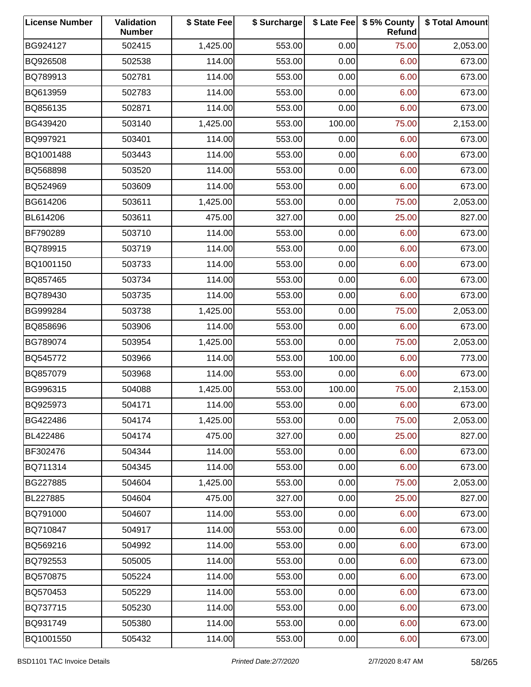| <b>License Number</b> | Validation<br><b>Number</b> | \$ State Fee | \$ Surcharge |        | \$ Late Fee   \$5% County<br>Refund | \$ Total Amount |
|-----------------------|-----------------------------|--------------|--------------|--------|-------------------------------------|-----------------|
| BG924127              | 502415                      | 1,425.00     | 553.00       | 0.00   | 75.00                               | 2,053.00        |
| BQ926508              | 502538                      | 114.00       | 553.00       | 0.00   | 6.00                                | 673.00          |
| BQ789913              | 502781                      | 114.00       | 553.00       | 0.00   | 6.00                                | 673.00          |
| BQ613959              | 502783                      | 114.00       | 553.00       | 0.00   | 6.00                                | 673.00          |
| BQ856135              | 502871                      | 114.00       | 553.00       | 0.00   | 6.00                                | 673.00          |
| BG439420              | 503140                      | 1,425.00     | 553.00       | 100.00 | 75.00                               | 2,153.00        |
| BQ997921              | 503401                      | 114.00       | 553.00       | 0.00   | 6.00                                | 673.00          |
| BQ1001488             | 503443                      | 114.00       | 553.00       | 0.00   | 6.00                                | 673.00          |
| BQ568898              | 503520                      | 114.00       | 553.00       | 0.00   | 6.00                                | 673.00          |
| BQ524969              | 503609                      | 114.00       | 553.00       | 0.00   | 6.00                                | 673.00          |
| BG614206              | 503611                      | 1,425.00     | 553.00       | 0.00   | 75.00                               | 2,053.00        |
| BL614206              | 503611                      | 475.00       | 327.00       | 0.00   | 25.00                               | 827.00          |
| BF790289              | 503710                      | 114.00       | 553.00       | 0.00   | 6.00                                | 673.00          |
| BQ789915              | 503719                      | 114.00       | 553.00       | 0.00   | 6.00                                | 673.00          |
| BQ1001150             | 503733                      | 114.00       | 553.00       | 0.00   | 6.00                                | 673.00          |
| BQ857465              | 503734                      | 114.00       | 553.00       | 0.00   | 6.00                                | 673.00          |
| BQ789430              | 503735                      | 114.00       | 553.00       | 0.00   | 6.00                                | 673.00          |
| BG999284              | 503738                      | 1,425.00     | 553.00       | 0.00   | 75.00                               | 2,053.00        |
| BQ858696              | 503906                      | 114.00       | 553.00       | 0.00   | 6.00                                | 673.00          |
| BG789074              | 503954                      | 1,425.00     | 553.00       | 0.00   | 75.00                               | 2,053.00        |
| BQ545772              | 503966                      | 114.00       | 553.00       | 100.00 | 6.00                                | 773.00          |
| BQ857079              | 503968                      | 114.00       | 553.00       | 0.00   | 6.00                                | 673.00          |
| BG996315              | 504088                      | 1,425.00     | 553.00       | 100.00 | 75.00                               | 2,153.00        |
| BQ925973              | 504171                      | 114.00       | 553.00       | 0.00   | 6.00                                | 673.00          |
| BG422486              | 504174                      | 1,425.00     | 553.00       | 0.00   | 75.00                               | 2,053.00        |
| BL422486              | 504174                      | 475.00       | 327.00       | 0.00   | 25.00                               | 827.00          |
| BF302476              | 504344                      | 114.00       | 553.00       | 0.00   | 6.00                                | 673.00          |
| BQ711314              | 504345                      | 114.00       | 553.00       | 0.00   | 6.00                                | 673.00          |
| BG227885              | 504604                      | 1,425.00     | 553.00       | 0.00   | 75.00                               | 2,053.00        |
| BL227885              | 504604                      | 475.00       | 327.00       | 0.00   | 25.00                               | 827.00          |
| BQ791000              | 504607                      | 114.00       | 553.00       | 0.00   | 6.00                                | 673.00          |
| BQ710847              | 504917                      | 114.00       | 553.00       | 0.00   | 6.00                                | 673.00          |
| BQ569216              | 504992                      | 114.00       | 553.00       | 0.00   | 6.00                                | 673.00          |
| BQ792553              | 505005                      | 114.00       | 553.00       | 0.00   | 6.00                                | 673.00          |
| BQ570875              | 505224                      | 114.00       | 553.00       | 0.00   | 6.00                                | 673.00          |
| BQ570453              | 505229                      | 114.00       | 553.00       | 0.00   | 6.00                                | 673.00          |
| BQ737715              | 505230                      | 114.00       | 553.00       | 0.00   | 6.00                                | 673.00          |
| BQ931749              | 505380                      | 114.00       | 553.00       | 0.00   | 6.00                                | 673.00          |
| BQ1001550             | 505432                      | 114.00       | 553.00       | 0.00   | 6.00                                | 673.00          |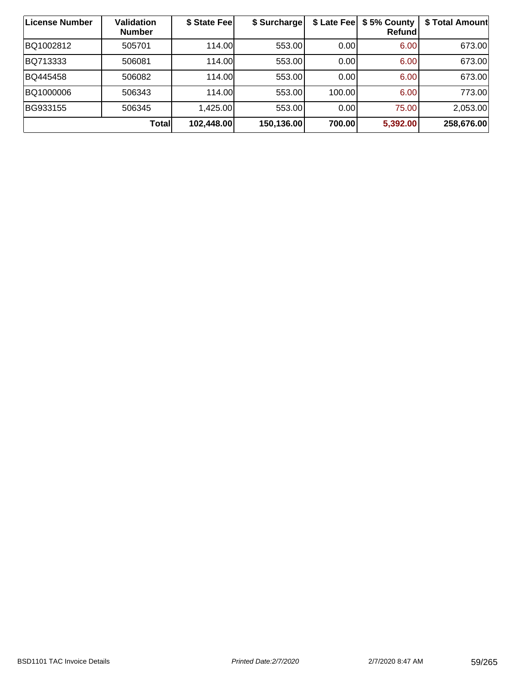| License Number | Validation<br><b>Number</b> | \$ State Fee | \$ Surcharge |        | \$ Late Fee   \$5% County<br>Refund | \$ Total Amount |
|----------------|-----------------------------|--------------|--------------|--------|-------------------------------------|-----------------|
| BQ1002812      | 505701                      | 114.00L      | 553.00       | 0.00   | 6.00                                | 673.00          |
| BQ713333       | 506081                      | 114.00       | 553.00       | 0.00   | 6.00                                | 673.00          |
| BQ445458       | 506082                      | 114.00       | 553.00       | 0.00   | 6.00                                | 673.00          |
| BQ1000006      | 506343                      | 114.00       | 553.00       | 100.00 | 6.00                                | 773.00          |
| BG933155       | 506345                      | 1,425.00     | 553.00       | 0.00   | 75.00                               | 2,053.00        |
|                | <b>Total</b>                | 102,448.00   | 150,136.00   | 700.00 | 5,392.00                            | 258,676.00      |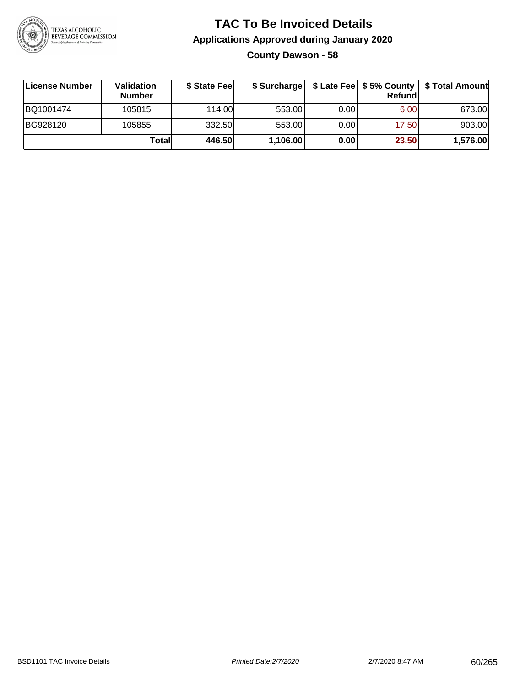

## **TAC To Be Invoiced Details Applications Approved during January 2020 County Dawson - 58**

| License Number | Validation<br><b>Number</b> | \$ State Feel | \$ Surcharge |      | Refund | \$ Late Fee   \$5% County   \$ Total Amount |
|----------------|-----------------------------|---------------|--------------|------|--------|---------------------------------------------|
| BQ1001474      | 105815                      | 114.00        | 553.00       | 0.00 | 6.00   | 673.00                                      |
| BG928120       | 105855                      | 332.50        | 553.00       | 0.00 | 17.50  | 903.00                                      |
|                | Totall                      | 446.50        | 1,106.00     | 0.00 | 23.50  | 1,576.00                                    |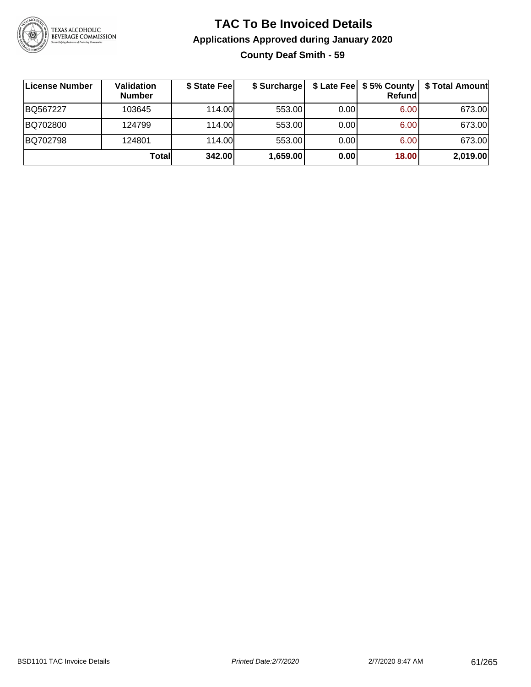

## **TAC To Be Invoiced Details Applications Approved during January 2020 County Deaf Smith - 59**

| ∣License Number | Validation<br><b>Number</b> | \$ State Feel | \$ Surcharge |      | Refund | \$ Late Fee   \$5% County   \$ Total Amount |
|-----------------|-----------------------------|---------------|--------------|------|--------|---------------------------------------------|
| BQ567227        | 103645                      | 114.00L       | 553.00       | 0.00 | 6.00   | 673.00                                      |
| BQ702800        | 124799                      | 114.00L       | 553.00       | 0.00 | 6.00   | 673.00                                      |
| BQ702798        | 124801                      | 114.00L       | 553.00       | 0.00 | 6.00   | 673.00                                      |
|                 | Total                       | 342.00        | 1,659.00     | 0.00 | 18.00  | 2,019.00                                    |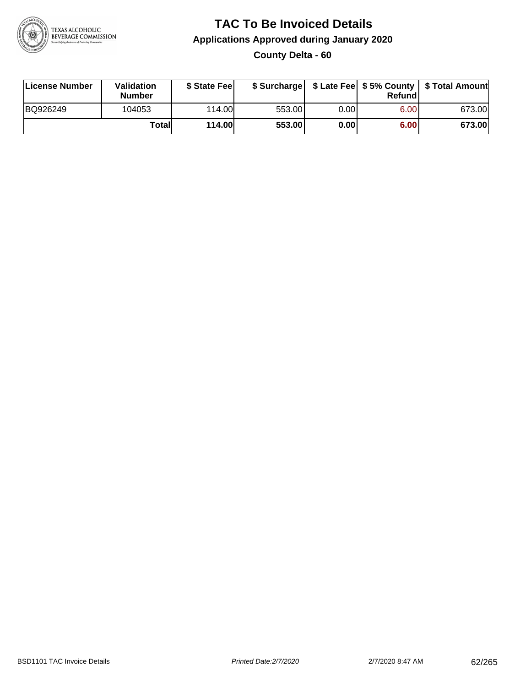

## **TAC To Be Invoiced Details Applications Approved during January 2020 County Delta - 60**

| License Number | <b>Validation</b><br><b>Number</b> | \$ State Feel |        |      | Refundl | \$ Surcharge   \$ Late Fee   \$5% County   \$ Total Amount |
|----------------|------------------------------------|---------------|--------|------|---------|------------------------------------------------------------|
| BQ926249       | 104053                             | 114.00        | 553.00 | 0.00 | 6.00    | 673.00                                                     |
|                | Totall                             | <b>114.00</b> | 553.00 | 0.00 | 6.00    | 673.00                                                     |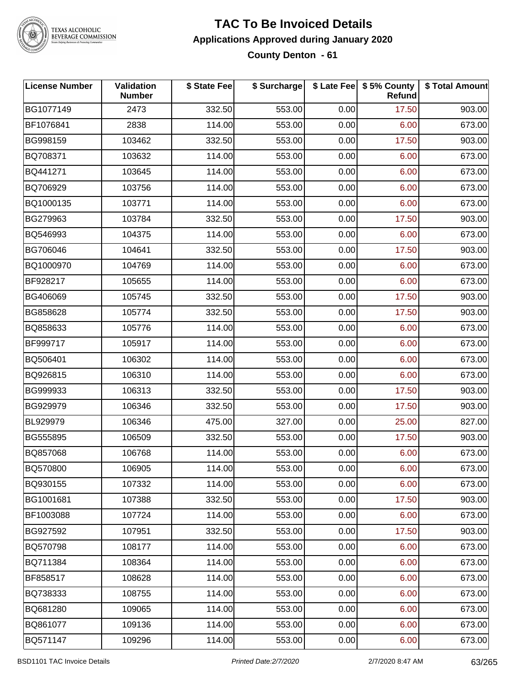

#### **TAC To Be Invoiced Details Applications Approved during January 2020 County Denton - 61**

| <b>License Number</b> | Validation<br><b>Number</b> | \$ State Fee | \$ Surcharge |      | \$ Late Fee   \$5% County<br>Refund | \$ Total Amount |
|-----------------------|-----------------------------|--------------|--------------|------|-------------------------------------|-----------------|
| BG1077149             | 2473                        | 332.50       | 553.00       | 0.00 | 17.50                               | 903.00          |
| BF1076841             | 2838                        | 114.00       | 553.00       | 0.00 | 6.00                                | 673.00          |
| BG998159              | 103462                      | 332.50       | 553.00       | 0.00 | 17.50                               | 903.00          |
| BQ708371              | 103632                      | 114.00       | 553.00       | 0.00 | 6.00                                | 673.00          |
| BQ441271              | 103645                      | 114.00       | 553.00       | 0.00 | 6.00                                | 673.00          |
| BQ706929              | 103756                      | 114.00       | 553.00       | 0.00 | 6.00                                | 673.00          |
| BQ1000135             | 103771                      | 114.00       | 553.00       | 0.00 | 6.00                                | 673.00          |
| BG279963              | 103784                      | 332.50       | 553.00       | 0.00 | 17.50                               | 903.00          |
| BQ546993              | 104375                      | 114.00       | 553.00       | 0.00 | 6.00                                | 673.00          |
| BG706046              | 104641                      | 332.50       | 553.00       | 0.00 | 17.50                               | 903.00          |
| BQ1000970             | 104769                      | 114.00       | 553.00       | 0.00 | 6.00                                | 673.00          |
| BF928217              | 105655                      | 114.00       | 553.00       | 0.00 | 6.00                                | 673.00          |
| BG406069              | 105745                      | 332.50       | 553.00       | 0.00 | 17.50                               | 903.00          |
| BG858628              | 105774                      | 332.50       | 553.00       | 0.00 | 17.50                               | 903.00          |
| BQ858633              | 105776                      | 114.00       | 553.00       | 0.00 | 6.00                                | 673.00          |
| BF999717              | 105917                      | 114.00       | 553.00       | 0.00 | 6.00                                | 673.00          |
| BQ506401              | 106302                      | 114.00       | 553.00       | 0.00 | 6.00                                | 673.00          |
| BQ926815              | 106310                      | 114.00       | 553.00       | 0.00 | 6.00                                | 673.00          |
| BG999933              | 106313                      | 332.50       | 553.00       | 0.00 | 17.50                               | 903.00          |
| BG929979              | 106346                      | 332.50       | 553.00       | 0.00 | 17.50                               | 903.00          |
| BL929979              | 106346                      | 475.00       | 327.00       | 0.00 | 25.00                               | 827.00          |
| BG555895              | 106509                      | 332.50       | 553.00       | 0.00 | 17.50                               | 903.00          |
| BQ857068              | 106768                      | 114.00       | 553.00       | 0.00 | 6.00                                | 673.00          |
| BQ570800              | 106905                      | 114.00       | 553.00       | 0.00 | 6.00                                | 673.00          |
| BQ930155              | 107332                      | 114.00       | 553.00       | 0.00 | 6.00                                | 673.00          |
| BG1001681             | 107388                      | 332.50       | 553.00       | 0.00 | 17.50                               | 903.00          |
| BF1003088             | 107724                      | 114.00       | 553.00       | 0.00 | 6.00                                | 673.00          |
| BG927592              | 107951                      | 332.50       | 553.00       | 0.00 | 17.50                               | 903.00          |
| BQ570798              | 108177                      | 114.00       | 553.00       | 0.00 | 6.00                                | 673.00          |
| BQ711384              | 108364                      | 114.00       | 553.00       | 0.00 | 6.00                                | 673.00          |
| BF858517              | 108628                      | 114.00       | 553.00       | 0.00 | 6.00                                | 673.00          |
| BQ738333              | 108755                      | 114.00       | 553.00       | 0.00 | 6.00                                | 673.00          |
| BQ681280              | 109065                      | 114.00       | 553.00       | 0.00 | 6.00                                | 673.00          |
| BQ861077              | 109136                      | 114.00       | 553.00       | 0.00 | 6.00                                | 673.00          |
| BQ571147              | 109296                      | 114.00       | 553.00       | 0.00 | 6.00                                | 673.00          |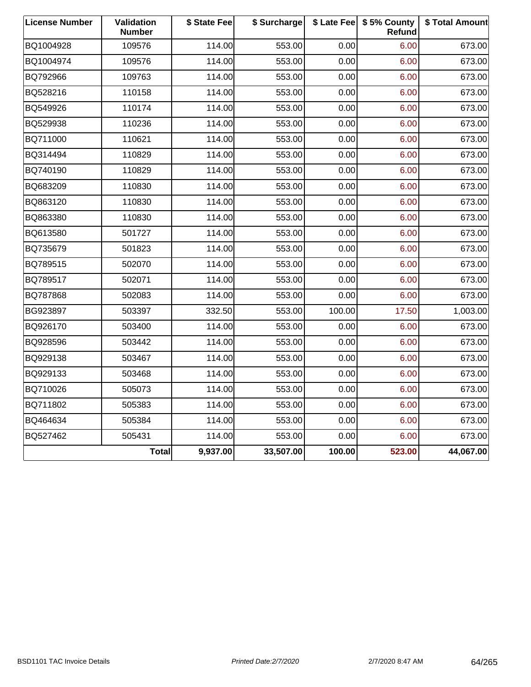| <b>License Number</b> | Validation<br><b>Number</b> | \$ State Fee | \$ Surcharge |        | \$ Late Fee   \$5% County<br>Refund | \$ Total Amount |
|-----------------------|-----------------------------|--------------|--------------|--------|-------------------------------------|-----------------|
| BQ1004928             | 109576                      | 114.00       | 553.00       | 0.00   | 6.00                                | 673.00          |
| BQ1004974             | 109576                      | 114.00       | 553.00       | 0.00   | 6.00                                | 673.00          |
| BQ792966              | 109763                      | 114.00       | 553.00       | 0.00   | 6.00                                | 673.00          |
| BQ528216              | 110158                      | 114.00       | 553.00       | 0.00   | 6.00                                | 673.00          |
| BQ549926              | 110174                      | 114.00       | 553.00       | 0.00   | 6.00                                | 673.00          |
| BQ529938              | 110236                      | 114.00       | 553.00       | 0.00   | 6.00                                | 673.00          |
| BQ711000              | 110621                      | 114.00       | 553.00       | 0.00   | 6.00                                | 673.00          |
| BQ314494              | 110829                      | 114.00       | 553.00       | 0.00   | 6.00                                | 673.00          |
| BQ740190              | 110829                      | 114.00       | 553.00       | 0.00   | 6.00                                | 673.00          |
| BQ683209              | 110830                      | 114.00       | 553.00       | 0.00   | 6.00                                | 673.00          |
| BQ863120              | 110830                      | 114.00       | 553.00       | 0.00   | 6.00                                | 673.00          |
| BQ863380              | 110830                      | 114.00       | 553.00       | 0.00   | 6.00                                | 673.00          |
| BQ613580              | 501727                      | 114.00       | 553.00       | 0.00   | 6.00                                | 673.00          |
| BQ735679              | 501823                      | 114.00       | 553.00       | 0.00   | 6.00                                | 673.00          |
| BQ789515              | 502070                      | 114.00       | 553.00       | 0.00   | 6.00                                | 673.00          |
| BQ789517              | 502071                      | 114.00       | 553.00       | 0.00   | 6.00                                | 673.00          |
| BQ787868              | 502083                      | 114.00       | 553.00       | 0.00   | 6.00                                | 673.00          |
| BG923897              | 503397                      | 332.50       | 553.00       | 100.00 | 17.50                               | 1,003.00        |
| BQ926170              | 503400                      | 114.00       | 553.00       | 0.00   | 6.00                                | 673.00          |
| BQ928596              | 503442                      | 114.00       | 553.00       | 0.00   | 6.00                                | 673.00          |
| BQ929138              | 503467                      | 114.00       | 553.00       | 0.00   | 6.00                                | 673.00          |
| BQ929133              | 503468                      | 114.00       | 553.00       | 0.00   | 6.00                                | 673.00          |
| BQ710026              | 505073                      | 114.00       | 553.00       | 0.00   | 6.00                                | 673.00          |
| BQ711802              | 505383                      | 114.00       | 553.00       | 0.00   | 6.00                                | 673.00          |
| BQ464634              | 505384                      | 114.00       | 553.00       | 0.00   | 6.00                                | 673.00          |
| BQ527462              | 505431                      | 114.00       | 553.00       | 0.00   | 6.00                                | 673.00          |
|                       | <b>Total</b>                | 9,937.00     | 33,507.00    | 100.00 | 523.00                              | 44,067.00       |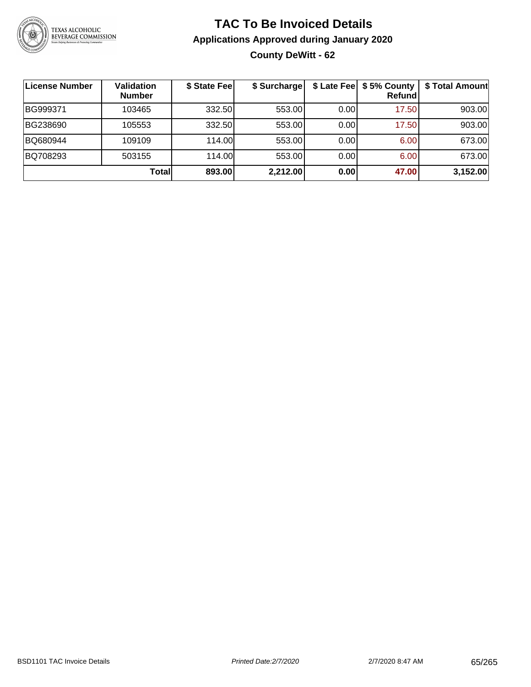

## **TAC To Be Invoiced Details Applications Approved during January 2020 County DeWitt - 62**

| <b>License Number</b> | Validation<br><b>Number</b> | \$ State Fee | \$ Surcharge |      | \$ Late Fee   \$5% County<br><b>Refund</b> | \$ Total Amount |
|-----------------------|-----------------------------|--------------|--------------|------|--------------------------------------------|-----------------|
| BG999371              | 103465                      | 332.50       | 553.00       | 0.00 | 17.50                                      | 903.00          |
| BG238690              | 105553                      | 332.50       | 553.00       | 0.00 | 17.50                                      | 903.00          |
| BQ680944              | 109109                      | 114.00       | 553.00       | 0.00 | 6.00                                       | 673.00          |
| BQ708293              | 503155                      | 114.00L      | 553.00       | 0.00 | 6.00                                       | 673.00          |
|                       | Totall                      | 893.00       | 2,212.00     | 0.00 | 47.00                                      | 3,152.00        |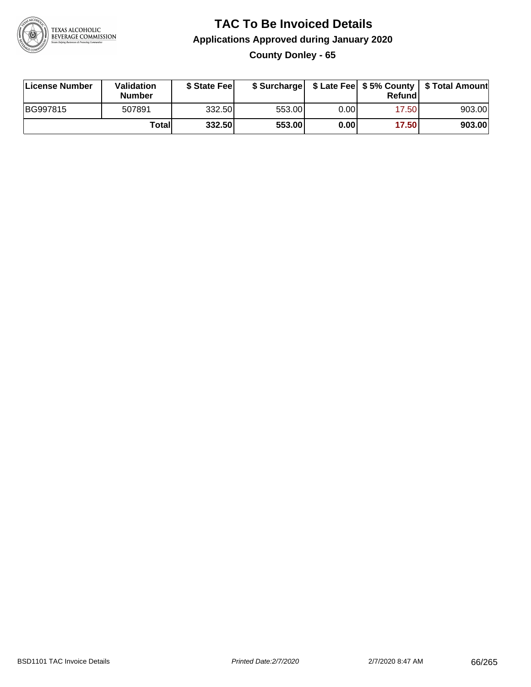

## **TAC To Be Invoiced Details Applications Approved during January 2020 County Donley - 65**

| <b>License Number</b> | Validation<br><b>Number</b> | \$ State Feel |        |      | Refundl | \$ Surcharge   \$ Late Fee   \$5% County   \$ Total Amount |
|-----------------------|-----------------------------|---------------|--------|------|---------|------------------------------------------------------------|
| BG997815              | 507891                      | 332.50        | 553.00 | 0.00 | 17.50   | 903.00                                                     |
|                       | Totall                      | 332.50        | 553.00 | 0.00 | 17.50   | 903.00                                                     |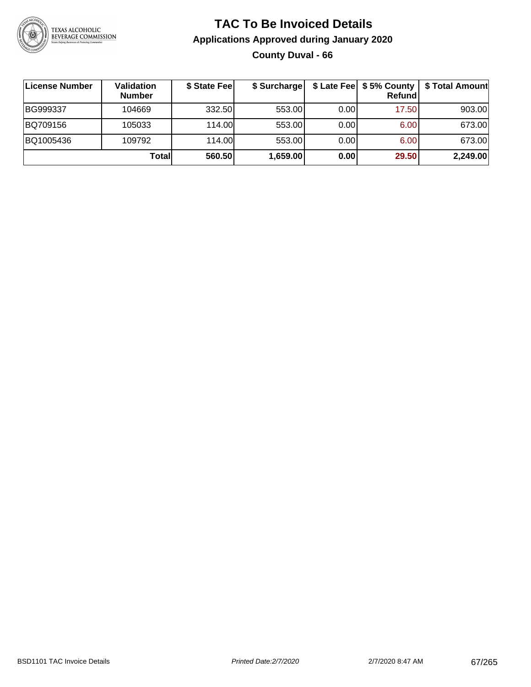

## **TAC To Be Invoiced Details Applications Approved during January 2020 County Duval - 66**

| ∣License Number | Validation<br><b>Number</b> | \$ State Fee | \$ Surcharge |      | $$$ Late Fee $$5%$ County<br><b>Refund</b> | \$ Total Amount |
|-----------------|-----------------------------|--------------|--------------|------|--------------------------------------------|-----------------|
| BG999337        | 104669                      | 332.50       | 553.00       | 0.00 | 17.50                                      | 903.00          |
| BQ709156        | 105033                      | 114.00L      | 553.00       | 0.00 | 6.00                                       | 673.00          |
| BQ1005436       | 109792                      | 114.00L      | 553.00       | 0.00 | 6.00                                       | 673.00          |
|                 | Totall                      | 560.50       | 1,659.00     | 0.00 | 29.50                                      | 2,249.00        |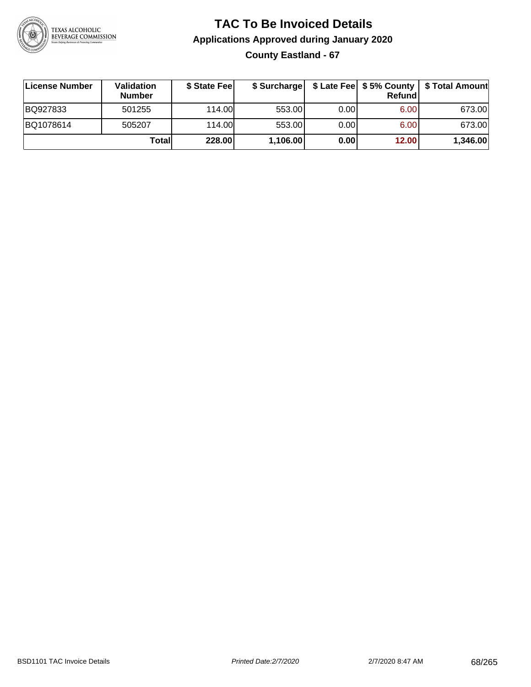

## **TAC To Be Invoiced Details Applications Approved during January 2020 County Eastland - 67**

| License Number | <b>Validation</b><br><b>Number</b> | \$ State Feel | \$ Surcharge |      | Refund | \$ Late Fee   \$5% County   \$ Total Amount |
|----------------|------------------------------------|---------------|--------------|------|--------|---------------------------------------------|
| BQ927833       | 501255                             | 114.00L       | 553.00       | 0.00 | 6.00   | 673.00                                      |
| BQ1078614      | 505207                             | 114.00L       | 553.00       | 0.00 | 6.00   | 673.00                                      |
|                | Totall                             | 228.00        | 1,106.00     | 0.00 | 12.00  | 1,346.00                                    |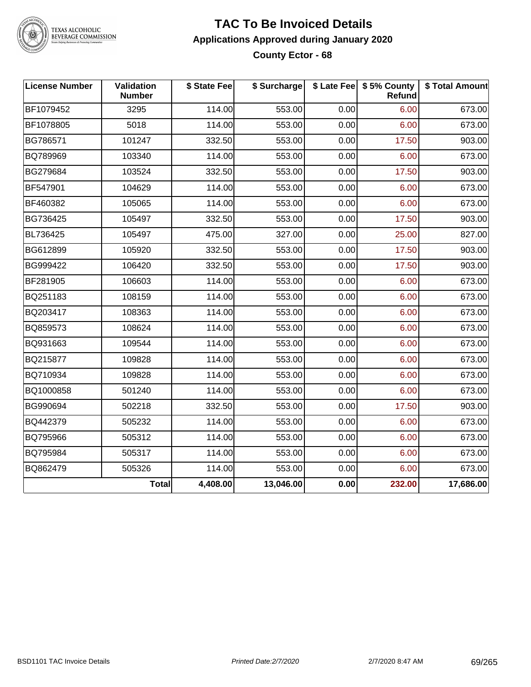

#### **TAC To Be Invoiced Details Applications Approved during January 2020 County Ector - 68**

| <b>License Number</b> | Validation<br><b>Number</b> | \$ State Fee | \$ Surcharge |      | \$ Late Fee   \$5% County  <br>Refund | \$ Total Amount |
|-----------------------|-----------------------------|--------------|--------------|------|---------------------------------------|-----------------|
| BF1079452             | 3295                        | 114.00       | 553.00       | 0.00 | 6.00                                  | 673.00          |
| BF1078805             | 5018                        | 114.00       | 553.00       | 0.00 | 6.00                                  | 673.00          |
| BG786571              | 101247                      | 332.50       | 553.00       | 0.00 | 17.50                                 | 903.00          |
| BQ789969              | 103340                      | 114.00       | 553.00       | 0.00 | 6.00                                  | 673.00          |
| BG279684              | 103524                      | 332.50       | 553.00       | 0.00 | 17.50                                 | 903.00          |
| BF547901              | 104629                      | 114.00       | 553.00       | 0.00 | 6.00                                  | 673.00          |
| BF460382              | 105065                      | 114.00       | 553.00       | 0.00 | 6.00                                  | 673.00          |
| BG736425              | 105497                      | 332.50       | 553.00       | 0.00 | 17.50                                 | 903.00          |
| BL736425              | 105497                      | 475.00       | 327.00       | 0.00 | 25.00                                 | 827.00          |
| BG612899              | 105920                      | 332.50       | 553.00       | 0.00 | 17.50                                 | 903.00          |
| BG999422              | 106420                      | 332.50       | 553.00       | 0.00 | 17.50                                 | 903.00          |
| BF281905              | 106603                      | 114.00       | 553.00       | 0.00 | 6.00                                  | 673.00          |
| BQ251183              | 108159                      | 114.00       | 553.00       | 0.00 | 6.00                                  | 673.00          |
| BQ203417              | 108363                      | 114.00       | 553.00       | 0.00 | 6.00                                  | 673.00          |
| BQ859573              | 108624                      | 114.00       | 553.00       | 0.00 | 6.00                                  | 673.00          |
| BQ931663              | 109544                      | 114.00       | 553.00       | 0.00 | 6.00                                  | 673.00          |
| BQ215877              | 109828                      | 114.00       | 553.00       | 0.00 | 6.00                                  | 673.00          |
| BQ710934              | 109828                      | 114.00       | 553.00       | 0.00 | 6.00                                  | 673.00          |
| BQ1000858             | 501240                      | 114.00       | 553.00       | 0.00 | 6.00                                  | 673.00          |
| BG990694              | 502218                      | 332.50       | 553.00       | 0.00 | 17.50                                 | 903.00          |
| BQ442379              | 505232                      | 114.00       | 553.00       | 0.00 | 6.00                                  | 673.00          |
| BQ795966              | 505312                      | 114.00       | 553.00       | 0.00 | 6.00                                  | 673.00          |
| BQ795984              | 505317                      | 114.00       | 553.00       | 0.00 | 6.00                                  | 673.00          |
| BQ862479              | 505326                      | 114.00       | 553.00       | 0.00 | 6.00                                  | 673.00          |
|                       | Total                       | 4,408.00     | 13,046.00    | 0.00 | 232.00                                | 17,686.00       |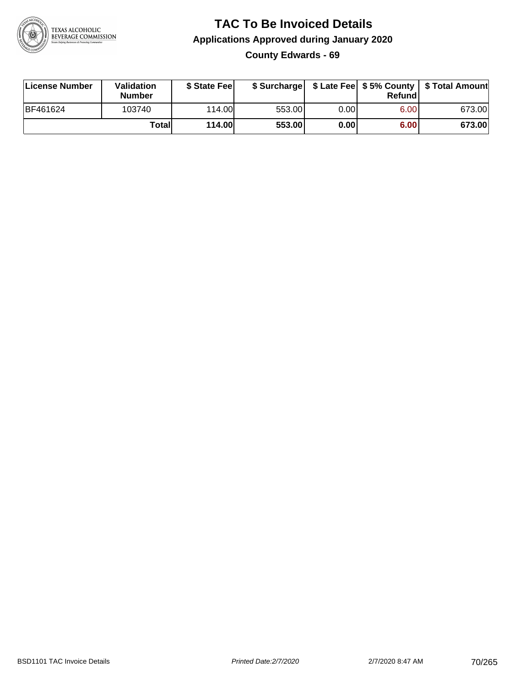

#### **TAC To Be Invoiced Details Applications Approved during January 2020 County Edwards - 69**

| License Number  | Validation<br><b>Number</b> | \$ State Fee  |        |      | Refund | \$ Surcharge   \$ Late Fee   \$5% County   \$ Total Amount |
|-----------------|-----------------------------|---------------|--------|------|--------|------------------------------------------------------------|
| <b>BF461624</b> | 103740                      | 114.00        | 553.00 | 0.00 | 6.00   | 673.00                                                     |
|                 | Totall                      | <b>114.00</b> | 553.00 | 0.00 | 6.00   | 673.00                                                     |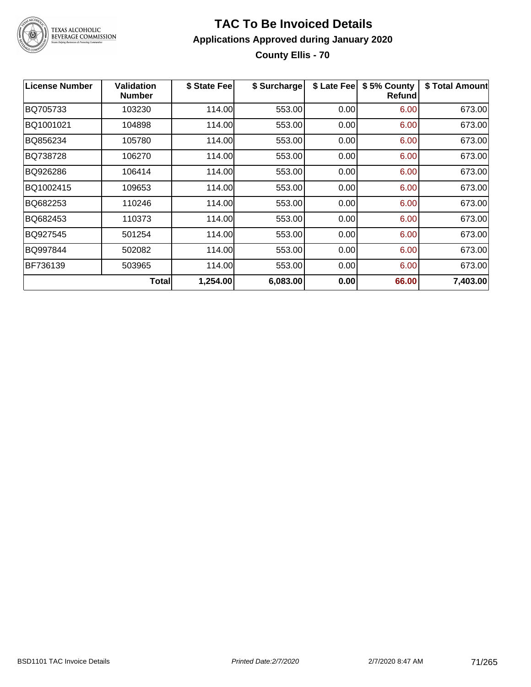

## **TAC To Be Invoiced Details Applications Approved during January 2020 County Ellis - 70**

| License Number | <b>Validation</b><br><b>Number</b> | \$ State Fee | \$ Surcharge | \$ Late Fee | \$5% County<br>Refundl | \$ Total Amount |
|----------------|------------------------------------|--------------|--------------|-------------|------------------------|-----------------|
| BQ705733       | 103230                             | 114.00       | 553.00       | 0.00        | 6.00                   | 673.00          |
| BQ1001021      | 104898                             | 114.00       | 553.00       | 0.00        | 6.00                   | 673.00          |
| BQ856234       | 105780                             | 114.00       | 553.00       | 0.00        | 6.00                   | 673.00          |
| BQ738728       | 106270                             | 114.00       | 553.00       | 0.00        | 6.00                   | 673.00          |
| BQ926286       | 106414                             | 114.00       | 553.00       | 0.00        | 6.00                   | 673.00          |
| BQ1002415      | 109653                             | 114.00       | 553.00       | 0.00        | 6.00                   | 673.00          |
| BQ682253       | 110246                             | 114.00       | 553.00       | 0.00        | 6.00                   | 673.00          |
| BQ682453       | 110373                             | 114.00       | 553.00       | 0.00        | 6.00                   | 673.00          |
| BQ927545       | 501254                             | 114.00       | 553.00       | 0.00        | 6.00                   | 673.00          |
| BQ997844       | 502082                             | 114.00       | 553.00       | 0.00        | 6.00                   | 673.00          |
| BF736139       | 503965                             | 114.00       | 553.00       | 0.00        | 6.00                   | 673.00          |
|                | Total                              | 1,254.00     | 6,083.00     | 0.00        | 66.00                  | 7,403.00        |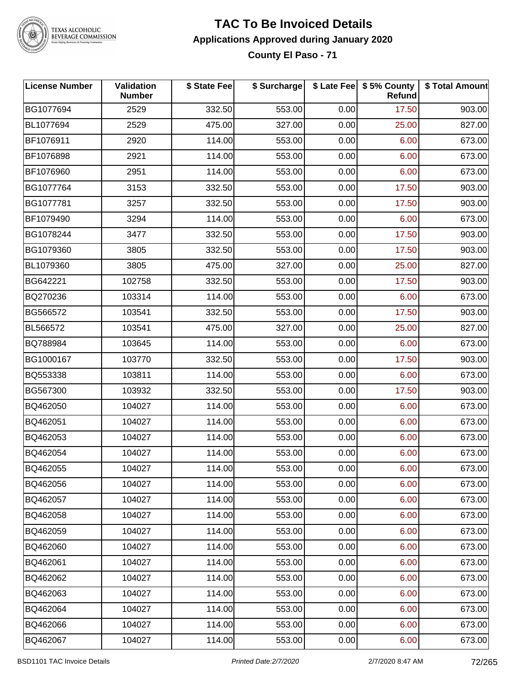

#### **TAC To Be Invoiced Details Applications Approved during January 2020 County El Paso - 71**

| <b>License Number</b> | Validation<br><b>Number</b> | \$ State Fee | \$ Surcharge |      | \$ Late Fee   \$5% County<br>Refund | \$ Total Amount |
|-----------------------|-----------------------------|--------------|--------------|------|-------------------------------------|-----------------|
| BG1077694             | 2529                        | 332.50       | 553.00       | 0.00 | 17.50                               | 903.00          |
| BL1077694             | 2529                        | 475.00       | 327.00       | 0.00 | 25.00                               | 827.00          |
| BF1076911             | 2920                        | 114.00       | 553.00       | 0.00 | 6.00                                | 673.00          |
| BF1076898             | 2921                        | 114.00       | 553.00       | 0.00 | 6.00                                | 673.00          |
| BF1076960             | 2951                        | 114.00       | 553.00       | 0.00 | 6.00                                | 673.00          |
| BG1077764             | 3153                        | 332.50       | 553.00       | 0.00 | 17.50                               | 903.00          |
| BG1077781             | 3257                        | 332.50       | 553.00       | 0.00 | 17.50                               | 903.00          |
| BF1079490             | 3294                        | 114.00       | 553.00       | 0.00 | 6.00                                | 673.00          |
| BG1078244             | 3477                        | 332.50       | 553.00       | 0.00 | 17.50                               | 903.00          |
| BG1079360             | 3805                        | 332.50       | 553.00       | 0.00 | 17.50                               | 903.00          |
| BL1079360             | 3805                        | 475.00       | 327.00       | 0.00 | 25.00                               | 827.00          |
| BG642221              | 102758                      | 332.50       | 553.00       | 0.00 | 17.50                               | 903.00          |
| BQ270236              | 103314                      | 114.00       | 553.00       | 0.00 | 6.00                                | 673.00          |
| BG566572              | 103541                      | 332.50       | 553.00       | 0.00 | 17.50                               | 903.00          |
| BL566572              | 103541                      | 475.00       | 327.00       | 0.00 | 25.00                               | 827.00          |
| BQ788984              | 103645                      | 114.00       | 553.00       | 0.00 | 6.00                                | 673.00          |
| BG1000167             | 103770                      | 332.50       | 553.00       | 0.00 | 17.50                               | 903.00          |
| BQ553338              | 103811                      | 114.00       | 553.00       | 0.00 | 6.00                                | 673.00          |
| BG567300              | 103932                      | 332.50       | 553.00       | 0.00 | 17.50                               | 903.00          |
| BQ462050              | 104027                      | 114.00       | 553.00       | 0.00 | 6.00                                | 673.00          |
| BQ462051              | 104027                      | 114.00       | 553.00       | 0.00 | 6.00                                | 673.00          |
| BQ462053              | 104027                      | 114.00       | 553.00       | 0.00 | 6.00                                | 673.00          |
| BQ462054              | 104027                      | 114.00       | 553.00       | 0.00 | 6.00                                | 673.00          |
| BQ462055              | 104027                      | 114.00       | 553.00       | 0.00 | 6.00                                | 673.00          |
| BQ462056              | 104027                      | 114.00       | 553.00       | 0.00 | 6.00                                | 673.00          |
| BQ462057              | 104027                      | 114.00       | 553.00       | 0.00 | 6.00                                | 673.00          |
| BQ462058              | 104027                      | 114.00       | 553.00       | 0.00 | 6.00                                | 673.00          |
| BQ462059              | 104027                      | 114.00       | 553.00       | 0.00 | 6.00                                | 673.00          |
| BQ462060              | 104027                      | 114.00       | 553.00       | 0.00 | 6.00                                | 673.00          |
| BQ462061              | 104027                      | 114.00       | 553.00       | 0.00 | 6.00                                | 673.00          |
| BQ462062              | 104027                      | 114.00       | 553.00       | 0.00 | 6.00                                | 673.00          |
| BQ462063              | 104027                      | 114.00       | 553.00       | 0.00 | 6.00                                | 673.00          |
| BQ462064              | 104027                      | 114.00       | 553.00       | 0.00 | 6.00                                | 673.00          |
| BQ462066              | 104027                      | 114.00       | 553.00       | 0.00 | 6.00                                | 673.00          |
| BQ462067              | 104027                      | 114.00       | 553.00       | 0.00 | 6.00                                | 673.00          |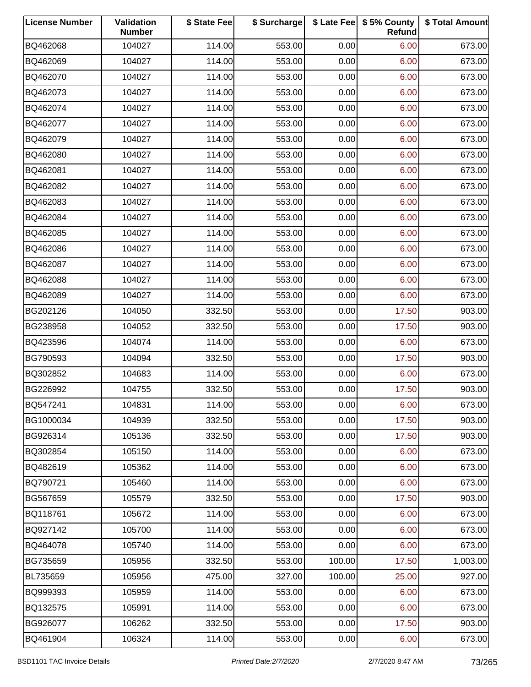| <b>License Number</b> | Validation<br><b>Number</b> | \$ State Fee | \$ Surcharge |        | \$ Late Fee   \$5% County<br>Refund | \$ Total Amount |
|-----------------------|-----------------------------|--------------|--------------|--------|-------------------------------------|-----------------|
| BQ462068              | 104027                      | 114.00       | 553.00       | 0.00   | 6.00                                | 673.00          |
| BQ462069              | 104027                      | 114.00       | 553.00       | 0.00   | 6.00                                | 673.00          |
| BQ462070              | 104027                      | 114.00       | 553.00       | 0.00   | 6.00                                | 673.00          |
| BQ462073              | 104027                      | 114.00       | 553.00       | 0.00   | 6.00                                | 673.00          |
| BQ462074              | 104027                      | 114.00       | 553.00       | 0.00   | 6.00                                | 673.00          |
| BQ462077              | 104027                      | 114.00       | 553.00       | 0.00   | 6.00                                | 673.00          |
| BQ462079              | 104027                      | 114.00       | 553.00       | 0.00   | 6.00                                | 673.00          |
| BQ462080              | 104027                      | 114.00       | 553.00       | 0.00   | 6.00                                | 673.00          |
| BQ462081              | 104027                      | 114.00       | 553.00       | 0.00   | 6.00                                | 673.00          |
| BQ462082              | 104027                      | 114.00       | 553.00       | 0.00   | 6.00                                | 673.00          |
| BQ462083              | 104027                      | 114.00       | 553.00       | 0.00   | 6.00                                | 673.00          |
| BQ462084              | 104027                      | 114.00       | 553.00       | 0.00   | 6.00                                | 673.00          |
| BQ462085              | 104027                      | 114.00       | 553.00       | 0.00   | 6.00                                | 673.00          |
| BQ462086              | 104027                      | 114.00       | 553.00       | 0.00   | 6.00                                | 673.00          |
| BQ462087              | 104027                      | 114.00       | 553.00       | 0.00   | 6.00                                | 673.00          |
| BQ462088              | 104027                      | 114.00       | 553.00       | 0.00   | 6.00                                | 673.00          |
| BQ462089              | 104027                      | 114.00       | 553.00       | 0.00   | 6.00                                | 673.00          |
| BG202126              | 104050                      | 332.50       | 553.00       | 0.00   | 17.50                               | 903.00          |
| BG238958              | 104052                      | 332.50       | 553.00       | 0.00   | 17.50                               | 903.00          |
| BQ423596              | 104074                      | 114.00       | 553.00       | 0.00   | 6.00                                | 673.00          |
| BG790593              | 104094                      | 332.50       | 553.00       | 0.00   | 17.50                               | 903.00          |
| BQ302852              | 104683                      | 114.00       | 553.00       | 0.00   | 6.00                                | 673.00          |
| BG226992              | 104755                      | 332.50       | 553.00       | 0.00   | 17.50                               | 903.00          |
| BQ547241              | 104831                      | 114.00       | 553.00       | 0.00   | 6.00                                | 673.00          |
| BG1000034             | 104939                      | 332.50       | 553.00       | 0.00   | 17.50                               | 903.00          |
| BG926314              | 105136                      | 332.50       | 553.00       | 0.00   | 17.50                               | 903.00          |
| BQ302854              | 105150                      | 114.00       | 553.00       | 0.00   | 6.00                                | 673.00          |
| BQ482619              | 105362                      | 114.00       | 553.00       | 0.00   | 6.00                                | 673.00          |
| BQ790721              | 105460                      | 114.00       | 553.00       | 0.00   | 6.00                                | 673.00          |
| BG567659              | 105579                      | 332.50       | 553.00       | 0.00   | 17.50                               | 903.00          |
| BQ118761              | 105672                      | 114.00       | 553.00       | 0.00   | 6.00                                | 673.00          |
| BQ927142              | 105700                      | 114.00       | 553.00       | 0.00   | 6.00                                | 673.00          |
| BQ464078              | 105740                      | 114.00       | 553.00       | 0.00   | 6.00                                | 673.00          |
| BG735659              | 105956                      | 332.50       | 553.00       | 100.00 | 17.50                               | 1,003.00        |
| BL735659              | 105956                      | 475.00       | 327.00       | 100.00 | 25.00                               | 927.00          |
| BQ999393              | 105959                      | 114.00       | 553.00       | 0.00   | 6.00                                | 673.00          |
| BQ132575              | 105991                      | 114.00       | 553.00       | 0.00   | 6.00                                | 673.00          |
| BG926077              | 106262                      | 332.50       | 553.00       | 0.00   | 17.50                               | 903.00          |
| BQ461904              | 106324                      | 114.00       | 553.00       | 0.00   | 6.00                                | 673.00          |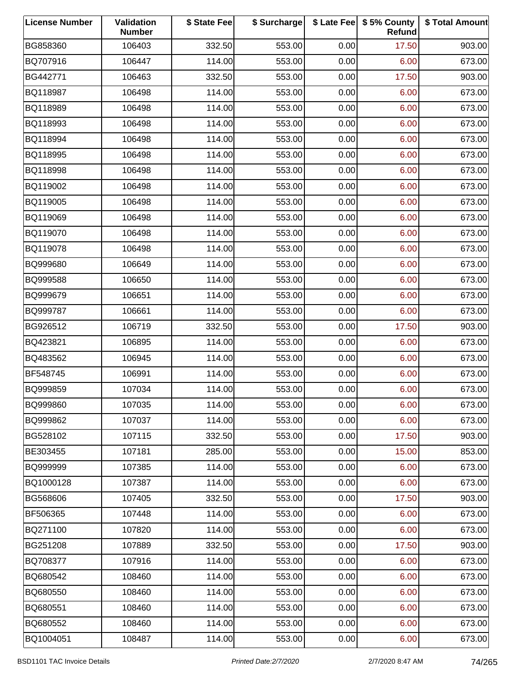| <b>License Number</b> | Validation<br><b>Number</b> | \$ State Fee | \$ Surcharge |      | \$ Late Fee   \$5% County<br>Refund | \$ Total Amount |
|-----------------------|-----------------------------|--------------|--------------|------|-------------------------------------|-----------------|
| BG858360              | 106403                      | 332.50       | 553.00       | 0.00 | 17.50                               | 903.00          |
| BQ707916              | 106447                      | 114.00       | 553.00       | 0.00 | 6.00                                | 673.00          |
| BG442771              | 106463                      | 332.50       | 553.00       | 0.00 | 17.50                               | 903.00          |
| BQ118987              | 106498                      | 114.00       | 553.00       | 0.00 | 6.00                                | 673.00          |
| BQ118989              | 106498                      | 114.00       | 553.00       | 0.00 | 6.00                                | 673.00          |
| BQ118993              | 106498                      | 114.00       | 553.00       | 0.00 | 6.00                                | 673.00          |
| BQ118994              | 106498                      | 114.00       | 553.00       | 0.00 | 6.00                                | 673.00          |
| BQ118995              | 106498                      | 114.00       | 553.00       | 0.00 | 6.00                                | 673.00          |
| BQ118998              | 106498                      | 114.00       | 553.00       | 0.00 | 6.00                                | 673.00          |
| BQ119002              | 106498                      | 114.00       | 553.00       | 0.00 | 6.00                                | 673.00          |
| BQ119005              | 106498                      | 114.00       | 553.00       | 0.00 | 6.00                                | 673.00          |
| BQ119069              | 106498                      | 114.00       | 553.00       | 0.00 | 6.00                                | 673.00          |
| BQ119070              | 106498                      | 114.00       | 553.00       | 0.00 | 6.00                                | 673.00          |
| BQ119078              | 106498                      | 114.00       | 553.00       | 0.00 | 6.00                                | 673.00          |
| BQ999680              | 106649                      | 114.00       | 553.00       | 0.00 | 6.00                                | 673.00          |
| BQ999588              | 106650                      | 114.00       | 553.00       | 0.00 | 6.00                                | 673.00          |
| BQ999679              | 106651                      | 114.00       | 553.00       | 0.00 | 6.00                                | 673.00          |
| BQ999787              | 106661                      | 114.00       | 553.00       | 0.00 | 6.00                                | 673.00          |
| BG926512              | 106719                      | 332.50       | 553.00       | 0.00 | 17.50                               | 903.00          |
| BQ423821              | 106895                      | 114.00       | 553.00       | 0.00 | 6.00                                | 673.00          |
| BQ483562              | 106945                      | 114.00       | 553.00       | 0.00 | 6.00                                | 673.00          |
| BF548745              | 106991                      | 114.00       | 553.00       | 0.00 | 6.00                                | 673.00          |
| BQ999859              | 107034                      | 114.00       | 553.00       | 0.00 | 6.00                                | 673.00          |
| BQ999860              | 107035                      | 114.00       | 553.00       | 0.00 | 6.00                                | 673.00          |
| BQ999862              | 107037                      | 114.00       | 553.00       | 0.00 | 6.00                                | 673.00          |
| BG528102              | 107115                      | 332.50       | 553.00       | 0.00 | 17.50                               | 903.00          |
| BE303455              | 107181                      | 285.00       | 553.00       | 0.00 | 15.00                               | 853.00          |
| BQ999999              | 107385                      | 114.00       | 553.00       | 0.00 | 6.00                                | 673.00          |
| BQ1000128             | 107387                      | 114.00       | 553.00       | 0.00 | 6.00                                | 673.00          |
| BG568606              | 107405                      | 332.50       | 553.00       | 0.00 | 17.50                               | 903.00          |
| BF506365              | 107448                      | 114.00       | 553.00       | 0.00 | 6.00                                | 673.00          |
| BQ271100              | 107820                      | 114.00       | 553.00       | 0.00 | 6.00                                | 673.00          |
| BG251208              | 107889                      | 332.50       | 553.00       | 0.00 | 17.50                               | 903.00          |
| BQ708377              | 107916                      | 114.00       | 553.00       | 0.00 | 6.00                                | 673.00          |
| BQ680542              | 108460                      | 114.00       | 553.00       | 0.00 | 6.00                                | 673.00          |
| BQ680550              | 108460                      | 114.00       | 553.00       | 0.00 | 6.00                                | 673.00          |
| BQ680551              | 108460                      | 114.00       | 553.00       | 0.00 | 6.00                                | 673.00          |
| BQ680552              | 108460                      | 114.00       | 553.00       | 0.00 | 6.00                                | 673.00          |
| BQ1004051             | 108487                      | 114.00       | 553.00       | 0.00 | 6.00                                | 673.00          |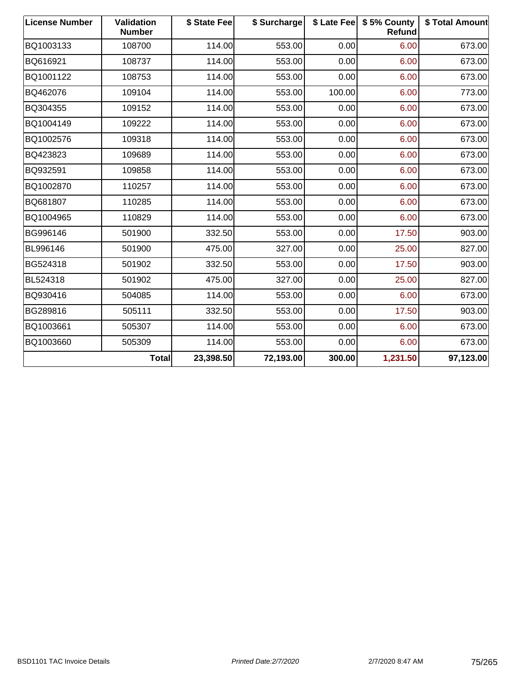| <b>License Number</b> | Validation<br><b>Number</b> | \$ State Fee | \$ Surcharge |        | \$ Late Fee   \$5% County<br><b>Refund</b> | \$ Total Amount |
|-----------------------|-----------------------------|--------------|--------------|--------|--------------------------------------------|-----------------|
| BQ1003133             | 108700                      | 114.00       | 553.00       | 0.00   | 6.00                                       | 673.00          |
| BQ616921              | 108737                      | 114.00       | 553.00       | 0.00   | 6.00                                       | 673.00          |
| BQ1001122             | 108753                      | 114.00       | 553.00       | 0.00   | 6.00                                       | 673.00          |
| BQ462076              | 109104                      | 114.00       | 553.00       | 100.00 | 6.00                                       | 773.00          |
| BQ304355              | 109152                      | 114.00       | 553.00       | 0.00   | 6.00                                       | 673.00          |
| BQ1004149             | 109222                      | 114.00       | 553.00       | 0.00   | 6.00                                       | 673.00          |
| BQ1002576             | 109318                      | 114.00       | 553.00       | 0.00   | 6.00                                       | 673.00          |
| BQ423823              | 109689                      | 114.00       | 553.00       | 0.00   | 6.00                                       | 673.00          |
| BQ932591              | 109858                      | 114.00       | 553.00       | 0.00   | 6.00                                       | 673.00          |
| BQ1002870             | 110257                      | 114.00       | 553.00       | 0.00   | 6.00                                       | 673.00          |
| BQ681807              | 110285                      | 114.00       | 553.00       | 0.00   | 6.00                                       | 673.00          |
| BQ1004965             | 110829                      | 114.00       | 553.00       | 0.00   | 6.00                                       | 673.00          |
| BG996146              | 501900                      | 332.50       | 553.00       | 0.00   | 17.50                                      | 903.00          |
| BL996146              | 501900                      | 475.00       | 327.00       | 0.00   | 25.00                                      | 827.00          |
| BG524318              | 501902                      | 332.50       | 553.00       | 0.00   | 17.50                                      | 903.00          |
| BL524318              | 501902                      | 475.00       | 327.00       | 0.00   | 25.00                                      | 827.00          |
| BQ930416              | 504085                      | 114.00       | 553.00       | 0.00   | 6.00                                       | 673.00          |
| BG289816              | 505111                      | 332.50       | 553.00       | 0.00   | 17.50                                      | 903.00          |
| BQ1003661             | 505307                      | 114.00       | 553.00       | 0.00   | 6.00                                       | 673.00          |
| BQ1003660             | 505309                      | 114.00       | 553.00       | 0.00   | 6.00                                       | 673.00          |
|                       | <b>Total</b>                | 23,398.50    | 72,193.00    | 300.00 | 1,231.50                                   | 97,123.00       |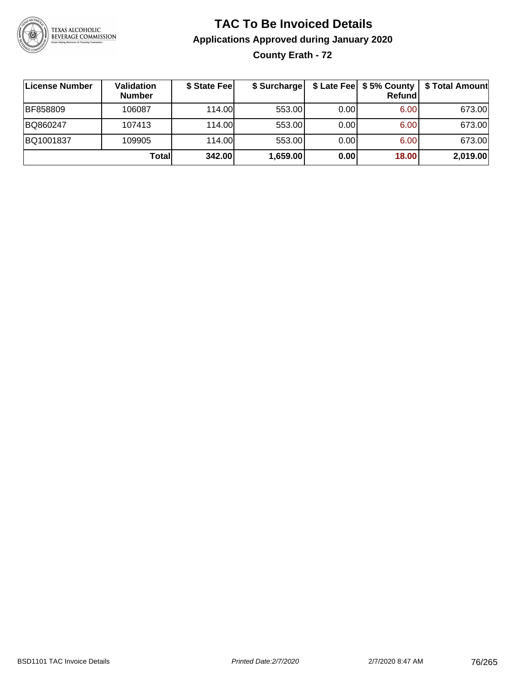

### **TAC To Be Invoiced Details Applications Approved during January 2020 County Erath - 72**

| License Number | Validation<br><b>Number</b> | \$ State Fee | \$ Surcharge |      | \$ Late Fee   \$5% County  <br>Refundl | \$ Total Amount |
|----------------|-----------------------------|--------------|--------------|------|----------------------------------------|-----------------|
| BF858809       | 106087                      | 114.00       | 553.00       | 0.00 | 6.00                                   | 673.00          |
| BQ860247       | 107413                      | 114.00       | 553.00       | 0.00 | 6.00                                   | 673.00          |
| BQ1001837      | 109905                      | 114.00       | 553.00       | 0.00 | 6.00                                   | 673.00          |
|                | Totall                      | 342.00       | 1,659.00     | 0.00 | 18.00                                  | 2,019.00        |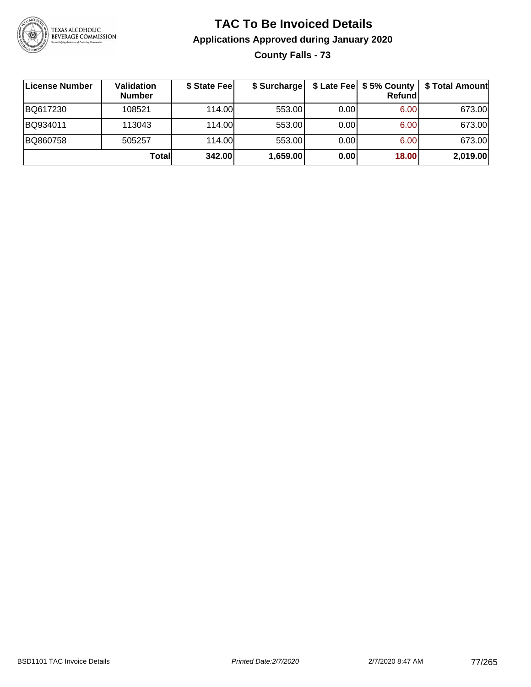

## **TAC To Be Invoiced Details Applications Approved during January 2020 County Falls - 73**

| License Number | Validation<br><b>Number</b> | \$ State Fee | \$ Surcharge |      | \$ Late Fee   \$5% County  <br><b>Refund</b> | \$ Total Amount |
|----------------|-----------------------------|--------------|--------------|------|----------------------------------------------|-----------------|
| BQ617230       | 108521                      | 114.00       | 553.00       | 0.00 | 6.00                                         | 673.00          |
| BQ934011       | 113043                      | 114.00       | 553.00       | 0.00 | 6.00                                         | 673.00          |
| BQ860758       | 505257                      | 114.00       | 553.00       | 0.00 | 6.00                                         | 673.00          |
|                | Totall                      | 342.00       | 1,659.00     | 0.00 | 18.00                                        | 2,019.00        |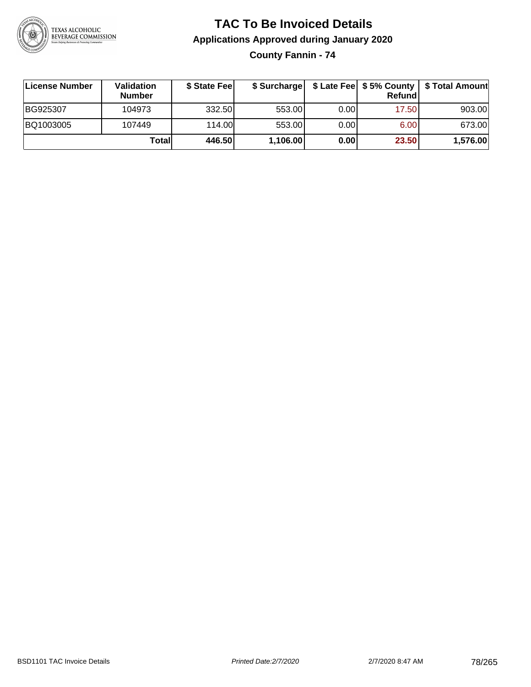

# **TAC To Be Invoiced Details Applications Approved during January 2020**

**County Fannin - 74**

| ∣License Number | <b>Validation</b><br><b>Number</b> | \$ State Fee | \$ Surcharge |       | Refundl | \$ Late Fee   \$5% County   \$ Total Amount |
|-----------------|------------------------------------|--------------|--------------|-------|---------|---------------------------------------------|
| BG925307        | 104973                             | 332.50       | 553.00       | 0.001 | 17.50   | 903.00                                      |
| BQ1003005       | 107449                             | 114.00       | 553.00       | 0.001 | 6.00    | 673.00                                      |
|                 | Totall                             | 446.50       | 1,106.00     | 0.00  | 23.50   | 1,576.00                                    |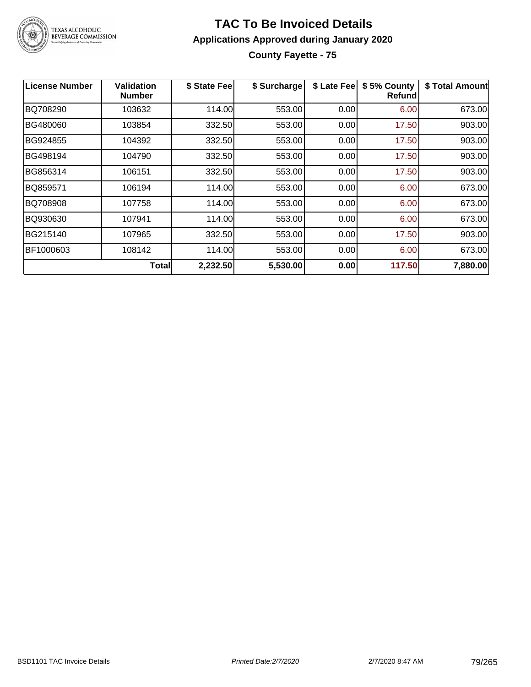

### **TAC To Be Invoiced Details Applications Approved during January 2020 County Fayette - 75**

| License Number | Validation<br><b>Number</b> | \$ State Fee | \$ Surcharge | \$ Late Fee | \$5% County<br><b>Refund</b> | \$ Total Amount |
|----------------|-----------------------------|--------------|--------------|-------------|------------------------------|-----------------|
| BQ708290       | 103632                      | 114.00       | 553.00       | 0.00        | 6.00                         | 673.00          |
| BG480060       | 103854                      | 332.50       | 553.00       | 0.00        | 17.50                        | 903.00          |
| BG924855       | 104392                      | 332.50       | 553.00       | 0.00        | 17.50                        | 903.00          |
| BG498194       | 104790                      | 332.50       | 553.00       | 0.00        | 17.50                        | 903.00          |
| BG856314       | 106151                      | 332.50       | 553.00       | 0.00        | 17.50                        | 903.00          |
| BQ859571       | 106194                      | 114.00       | 553.00       | 0.00        | 6.00                         | 673.00          |
| BQ708908       | 107758                      | 114.00       | 553.00       | 0.00        | 6.00                         | 673.00          |
| BQ930630       | 107941                      | 114.00       | 553.00       | 0.00        | 6.00                         | 673.00          |
| BG215140       | 107965                      | 332.50       | 553.00       | 0.00        | 17.50                        | 903.00          |
| BF1000603      | 108142                      | 114.00       | 553.00       | 0.00        | 6.00                         | 673.00          |
|                | Totall                      | 2,232.50     | 5,530.00     | 0.00        | 117.50                       | 7,880.00        |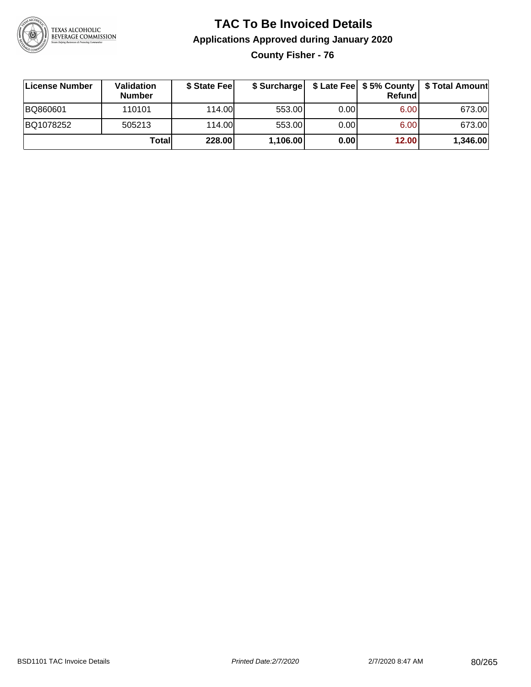

# **TAC To Be Invoiced Details Applications Approved during January 2020**

**County Fisher - 76**

| License Number | Validation<br><b>Number</b> | \$ State Fee | \$ Surcharge |       | Refundl | \$ Late Fee   \$5% County   \$ Total Amount |
|----------------|-----------------------------|--------------|--------------|-------|---------|---------------------------------------------|
| BQ860601       | 110101                      | 114.00       | 553.00       | 0.00  | 6.00    | 673.00                                      |
| BQ1078252      | 505213                      | 114.00       | 553.00       | 0.001 | 6.00    | 673.00                                      |
|                | Totall                      | 228.00       | 1,106.00     | 0.00  | 12.00   | 1,346.00                                    |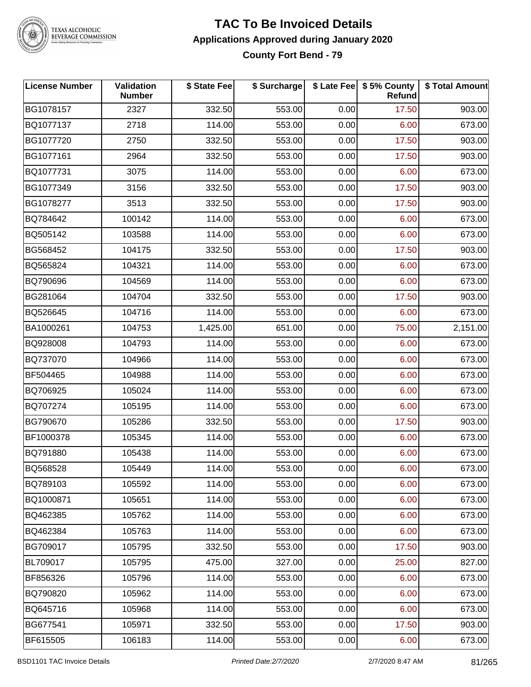

#### **TAC To Be Invoiced Details Applications Approved during January 2020 County Fort Bend - 79**

| <b>License Number</b> | Validation<br><b>Number</b> | \$ State Fee | \$ Surcharge |      | \$ Late Fee   \$5% County<br>Refund | \$ Total Amount |
|-----------------------|-----------------------------|--------------|--------------|------|-------------------------------------|-----------------|
| BG1078157             | 2327                        | 332.50       | 553.00       | 0.00 | 17.50                               | 903.00          |
| BQ1077137             | 2718                        | 114.00       | 553.00       | 0.00 | 6.00                                | 673.00          |
| BG1077720             | 2750                        | 332.50       | 553.00       | 0.00 | 17.50                               | 903.00          |
| BG1077161             | 2964                        | 332.50       | 553.00       | 0.00 | 17.50                               | 903.00          |
| BQ1077731             | 3075                        | 114.00       | 553.00       | 0.00 | 6.00                                | 673.00          |
| BG1077349             | 3156                        | 332.50       | 553.00       | 0.00 | 17.50                               | 903.00          |
| BG1078277             | 3513                        | 332.50       | 553.00       | 0.00 | 17.50                               | 903.00          |
| BQ784642              | 100142                      | 114.00       | 553.00       | 0.00 | 6.00                                | 673.00          |
| BQ505142              | 103588                      | 114.00       | 553.00       | 0.00 | 6.00                                | 673.00          |
| BG568452              | 104175                      | 332.50       | 553.00       | 0.00 | 17.50                               | 903.00          |
| BQ565824              | 104321                      | 114.00       | 553.00       | 0.00 | 6.00                                | 673.00          |
| BQ790696              | 104569                      | 114.00       | 553.00       | 0.00 | 6.00                                | 673.00          |
| BG281064              | 104704                      | 332.50       | 553.00       | 0.00 | 17.50                               | 903.00          |
| BQ526645              | 104716                      | 114.00       | 553.00       | 0.00 | 6.00                                | 673.00          |
| BA1000261             | 104753                      | 1,425.00     | 651.00       | 0.00 | 75.00                               | 2,151.00        |
| BQ928008              | 104793                      | 114.00       | 553.00       | 0.00 | 6.00                                | 673.00          |
| BQ737070              | 104966                      | 114.00       | 553.00       | 0.00 | 6.00                                | 673.00          |
| BF504465              | 104988                      | 114.00       | 553.00       | 0.00 | 6.00                                | 673.00          |
| BQ706925              | 105024                      | 114.00       | 553.00       | 0.00 | 6.00                                | 673.00          |
| BQ707274              | 105195                      | 114.00       | 553.00       | 0.00 | 6.00                                | 673.00          |
| BG790670              | 105286                      | 332.50       | 553.00       | 0.00 | 17.50                               | 903.00          |
| BF1000378             | 105345                      | 114.00       | 553.00       | 0.00 | 6.00                                | 673.00          |
| BQ791880              | 105438                      | 114.00       | 553.00       | 0.00 | 6.00                                | 673.00          |
| BQ568528              | 105449                      | 114.00       | 553.00       | 0.00 | 6.00                                | 673.00          |
| BQ789103              | 105592                      | 114.00       | 553.00       | 0.00 | 6.00                                | 673.00          |
| BQ1000871             | 105651                      | 114.00       | 553.00       | 0.00 | 6.00                                | 673.00          |
| BQ462385              | 105762                      | 114.00       | 553.00       | 0.00 | 6.00                                | 673.00          |
| BQ462384              | 105763                      | 114.00       | 553.00       | 0.00 | 6.00                                | 673.00          |
| BG709017              | 105795                      | 332.50       | 553.00       | 0.00 | 17.50                               | 903.00          |
| BL709017              | 105795                      | 475.00       | 327.00       | 0.00 | 25.00                               | 827.00          |
| BF856326              | 105796                      | 114.00       | 553.00       | 0.00 | 6.00                                | 673.00          |
| BQ790820              | 105962                      | 114.00       | 553.00       | 0.00 | 6.00                                | 673.00          |
| BQ645716              | 105968                      | 114.00       | 553.00       | 0.00 | 6.00                                | 673.00          |
| BG677541              | 105971                      | 332.50       | 553.00       | 0.00 | 17.50                               | 903.00          |
| BF615505              | 106183                      | 114.00       | 553.00       | 0.00 | 6.00                                | 673.00          |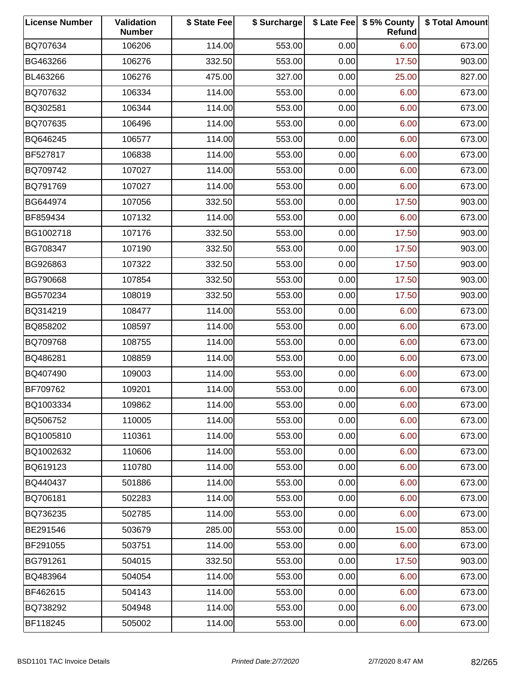| <b>License Number</b> | Validation<br><b>Number</b> | \$ State Fee | \$ Surcharge |      | \$ Late Fee   \$5% County<br>Refund | \$ Total Amount |
|-----------------------|-----------------------------|--------------|--------------|------|-------------------------------------|-----------------|
| BQ707634              | 106206                      | 114.00       | 553.00       | 0.00 | 6.00                                | 673.00          |
| BG463266              | 106276                      | 332.50       | 553.00       | 0.00 | 17.50                               | 903.00          |
| BL463266              | 106276                      | 475.00       | 327.00       | 0.00 | 25.00                               | 827.00          |
| BQ707632              | 106334                      | 114.00       | 553.00       | 0.00 | 6.00                                | 673.00          |
| BQ302581              | 106344                      | 114.00       | 553.00       | 0.00 | 6.00                                | 673.00          |
| BQ707635              | 106496                      | 114.00       | 553.00       | 0.00 | 6.00                                | 673.00          |
| BQ646245              | 106577                      | 114.00       | 553.00       | 0.00 | 6.00                                | 673.00          |
| BF527817              | 106838                      | 114.00       | 553.00       | 0.00 | 6.00                                | 673.00          |
| BQ709742              | 107027                      | 114.00       | 553.00       | 0.00 | 6.00                                | 673.00          |
| BQ791769              | 107027                      | 114.00       | 553.00       | 0.00 | 6.00                                | 673.00          |
| BG644974              | 107056                      | 332.50       | 553.00       | 0.00 | 17.50                               | 903.00          |
| BF859434              | 107132                      | 114.00       | 553.00       | 0.00 | 6.00                                | 673.00          |
| BG1002718             | 107176                      | 332.50       | 553.00       | 0.00 | 17.50                               | 903.00          |
| BG708347              | 107190                      | 332.50       | 553.00       | 0.00 | 17.50                               | 903.00          |
| BG926863              | 107322                      | 332.50       | 553.00       | 0.00 | 17.50                               | 903.00          |
| BG790668              | 107854                      | 332.50       | 553.00       | 0.00 | 17.50                               | 903.00          |
| BG570234              | 108019                      | 332.50       | 553.00       | 0.00 | 17.50                               | 903.00          |
| BQ314219              | 108477                      | 114.00       | 553.00       | 0.00 | 6.00                                | 673.00          |
| BQ858202              | 108597                      | 114.00       | 553.00       | 0.00 | 6.00                                | 673.00          |
| BQ709768              | 108755                      | 114.00       | 553.00       | 0.00 | 6.00                                | 673.00          |
| BQ486281              | 108859                      | 114.00       | 553.00       | 0.00 | 6.00                                | 673.00          |
| BQ407490              | 109003                      | 114.00       | 553.00       | 0.00 | 6.00                                | 673.00          |
| BF709762              | 109201                      | 114.00       | 553.00       | 0.00 | 6.00                                | 673.00          |
| BQ1003334             | 109862                      | 114.00       | 553.00       | 0.00 | 6.00                                | 673.00          |
| BQ506752              | 110005                      | 114.00       | 553.00       | 0.00 | 6.00                                | 673.00          |
| BQ1005810             | 110361                      | 114.00       | 553.00       | 0.00 | 6.00                                | 673.00          |
| BQ1002632             | 110606                      | 114.00       | 553.00       | 0.00 | 6.00                                | 673.00          |
| BQ619123              | 110780                      | 114.00       | 553.00       | 0.00 | 6.00                                | 673.00          |
| BQ440437              | 501886                      | 114.00       | 553.00       | 0.00 | 6.00                                | 673.00          |
| BQ706181              | 502283                      | 114.00       | 553.00       | 0.00 | 6.00                                | 673.00          |
| BQ736235              | 502785                      | 114.00       | 553.00       | 0.00 | 6.00                                | 673.00          |
| BE291546              | 503679                      | 285.00       | 553.00       | 0.00 | 15.00                               | 853.00          |
| BF291055              | 503751                      | 114.00       | 553.00       | 0.00 | 6.00                                | 673.00          |
| BG791261              | 504015                      | 332.50       | 553.00       | 0.00 | 17.50                               | 903.00          |
| BQ483964              | 504054                      | 114.00       | 553.00       | 0.00 | 6.00                                | 673.00          |
| BF462615              | 504143                      | 114.00       | 553.00       | 0.00 | 6.00                                | 673.00          |
| BQ738292              | 504948                      | 114.00       | 553.00       | 0.00 | 6.00                                | 673.00          |
| BF118245              | 505002                      | 114.00       | 553.00       | 0.00 | 6.00                                | 673.00          |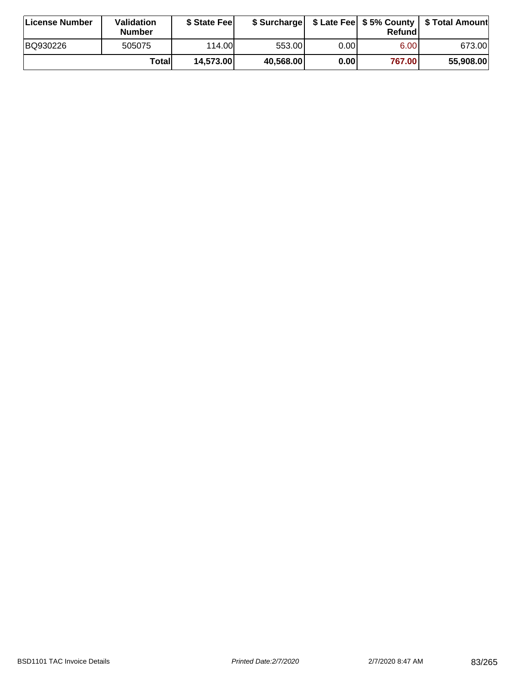| License Number | <b>Validation</b><br><b>Number</b> | \$ State Fee |           |       | Refundl           | \$ Surcharge   \$ Late Fee   \$5% County   \$ Total Amount |
|----------------|------------------------------------|--------------|-----------|-------|-------------------|------------------------------------------------------------|
| BQ930226       | 505075                             | 114.00L      | 553.001   | 0.001 | 6.00 <sub>1</sub> | 673.00                                                     |
|                | Totall                             | 14,573.00    | 40,568.00 | 0.00  | 767.00            | 55,908.00                                                  |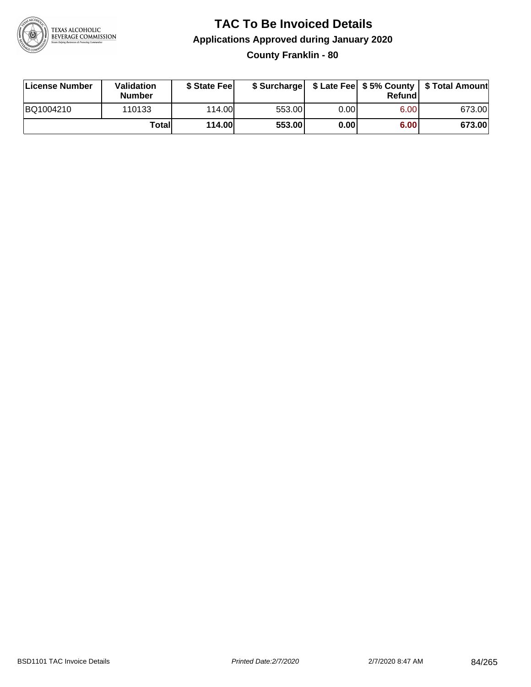

#### **TAC To Be Invoiced Details Applications Approved during January 2020 County Franklin - 80**

| License Number | Validation<br><b>Number</b> | \$ State Feel |        |        | Refundl | \$ Surcharge   \$ Late Fee   \$5% County   \$ Total Amount |
|----------------|-----------------------------|---------------|--------|--------|---------|------------------------------------------------------------|
| BQ1004210      | 110133                      | 114.00        | 553.00 | 0.00 l | 6.00    | 673.00                                                     |
|                | Totall                      | 114.00        | 553.00 | 0.00   | 6.00    | 673.00                                                     |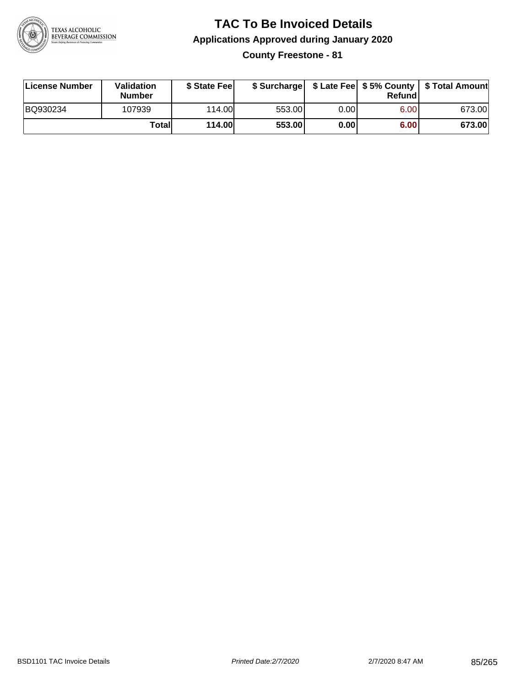

## **TAC To Be Invoiced Details Applications Approved during January 2020**

**County Freestone - 81**

| License Number | <b>Validation</b><br><b>Number</b> | \$ State Fee  | \$ Surcharge |      | Refundl | \$ Late Fee   \$5% County   \$ Total Amount |
|----------------|------------------------------------|---------------|--------------|------|---------|---------------------------------------------|
| BQ930234       | 107939                             | 114.00L       | 553.00       | 0.00 | 6.00    | 673.00                                      |
|                | Totall                             | <b>114.00</b> | 553.00       | 0.00 | 6.00    | 673.00                                      |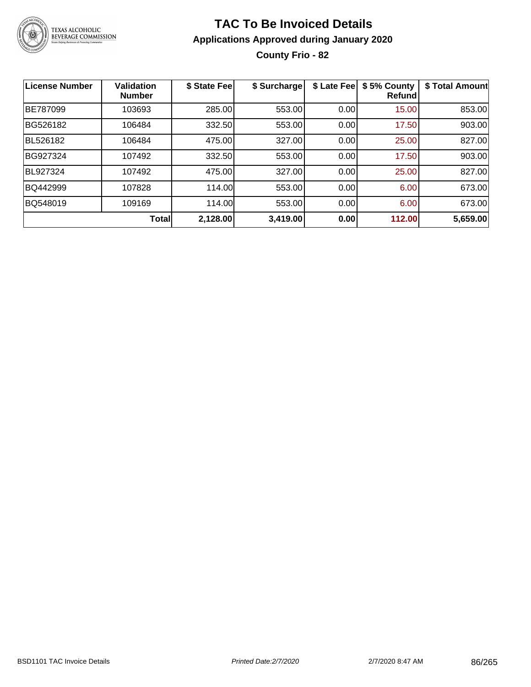

## **TAC To Be Invoiced Details Applications Approved during January 2020 County Frio - 82**

| License Number | <b>Validation</b><br><b>Number</b> | \$ State Fee | \$ Surcharge | \$ Late Fee | \$5% County<br><b>Refund</b> | \$ Total Amount |
|----------------|------------------------------------|--------------|--------------|-------------|------------------------------|-----------------|
| BE787099       | 103693                             | 285.00       | 553.00       | 0.00        | 15.00                        | 853.00          |
| BG526182       | 106484                             | 332.50       | 553.00       | 0.00        | 17.50                        | 903.00          |
| BL526182       | 106484                             | 475.00       | 327.00       | 0.00        | 25.00                        | 827.00          |
| BG927324       | 107492                             | 332.50       | 553.00       | 0.00        | 17.50                        | 903.00          |
| BL927324       | 107492                             | 475.00       | 327.00       | 0.00        | 25.00                        | 827.00          |
| BQ442999       | 107828                             | 114.00       | 553.00       | 0.00        | 6.00                         | 673.00          |
| BQ548019       | 109169                             | 114.00       | 553.00       | 0.00        | 6.00                         | 673.00          |
|                | <b>Total</b>                       | 2,128.00     | 3,419.00     | 0.00        | 112.00                       | 5,659.00        |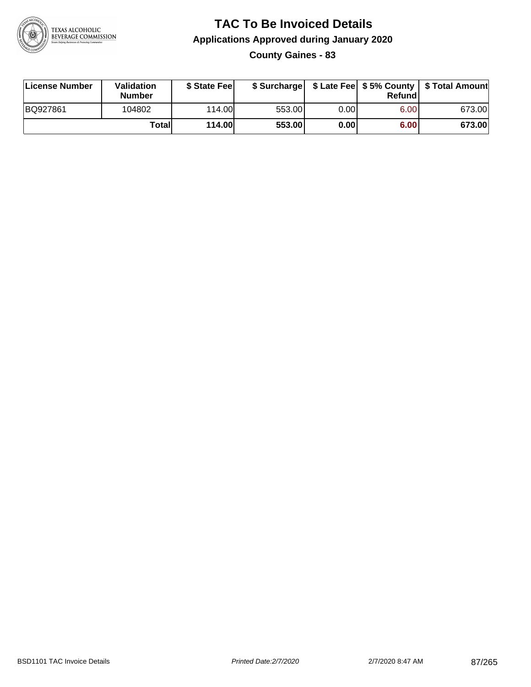

# **TAC To Be Invoiced Details Applications Approved during January 2020**

**County Gaines - 83**

| License Number | Validation<br><b>Number</b> | \$ State Fee  | \$ Surcharge |      | Refundl |        |
|----------------|-----------------------------|---------------|--------------|------|---------|--------|
| BQ927861       | 104802                      | 114.00        | 553.00       | 0.00 | 6.00    | 673.00 |
|                | Totall                      | <b>114.00</b> | 553.00       | 0.00 | 6.00    | 673.00 |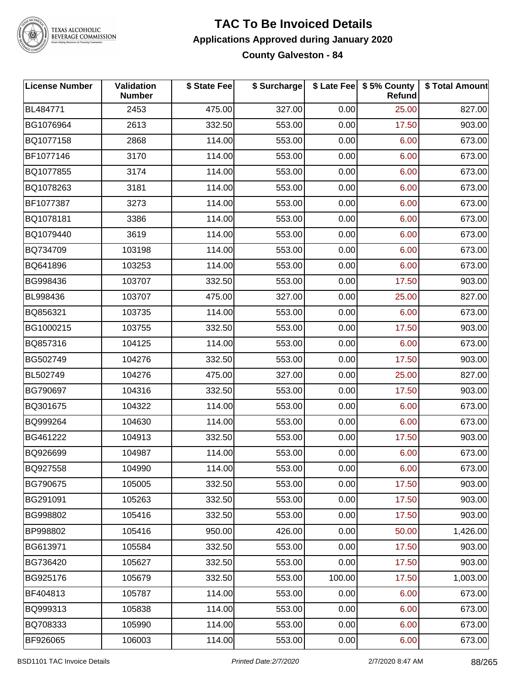

#### **TAC To Be Invoiced Details Applications Approved during January 2020 County Galveston - 84**

| <b>License Number</b> | <b>Validation</b><br><b>Number</b> | \$ State Fee | \$ Surcharge |        | \$ Late Fee   \$5% County<br>Refund | \$ Total Amount |
|-----------------------|------------------------------------|--------------|--------------|--------|-------------------------------------|-----------------|
| BL484771              | 2453                               | 475.00       | 327.00       | 0.00   | 25.00                               | 827.00          |
| BG1076964             | 2613                               | 332.50       | 553.00       | 0.00   | 17.50                               | 903.00          |
| BQ1077158             | 2868                               | 114.00       | 553.00       | 0.00   | 6.00                                | 673.00          |
| BF1077146             | 3170                               | 114.00       | 553.00       | 0.00   | 6.00                                | 673.00          |
| BQ1077855             | 3174                               | 114.00       | 553.00       | 0.00   | 6.00                                | 673.00          |
| BQ1078263             | 3181                               | 114.00       | 553.00       | 0.00   | 6.00                                | 673.00          |
| BF1077387             | 3273                               | 114.00       | 553.00       | 0.00   | 6.00                                | 673.00          |
| BQ1078181             | 3386                               | 114.00       | 553.00       | 0.00   | 6.00                                | 673.00          |
| BQ1079440             | 3619                               | 114.00       | 553.00       | 0.00   | 6.00                                | 673.00          |
| BQ734709              | 103198                             | 114.00       | 553.00       | 0.00   | 6.00                                | 673.00          |
| BQ641896              | 103253                             | 114.00       | 553.00       | 0.00   | 6.00                                | 673.00          |
| BG998436              | 103707                             | 332.50       | 553.00       | 0.00   | 17.50                               | 903.00          |
| BL998436              | 103707                             | 475.00       | 327.00       | 0.00   | 25.00                               | 827.00          |
| BQ856321              | 103735                             | 114.00       | 553.00       | 0.00   | 6.00                                | 673.00          |
| BG1000215             | 103755                             | 332.50       | 553.00       | 0.00   | 17.50                               | 903.00          |
| BQ857316              | 104125                             | 114.00       | 553.00       | 0.00   | 6.00                                | 673.00          |
| BG502749              | 104276                             | 332.50       | 553.00       | 0.00   | 17.50                               | 903.00          |
| BL502749              | 104276                             | 475.00       | 327.00       | 0.00   | 25.00                               | 827.00          |
| BG790697              | 104316                             | 332.50       | 553.00       | 0.00   | 17.50                               | 903.00          |
| BQ301675              | 104322                             | 114.00       | 553.00       | 0.00   | 6.00                                | 673.00          |
| BQ999264              | 104630                             | 114.00       | 553.00       | 0.00   | 6.00                                | 673.00          |
| BG461222              | 104913                             | 332.50       | 553.00       | 0.00   | 17.50                               | 903.00          |
| BQ926699              | 104987                             | 114.00       | 553.00       | 0.00   | 6.00                                | 673.00          |
| BQ927558              | 104990                             | 114.00       | 553.00       | 0.00   | 6.00                                | 673.00          |
| BG790675              | 105005                             | 332.50       | 553.00       | 0.00   | 17.50                               | 903.00          |
| BG291091              | 105263                             | 332.50       | 553.00       | 0.00   | 17.50                               | 903.00          |
| BG998802              | 105416                             | 332.50       | 553.00       | 0.00   | 17.50                               | 903.00          |
| BP998802              | 105416                             | 950.00       | 426.00       | 0.00   | 50.00                               | 1,426.00        |
| BG613971              | 105584                             | 332.50       | 553.00       | 0.00   | 17.50                               | 903.00          |
| BG736420              | 105627                             | 332.50       | 553.00       | 0.00   | 17.50                               | 903.00          |
| BG925176              | 105679                             | 332.50       | 553.00       | 100.00 | 17.50                               | 1,003.00        |
| BF404813              | 105787                             | 114.00       | 553.00       | 0.00   | 6.00                                | 673.00          |
| BQ999313              | 105838                             | 114.00       | 553.00       | 0.00   | 6.00                                | 673.00          |
| BQ708333              | 105990                             | 114.00       | 553.00       | 0.00   | 6.00                                | 673.00          |
| BF926065              | 106003                             | 114.00       | 553.00       | 0.00   | 6.00                                | 673.00          |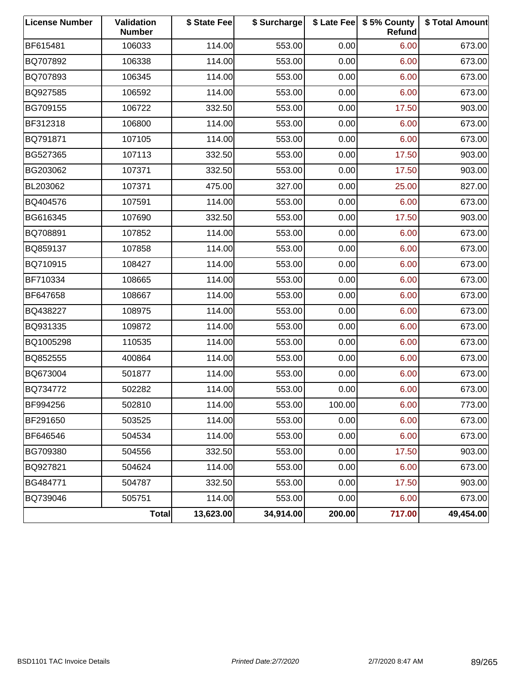| <b>License Number</b> | <b>Validation</b><br><b>Number</b> | \$ State Fee | \$ Surcharge |        | \$ Late Fee   \$5% County<br>Refund | \$ Total Amount |
|-----------------------|------------------------------------|--------------|--------------|--------|-------------------------------------|-----------------|
| BF615481              | 106033                             | 114.00       | 553.00       | 0.00   | 6.00                                | 673.00          |
| BQ707892              | 106338                             | 114.00       | 553.00       | 0.00   | 6.00                                | 673.00          |
| BQ707893              | 106345                             | 114.00       | 553.00       | 0.00   | 6.00                                | 673.00          |
| BQ927585              | 106592                             | 114.00       | 553.00       | 0.00   | 6.00                                | 673.00          |
| BG709155              | 106722                             | 332.50       | 553.00       | 0.00   | 17.50                               | 903.00          |
| BF312318              | 106800                             | 114.00       | 553.00       | 0.00   | 6.00                                | 673.00          |
| BQ791871              | 107105                             | 114.00       | 553.00       | 0.00   | 6.00                                | 673.00          |
| BG527365              | 107113                             | 332.50       | 553.00       | 0.00   | 17.50                               | 903.00          |
| BG203062              | 107371                             | 332.50       | 553.00       | 0.00   | 17.50                               | 903.00          |
| BL203062              | 107371                             | 475.00       | 327.00       | 0.00   | 25.00                               | 827.00          |
| BQ404576              | 107591                             | 114.00       | 553.00       | 0.00   | 6.00                                | 673.00          |
| BG616345              | 107690                             | 332.50       | 553.00       | 0.00   | 17.50                               | 903.00          |
| BQ708891              | 107852                             | 114.00       | 553.00       | 0.00   | 6.00                                | 673.00          |
| BQ859137              | 107858                             | 114.00       | 553.00       | 0.00   | 6.00                                | 673.00          |
| BQ710915              | 108427                             | 114.00       | 553.00       | 0.00   | 6.00                                | 673.00          |
| BF710334              | 108665                             | 114.00       | 553.00       | 0.00   | 6.00                                | 673.00          |
| BF647658              | 108667                             | 114.00       | 553.00       | 0.00   | 6.00                                | 673.00          |
| BQ438227              | 108975                             | 114.00       | 553.00       | 0.00   | 6.00                                | 673.00          |
| BQ931335              | 109872                             | 114.00       | 553.00       | 0.00   | 6.00                                | 673.00          |
| BQ1005298             | 110535                             | 114.00       | 553.00       | 0.00   | 6.00                                | 673.00          |
| BQ852555              | 400864                             | 114.00       | 553.00       | 0.00   | 6.00                                | 673.00          |
| BQ673004              | 501877                             | 114.00       | 553.00       | 0.00   | 6.00                                | 673.00          |
| BQ734772              | 502282                             | 114.00       | 553.00       | 0.00   | 6.00                                | 673.00          |
| BF994256              | 502810                             | 114.00       | 553.00       | 100.00 | 6.00                                | 773.00          |
| BF291650              | 503525                             | 114.00       | 553.00       | 0.00   | 6.00                                | 673.00          |
| BF646546              | 504534                             | 114.00       | 553.00       | 0.00   | 6.00                                | 673.00          |
| BG709380              | 504556                             | 332.50       | 553.00       | 0.00   | 17.50                               | 903.00          |
| BQ927821              | 504624                             | 114.00       | 553.00       | 0.00   | 6.00                                | 673.00          |
| BG484771              | 504787                             | 332.50       | 553.00       | 0.00   | 17.50                               | 903.00          |
| BQ739046              | 505751                             | 114.00       | 553.00       | 0.00   | 6.00                                | 673.00          |
|                       | Total                              | 13,623.00    | 34,914.00    | 200.00 | 717.00                              | 49,454.00       |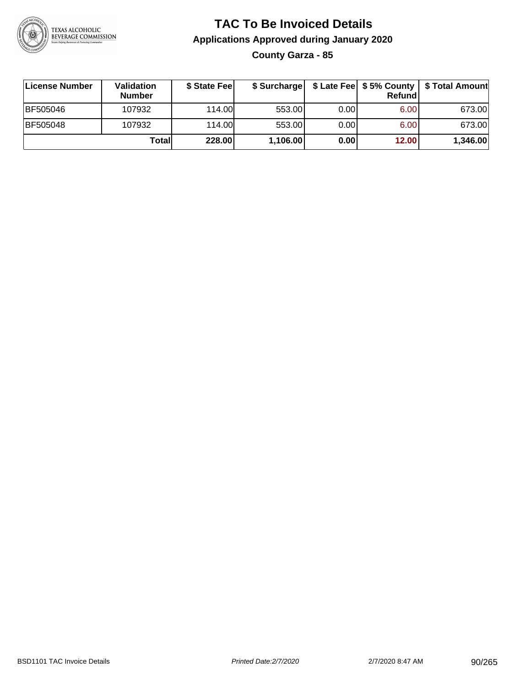

## **TAC To Be Invoiced Details Applications Approved during January 2020 County Garza - 85**

| License Number  | <b>Validation</b><br><b>Number</b> | \$ State Fee |          |       | Refundl | \$ Surcharge   \$ Late Fee   \$5% County   \$ Total Amount |
|-----------------|------------------------------------|--------------|----------|-------|---------|------------------------------------------------------------|
| BF505046        | 107932                             | 114.00       | 553.00   | 0.001 | 6.00    | 673.00                                                     |
| <b>BF505048</b> | 107932                             | 114.00L      | 553.00   | 0.00  | 6.00    | 673.00                                                     |
|                 | Totall                             | 228.00       | 1,106.00 | 0.00  | 12.00   | 1,346.00                                                   |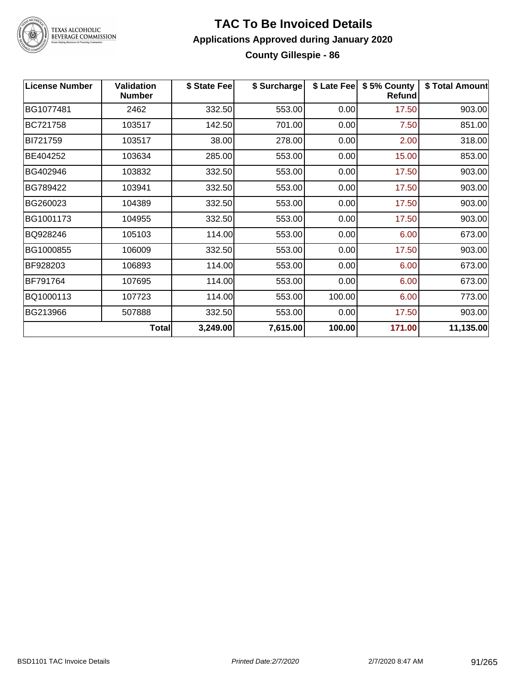

#### **TAC To Be Invoiced Details Applications Approved during January 2020 County Gillespie - 86**

| <b>License Number</b> | <b>Validation</b><br><b>Number</b> | \$ State Fee | \$ Surcharge | \$ Late Fee | \$5% County<br><b>Refund</b> | \$ Total Amount |
|-----------------------|------------------------------------|--------------|--------------|-------------|------------------------------|-----------------|
| BG1077481             | 2462                               | 332.50       | 553.00       | 0.00        | 17.50                        | 903.00          |
| BC721758              | 103517                             | 142.50       | 701.00       | 0.00        | 7.50                         | 851.00          |
| BI721759              | 103517                             | 38.00        | 278.00       | 0.00        | 2.00                         | 318.00          |
| BE404252              | 103634                             | 285.00       | 553.00       | 0.00        | 15.00                        | 853.00          |
| BG402946              | 103832                             | 332.50       | 553.00       | 0.00        | 17.50                        | 903.00          |
| BG789422              | 103941                             | 332.50       | 553.00       | 0.00        | 17.50                        | 903.00          |
| BG260023              | 104389                             | 332.50       | 553.00       | 0.00        | 17.50                        | 903.00          |
| BG1001173             | 104955                             | 332.50       | 553.00       | 0.00        | 17.50                        | 903.00          |
| BQ928246              | 105103                             | 114.00       | 553.00       | 0.00        | 6.00                         | 673.00          |
| BG1000855             | 106009                             | 332.50       | 553.00       | 0.00        | 17.50                        | 903.00          |
| BF928203              | 106893                             | 114.00       | 553.00       | 0.00        | 6.00                         | 673.00          |
| BF791764              | 107695                             | 114.00       | 553.00       | 0.00        | 6.00                         | 673.00          |
| BQ1000113             | 107723                             | 114.00       | 553.00       | 100.00      | 6.00                         | 773.00          |
| BG213966              | 507888                             | 332.50       | 553.00       | 0.00        | 17.50                        | 903.00          |
|                       | <b>Total</b>                       | 3,249.00     | 7,615.00     | 100.00      | 171.00                       | 11,135.00       |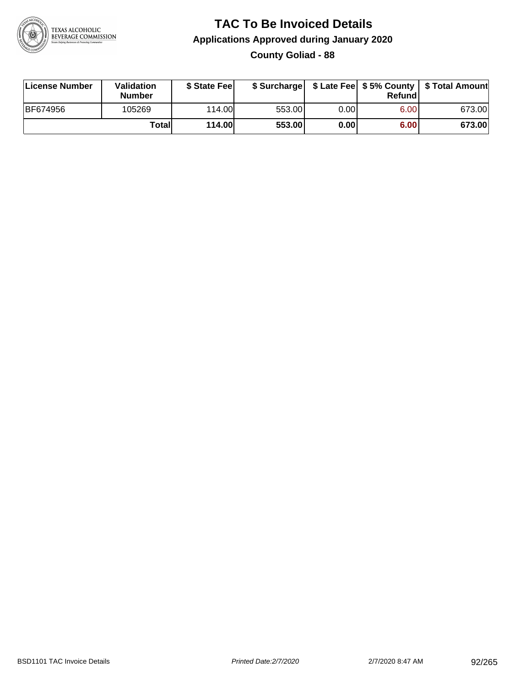

#### **TAC To Be Invoiced Details Applications Approved during January 2020 County Goliad - 88**

| License Number  | Validation<br><b>Number</b> | \$ State Feel |        |      | Refund | \$ Surcharge   \$ Late Fee   \$5% County   \$ Total Amount |
|-----------------|-----------------------------|---------------|--------|------|--------|------------------------------------------------------------|
| <b>BF674956</b> | 105269                      | 114.00        | 553.00 | 0.00 | 6.00   | 673.00                                                     |
|                 | Totall                      | <b>114.00</b> | 553.00 | 0.00 | 6.00   | 673.00                                                     |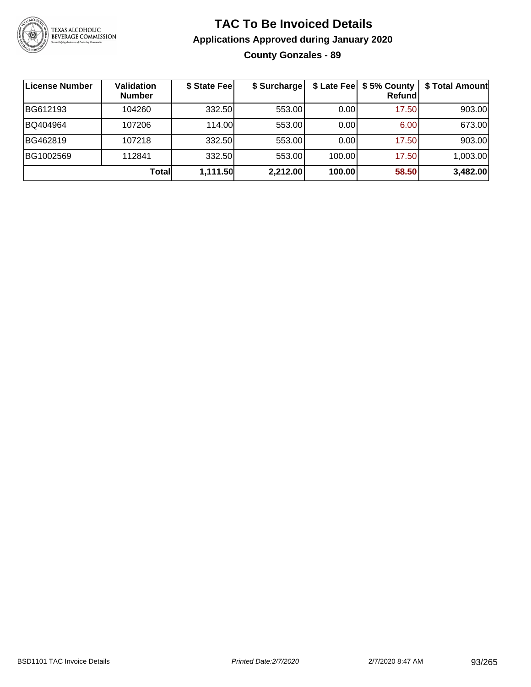

### **TAC To Be Invoiced Details Applications Approved during January 2020 County Gonzales - 89**

| License Number | Validation<br><b>Number</b> | \$ State Fee | \$ Surcharge |        | \$ Late Fee   \$5% County<br><b>Refund</b> | \$ Total Amount |
|----------------|-----------------------------|--------------|--------------|--------|--------------------------------------------|-----------------|
| BG612193       | 104260                      | 332.50       | 553.00       | 0.00   | 17.50                                      | 903.00          |
| BQ404964       | 107206                      | 114.00L      | 553.00       | 0.00   | 6.00                                       | 673.00          |
| BG462819       | 107218                      | 332.50       | 553.00       | 0.00   | 17.50                                      | 903.00          |
| BG1002569      | 112841                      | 332.50       | 553.00       | 100.00 | 17.50                                      | 1,003.00        |
|                | Total                       | 1,111.50     | 2,212.00     | 100.00 | 58.50                                      | 3,482.00        |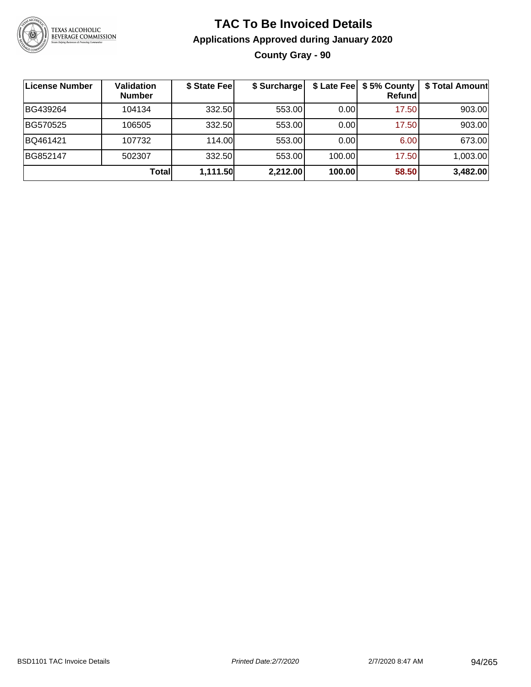

## **TAC To Be Invoiced Details Applications Approved during January 2020 County Gray - 90**

| License Number | <b>Validation</b><br><b>Number</b> | \$ State Fee | \$ Surcharge |        | \$ Late Fee   \$5% County  <br><b>Refund</b> | \$ Total Amount |
|----------------|------------------------------------|--------------|--------------|--------|----------------------------------------------|-----------------|
| BG439264       | 104134                             | 332.50       | 553.00       | 0.00   | 17.50                                        | 903.00          |
| BG570525       | 106505                             | 332.50       | 553.00       | 0.00   | 17.50                                        | 903.00          |
| BQ461421       | 107732                             | 114.00       | 553.00       | 0.001  | 6.00                                         | 673.00          |
| BG852147       | 502307                             | 332.50       | 553.00       | 100.00 | 17.50                                        | 1,003.00        |
|                | <b>Total</b>                       | 1,111.50     | 2,212.00     | 100.00 | 58.50                                        | 3,482.00        |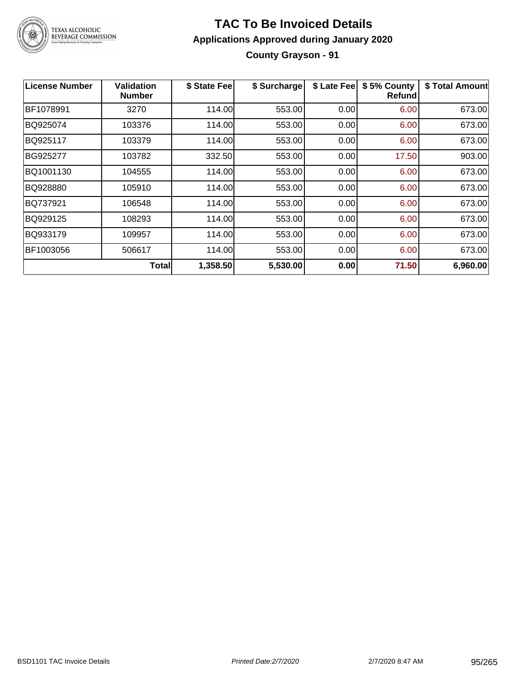

## **TAC To Be Invoiced Details Applications Approved during January 2020 County Grayson - 91**

| License Number | Validation<br><b>Number</b> | \$ State Fee | \$ Surcharge | \$ Late Fee | \$5% County<br>Refund | \$ Total Amount |
|----------------|-----------------------------|--------------|--------------|-------------|-----------------------|-----------------|
| BF1078991      | 3270                        | 114.00       | 553.00       | 0.00        | 6.00                  | 673.00          |
| BQ925074       | 103376                      | 114.00       | 553.00       | 0.00        | 6.00                  | 673.00          |
| BQ925117       | 103379                      | 114.00       | 553.00       | 0.00        | 6.00                  | 673.00          |
| BG925277       | 103782                      | 332.50       | 553.00       | 0.00        | 17.50                 | 903.00          |
| BQ1001130      | 104555                      | 114.00       | 553.00       | 0.00        | 6.00                  | 673.00          |
| BQ928880       | 105910                      | 114.00       | 553.00       | 0.00        | 6.00                  | 673.00          |
| BQ737921       | 106548                      | 114.00       | 553.00       | 0.00        | 6.00                  | 673.00          |
| BQ929125       | 108293                      | 114.00       | 553.00       | 0.00        | 6.00                  | 673.00          |
| BQ933179       | 109957                      | 114.00       | 553.00       | 0.00        | 6.00                  | 673.00          |
| BF1003056      | 506617                      | 114.00       | 553.00       | 0.00        | 6.00                  | 673.00          |
|                | Totall                      | 1,358.50     | 5,530.00     | 0.00        | 71.50                 | 6,960.00        |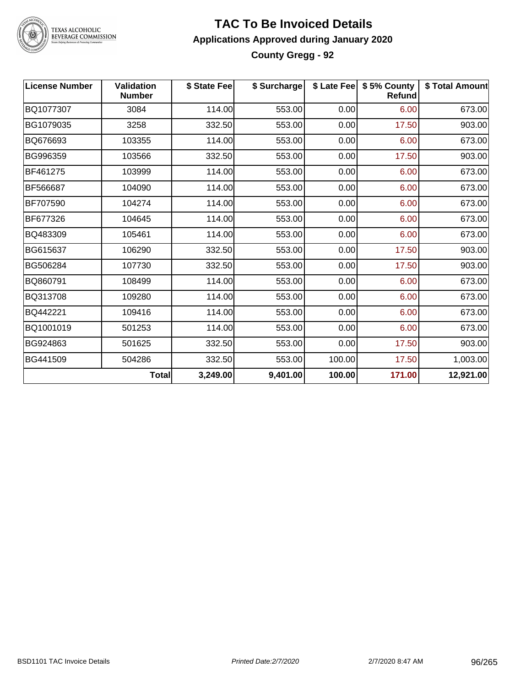

#### **TAC To Be Invoiced Details Applications Approved during January 2020 County Gregg - 92**

| <b>License Number</b> | <b>Validation</b><br><b>Number</b> | \$ State Fee | \$ Surcharge |        | \$ Late Fee   \$5% County<br>Refund | \$ Total Amount |
|-----------------------|------------------------------------|--------------|--------------|--------|-------------------------------------|-----------------|
| BQ1077307             | 3084                               | 114.00       | 553.00       | 0.00   | 6.00                                | 673.00          |
| BG1079035             | 3258                               | 332.50       | 553.00       | 0.00   | 17.50                               | 903.00          |
| BQ676693              | 103355                             | 114.00       | 553.00       | 0.00   | 6.00                                | 673.00          |
| BG996359              | 103566                             | 332.50       | 553.00       | 0.00   | 17.50                               | 903.00          |
| BF461275              | 103999                             | 114.00       | 553.00       | 0.00   | 6.00                                | 673.00          |
| BF566687              | 104090                             | 114.00       | 553.00       | 0.00   | 6.00                                | 673.00          |
| BF707590              | 104274                             | 114.00       | 553.00       | 0.00   | 6.00                                | 673.00          |
| BF677326              | 104645                             | 114.00       | 553.00       | 0.00   | 6.00                                | 673.00          |
| BQ483309              | 105461                             | 114.00       | 553.00       | 0.00   | 6.00                                | 673.00          |
| BG615637              | 106290                             | 332.50       | 553.00       | 0.00   | 17.50                               | 903.00          |
| BG506284              | 107730                             | 332.50       | 553.00       | 0.00   | 17.50                               | 903.00          |
| BQ860791              | 108499                             | 114.00       | 553.00       | 0.00   | 6.00                                | 673.00          |
| BQ313708              | 109280                             | 114.00       | 553.00       | 0.00   | 6.00                                | 673.00          |
| BQ442221              | 109416                             | 114.00       | 553.00       | 0.00   | 6.00                                | 673.00          |
| BQ1001019             | 501253                             | 114.00       | 553.00       | 0.00   | 6.00                                | 673.00          |
| BG924863              | 501625                             | 332.50       | 553.00       | 0.00   | 17.50                               | 903.00          |
| BG441509              | 504286                             | 332.50       | 553.00       | 100.00 | 17.50                               | 1,003.00        |
|                       | <b>Total</b>                       | 3,249.00     | 9,401.00     | 100.00 | 171.00                              | 12,921.00       |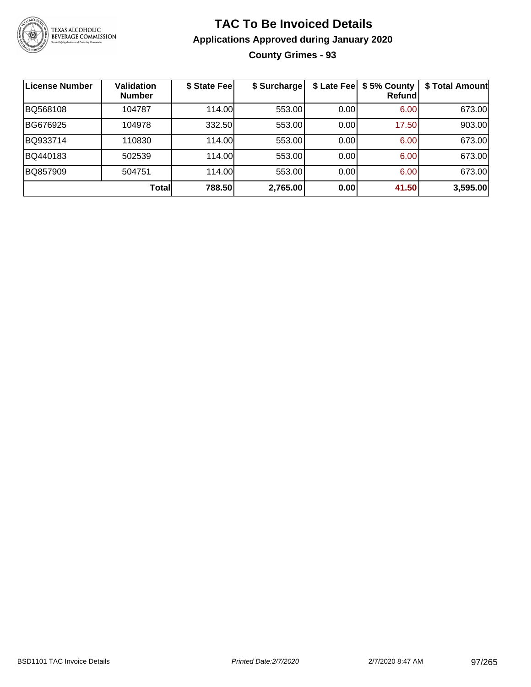

## **TAC To Be Invoiced Details Applications Approved during January 2020 County Grimes - 93**

| <b>License Number</b> | Validation<br><b>Number</b> | \$ State Feel | \$ Surcharge | \$ Late Fee | \$5% County<br>Refundl | \$ Total Amount |
|-----------------------|-----------------------------|---------------|--------------|-------------|------------------------|-----------------|
| BQ568108              | 104787                      | 114.00        | 553.00       | 0.00        | 6.00                   | 673.00          |
| BG676925              | 104978                      | 332.50        | 553.00       | 0.00        | 17.50                  | 903.00          |
| BQ933714              | 110830                      | 114.00        | 553.00       | 0.00        | 6.00                   | 673.00          |
| BQ440183              | 502539                      | 114.00        | 553.00       | 0.00        | 6.00                   | 673.00          |
| BQ857909              | 504751                      | 114.00        | 553.00       | 0.00        | 6.00                   | 673.00          |
|                       | Total                       | 788.50        | 2,765.00     | 0.00        | 41.50                  | 3,595.00        |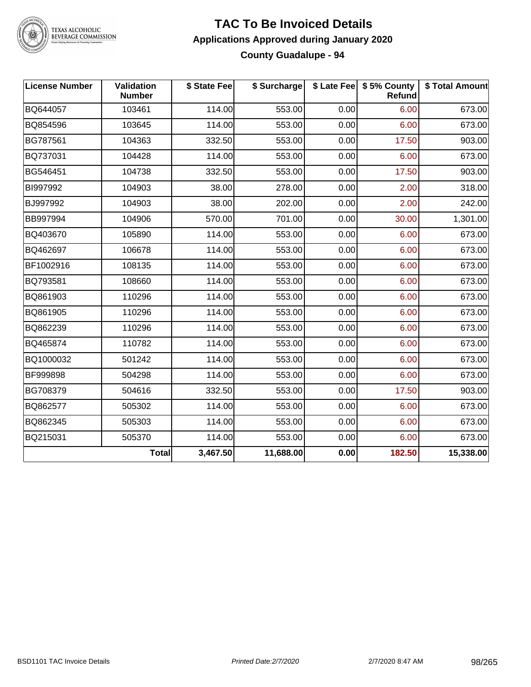

#### **TAC To Be Invoiced Details Applications Approved during January 2020 County Guadalupe - 94**

| <b>License Number</b> | Validation<br><b>Number</b> | \$ State Fee | \$ Surcharge |      | \$ Late Fee   \$5% County<br>Refund | \$ Total Amount |
|-----------------------|-----------------------------|--------------|--------------|------|-------------------------------------|-----------------|
| BQ644057              | 103461                      | 114.00       | 553.00       | 0.00 | 6.00                                | 673.00          |
| BQ854596              | 103645                      | 114.00       | 553.00       | 0.00 | 6.00                                | 673.00          |
| BG787561              | 104363                      | 332.50       | 553.00       | 0.00 | 17.50                               | 903.00          |
| BQ737031              | 104428                      | 114.00       | 553.00       | 0.00 | 6.00                                | 673.00          |
| BG546451              | 104738                      | 332.50       | 553.00       | 0.00 | 17.50                               | 903.00          |
| BI997992              | 104903                      | 38.00        | 278.00       | 0.00 | 2.00                                | 318.00          |
| BJ997992              | 104903                      | 38.00        | 202.00       | 0.00 | 2.00                                | 242.00          |
| BB997994              | 104906                      | 570.00       | 701.00       | 0.00 | 30.00                               | 1,301.00        |
| BQ403670              | 105890                      | 114.00       | 553.00       | 0.00 | 6.00                                | 673.00          |
| BQ462697              | 106678                      | 114.00       | 553.00       | 0.00 | 6.00                                | 673.00          |
| BF1002916             | 108135                      | 114.00       | 553.00       | 0.00 | 6.00                                | 673.00          |
| BQ793581              | 108660                      | 114.00       | 553.00       | 0.00 | 6.00                                | 673.00          |
| BQ861903              | 110296                      | 114.00       | 553.00       | 0.00 | 6.00                                | 673.00          |
| BQ861905              | 110296                      | 114.00       | 553.00       | 0.00 | 6.00                                | 673.00          |
| BQ862239              | 110296                      | 114.00       | 553.00       | 0.00 | 6.00                                | 673.00          |
| BQ465874              | 110782                      | 114.00       | 553.00       | 0.00 | 6.00                                | 673.00          |
| BQ1000032             | 501242                      | 114.00       | 553.00       | 0.00 | 6.00                                | 673.00          |
| BF999898              | 504298                      | 114.00       | 553.00       | 0.00 | 6.00                                | 673.00          |
| BG708379              | 504616                      | 332.50       | 553.00       | 0.00 | 17.50                               | 903.00          |
| BQ862577              | 505302                      | 114.00       | 553.00       | 0.00 | 6.00                                | 673.00          |
| BQ862345              | 505303                      | 114.00       | 553.00       | 0.00 | 6.00                                | 673.00          |
| BQ215031              | 505370                      | 114.00       | 553.00       | 0.00 | 6.00                                | 673.00          |
|                       | <b>Total</b>                | 3,467.50     | 11,688.00    | 0.00 | 182.50                              | 15,338.00       |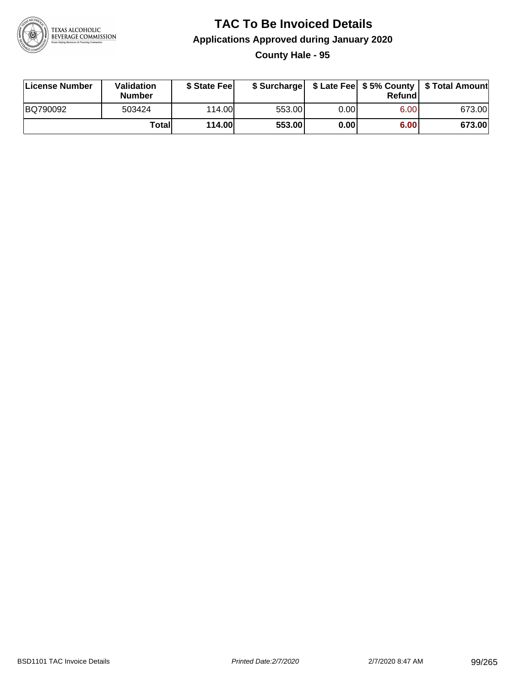

#### **TAC To Be Invoiced Details Applications Approved during January 2020 County Hale - 95**

| License Number | Validation<br><b>Number</b> | \$ State Fee  |        |      | Refund | \$ Surcharge   \$ Late Fee   \$5% County   \$ Total Amount |
|----------------|-----------------------------|---------------|--------|------|--------|------------------------------------------------------------|
| BQ790092       | 503424                      | 114.00        | 553.00 | 0.00 | 6.00   | 673.00                                                     |
|                | Totall                      | <b>114.00</b> | 553.00 | 0.00 | 6.00   | 673.00                                                     |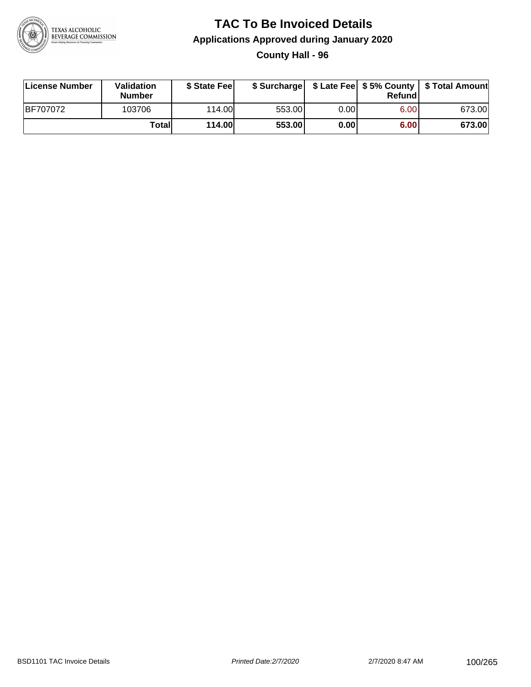

### **TAC To Be Invoiced Details Applications Approved during January 2020 County Hall - 96**

| License Number  | Validation<br><b>Number</b> | \$ State Fee  |        |      | Refund | \$ Surcharge   \$ Late Fee   \$5% County   \$ Total Amount |
|-----------------|-----------------------------|---------------|--------|------|--------|------------------------------------------------------------|
| <b>BF707072</b> | 103706                      | 114.00L       | 553.00 | 0.00 | 6.00   | 673.00                                                     |
|                 | Totall                      | <b>114.00</b> | 553.00 | 0.00 | 6.00   | 673.00                                                     |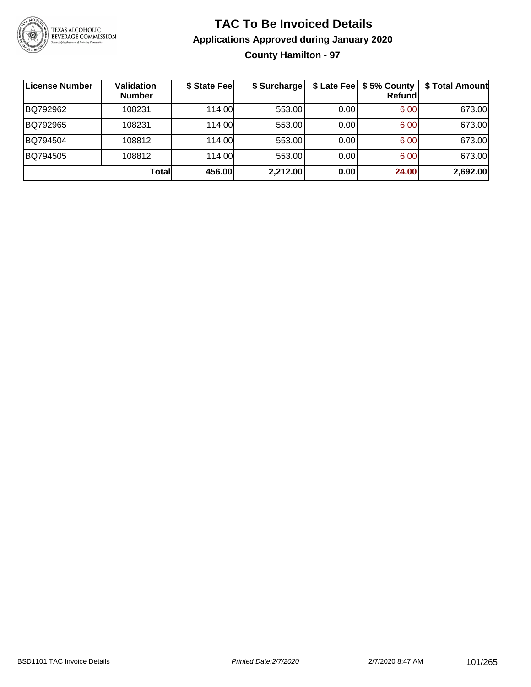

## **TAC To Be Invoiced Details Applications Approved during January 2020 County Hamilton - 97**

| License Number | <b>Validation</b><br><b>Number</b> | \$ State Fee | \$ Surcharge |      | \$ Late Fee   \$5% County<br>Refund | \$ Total Amount |
|----------------|------------------------------------|--------------|--------------|------|-------------------------------------|-----------------|
| BQ792962       | 108231                             | 114.00       | 553.00       | 0.00 | 6.00                                | 673.00          |
| BQ792965       | 108231                             | 114.00       | 553.00       | 0.00 | 6.00                                | 673.00          |
| BQ794504       | 108812                             | 114.00       | 553.00       | 0.00 | 6.00                                | 673.00          |
| BQ794505       | 108812                             | 114.00       | 553.00       | 0.00 | 6.00                                | 673.00          |
|                | <b>Total</b>                       | 456.00       | 2,212.00     | 0.00 | 24.00                               | 2,692.00        |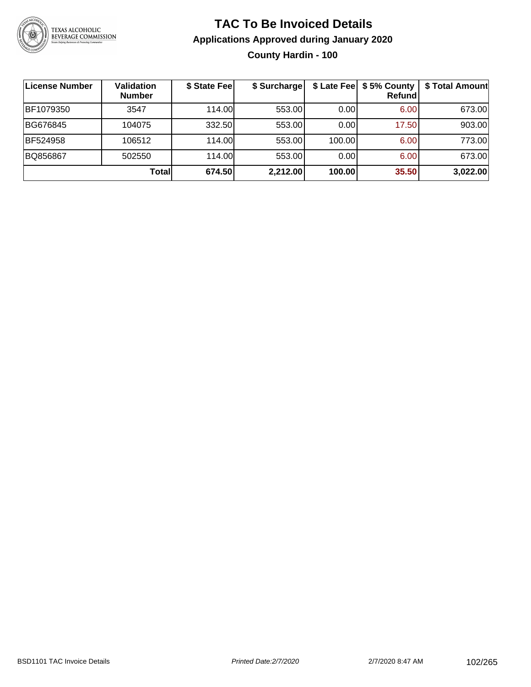

## **TAC To Be Invoiced Details Applications Approved during January 2020 County Hardin - 100**

| <b>License Number</b> | Validation<br><b>Number</b> | \$ State Fee | \$ Surcharge |        | \$ Late Fee   \$5% County<br><b>Refund</b> | \$ Total Amount |
|-----------------------|-----------------------------|--------------|--------------|--------|--------------------------------------------|-----------------|
| BF1079350             | 3547                        | 114.00L      | 553.00       | 0.00   | 6.00                                       | 673.00          |
| BG676845              | 104075                      | 332.50       | 553.00       | 0.00   | 17.50                                      | 903.00          |
| <b>BF524958</b>       | 106512                      | 114.00       | 553.00       | 100.00 | 6.00                                       | 773.00          |
| BQ856867              | 502550                      | 114.00L      | 553.00       | 0.00   | 6.00                                       | 673.00          |
|                       | Totall                      | 674.50       | 2,212.00     | 100.00 | 35.50                                      | 3,022.00        |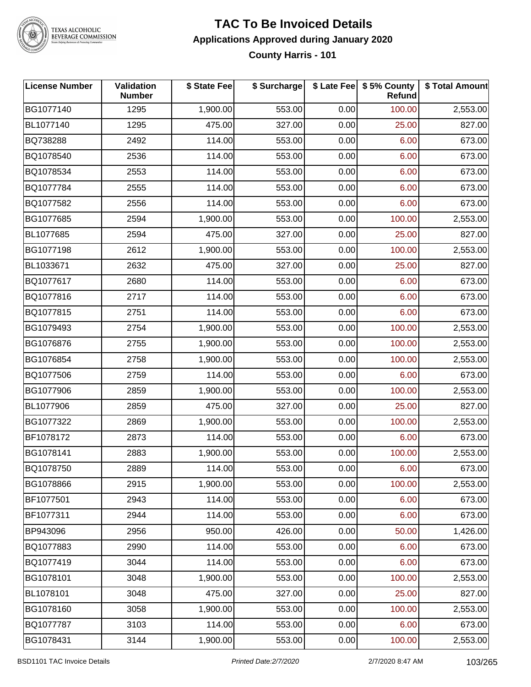

#### **TAC To Be Invoiced Details Applications Approved during January 2020 County Harris - 101**

| <b>License Number</b> | <b>Validation</b><br><b>Number</b> | \$ State Fee | \$ Surcharge |      | \$ Late Fee   \$5% County<br><b>Refund</b> | \$ Total Amount |
|-----------------------|------------------------------------|--------------|--------------|------|--------------------------------------------|-----------------|
| BG1077140             | 1295                               | 1,900.00     | 553.00       | 0.00 | 100.00                                     | 2,553.00        |
| BL1077140             | 1295                               | 475.00       | 327.00       | 0.00 | 25.00                                      | 827.00          |
| BQ738288              | 2492                               | 114.00       | 553.00       | 0.00 | 6.00                                       | 673.00          |
| BQ1078540             | 2536                               | 114.00       | 553.00       | 0.00 | 6.00                                       | 673.00          |
| BQ1078534             | 2553                               | 114.00       | 553.00       | 0.00 | 6.00                                       | 673.00          |
| BQ1077784             | 2555                               | 114.00       | 553.00       | 0.00 | 6.00                                       | 673.00          |
| BQ1077582             | 2556                               | 114.00       | 553.00       | 0.00 | 6.00                                       | 673.00          |
| BG1077685             | 2594                               | 1,900.00     | 553.00       | 0.00 | 100.00                                     | 2,553.00        |
| BL1077685             | 2594                               | 475.00       | 327.00       | 0.00 | 25.00                                      | 827.00          |
| BG1077198             | 2612                               | 1,900.00     | 553.00       | 0.00 | 100.00                                     | 2,553.00        |
| BL1033671             | 2632                               | 475.00       | 327.00       | 0.00 | 25.00                                      | 827.00          |
| BQ1077617             | 2680                               | 114.00       | 553.00       | 0.00 | 6.00                                       | 673.00          |
| BQ1077816             | 2717                               | 114.00       | 553.00       | 0.00 | 6.00                                       | 673.00          |
| BQ1077815             | 2751                               | 114.00       | 553.00       | 0.00 | 6.00                                       | 673.00          |
| BG1079493             | 2754                               | 1,900.00     | 553.00       | 0.00 | 100.00                                     | 2,553.00        |
| BG1076876             | 2755                               | 1,900.00     | 553.00       | 0.00 | 100.00                                     | 2,553.00        |
| BG1076854             | 2758                               | 1,900.00     | 553.00       | 0.00 | 100.00                                     | 2,553.00        |
| BQ1077506             | 2759                               | 114.00       | 553.00       | 0.00 | 6.00                                       | 673.00          |
| BG1077906             | 2859                               | 1,900.00     | 553.00       | 0.00 | 100.00                                     | 2,553.00        |
| BL1077906             | 2859                               | 475.00       | 327.00       | 0.00 | 25.00                                      | 827.00          |
| BG1077322             | 2869                               | 1,900.00     | 553.00       | 0.00 | 100.00                                     | 2,553.00        |
| BF1078172             | 2873                               | 114.00       | 553.00       | 0.00 | 6.00                                       | 673.00          |
| BG1078141             | 2883                               | 1,900.00     | 553.00       | 0.00 | 100.00                                     | 2,553.00        |
| BQ1078750             | 2889                               | 114.00       | 553.00       | 0.00 | 6.00                                       | 673.00          |
| BG1078866             | 2915                               | 1,900.00     | 553.00       | 0.00 | 100.00                                     | 2,553.00        |
| BF1077501             | 2943                               | 114.00       | 553.00       | 0.00 | 6.00                                       | 673.00          |
| BF1077311             | 2944                               | 114.00       | 553.00       | 0.00 | 6.00                                       | 673.00          |
| BP943096              | 2956                               | 950.00       | 426.00       | 0.00 | 50.00                                      | 1,426.00        |
| BQ1077883             | 2990                               | 114.00       | 553.00       | 0.00 | 6.00                                       | 673.00          |
| BQ1077419             | 3044                               | 114.00       | 553.00       | 0.00 | 6.00                                       | 673.00          |
| BG1078101             | 3048                               | 1,900.00     | 553.00       | 0.00 | 100.00                                     | 2,553.00        |
| BL1078101             | 3048                               | 475.00       | 327.00       | 0.00 | 25.00                                      | 827.00          |
| BG1078160             | 3058                               | 1,900.00     | 553.00       | 0.00 | 100.00                                     | 2,553.00        |
| BQ1077787             | 3103                               | 114.00       | 553.00       | 0.00 | 6.00                                       | 673.00          |
| BG1078431             | 3144                               | 1,900.00     | 553.00       | 0.00 | 100.00                                     | 2,553.00        |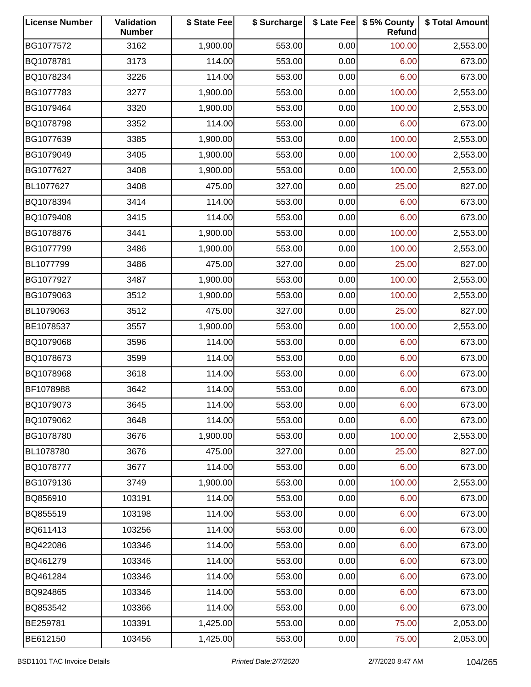| <b>License Number</b> | Validation<br><b>Number</b> | \$ State Fee | \$ Surcharge |      | \$ Late Fee   \$5% County<br>Refund | \$ Total Amount |
|-----------------------|-----------------------------|--------------|--------------|------|-------------------------------------|-----------------|
| BG1077572             | 3162                        | 1,900.00     | 553.00       | 0.00 | 100.00                              | 2,553.00        |
| BQ1078781             | 3173                        | 114.00       | 553.00       | 0.00 | 6.00                                | 673.00          |
| BQ1078234             | 3226                        | 114.00       | 553.00       | 0.00 | 6.00                                | 673.00          |
| BG1077783             | 3277                        | 1,900.00     | 553.00       | 0.00 | 100.00                              | 2,553.00        |
| BG1079464             | 3320                        | 1,900.00     | 553.00       | 0.00 | 100.00                              | 2,553.00        |
| BQ1078798             | 3352                        | 114.00       | 553.00       | 0.00 | 6.00                                | 673.00          |
| BG1077639             | 3385                        | 1,900.00     | 553.00       | 0.00 | 100.00                              | 2,553.00        |
| BG1079049             | 3405                        | 1,900.00     | 553.00       | 0.00 | 100.00                              | 2,553.00        |
| BG1077627             | 3408                        | 1,900.00     | 553.00       | 0.00 | 100.00                              | 2,553.00        |
| BL1077627             | 3408                        | 475.00       | 327.00       | 0.00 | 25.00                               | 827.00          |
| BQ1078394             | 3414                        | 114.00       | 553.00       | 0.00 | 6.00                                | 673.00          |
| BQ1079408             | 3415                        | 114.00       | 553.00       | 0.00 | 6.00                                | 673.00          |
| BG1078876             | 3441                        | 1,900.00     | 553.00       | 0.00 | 100.00                              | 2,553.00        |
| BG1077799             | 3486                        | 1,900.00     | 553.00       | 0.00 | 100.00                              | 2,553.00        |
| BL1077799             | 3486                        | 475.00       | 327.00       | 0.00 | 25.00                               | 827.00          |
| BG1077927             | 3487                        | 1,900.00     | 553.00       | 0.00 | 100.00                              | 2,553.00        |
| BG1079063             | 3512                        | 1,900.00     | 553.00       | 0.00 | 100.00                              | 2,553.00        |
| BL1079063             | 3512                        | 475.00       | 327.00       | 0.00 | 25.00                               | 827.00          |
| BE1078537             | 3557                        | 1,900.00     | 553.00       | 0.00 | 100.00                              | 2,553.00        |
| BQ1079068             | 3596                        | 114.00       | 553.00       | 0.00 | 6.00                                | 673.00          |
| BQ1078673             | 3599                        | 114.00       | 553.00       | 0.00 | 6.00                                | 673.00          |
| BQ1078968             | 3618                        | 114.00       | 553.00       | 0.00 | 6.00                                | 673.00          |
| BF1078988             | 3642                        | 114.00       | 553.00       | 0.00 | 6.00                                | 673.00          |
| BQ1079073             | 3645                        | 114.00       | 553.00       | 0.00 | 6.00                                | 673.00          |
| BQ1079062             | 3648                        | 114.00       | 553.00       | 0.00 | 6.00                                | 673.00          |
| BG1078780             | 3676                        | 1,900.00     | 553.00       | 0.00 | 100.00                              | 2,553.00        |
| BL1078780             | 3676                        | 475.00       | 327.00       | 0.00 | 25.00                               | 827.00          |
| BQ1078777             | 3677                        | 114.00       | 553.00       | 0.00 | 6.00                                | 673.00          |
| BG1079136             | 3749                        | 1,900.00     | 553.00       | 0.00 | 100.00                              | 2,553.00        |
| BQ856910              | 103191                      | 114.00       | 553.00       | 0.00 | 6.00                                | 673.00          |
| BQ855519              | 103198                      | 114.00       | 553.00       | 0.00 | 6.00                                | 673.00          |
| BQ611413              | 103256                      | 114.00       | 553.00       | 0.00 | 6.00                                | 673.00          |
| BQ422086              | 103346                      | 114.00       | 553.00       | 0.00 | 6.00                                | 673.00          |
| BQ461279              | 103346                      | 114.00       | 553.00       | 0.00 | 6.00                                | 673.00          |
| BQ461284              | 103346                      | 114.00       | 553.00       | 0.00 | 6.00                                | 673.00          |
| BQ924865              | 103346                      | 114.00       | 553.00       | 0.00 | 6.00                                | 673.00          |
| BQ853542              | 103366                      | 114.00       | 553.00       | 0.00 | 6.00                                | 673.00          |
| BE259781              | 103391                      | 1,425.00     | 553.00       | 0.00 | 75.00                               | 2,053.00        |
| BE612150              | 103456                      | 1,425.00     | 553.00       | 0.00 | 75.00                               | 2,053.00        |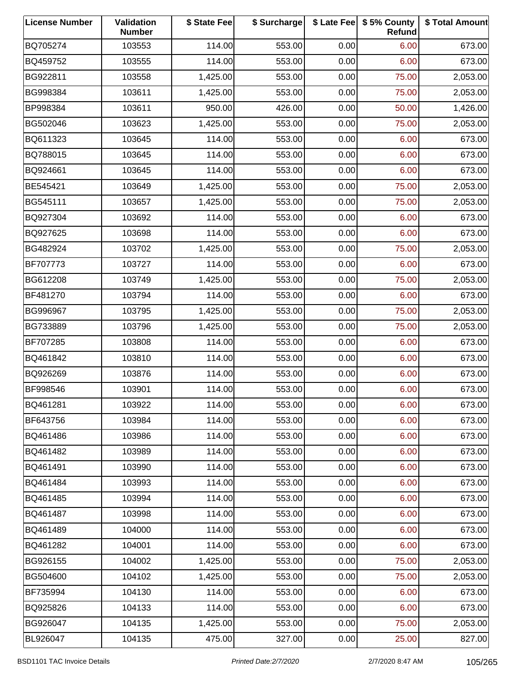| <b>License Number</b> | Validation<br><b>Number</b> | \$ State Fee | \$ Surcharge |      | \$ Late Fee   \$5% County<br>Refund | \$ Total Amount |
|-----------------------|-----------------------------|--------------|--------------|------|-------------------------------------|-----------------|
| BQ705274              | 103553                      | 114.00       | 553.00       | 0.00 | 6.00                                | 673.00          |
| BQ459752              | 103555                      | 114.00       | 553.00       | 0.00 | 6.00                                | 673.00          |
| BG922811              | 103558                      | 1,425.00     | 553.00       | 0.00 | 75.00                               | 2,053.00        |
| BG998384              | 103611                      | 1,425.00     | 553.00       | 0.00 | 75.00                               | 2,053.00        |
| BP998384              | 103611                      | 950.00       | 426.00       | 0.00 | 50.00                               | 1,426.00        |
| BG502046              | 103623                      | 1,425.00     | 553.00       | 0.00 | 75.00                               | 2,053.00        |
| BQ611323              | 103645                      | 114.00       | 553.00       | 0.00 | 6.00                                | 673.00          |
| BQ788015              | 103645                      | 114.00       | 553.00       | 0.00 | 6.00                                | 673.00          |
| BQ924661              | 103645                      | 114.00       | 553.00       | 0.00 | 6.00                                | 673.00          |
| BE545421              | 103649                      | 1,425.00     | 553.00       | 0.00 | 75.00                               | 2,053.00        |
| BG545111              | 103657                      | 1,425.00     | 553.00       | 0.00 | 75.00                               | 2,053.00        |
| BQ927304              | 103692                      | 114.00       | 553.00       | 0.00 | 6.00                                | 673.00          |
| BQ927625              | 103698                      | 114.00       | 553.00       | 0.00 | 6.00                                | 673.00          |
| BG482924              | 103702                      | 1,425.00     | 553.00       | 0.00 | 75.00                               | 2,053.00        |
| BF707773              | 103727                      | 114.00       | 553.00       | 0.00 | 6.00                                | 673.00          |
| BG612208              | 103749                      | 1,425.00     | 553.00       | 0.00 | 75.00                               | 2,053.00        |
| BF481270              | 103794                      | 114.00       | 553.00       | 0.00 | 6.00                                | 673.00          |
| BG996967              | 103795                      | 1,425.00     | 553.00       | 0.00 | 75.00                               | 2,053.00        |
| BG733889              | 103796                      | 1,425.00     | 553.00       | 0.00 | 75.00                               | 2,053.00        |
| BF707285              | 103808                      | 114.00       | 553.00       | 0.00 | 6.00                                | 673.00          |
| BQ461842              | 103810                      | 114.00       | 553.00       | 0.00 | 6.00                                | 673.00          |
| BQ926269              | 103876                      | 114.00       | 553.00       | 0.00 | 6.00                                | 673.00          |
| BF998546              | 103901                      | 114.00       | 553.00       | 0.00 | 6.00                                | 673.00          |
| BQ461281              | 103922                      | 114.00       | 553.00       | 0.00 | 6.00                                | 673.00          |
| BF643756              | 103984                      | 114.00       | 553.00       | 0.00 | 6.00                                | 673.00          |
| BQ461486              | 103986                      | 114.00       | 553.00       | 0.00 | 6.00                                | 673.00          |
| BQ461482              | 103989                      | 114.00       | 553.00       | 0.00 | 6.00                                | 673.00          |
| BQ461491              | 103990                      | 114.00       | 553.00       | 0.00 | 6.00                                | 673.00          |
| BQ461484              | 103993                      | 114.00       | 553.00       | 0.00 | 6.00                                | 673.00          |
| BQ461485              | 103994                      | 114.00       | 553.00       | 0.00 | 6.00                                | 673.00          |
| BQ461487              | 103998                      | 114.00       | 553.00       | 0.00 | 6.00                                | 673.00          |
| BQ461489              | 104000                      | 114.00       | 553.00       | 0.00 | 6.00                                | 673.00          |
| BQ461282              | 104001                      | 114.00       | 553.00       | 0.00 | 6.00                                | 673.00          |
| BG926155              | 104002                      | 1,425.00     | 553.00       | 0.00 | 75.00                               | 2,053.00        |
| BG504600              | 104102                      | 1,425.00     | 553.00       | 0.00 | 75.00                               | 2,053.00        |
| BF735994              | 104130                      | 114.00       | 553.00       | 0.00 | 6.00                                | 673.00          |
| BQ925826              | 104133                      | 114.00       | 553.00       | 0.00 | 6.00                                | 673.00          |
| BG926047              | 104135                      | 1,425.00     | 553.00       | 0.00 | 75.00                               | 2,053.00        |
| BL926047              | 104135                      | 475.00       | 327.00       | 0.00 | 25.00                               | 827.00          |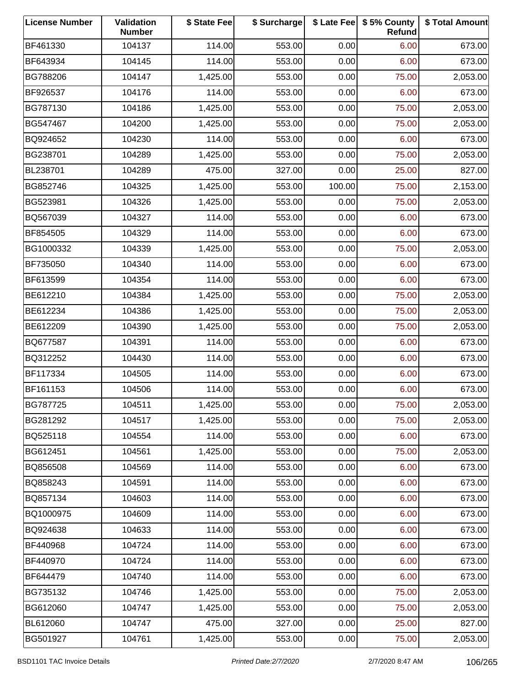| <b>License Number</b> | Validation<br><b>Number</b> | \$ State Fee | \$ Surcharge |        | \$ Late Fee   \$5% County<br>Refund | \$ Total Amount |
|-----------------------|-----------------------------|--------------|--------------|--------|-------------------------------------|-----------------|
| BF461330              | 104137                      | 114.00       | 553.00       | 0.00   | 6.00                                | 673.00          |
| BF643934              | 104145                      | 114.00       | 553.00       | 0.00   | 6.00                                | 673.00          |
| BG788206              | 104147                      | 1,425.00     | 553.00       | 0.00   | 75.00                               | 2,053.00        |
| BF926537              | 104176                      | 114.00       | 553.00       | 0.00   | 6.00                                | 673.00          |
| BG787130              | 104186                      | 1,425.00     | 553.00       | 0.00   | 75.00                               | 2,053.00        |
| BG547467              | 104200                      | 1,425.00     | 553.00       | 0.00   | 75.00                               | 2,053.00        |
| BQ924652              | 104230                      | 114.00       | 553.00       | 0.00   | 6.00                                | 673.00          |
| BG238701              | 104289                      | 1,425.00     | 553.00       | 0.00   | 75.00                               | 2,053.00        |
| BL238701              | 104289                      | 475.00       | 327.00       | 0.00   | 25.00                               | 827.00          |
| BG852746              | 104325                      | 1,425.00     | 553.00       | 100.00 | 75.00                               | 2,153.00        |
| BG523981              | 104326                      | 1,425.00     | 553.00       | 0.00   | 75.00                               | 2,053.00        |
| BQ567039              | 104327                      | 114.00       | 553.00       | 0.00   | 6.00                                | 673.00          |
| BF854505              | 104329                      | 114.00       | 553.00       | 0.00   | 6.00                                | 673.00          |
| BG1000332             | 104339                      | 1,425.00     | 553.00       | 0.00   | 75.00                               | 2,053.00        |
| BF735050              | 104340                      | 114.00       | 553.00       | 0.00   | 6.00                                | 673.00          |
| BF613599              | 104354                      | 114.00       | 553.00       | 0.00   | 6.00                                | 673.00          |
| BE612210              | 104384                      | 1,425.00     | 553.00       | 0.00   | 75.00                               | 2,053.00        |
| BE612234              | 104386                      | 1,425.00     | 553.00       | 0.00   | 75.00                               | 2,053.00        |
| BE612209              | 104390                      | 1,425.00     | 553.00       | 0.00   | 75.00                               | 2,053.00        |
| BQ677587              | 104391                      | 114.00       | 553.00       | 0.00   | 6.00                                | 673.00          |
| BQ312252              | 104430                      | 114.00       | 553.00       | 0.00   | 6.00                                | 673.00          |
| BF117334              | 104505                      | 114.00       | 553.00       | 0.00   | 6.00                                | 673.00          |
| BF161153              | 104506                      | 114.00       | 553.00       | 0.00   | 6.00                                | 673.00          |
| BG787725              | 104511                      | 1,425.00     | 553.00       | 0.00   | 75.00                               | 2,053.00        |
| BG281292              | 104517                      | 1,425.00     | 553.00       | 0.00   | 75.00                               | 2,053.00        |
| BQ525118              | 104554                      | 114.00       | 553.00       | 0.00   | 6.00                                | 673.00          |
| BG612451              | 104561                      | 1,425.00     | 553.00       | 0.00   | 75.00                               | 2,053.00        |
| BQ856508              | 104569                      | 114.00       | 553.00       | 0.00   | 6.00                                | 673.00          |
| BQ858243              | 104591                      | 114.00       | 553.00       | 0.00   | 6.00                                | 673.00          |
| BQ857134              | 104603                      | 114.00       | 553.00       | 0.00   | 6.00                                | 673.00          |
| BQ1000975             | 104609                      | 114.00       | 553.00       | 0.00   | 6.00                                | 673.00          |
| BQ924638              | 104633                      | 114.00       | 553.00       | 0.00   | 6.00                                | 673.00          |
| BF440968              | 104724                      | 114.00       | 553.00       | 0.00   | 6.00                                | 673.00          |
| BF440970              | 104724                      | 114.00       | 553.00       | 0.00   | 6.00                                | 673.00          |
| BF644479              | 104740                      | 114.00       | 553.00       | 0.00   | 6.00                                | 673.00          |
| BG735132              | 104746                      | 1,425.00     | 553.00       | 0.00   | 75.00                               | 2,053.00        |
| BG612060              | 104747                      | 1,425.00     | 553.00       | 0.00   | 75.00                               | 2,053.00        |
| BL612060              | 104747                      | 475.00       | 327.00       | 0.00   | 25.00                               | 827.00          |
| BG501927              | 104761                      | 1,425.00     | 553.00       | 0.00   | 75.00                               | 2,053.00        |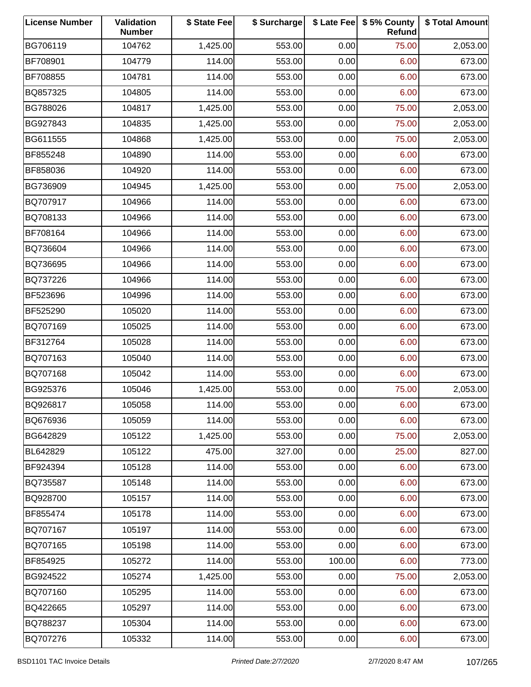| <b>License Number</b> | Validation<br><b>Number</b> | \$ State Fee | \$ Surcharge |        | \$ Late Fee   \$5% County<br>Refund | \$ Total Amount |
|-----------------------|-----------------------------|--------------|--------------|--------|-------------------------------------|-----------------|
| BG706119              | 104762                      | 1,425.00     | 553.00       | 0.00   | 75.00                               | 2,053.00        |
| BF708901              | 104779                      | 114.00       | 553.00       | 0.00   | 6.00                                | 673.00          |
| BF708855              | 104781                      | 114.00       | 553.00       | 0.00   | 6.00                                | 673.00          |
| BQ857325              | 104805                      | 114.00       | 553.00       | 0.00   | 6.00                                | 673.00          |
| BG788026              | 104817                      | 1,425.00     | 553.00       | 0.00   | 75.00                               | 2,053.00        |
| BG927843              | 104835                      | 1,425.00     | 553.00       | 0.00   | 75.00                               | 2,053.00        |
| BG611555              | 104868                      | 1,425.00     | 553.00       | 0.00   | 75.00                               | 2,053.00        |
| BF855248              | 104890                      | 114.00       | 553.00       | 0.00   | 6.00                                | 673.00          |
| BF858036              | 104920                      | 114.00       | 553.00       | 0.00   | 6.00                                | 673.00          |
| BG736909              | 104945                      | 1,425.00     | 553.00       | 0.00   | 75.00                               | 2,053.00        |
| BQ707917              | 104966                      | 114.00       | 553.00       | 0.00   | 6.00                                | 673.00          |
| BQ708133              | 104966                      | 114.00       | 553.00       | 0.00   | 6.00                                | 673.00          |
| BF708164              | 104966                      | 114.00       | 553.00       | 0.00   | 6.00                                | 673.00          |
| BQ736604              | 104966                      | 114.00       | 553.00       | 0.00   | 6.00                                | 673.00          |
| BQ736695              | 104966                      | 114.00       | 553.00       | 0.00   | 6.00                                | 673.00          |
| BQ737226              | 104966                      | 114.00       | 553.00       | 0.00   | 6.00                                | 673.00          |
| BF523696              | 104996                      | 114.00       | 553.00       | 0.00   | 6.00                                | 673.00          |
| BF525290              | 105020                      | 114.00       | 553.00       | 0.00   | 6.00                                | 673.00          |
| BQ707169              | 105025                      | 114.00       | 553.00       | 0.00   | 6.00                                | 673.00          |
| BF312764              | 105028                      | 114.00       | 553.00       | 0.00   | 6.00                                | 673.00          |
| BQ707163              | 105040                      | 114.00       | 553.00       | 0.00   | 6.00                                | 673.00          |
| BQ707168              | 105042                      | 114.00       | 553.00       | 0.00   | 6.00                                | 673.00          |
| BG925376              | 105046                      | 1,425.00     | 553.00       | 0.00   | 75.00                               | 2,053.00        |
| BQ926817              | 105058                      | 114.00       | 553.00       | 0.00   | 6.00                                | 673.00          |
| BQ676936              | 105059                      | 114.00       | 553.00       | 0.00   | 6.00                                | 673.00          |
| BG642829              | 105122                      | 1,425.00     | 553.00       | 0.00   | 75.00                               | 2,053.00        |
| BL642829              | 105122                      | 475.00       | 327.00       | 0.00   | 25.00                               | 827.00          |
| BF924394              | 105128                      | 114.00       | 553.00       | 0.00   | 6.00                                | 673.00          |
| BQ735587              | 105148                      | 114.00       | 553.00       | 0.00   | 6.00                                | 673.00          |
| BQ928700              | 105157                      | 114.00       | 553.00       | 0.00   | 6.00                                | 673.00          |
| BF855474              | 105178                      | 114.00       | 553.00       | 0.00   | 6.00                                | 673.00          |
| BQ707167              | 105197                      | 114.00       | 553.00       | 0.00   | 6.00                                | 673.00          |
| BQ707165              | 105198                      | 114.00       | 553.00       | 0.00   | 6.00                                | 673.00          |
| BF854925              | 105272                      | 114.00       | 553.00       | 100.00 | 6.00                                | 773.00          |
| BG924522              | 105274                      | 1,425.00     | 553.00       | 0.00   | 75.00                               | 2,053.00        |
| BQ707160              | 105295                      | 114.00       | 553.00       | 0.00   | 6.00                                | 673.00          |
| BQ422665              | 105297                      | 114.00       | 553.00       | 0.00   | 6.00                                | 673.00          |
| BQ788237              | 105304                      | 114.00       | 553.00       | 0.00   | 6.00                                | 673.00          |
| BQ707276              | 105332                      | 114.00       | 553.00       | 0.00   | 6.00                                | 673.00          |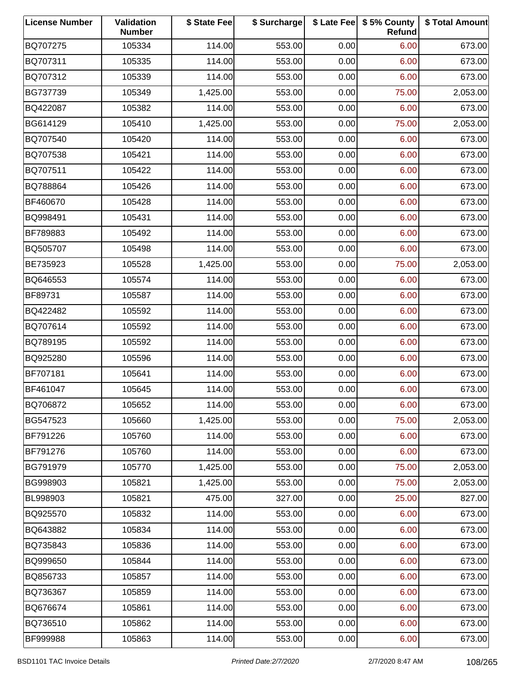| <b>License Number</b> | Validation<br><b>Number</b> | \$ State Fee | \$ Surcharge |      | \$ Late Fee   \$5% County<br>Refund | \$ Total Amount |
|-----------------------|-----------------------------|--------------|--------------|------|-------------------------------------|-----------------|
| BQ707275              | 105334                      | 114.00       | 553.00       | 0.00 | 6.00                                | 673.00          |
| BQ707311              | 105335                      | 114.00       | 553.00       | 0.00 | 6.00                                | 673.00          |
| BQ707312              | 105339                      | 114.00       | 553.00       | 0.00 | 6.00                                | 673.00          |
| BG737739              | 105349                      | 1,425.00     | 553.00       | 0.00 | 75.00                               | 2,053.00        |
| BQ422087              | 105382                      | 114.00       | 553.00       | 0.00 | 6.00                                | 673.00          |
| BG614129              | 105410                      | 1,425.00     | 553.00       | 0.00 | 75.00                               | 2,053.00        |
| BQ707540              | 105420                      | 114.00       | 553.00       | 0.00 | 6.00                                | 673.00          |
| BQ707538              | 105421                      | 114.00       | 553.00       | 0.00 | 6.00                                | 673.00          |
| BQ707511              | 105422                      | 114.00       | 553.00       | 0.00 | 6.00                                | 673.00          |
| BQ788864              | 105426                      | 114.00       | 553.00       | 0.00 | 6.00                                | 673.00          |
| BF460670              | 105428                      | 114.00       | 553.00       | 0.00 | 6.00                                | 673.00          |
| BQ998491              | 105431                      | 114.00       | 553.00       | 0.00 | 6.00                                | 673.00          |
| BF789883              | 105492                      | 114.00       | 553.00       | 0.00 | 6.00                                | 673.00          |
| BQ505707              | 105498                      | 114.00       | 553.00       | 0.00 | 6.00                                | 673.00          |
| BE735923              | 105528                      | 1,425.00     | 553.00       | 0.00 | 75.00                               | 2,053.00        |
| BQ646553              | 105574                      | 114.00       | 553.00       | 0.00 | 6.00                                | 673.00          |
| BF89731               | 105587                      | 114.00       | 553.00       | 0.00 | 6.00                                | 673.00          |
| BQ422482              | 105592                      | 114.00       | 553.00       | 0.00 | 6.00                                | 673.00          |
| BQ707614              | 105592                      | 114.00       | 553.00       | 0.00 | 6.00                                | 673.00          |
| BQ789195              | 105592                      | 114.00       | 553.00       | 0.00 | 6.00                                | 673.00          |
| BQ925280              | 105596                      | 114.00       | 553.00       | 0.00 | 6.00                                | 673.00          |
| BF707181              | 105641                      | 114.00       | 553.00       | 0.00 | 6.00                                | 673.00          |
| BF461047              | 105645                      | 114.00       | 553.00       | 0.00 | 6.00                                | 673.00          |
| BQ706872              | 105652                      | 114.00       | 553.00       | 0.00 | 6.00                                | 673.00          |
| BG547523              | 105660                      | 1,425.00     | 553.00       | 0.00 | 75.00                               | 2,053.00        |
| BF791226              | 105760                      | 114.00       | 553.00       | 0.00 | 6.00                                | 673.00          |
| BF791276              | 105760                      | 114.00       | 553.00       | 0.00 | 6.00                                | 673.00          |
| BG791979              | 105770                      | 1,425.00     | 553.00       | 0.00 | 75.00                               | 2,053.00        |
| BG998903              | 105821                      | 1,425.00     | 553.00       | 0.00 | 75.00                               | 2,053.00        |
| BL998903              | 105821                      | 475.00       | 327.00       | 0.00 | 25.00                               | 827.00          |
| BQ925570              | 105832                      | 114.00       | 553.00       | 0.00 | 6.00                                | 673.00          |
| BQ643882              | 105834                      | 114.00       | 553.00       | 0.00 | 6.00                                | 673.00          |
| BQ735843              | 105836                      | 114.00       | 553.00       | 0.00 | 6.00                                | 673.00          |
| BQ999650              | 105844                      | 114.00       | 553.00       | 0.00 | 6.00                                | 673.00          |
| BQ856733              | 105857                      | 114.00       | 553.00       | 0.00 | 6.00                                | 673.00          |
| BQ736367              | 105859                      | 114.00       | 553.00       | 0.00 | 6.00                                | 673.00          |
| BQ676674              | 105861                      | 114.00       | 553.00       | 0.00 | 6.00                                | 673.00          |
| BQ736510              | 105862                      | 114.00       | 553.00       | 0.00 | 6.00                                | 673.00          |
| BF999988              | 105863                      | 114.00       | 553.00       | 0.00 | 6.00                                | 673.00          |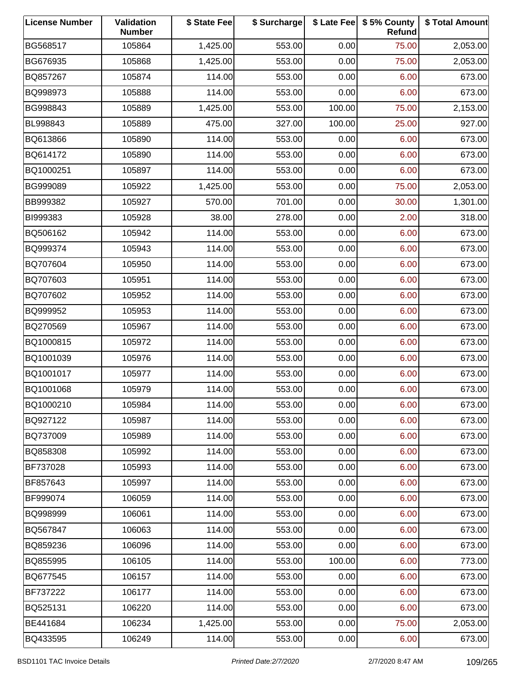| <b>License Number</b> | Validation<br><b>Number</b> | \$ State Fee | \$ Surcharge |        | \$ Late Fee   \$5% County<br>Refund | \$ Total Amount |
|-----------------------|-----------------------------|--------------|--------------|--------|-------------------------------------|-----------------|
| BG568517              | 105864                      | 1,425.00     | 553.00       | 0.00   | 75.00                               | 2,053.00        |
| BG676935              | 105868                      | 1,425.00     | 553.00       | 0.00   | 75.00                               | 2,053.00        |
| BQ857267              | 105874                      | 114.00       | 553.00       | 0.00   | 6.00                                | 673.00          |
| BQ998973              | 105888                      | 114.00       | 553.00       | 0.00   | 6.00                                | 673.00          |
| BG998843              | 105889                      | 1,425.00     | 553.00       | 100.00 | 75.00                               | 2,153.00        |
| BL998843              | 105889                      | 475.00       | 327.00       | 100.00 | 25.00                               | 927.00          |
| BQ613866              | 105890                      | 114.00       | 553.00       | 0.00   | 6.00                                | 673.00          |
| BQ614172              | 105890                      | 114.00       | 553.00       | 0.00   | 6.00                                | 673.00          |
| BQ1000251             | 105897                      | 114.00       | 553.00       | 0.00   | 6.00                                | 673.00          |
| BG999089              | 105922                      | 1,425.00     | 553.00       | 0.00   | 75.00                               | 2,053.00        |
| BB999382              | 105927                      | 570.00       | 701.00       | 0.00   | 30.00                               | 1,301.00        |
| BI999383              | 105928                      | 38.00        | 278.00       | 0.00   | 2.00                                | 318.00          |
| BQ506162              | 105942                      | 114.00       | 553.00       | 0.00   | 6.00                                | 673.00          |
| BQ999374              | 105943                      | 114.00       | 553.00       | 0.00   | 6.00                                | 673.00          |
| BQ707604              | 105950                      | 114.00       | 553.00       | 0.00   | 6.00                                | 673.00          |
| BQ707603              | 105951                      | 114.00       | 553.00       | 0.00   | 6.00                                | 673.00          |
| BQ707602              | 105952                      | 114.00       | 553.00       | 0.00   | 6.00                                | 673.00          |
| BQ999952              | 105953                      | 114.00       | 553.00       | 0.00   | 6.00                                | 673.00          |
| BQ270569              | 105967                      | 114.00       | 553.00       | 0.00   | 6.00                                | 673.00          |
| BQ1000815             | 105972                      | 114.00       | 553.00       | 0.00   | 6.00                                | 673.00          |
| BQ1001039             | 105976                      | 114.00       | 553.00       | 0.00   | 6.00                                | 673.00          |
| BQ1001017             | 105977                      | 114.00       | 553.00       | 0.00   | 6.00                                | 673.00          |
| BQ1001068             | 105979                      | 114.00       | 553.00       | 0.00   | 6.00                                | 673.00          |
| BQ1000210             | 105984                      | 114.00       | 553.00       | 0.00   | 6.00                                | 673.00          |
| BQ927122              | 105987                      | 114.00       | 553.00       | 0.00   | 6.00                                | 673.00          |
| BQ737009              | 105989                      | 114.00       | 553.00       | 0.00   | 6.00                                | 673.00          |
| BQ858308              | 105992                      | 114.00       | 553.00       | 0.00   | 6.00                                | 673.00          |
| BF737028              | 105993                      | 114.00       | 553.00       | 0.00   | 6.00                                | 673.00          |
| BF857643              | 105997                      | 114.00       | 553.00       | 0.00   | 6.00                                | 673.00          |
| BF999074              | 106059                      | 114.00       | 553.00       | 0.00   | 6.00                                | 673.00          |
| BQ998999              | 106061                      | 114.00       | 553.00       | 0.00   | 6.00                                | 673.00          |
| BQ567847              | 106063                      | 114.00       | 553.00       | 0.00   | 6.00                                | 673.00          |
| BQ859236              | 106096                      | 114.00       | 553.00       | 0.00   | 6.00                                | 673.00          |
| BQ855995              | 106105                      | 114.00       | 553.00       | 100.00 | 6.00                                | 773.00          |
| BQ677545              | 106157                      | 114.00       | 553.00       | 0.00   | 6.00                                | 673.00          |
| BF737222              | 106177                      | 114.00       | 553.00       | 0.00   | 6.00                                | 673.00          |
| BQ525131              | 106220                      | 114.00       | 553.00       | 0.00   | 6.00                                | 673.00          |
| BE441684              | 106234                      | 1,425.00     | 553.00       | 0.00   | 75.00                               | 2,053.00        |
| BQ433595              | 106249                      | 114.00       | 553.00       | 0.00   | 6.00                                | 673.00          |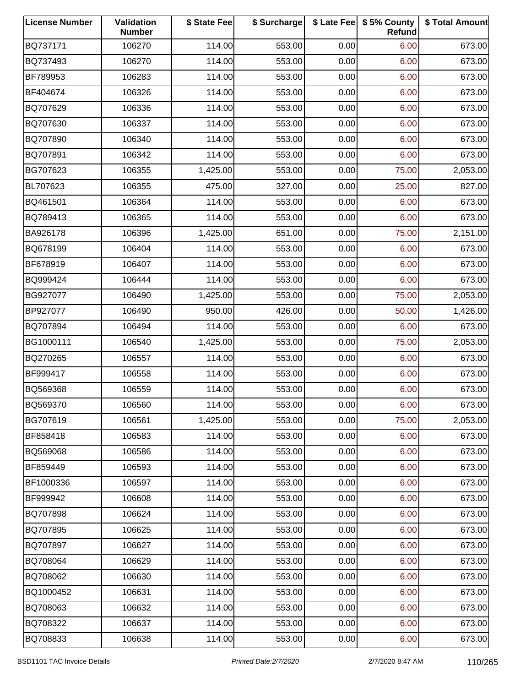| <b>License Number</b> | Validation<br><b>Number</b> | \$ State Fee | \$ Surcharge |      | \$ Late Fee   \$5% County<br>Refund | \$ Total Amount |
|-----------------------|-----------------------------|--------------|--------------|------|-------------------------------------|-----------------|
| BQ737171              | 106270                      | 114.00       | 553.00       | 0.00 | 6.00                                | 673.00          |
| BQ737493              | 106270                      | 114.00       | 553.00       | 0.00 | 6.00                                | 673.00          |
| BF789953              | 106283                      | 114.00       | 553.00       | 0.00 | 6.00                                | 673.00          |
| BF404674              | 106326                      | 114.00       | 553.00       | 0.00 | 6.00                                | 673.00          |
| BQ707629              | 106336                      | 114.00       | 553.00       | 0.00 | 6.00                                | 673.00          |
| BQ707630              | 106337                      | 114.00       | 553.00       | 0.00 | 6.00                                | 673.00          |
| BQ707890              | 106340                      | 114.00       | 553.00       | 0.00 | 6.00                                | 673.00          |
| BQ707891              | 106342                      | 114.00       | 553.00       | 0.00 | 6.00                                | 673.00          |
| BG707623              | 106355                      | 1,425.00     | 553.00       | 0.00 | 75.00                               | 2,053.00        |
| BL707623              | 106355                      | 475.00       | 327.00       | 0.00 | 25.00                               | 827.00          |
| BQ461501              | 106364                      | 114.00       | 553.00       | 0.00 | 6.00                                | 673.00          |
| BQ789413              | 106365                      | 114.00       | 553.00       | 0.00 | 6.00                                | 673.00          |
| BA926178              | 106396                      | 1,425.00     | 651.00       | 0.00 | 75.00                               | 2,151.00        |
| BQ678199              | 106404                      | 114.00       | 553.00       | 0.00 | 6.00                                | 673.00          |
| BF678919              | 106407                      | 114.00       | 553.00       | 0.00 | 6.00                                | 673.00          |
| BQ999424              | 106444                      | 114.00       | 553.00       | 0.00 | 6.00                                | 673.00          |
| BG927077              | 106490                      | 1,425.00     | 553.00       | 0.00 | 75.00                               | 2,053.00        |
| BP927077              | 106490                      | 950.00       | 426.00       | 0.00 | 50.00                               | 1,426.00        |
| BQ707894              | 106494                      | 114.00       | 553.00       | 0.00 | 6.00                                | 673.00          |
| BG1000111             | 106540                      | 1,425.00     | 553.00       | 0.00 | 75.00                               | 2,053.00        |
| BQ270265              | 106557                      | 114.00       | 553.00       | 0.00 | 6.00                                | 673.00          |
| BF999417              | 106558                      | 114.00       | 553.00       | 0.00 | 6.00                                | 673.00          |
| BQ569368              | 106559                      | 114.00       | 553.00       | 0.00 | 6.00                                | 673.00          |
| BQ569370              | 106560                      | 114.00       | 553.00       | 0.00 | 6.00                                | 673.00          |
| BG707619              | 106561                      | 1,425.00     | 553.00       | 0.00 | 75.00                               | 2,053.00        |
| BF858418              | 106583                      | 114.00       | 553.00       | 0.00 | 6.00                                | 673.00          |
| BQ569068              | 106586                      | 114.00       | 553.00       | 0.00 | 6.00                                | 673.00          |
| BF859449              | 106593                      | 114.00       | 553.00       | 0.00 | 6.00                                | 673.00          |
| BF1000336             | 106597                      | 114.00       | 553.00       | 0.00 | 6.00                                | 673.00          |
| BF999942              | 106608                      | 114.00       | 553.00       | 0.00 | 6.00                                | 673.00          |
| BQ707898              | 106624                      | 114.00       | 553.00       | 0.00 | 6.00                                | 673.00          |
| BQ707895              | 106625                      | 114.00       | 553.00       | 0.00 | 6.00                                | 673.00          |
| BQ707897              | 106627                      | 114.00       | 553.00       | 0.00 | 6.00                                | 673.00          |
| BQ708064              | 106629                      | 114.00       | 553.00       | 0.00 | 6.00                                | 673.00          |
| BQ708062              | 106630                      | 114.00       | 553.00       | 0.00 | 6.00                                | 673.00          |
| BQ1000452             | 106631                      | 114.00       | 553.00       | 0.00 | 6.00                                | 673.00          |
| BQ708063              | 106632                      | 114.00       | 553.00       | 0.00 | 6.00                                | 673.00          |
| BQ708322              | 106637                      | 114.00       | 553.00       | 0.00 | 6.00                                | 673.00          |
| BQ708833              | 106638                      | 114.00       | 553.00       | 0.00 | 6.00                                | 673.00          |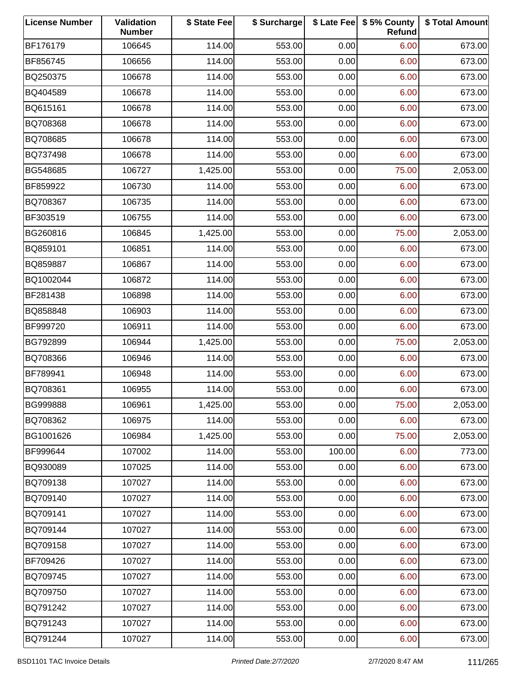| <b>License Number</b> | Validation<br><b>Number</b> | \$ State Fee | \$ Surcharge |        | \$ Late Fee   \$5% County<br>Refund | \$ Total Amount |
|-----------------------|-----------------------------|--------------|--------------|--------|-------------------------------------|-----------------|
| BF176179              | 106645                      | 114.00       | 553.00       | 0.00   | 6.00                                | 673.00          |
| BF856745              | 106656                      | 114.00       | 553.00       | 0.00   | 6.00                                | 673.00          |
| BQ250375              | 106678                      | 114.00       | 553.00       | 0.00   | 6.00                                | 673.00          |
| BQ404589              | 106678                      | 114.00       | 553.00       | 0.00   | 6.00                                | 673.00          |
| BQ615161              | 106678                      | 114.00       | 553.00       | 0.00   | 6.00                                | 673.00          |
| BQ708368              | 106678                      | 114.00       | 553.00       | 0.00   | 6.00                                | 673.00          |
| BQ708685              | 106678                      | 114.00       | 553.00       | 0.00   | 6.00                                | 673.00          |
| BQ737498              | 106678                      | 114.00       | 553.00       | 0.00   | 6.00                                | 673.00          |
| BG548685              | 106727                      | 1,425.00     | 553.00       | 0.00   | 75.00                               | 2,053.00        |
| BF859922              | 106730                      | 114.00       | 553.00       | 0.00   | 6.00                                | 673.00          |
| BQ708367              | 106735                      | 114.00       | 553.00       | 0.00   | 6.00                                | 673.00          |
| BF303519              | 106755                      | 114.00       | 553.00       | 0.00   | 6.00                                | 673.00          |
| BG260816              | 106845                      | 1,425.00     | 553.00       | 0.00   | 75.00                               | 2,053.00        |
| BQ859101              | 106851                      | 114.00       | 553.00       | 0.00   | 6.00                                | 673.00          |
| BQ859887              | 106867                      | 114.00       | 553.00       | 0.00   | 6.00                                | 673.00          |
| BQ1002044             | 106872                      | 114.00       | 553.00       | 0.00   | 6.00                                | 673.00          |
| BF281438              | 106898                      | 114.00       | 553.00       | 0.00   | 6.00                                | 673.00          |
| BQ858848              | 106903                      | 114.00       | 553.00       | 0.00   | 6.00                                | 673.00          |
| BF999720              | 106911                      | 114.00       | 553.00       | 0.00   | 6.00                                | 673.00          |
| BG792899              | 106944                      | 1,425.00     | 553.00       | 0.00   | 75.00                               | 2,053.00        |
| BQ708366              | 106946                      | 114.00       | 553.00       | 0.00   | 6.00                                | 673.00          |
| BF789941              | 106948                      | 114.00       | 553.00       | 0.00   | 6.00                                | 673.00          |
| BQ708361              | 106955                      | 114.00       | 553.00       | 0.00   | 6.00                                | 673.00          |
| BG999888              | 106961                      | 1,425.00     | 553.00       | 0.00   | 75.00                               | 2,053.00        |
| BQ708362              | 106975                      | 114.00       | 553.00       | 0.00   | 6.00                                | 673.00          |
| BG1001626             | 106984                      | 1,425.00     | 553.00       | 0.00   | 75.00                               | 2,053.00        |
| BF999644              | 107002                      | 114.00       | 553.00       | 100.00 | 6.00                                | 773.00          |
| BQ930089              | 107025                      | 114.00       | 553.00       | 0.00   | 6.00                                | 673.00          |
| BQ709138              | 107027                      | 114.00       | 553.00       | 0.00   | 6.00                                | 673.00          |
| BQ709140              | 107027                      | 114.00       | 553.00       | 0.00   | 6.00                                | 673.00          |
| BQ709141              | 107027                      | 114.00       | 553.00       | 0.00   | 6.00                                | 673.00          |
| BQ709144              | 107027                      | 114.00       | 553.00       | 0.00   | 6.00                                | 673.00          |
| BQ709158              | 107027                      | 114.00       | 553.00       | 0.00   | 6.00                                | 673.00          |
| BF709426              | 107027                      | 114.00       | 553.00       | 0.00   | 6.00                                | 673.00          |
| BQ709745              | 107027                      | 114.00       | 553.00       | 0.00   | 6.00                                | 673.00          |
| BQ709750              | 107027                      | 114.00       | 553.00       | 0.00   | 6.00                                | 673.00          |
| BQ791242              | 107027                      | 114.00       | 553.00       | 0.00   | 6.00                                | 673.00          |
| BQ791243              | 107027                      | 114.00       | 553.00       | 0.00   | 6.00                                | 673.00          |
| BQ791244              | 107027                      | 114.00       | 553.00       | 0.00   | 6.00                                | 673.00          |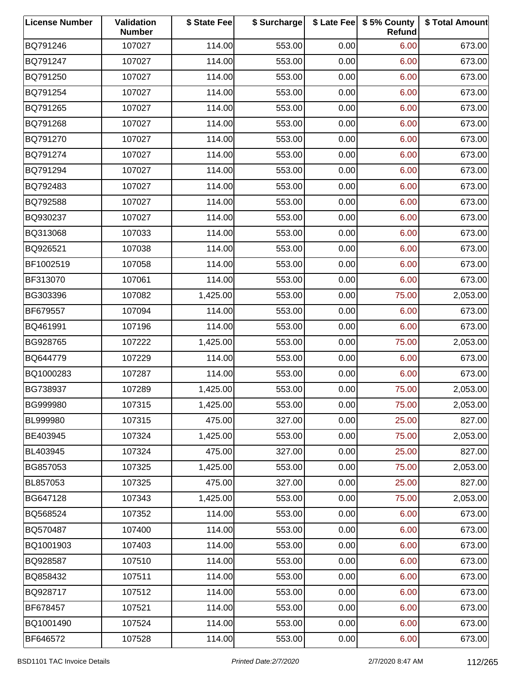| <b>License Number</b> | Validation<br><b>Number</b> | \$ State Fee | \$ Surcharge |      | \$ Late Fee   \$5% County<br>Refund | \$ Total Amount |
|-----------------------|-----------------------------|--------------|--------------|------|-------------------------------------|-----------------|
| BQ791246              | 107027                      | 114.00       | 553.00       | 0.00 | 6.00                                | 673.00          |
| BQ791247              | 107027                      | 114.00       | 553.00       | 0.00 | 6.00                                | 673.00          |
| BQ791250              | 107027                      | 114.00       | 553.00       | 0.00 | 6.00                                | 673.00          |
| BQ791254              | 107027                      | 114.00       | 553.00       | 0.00 | 6.00                                | 673.00          |
| BQ791265              | 107027                      | 114.00       | 553.00       | 0.00 | 6.00                                | 673.00          |
| BQ791268              | 107027                      | 114.00       | 553.00       | 0.00 | 6.00                                | 673.00          |
| BQ791270              | 107027                      | 114.00       | 553.00       | 0.00 | 6.00                                | 673.00          |
| BQ791274              | 107027                      | 114.00       | 553.00       | 0.00 | 6.00                                | 673.00          |
| BQ791294              | 107027                      | 114.00       | 553.00       | 0.00 | 6.00                                | 673.00          |
| BQ792483              | 107027                      | 114.00       | 553.00       | 0.00 | 6.00                                | 673.00          |
| BQ792588              | 107027                      | 114.00       | 553.00       | 0.00 | 6.00                                | 673.00          |
| BQ930237              | 107027                      | 114.00       | 553.00       | 0.00 | 6.00                                | 673.00          |
| BQ313068              | 107033                      | 114.00       | 553.00       | 0.00 | 6.00                                | 673.00          |
| BQ926521              | 107038                      | 114.00       | 553.00       | 0.00 | 6.00                                | 673.00          |
| BF1002519             | 107058                      | 114.00       | 553.00       | 0.00 | 6.00                                | 673.00          |
| BF313070              | 107061                      | 114.00       | 553.00       | 0.00 | 6.00                                | 673.00          |
| BG303396              | 107082                      | 1,425.00     | 553.00       | 0.00 | 75.00                               | 2,053.00        |
| BF679557              | 107094                      | 114.00       | 553.00       | 0.00 | 6.00                                | 673.00          |
| BQ461991              | 107196                      | 114.00       | 553.00       | 0.00 | 6.00                                | 673.00          |
| BG928765              | 107222                      | 1,425.00     | 553.00       | 0.00 | 75.00                               | 2,053.00        |
| BQ644779              | 107229                      | 114.00       | 553.00       | 0.00 | 6.00                                | 673.00          |
| BQ1000283             | 107287                      | 114.00       | 553.00       | 0.00 | 6.00                                | 673.00          |
| BG738937              | 107289                      | 1,425.00     | 553.00       | 0.00 | 75.00                               | 2,053.00        |
| BG999980              | 107315                      | 1,425.00     | 553.00       | 0.00 | 75.00                               | 2,053.00        |
| BL999980              | 107315                      | 475.00       | 327.00       | 0.00 | 25.00                               | 827.00          |
| BE403945              | 107324                      | 1,425.00     | 553.00       | 0.00 | 75.00                               | 2,053.00        |
| BL403945              | 107324                      | 475.00       | 327.00       | 0.00 | 25.00                               | 827.00          |
| BG857053              | 107325                      | 1,425.00     | 553.00       | 0.00 | 75.00                               | 2,053.00        |
| BL857053              | 107325                      | 475.00       | 327.00       | 0.00 | 25.00                               | 827.00          |
| BG647128              | 107343                      | 1,425.00     | 553.00       | 0.00 | 75.00                               | 2,053.00        |
| BQ568524              | 107352                      | 114.00       | 553.00       | 0.00 | 6.00                                | 673.00          |
| BQ570487              | 107400                      | 114.00       | 553.00       | 0.00 | 6.00                                | 673.00          |
| BQ1001903             | 107403                      | 114.00       | 553.00       | 0.00 | 6.00                                | 673.00          |
| BQ928587              | 107510                      | 114.00       | 553.00       | 0.00 | 6.00                                | 673.00          |
| BQ858432              | 107511                      | 114.00       | 553.00       | 0.00 | 6.00                                | 673.00          |
| BQ928717              | 107512                      | 114.00       | 553.00       | 0.00 | 6.00                                | 673.00          |
| BF678457              | 107521                      | 114.00       | 553.00       | 0.00 | 6.00                                | 673.00          |
| BQ1001490             | 107524                      | 114.00       | 553.00       | 0.00 | 6.00                                | 673.00          |
| BF646572              | 107528                      | 114.00       | 553.00       | 0.00 | 6.00                                | 673.00          |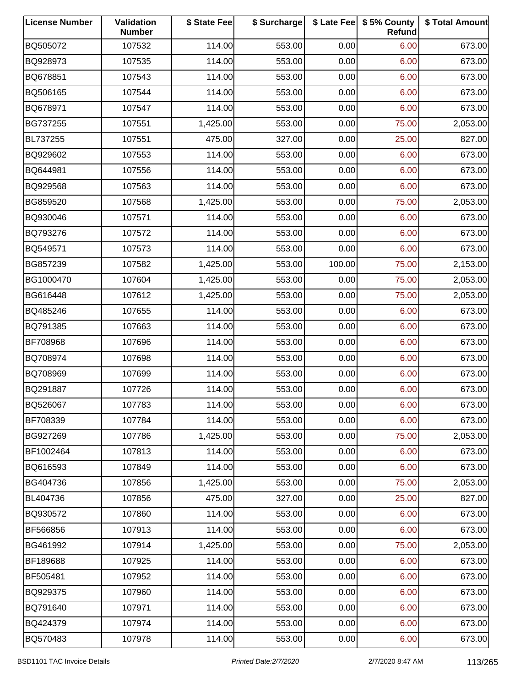| <b>License Number</b> | Validation<br><b>Number</b> | \$ State Fee | \$ Surcharge |        | \$ Late Fee   \$5% County<br>Refund | \$ Total Amount |
|-----------------------|-----------------------------|--------------|--------------|--------|-------------------------------------|-----------------|
| BQ505072              | 107532                      | 114.00       | 553.00       | 0.00   | 6.00                                | 673.00          |
| BQ928973              | 107535                      | 114.00       | 553.00       | 0.00   | 6.00                                | 673.00          |
| BQ678851              | 107543                      | 114.00       | 553.00       | 0.00   | 6.00                                | 673.00          |
| BQ506165              | 107544                      | 114.00       | 553.00       | 0.00   | 6.00                                | 673.00          |
| BQ678971              | 107547                      | 114.00       | 553.00       | 0.00   | 6.00                                | 673.00          |
| BG737255              | 107551                      | 1,425.00     | 553.00       | 0.00   | 75.00                               | 2,053.00        |
| BL737255              | 107551                      | 475.00       | 327.00       | 0.00   | 25.00                               | 827.00          |
| BQ929602              | 107553                      | 114.00       | 553.00       | 0.00   | 6.00                                | 673.00          |
| BQ644981              | 107556                      | 114.00       | 553.00       | 0.00   | 6.00                                | 673.00          |
| BQ929568              | 107563                      | 114.00       | 553.00       | 0.00   | 6.00                                | 673.00          |
| BG859520              | 107568                      | 1,425.00     | 553.00       | 0.00   | 75.00                               | 2,053.00        |
| BQ930046              | 107571                      | 114.00       | 553.00       | 0.00   | 6.00                                | 673.00          |
| BQ793276              | 107572                      | 114.00       | 553.00       | 0.00   | 6.00                                | 673.00          |
| BQ549571              | 107573                      | 114.00       | 553.00       | 0.00   | 6.00                                | 673.00          |
| BG857239              | 107582                      | 1,425.00     | 553.00       | 100.00 | 75.00                               | 2,153.00        |
| BG1000470             | 107604                      | 1,425.00     | 553.00       | 0.00   | 75.00                               | 2,053.00        |
| BG616448              | 107612                      | 1,425.00     | 553.00       | 0.00   | 75.00                               | 2,053.00        |
| BQ485246              | 107655                      | 114.00       | 553.00       | 0.00   | 6.00                                | 673.00          |
| BQ791385              | 107663                      | 114.00       | 553.00       | 0.00   | 6.00                                | 673.00          |
| BF708968              | 107696                      | 114.00       | 553.00       | 0.00   | 6.00                                | 673.00          |
| BQ708974              | 107698                      | 114.00       | 553.00       | 0.00   | 6.00                                | 673.00          |
| BQ708969              | 107699                      | 114.00       | 553.00       | 0.00   | 6.00                                | 673.00          |
| BQ291887              | 107726                      | 114.00       | 553.00       | 0.00   | 6.00                                | 673.00          |
| BQ526067              | 107783                      | 114.00       | 553.00       | 0.00   | 6.00                                | 673.00          |
| BF708339              | 107784                      | 114.00       | 553.00       | 0.00   | 6.00                                | 673.00          |
| BG927269              | 107786                      | 1,425.00     | 553.00       | 0.00   | 75.00                               | 2,053.00        |
| BF1002464             | 107813                      | 114.00       | 553.00       | 0.00   | 6.00                                | 673.00          |
| BQ616593              | 107849                      | 114.00       | 553.00       | 0.00   | 6.00                                | 673.00          |
| BG404736              | 107856                      | 1,425.00     | 553.00       | 0.00   | 75.00                               | 2,053.00        |
| BL404736              | 107856                      | 475.00       | 327.00       | 0.00   | 25.00                               | 827.00          |
| BQ930572              | 107860                      | 114.00       | 553.00       | 0.00   | 6.00                                | 673.00          |
| BF566856              | 107913                      | 114.00       | 553.00       | 0.00   | 6.00                                | 673.00          |
| BG461992              | 107914                      | 1,425.00     | 553.00       | 0.00   | 75.00                               | 2,053.00        |
| BF189688              | 107925                      | 114.00       | 553.00       | 0.00   | 6.00                                | 673.00          |
| BF505481              | 107952                      | 114.00       | 553.00       | 0.00   | 6.00                                | 673.00          |
| BQ929375              | 107960                      | 114.00       | 553.00       | 0.00   | 6.00                                | 673.00          |
| BQ791640              | 107971                      | 114.00       | 553.00       | 0.00   | 6.00                                | 673.00          |
| BQ424379              | 107974                      | 114.00       | 553.00       | 0.00   | 6.00                                | 673.00          |
| BQ570483              | 107978                      | 114.00       | 553.00       | 0.00   | 6.00                                | 673.00          |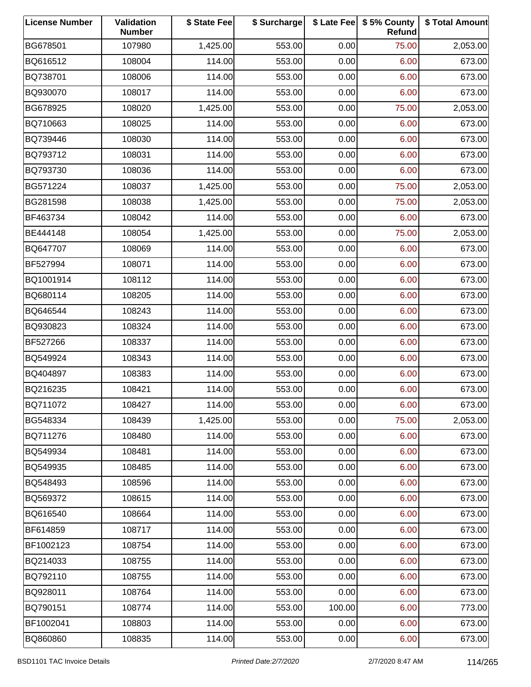| <b>License Number</b> | Validation<br><b>Number</b> | \$ State Fee | \$ Surcharge |        | \$ Late Fee   \$5% County<br>Refund | \$ Total Amount |
|-----------------------|-----------------------------|--------------|--------------|--------|-------------------------------------|-----------------|
| BG678501              | 107980                      | 1,425.00     | 553.00       | 0.00   | 75.00                               | 2,053.00        |
| BQ616512              | 108004                      | 114.00       | 553.00       | 0.00   | 6.00                                | 673.00          |
| BQ738701              | 108006                      | 114.00       | 553.00       | 0.00   | 6.00                                | 673.00          |
| BQ930070              | 108017                      | 114.00       | 553.00       | 0.00   | 6.00                                | 673.00          |
| BG678925              | 108020                      | 1,425.00     | 553.00       | 0.00   | 75.00                               | 2,053.00        |
| BQ710663              | 108025                      | 114.00       | 553.00       | 0.00   | 6.00                                | 673.00          |
| BQ739446              | 108030                      | 114.00       | 553.00       | 0.00   | 6.00                                | 673.00          |
| BQ793712              | 108031                      | 114.00       | 553.00       | 0.00   | 6.00                                | 673.00          |
| BQ793730              | 108036                      | 114.00       | 553.00       | 0.00   | 6.00                                | 673.00          |
| BG571224              | 108037                      | 1,425.00     | 553.00       | 0.00   | 75.00                               | 2,053.00        |
| BG281598              | 108038                      | 1,425.00     | 553.00       | 0.00   | 75.00                               | 2,053.00        |
| BF463734              | 108042                      | 114.00       | 553.00       | 0.00   | 6.00                                | 673.00          |
| BE444148              | 108054                      | 1,425.00     | 553.00       | 0.00   | 75.00                               | 2,053.00        |
| BQ647707              | 108069                      | 114.00       | 553.00       | 0.00   | 6.00                                | 673.00          |
| BF527994              | 108071                      | 114.00       | 553.00       | 0.00   | 6.00                                | 673.00          |
| BQ1001914             | 108112                      | 114.00       | 553.00       | 0.00   | 6.00                                | 673.00          |
| BQ680114              | 108205                      | 114.00       | 553.00       | 0.00   | 6.00                                | 673.00          |
| BQ646544              | 108243                      | 114.00       | 553.00       | 0.00   | 6.00                                | 673.00          |
| BQ930823              | 108324                      | 114.00       | 553.00       | 0.00   | 6.00                                | 673.00          |
| BF527266              | 108337                      | 114.00       | 553.00       | 0.00   | 6.00                                | 673.00          |
| BQ549924              | 108343                      | 114.00       | 553.00       | 0.00   | 6.00                                | 673.00          |
| BQ404897              | 108383                      | 114.00       | 553.00       | 0.00   | 6.00                                | 673.00          |
| BQ216235              | 108421                      | 114.00       | 553.00       | 0.00   | 6.00                                | 673.00          |
| BQ711072              | 108427                      | 114.00       | 553.00       | 0.00   | 6.00                                | 673.00          |
| BG548334              | 108439                      | 1,425.00     | 553.00       | 0.00   | 75.00                               | 2,053.00        |
| BQ711276              | 108480                      | 114.00       | 553.00       | 0.00   | 6.00                                | 673.00          |
| BQ549934              | 108481                      | 114.00       | 553.00       | 0.00   | 6.00                                | 673.00          |
| BQ549935              | 108485                      | 114.00       | 553.00       | 0.00   | 6.00                                | 673.00          |
| BQ548493              | 108596                      | 114.00       | 553.00       | 0.00   | 6.00                                | 673.00          |
| BQ569372              | 108615                      | 114.00       | 553.00       | 0.00   | 6.00                                | 673.00          |
| BQ616540              | 108664                      | 114.00       | 553.00       | 0.00   | 6.00                                | 673.00          |
| BF614859              | 108717                      | 114.00       | 553.00       | 0.00   | 6.00                                | 673.00          |
| BF1002123             | 108754                      | 114.00       | 553.00       | 0.00   | 6.00                                | 673.00          |
| BQ214033              | 108755                      | 114.00       | 553.00       | 0.00   | 6.00                                | 673.00          |
| BQ792110              | 108755                      | 114.00       | 553.00       | 0.00   | 6.00                                | 673.00          |
| BQ928011              | 108764                      | 114.00       | 553.00       | 0.00   | 6.00                                | 673.00          |
| BQ790151              | 108774                      | 114.00       | 553.00       | 100.00 | 6.00                                | 773.00          |
| BF1002041             | 108803                      | 114.00       | 553.00       | 0.00   | 6.00                                | 673.00          |
| BQ860860              | 108835                      | 114.00       | 553.00       | 0.00   | 6.00                                | 673.00          |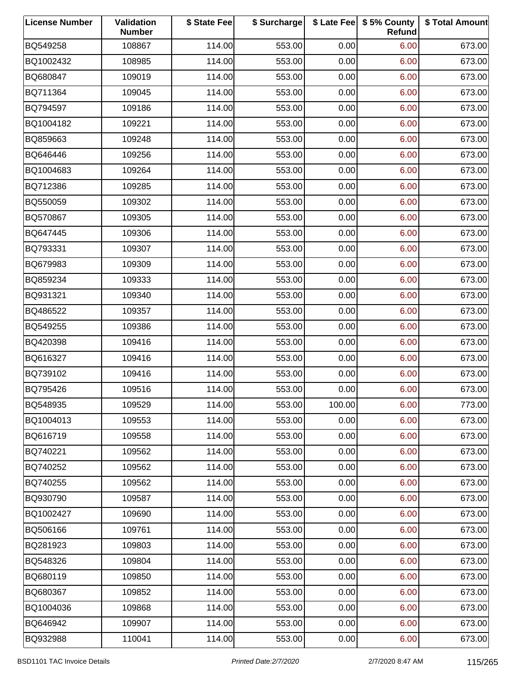| <b>License Number</b> | Validation<br><b>Number</b> | \$ State Fee | \$ Surcharge |        | \$ Late Fee   \$5% County<br>Refund | \$ Total Amount |
|-----------------------|-----------------------------|--------------|--------------|--------|-------------------------------------|-----------------|
| BQ549258              | 108867                      | 114.00       | 553.00       | 0.00   | 6.00                                | 673.00          |
| BQ1002432             | 108985                      | 114.00       | 553.00       | 0.00   | 6.00                                | 673.00          |
| BQ680847              | 109019                      | 114.00       | 553.00       | 0.00   | 6.00                                | 673.00          |
| BQ711364              | 109045                      | 114.00       | 553.00       | 0.00   | 6.00                                | 673.00          |
| BQ794597              | 109186                      | 114.00       | 553.00       | 0.00   | 6.00                                | 673.00          |
| BQ1004182             | 109221                      | 114.00       | 553.00       | 0.00   | 6.00                                | 673.00          |
| BQ859663              | 109248                      | 114.00       | 553.00       | 0.00   | 6.00                                | 673.00          |
| BQ646446              | 109256                      | 114.00       | 553.00       | 0.00   | 6.00                                | 673.00          |
| BQ1004683             | 109264                      | 114.00       | 553.00       | 0.00   | 6.00                                | 673.00          |
| BQ712386              | 109285                      | 114.00       | 553.00       | 0.00   | 6.00                                | 673.00          |
| BQ550059              | 109302                      | 114.00       | 553.00       | 0.00   | 6.00                                | 673.00          |
| BQ570867              | 109305                      | 114.00       | 553.00       | 0.00   | 6.00                                | 673.00          |
| BQ647445              | 109306                      | 114.00       | 553.00       | 0.00   | 6.00                                | 673.00          |
| BQ793331              | 109307                      | 114.00       | 553.00       | 0.00   | 6.00                                | 673.00          |
| BQ679983              | 109309                      | 114.00       | 553.00       | 0.00   | 6.00                                | 673.00          |
| BQ859234              | 109333                      | 114.00       | 553.00       | 0.00   | 6.00                                | 673.00          |
| BQ931321              | 109340                      | 114.00       | 553.00       | 0.00   | 6.00                                | 673.00          |
| BQ486522              | 109357                      | 114.00       | 553.00       | 0.00   | 6.00                                | 673.00          |
| BQ549255              | 109386                      | 114.00       | 553.00       | 0.00   | 6.00                                | 673.00          |
| BQ420398              | 109416                      | 114.00       | 553.00       | 0.00   | 6.00                                | 673.00          |
| BQ616327              | 109416                      | 114.00       | 553.00       | 0.00   | 6.00                                | 673.00          |
| BQ739102              | 109416                      | 114.00       | 553.00       | 0.00   | 6.00                                | 673.00          |
| BQ795426              | 109516                      | 114.00       | 553.00       | 0.00   | 6.00                                | 673.00          |
| BQ548935              | 109529                      | 114.00       | 553.00       | 100.00 | 6.00                                | 773.00          |
| BQ1004013             | 109553                      | 114.00       | 553.00       | 0.00   | 6.00                                | 673.00          |
| BQ616719              | 109558                      | 114.00       | 553.00       | 0.00   | 6.00                                | 673.00          |
| BQ740221              | 109562                      | 114.00       | 553.00       | 0.00   | 6.00                                | 673.00          |
| BQ740252              | 109562                      | 114.00       | 553.00       | 0.00   | 6.00                                | 673.00          |
| BQ740255              | 109562                      | 114.00       | 553.00       | 0.00   | 6.00                                | 673.00          |
| BQ930790              | 109587                      | 114.00       | 553.00       | 0.00   | 6.00                                | 673.00          |
| BQ1002427             | 109690                      | 114.00       | 553.00       | 0.00   | 6.00                                | 673.00          |
| BQ506166              | 109761                      | 114.00       | 553.00       | 0.00   | 6.00                                | 673.00          |
| BQ281923              | 109803                      | 114.00       | 553.00       | 0.00   | 6.00                                | 673.00          |
| BQ548326              | 109804                      | 114.00       | 553.00       | 0.00   | 6.00                                | 673.00          |
| BQ680119              | 109850                      | 114.00       | 553.00       | 0.00   | 6.00                                | 673.00          |
| BQ680367              | 109852                      | 114.00       | 553.00       | 0.00   | 6.00                                | 673.00          |
| BQ1004036             | 109868                      | 114.00       | 553.00       | 0.00   | 6.00                                | 673.00          |
| BQ646942              | 109907                      | 114.00       | 553.00       | 0.00   | 6.00                                | 673.00          |
| BQ932988              | 110041                      | 114.00       | 553.00       | 0.00   | 6.00                                | 673.00          |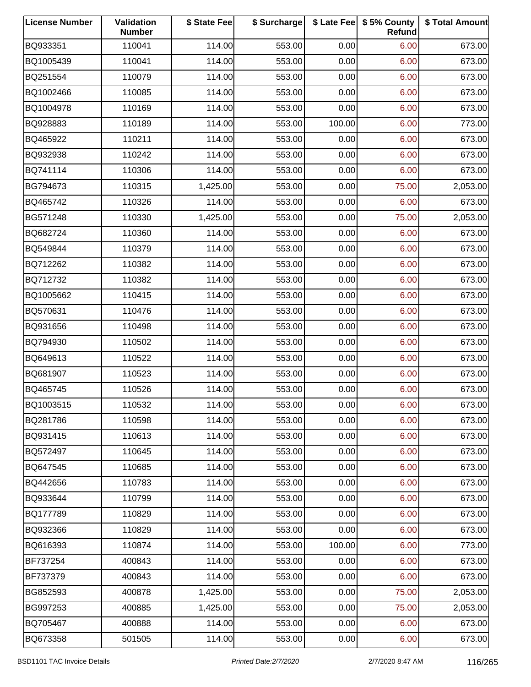| <b>License Number</b> | Validation<br><b>Number</b> | \$ State Fee | \$ Surcharge |        | \$ Late Fee   \$5% County<br>Refund | \$ Total Amount |
|-----------------------|-----------------------------|--------------|--------------|--------|-------------------------------------|-----------------|
| BQ933351              | 110041                      | 114.00       | 553.00       | 0.00   | 6.00                                | 673.00          |
| BQ1005439             | 110041                      | 114.00       | 553.00       | 0.00   | 6.00                                | 673.00          |
| BQ251554              | 110079                      | 114.00       | 553.00       | 0.00   | 6.00                                | 673.00          |
| BQ1002466             | 110085                      | 114.00       | 553.00       | 0.00   | 6.00                                | 673.00          |
| BQ1004978             | 110169                      | 114.00       | 553.00       | 0.00   | 6.00                                | 673.00          |
| BQ928883              | 110189                      | 114.00       | 553.00       | 100.00 | 6.00                                | 773.00          |
| BQ465922              | 110211                      | 114.00       | 553.00       | 0.00   | 6.00                                | 673.00          |
| BQ932938              | 110242                      | 114.00       | 553.00       | 0.00   | 6.00                                | 673.00          |
| BQ741114              | 110306                      | 114.00       | 553.00       | 0.00   | 6.00                                | 673.00          |
| BG794673              | 110315                      | 1,425.00     | 553.00       | 0.00   | 75.00                               | 2,053.00        |
| BQ465742              | 110326                      | 114.00       | 553.00       | 0.00   | 6.00                                | 673.00          |
| BG571248              | 110330                      | 1,425.00     | 553.00       | 0.00   | 75.00                               | 2,053.00        |
| BQ682724              | 110360                      | 114.00       | 553.00       | 0.00   | 6.00                                | 673.00          |
| BQ549844              | 110379                      | 114.00       | 553.00       | 0.00   | 6.00                                | 673.00          |
| BQ712262              | 110382                      | 114.00       | 553.00       | 0.00   | 6.00                                | 673.00          |
| BQ712732              | 110382                      | 114.00       | 553.00       | 0.00   | 6.00                                | 673.00          |
| BQ1005662             | 110415                      | 114.00       | 553.00       | 0.00   | 6.00                                | 673.00          |
| BQ570631              | 110476                      | 114.00       | 553.00       | 0.00   | 6.00                                | 673.00          |
| BQ931656              | 110498                      | 114.00       | 553.00       | 0.00   | 6.00                                | 673.00          |
| BQ794930              | 110502                      | 114.00       | 553.00       | 0.00   | 6.00                                | 673.00          |
| BQ649613              | 110522                      | 114.00       | 553.00       | 0.00   | 6.00                                | 673.00          |
| BQ681907              | 110523                      | 114.00       | 553.00       | 0.00   | 6.00                                | 673.00          |
| BQ465745              | 110526                      | 114.00       | 553.00       | 0.00   | 6.00                                | 673.00          |
| BQ1003515             | 110532                      | 114.00       | 553.00       | 0.00   | 6.00                                | 673.00          |
| BQ281786              | 110598                      | 114.00       | 553.00       | 0.00   | 6.00                                | 673.00          |
| BQ931415              | 110613                      | 114.00       | 553.00       | 0.00   | 6.00                                | 673.00          |
| BQ572497              | 110645                      | 114.00       | 553.00       | 0.00   | 6.00                                | 673.00          |
| BQ647545              | 110685                      | 114.00       | 553.00       | 0.00   | 6.00                                | 673.00          |
| BQ442656              | 110783                      | 114.00       | 553.00       | 0.00   | 6.00                                | 673.00          |
| BQ933644              | 110799                      | 114.00       | 553.00       | 0.00   | 6.00                                | 673.00          |
| BQ177789              | 110829                      | 114.00       | 553.00       | 0.00   | 6.00                                | 673.00          |
| BQ932366              | 110829                      | 114.00       | 553.00       | 0.00   | 6.00                                | 673.00          |
| BQ616393              | 110874                      | 114.00       | 553.00       | 100.00 | 6.00                                | 773.00          |
| BF737254              | 400843                      | 114.00       | 553.00       | 0.00   | 6.00                                | 673.00          |
| BF737379              | 400843                      | 114.00       | 553.00       | 0.00   | 6.00                                | 673.00          |
| BG852593              | 400878                      | 1,425.00     | 553.00       | 0.00   | 75.00                               | 2,053.00        |
| BG997253              | 400885                      | 1,425.00     | 553.00       | 0.00   | 75.00                               | 2,053.00        |
| BQ705467              | 400888                      | 114.00       | 553.00       | 0.00   | 6.00                                | 673.00          |
| BQ673358              | 501505                      | 114.00       | 553.00       | 0.00   | 6.00                                | 673.00          |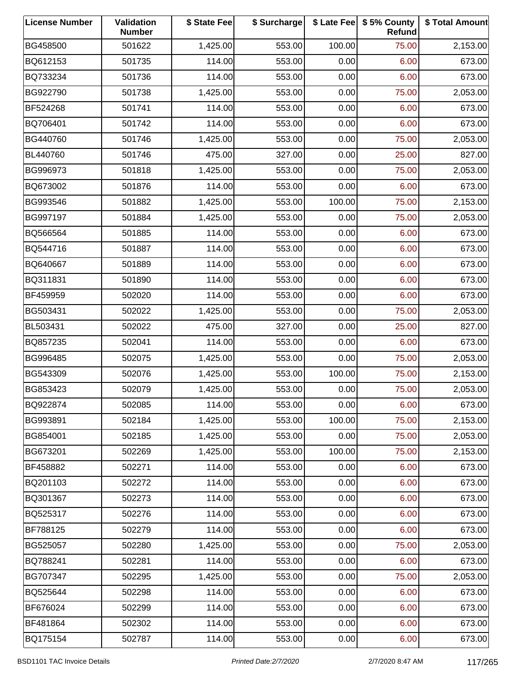| <b>License Number</b> | Validation<br><b>Number</b> | \$ State Fee | \$ Surcharge |        | \$ Late Fee   \$5% County<br>Refund | \$ Total Amount |
|-----------------------|-----------------------------|--------------|--------------|--------|-------------------------------------|-----------------|
| BG458500              | 501622                      | 1,425.00     | 553.00       | 100.00 | 75.00                               | 2,153.00        |
| BQ612153              | 501735                      | 114.00       | 553.00       | 0.00   | 6.00                                | 673.00          |
| BQ733234              | 501736                      | 114.00       | 553.00       | 0.00   | 6.00                                | 673.00          |
| BG922790              | 501738                      | 1,425.00     | 553.00       | 0.00   | 75.00                               | 2,053.00        |
| BF524268              | 501741                      | 114.00       | 553.00       | 0.00   | 6.00                                | 673.00          |
| BQ706401              | 501742                      | 114.00       | 553.00       | 0.00   | 6.00                                | 673.00          |
| BG440760              | 501746                      | 1,425.00     | 553.00       | 0.00   | 75.00                               | 2,053.00        |
| BL440760              | 501746                      | 475.00       | 327.00       | 0.00   | 25.00                               | 827.00          |
| BG996973              | 501818                      | 1,425.00     | 553.00       | 0.00   | 75.00                               | 2,053.00        |
| BQ673002              | 501876                      | 114.00       | 553.00       | 0.00   | 6.00                                | 673.00          |
| BG993546              | 501882                      | 1,425.00     | 553.00       | 100.00 | 75.00                               | 2,153.00        |
| BG997197              | 501884                      | 1,425.00     | 553.00       | 0.00   | 75.00                               | 2,053.00        |
| BQ566564              | 501885                      | 114.00       | 553.00       | 0.00   | 6.00                                | 673.00          |
| BQ544716              | 501887                      | 114.00       | 553.00       | 0.00   | 6.00                                | 673.00          |
| BQ640667              | 501889                      | 114.00       | 553.00       | 0.00   | 6.00                                | 673.00          |
| BQ311831              | 501890                      | 114.00       | 553.00       | 0.00   | 6.00                                | 673.00          |
| BF459959              | 502020                      | 114.00       | 553.00       | 0.00   | 6.00                                | 673.00          |
| BG503431              | 502022                      | 1,425.00     | 553.00       | 0.00   | 75.00                               | 2,053.00        |
| BL503431              | 502022                      | 475.00       | 327.00       | 0.00   | 25.00                               | 827.00          |
| BQ857235              | 502041                      | 114.00       | 553.00       | 0.00   | 6.00                                | 673.00          |
| BG996485              | 502075                      | 1,425.00     | 553.00       | 0.00   | 75.00                               | 2,053.00        |
| BG543309              | 502076                      | 1,425.00     | 553.00       | 100.00 | 75.00                               | 2,153.00        |
| BG853423              | 502079                      | 1,425.00     | 553.00       | 0.00   | 75.00                               | 2,053.00        |
| BQ922874              | 502085                      | 114.00       | 553.00       | 0.00   | 6.00                                | 673.00          |
| BG993891              | 502184                      | 1,425.00     | 553.00       | 100.00 | 75.00                               | 2,153.00        |
| BG854001              | 502185                      | 1,425.00     | 553.00       | 0.00   | 75.00                               | 2,053.00        |
| BG673201              | 502269                      | 1,425.00     | 553.00       | 100.00 | 75.00                               | 2,153.00        |
| BF458882              | 502271                      | 114.00       | 553.00       | 0.00   | 6.00                                | 673.00          |
| BQ201103              | 502272                      | 114.00       | 553.00       | 0.00   | 6.00                                | 673.00          |
| BQ301367              | 502273                      | 114.00       | 553.00       | 0.00   | 6.00                                | 673.00          |
| BQ525317              | 502276                      | 114.00       | 553.00       | 0.00   | 6.00                                | 673.00          |
| BF788125              | 502279                      | 114.00       | 553.00       | 0.00   | 6.00                                | 673.00          |
| BG525057              | 502280                      | 1,425.00     | 553.00       | 0.00   | 75.00                               | 2,053.00        |
| BQ788241              | 502281                      | 114.00       | 553.00       | 0.00   | 6.00                                | 673.00          |
| BG707347              | 502295                      | 1,425.00     | 553.00       | 0.00   | 75.00                               | 2,053.00        |
| BQ525644              | 502298                      | 114.00       | 553.00       | 0.00   | 6.00                                | 673.00          |
| BF676024              | 502299                      | 114.00       | 553.00       | 0.00   | 6.00                                | 673.00          |
| BF481864              | 502302                      | 114.00       | 553.00       | 0.00   | 6.00                                | 673.00          |
| BQ175154              | 502787                      | 114.00       | 553.00       | 0.00   | 6.00                                | 673.00          |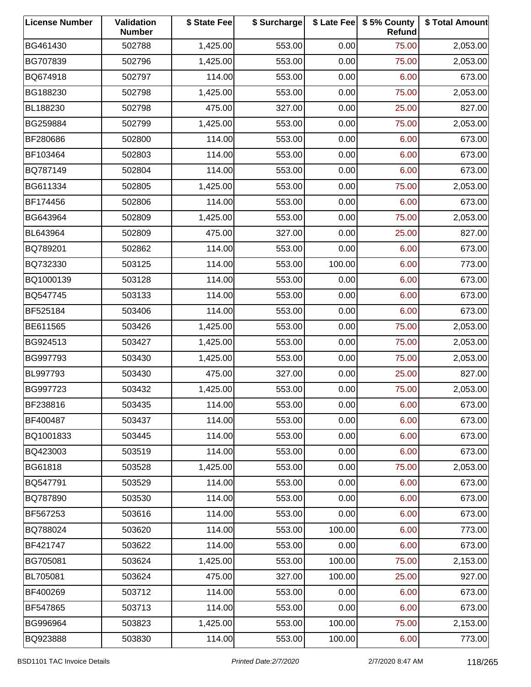| <b>License Number</b> | Validation<br><b>Number</b> | \$ State Fee | \$ Surcharge |        | \$ Late Fee   \$5% County<br>Refund | \$ Total Amount |
|-----------------------|-----------------------------|--------------|--------------|--------|-------------------------------------|-----------------|
| BG461430              | 502788                      | 1,425.00     | 553.00       | 0.00   | 75.00                               | 2,053.00        |
| BG707839              | 502796                      | 1,425.00     | 553.00       | 0.00   | 75.00                               | 2,053.00        |
| BQ674918              | 502797                      | 114.00       | 553.00       | 0.00   | 6.00                                | 673.00          |
| BG188230              | 502798                      | 1,425.00     | 553.00       | 0.00   | 75.00                               | 2,053.00        |
| BL188230              | 502798                      | 475.00       | 327.00       | 0.00   | 25.00                               | 827.00          |
| BG259884              | 502799                      | 1,425.00     | 553.00       | 0.00   | 75.00                               | 2,053.00        |
| BF280686              | 502800                      | 114.00       | 553.00       | 0.00   | 6.00                                | 673.00          |
| BF103464              | 502803                      | 114.00       | 553.00       | 0.00   | 6.00                                | 673.00          |
| BQ787149              | 502804                      | 114.00       | 553.00       | 0.00   | 6.00                                | 673.00          |
| BG611334              | 502805                      | 1,425.00     | 553.00       | 0.00   | 75.00                               | 2,053.00        |
| BF174456              | 502806                      | 114.00       | 553.00       | 0.00   | 6.00                                | 673.00          |
| BG643964              | 502809                      | 1,425.00     | 553.00       | 0.00   | 75.00                               | 2,053.00        |
| BL643964              | 502809                      | 475.00       | 327.00       | 0.00   | 25.00                               | 827.00          |
| BQ789201              | 502862                      | 114.00       | 553.00       | 0.00   | 6.00                                | 673.00          |
| BQ732330              | 503125                      | 114.00       | 553.00       | 100.00 | 6.00                                | 773.00          |
| BQ1000139             | 503128                      | 114.00       | 553.00       | 0.00   | 6.00                                | 673.00          |
| BQ547745              | 503133                      | 114.00       | 553.00       | 0.00   | 6.00                                | 673.00          |
| BF525184              | 503406                      | 114.00       | 553.00       | 0.00   | 6.00                                | 673.00          |
| BE611565              | 503426                      | 1,425.00     | 553.00       | 0.00   | 75.00                               | 2,053.00        |
| BG924513              | 503427                      | 1,425.00     | 553.00       | 0.00   | 75.00                               | 2,053.00        |
| BG997793              | 503430                      | 1,425.00     | 553.00       | 0.00   | 75.00                               | 2,053.00        |
| BL997793              | 503430                      | 475.00       | 327.00       | 0.00   | 25.00                               | 827.00          |
| BG997723              | 503432                      | 1,425.00     | 553.00       | 0.00   | 75.00                               | 2,053.00        |
| BF238816              | 503435                      | 114.00       | 553.00       | 0.00   | 6.00                                | 673.00          |
| BF400487              | 503437                      | 114.00       | 553.00       | 0.00   | 6.00                                | 673.00          |
| BQ1001833             | 503445                      | 114.00       | 553.00       | 0.00   | 6.00                                | 673.00          |
| BQ423003              | 503519                      | 114.00       | 553.00       | 0.00   | 6.00                                | 673.00          |
| BG61818               | 503528                      | 1,425.00     | 553.00       | 0.00   | 75.00                               | 2,053.00        |
| BQ547791              | 503529                      | 114.00       | 553.00       | 0.00   | 6.00                                | 673.00          |
| BQ787890              | 503530                      | 114.00       | 553.00       | 0.00   | 6.00                                | 673.00          |
| BF567253              | 503616                      | 114.00       | 553.00       | 0.00   | 6.00                                | 673.00          |
| BQ788024              | 503620                      | 114.00       | 553.00       | 100.00 | 6.00                                | 773.00          |
| BF421747              | 503622                      | 114.00       | 553.00       | 0.00   | 6.00                                | 673.00          |
| BG705081              | 503624                      | 1,425.00     | 553.00       | 100.00 | 75.00                               | 2,153.00        |
| BL705081              | 503624                      | 475.00       | 327.00       | 100.00 | 25.00                               | 927.00          |
| BF400269              | 503712                      | 114.00       | 553.00       | 0.00   | 6.00                                | 673.00          |
| BF547865              | 503713                      | 114.00       | 553.00       | 0.00   | 6.00                                | 673.00          |
| BG996964              | 503823                      | 1,425.00     | 553.00       | 100.00 | 75.00                               | 2,153.00        |
| BQ923888              | 503830                      | 114.00       | 553.00       | 100.00 | 6.00                                | 773.00          |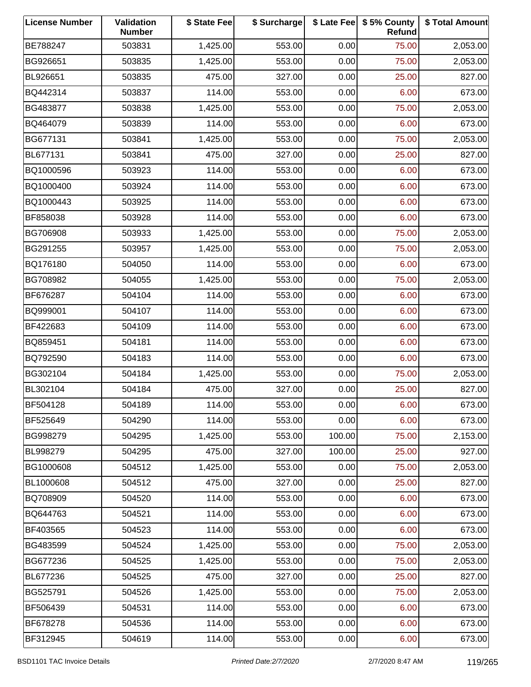| <b>License Number</b> | Validation<br><b>Number</b> | \$ State Fee | \$ Surcharge |        | \$ Late Fee   \$5% County<br>Refund | \$ Total Amount |
|-----------------------|-----------------------------|--------------|--------------|--------|-------------------------------------|-----------------|
| BE788247              | 503831                      | 1,425.00     | 553.00       | 0.00   | 75.00                               | 2,053.00        |
| BG926651              | 503835                      | 1,425.00     | 553.00       | 0.00   | 75.00                               | 2,053.00        |
| BL926651              | 503835                      | 475.00       | 327.00       | 0.00   | 25.00                               | 827.00          |
| BQ442314              | 503837                      | 114.00       | 553.00       | 0.00   | 6.00                                | 673.00          |
| BG483877              | 503838                      | 1,425.00     | 553.00       | 0.00   | 75.00                               | 2,053.00        |
| BQ464079              | 503839                      | 114.00       | 553.00       | 0.00   | 6.00                                | 673.00          |
| BG677131              | 503841                      | 1,425.00     | 553.00       | 0.00   | 75.00                               | 2,053.00        |
| BL677131              | 503841                      | 475.00       | 327.00       | 0.00   | 25.00                               | 827.00          |
| BQ1000596             | 503923                      | 114.00       | 553.00       | 0.00   | 6.00                                | 673.00          |
| BQ1000400             | 503924                      | 114.00       | 553.00       | 0.00   | 6.00                                | 673.00          |
| BQ1000443             | 503925                      | 114.00       | 553.00       | 0.00   | 6.00                                | 673.00          |
| BF858038              | 503928                      | 114.00       | 553.00       | 0.00   | 6.00                                | 673.00          |
| BG706908              | 503933                      | 1,425.00     | 553.00       | 0.00   | 75.00                               | 2,053.00        |
| BG291255              | 503957                      | 1,425.00     | 553.00       | 0.00   | 75.00                               | 2,053.00        |
| BQ176180              | 504050                      | 114.00       | 553.00       | 0.00   | 6.00                                | 673.00          |
| BG708982              | 504055                      | 1,425.00     | 553.00       | 0.00   | 75.00                               | 2,053.00        |
| BF676287              | 504104                      | 114.00       | 553.00       | 0.00   | 6.00                                | 673.00          |
| BQ999001              | 504107                      | 114.00       | 553.00       | 0.00   | 6.00                                | 673.00          |
| BF422683              | 504109                      | 114.00       | 553.00       | 0.00   | 6.00                                | 673.00          |
| BQ859451              | 504181                      | 114.00       | 553.00       | 0.00   | 6.00                                | 673.00          |
| BQ792590              | 504183                      | 114.00       | 553.00       | 0.00   | 6.00                                | 673.00          |
| BG302104              | 504184                      | 1,425.00     | 553.00       | 0.00   | 75.00                               | 2,053.00        |
| BL302104              | 504184                      | 475.00       | 327.00       | 0.00   | 25.00                               | 827.00          |
| BF504128              | 504189                      | 114.00       | 553.00       | 0.00   | 6.00                                | 673.00          |
| BF525649              | 504290                      | 114.00       | 553.00       | 0.00   | 6.00                                | 673.00          |
| BG998279              | 504295                      | 1,425.00     | 553.00       | 100.00 | 75.00                               | 2,153.00        |
| BL998279              | 504295                      | 475.00       | 327.00       | 100.00 | 25.00                               | 927.00          |
| BG1000608             | 504512                      | 1,425.00     | 553.00       | 0.00   | 75.00                               | 2,053.00        |
| BL1000608             | 504512                      | 475.00       | 327.00       | 0.00   | 25.00                               | 827.00          |
| BQ708909              | 504520                      | 114.00       | 553.00       | 0.00   | 6.00                                | 673.00          |
| BQ644763              | 504521                      | 114.00       | 553.00       | 0.00   | 6.00                                | 673.00          |
| BF403565              | 504523                      | 114.00       | 553.00       | 0.00   | 6.00                                | 673.00          |
| BG483599              | 504524                      | 1,425.00     | 553.00       | 0.00   | 75.00                               | 2,053.00        |
| BG677236              | 504525                      | 1,425.00     | 553.00       | 0.00   | 75.00                               | 2,053.00        |
| BL677236              | 504525                      | 475.00       | 327.00       | 0.00   | 25.00                               | 827.00          |
| BG525791              | 504526                      | 1,425.00     | 553.00       | 0.00   | 75.00                               | 2,053.00        |
| BF506439              | 504531                      | 114.00       | 553.00       | 0.00   | 6.00                                | 673.00          |
| BF678278              | 504536                      | 114.00       | 553.00       | 0.00   | 6.00                                | 673.00          |
| BF312945              | 504619                      | 114.00       | 553.00       | 0.00   | 6.00                                | 673.00          |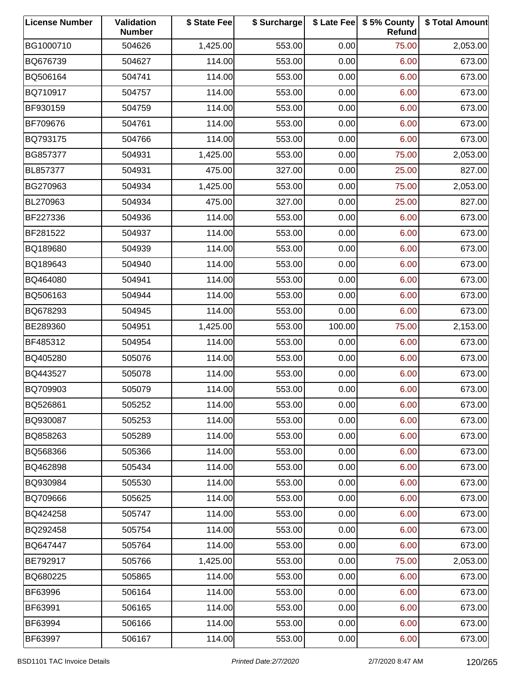| <b>License Number</b> | Validation<br><b>Number</b> | \$ State Fee | \$ Surcharge |        | \$ Late Fee   \$5% County<br>Refund | \$ Total Amount |
|-----------------------|-----------------------------|--------------|--------------|--------|-------------------------------------|-----------------|
| BG1000710             | 504626                      | 1,425.00     | 553.00       | 0.00   | 75.00                               | 2,053.00        |
| BQ676739              | 504627                      | 114.00       | 553.00       | 0.00   | 6.00                                | 673.00          |
| BQ506164              | 504741                      | 114.00       | 553.00       | 0.00   | 6.00                                | 673.00          |
| BQ710917              | 504757                      | 114.00       | 553.00       | 0.00   | 6.00                                | 673.00          |
| BF930159              | 504759                      | 114.00       | 553.00       | 0.00   | 6.00                                | 673.00          |
| BF709676              | 504761                      | 114.00       | 553.00       | 0.00   | 6.00                                | 673.00          |
| BQ793175              | 504766                      | 114.00       | 553.00       | 0.00   | 6.00                                | 673.00          |
| BG857377              | 504931                      | 1,425.00     | 553.00       | 0.00   | 75.00                               | 2,053.00        |
| BL857377              | 504931                      | 475.00       | 327.00       | 0.00   | 25.00                               | 827.00          |
| BG270963              | 504934                      | 1,425.00     | 553.00       | 0.00   | 75.00                               | 2,053.00        |
| BL270963              | 504934                      | 475.00       | 327.00       | 0.00   | 25.00                               | 827.00          |
| BF227336              | 504936                      | 114.00       | 553.00       | 0.00   | 6.00                                | 673.00          |
| BF281522              | 504937                      | 114.00       | 553.00       | 0.00   | 6.00                                | 673.00          |
| BQ189680              | 504939                      | 114.00       | 553.00       | 0.00   | 6.00                                | 673.00          |
| BQ189643              | 504940                      | 114.00       | 553.00       | 0.00   | 6.00                                | 673.00          |
| BQ464080              | 504941                      | 114.00       | 553.00       | 0.00   | 6.00                                | 673.00          |
| BQ506163              | 504944                      | 114.00       | 553.00       | 0.00   | 6.00                                | 673.00          |
| BQ678293              | 504945                      | 114.00       | 553.00       | 0.00   | 6.00                                | 673.00          |
| BE289360              | 504951                      | 1,425.00     | 553.00       | 100.00 | 75.00                               | 2,153.00        |
| BF485312              | 504954                      | 114.00       | 553.00       | 0.00   | 6.00                                | 673.00          |
| BQ405280              | 505076                      | 114.00       | 553.00       | 0.00   | 6.00                                | 673.00          |
| BQ443527              | 505078                      | 114.00       | 553.00       | 0.00   | 6.00                                | 673.00          |
| BQ709903              | 505079                      | 114.00       | 553.00       | 0.00   | 6.00                                | 673.00          |
| BQ526861              | 505252                      | 114.00       | 553.00       | 0.00   | 6.00                                | 673.00          |
| BQ930087              | 505253                      | 114.00       | 553.00       | 0.00   | 6.00                                | 673.00          |
| BQ858263              | 505289                      | 114.00       | 553.00       | 0.00   | 6.00                                | 673.00          |
| BQ568366              | 505366                      | 114.00       | 553.00       | 0.00   | 6.00                                | 673.00          |
| BQ462898              | 505434                      | 114.00       | 553.00       | 0.00   | 6.00                                | 673.00          |
| BQ930984              | 505530                      | 114.00       | 553.00       | 0.00   | 6.00                                | 673.00          |
| BQ709666              | 505625                      | 114.00       | 553.00       | 0.00   | 6.00                                | 673.00          |
| BQ424258              | 505747                      | 114.00       | 553.00       | 0.00   | 6.00                                | 673.00          |
| BQ292458              | 505754                      | 114.00       | 553.00       | 0.00   | 6.00                                | 673.00          |
| BQ647447              | 505764                      | 114.00       | 553.00       | 0.00   | 6.00                                | 673.00          |
| BE792917              | 505766                      | 1,425.00     | 553.00       | 0.00   | 75.00                               | 2,053.00        |
| BQ680225              | 505865                      | 114.00       | 553.00       | 0.00   | 6.00                                | 673.00          |
| BF63996               | 506164                      | 114.00       | 553.00       | 0.00   | 6.00                                | 673.00          |
| BF63991               | 506165                      | 114.00       | 553.00       | 0.00   | 6.00                                | 673.00          |
| BF63994               | 506166                      | 114.00       | 553.00       | 0.00   | 6.00                                | 673.00          |
| BF63997               | 506167                      | 114.00       | 553.00       | 0.00   | 6.00                                | 673.00          |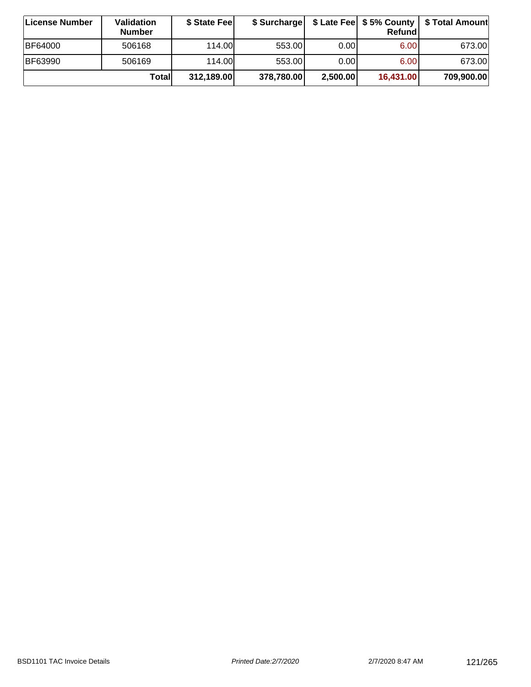| ∣License Number | Validation<br><b>Number</b> | \$ State Feel | \$ Surcharge |          | Refundl   | \$ Late Fee   \$5% County   \$ Total Amount |
|-----------------|-----------------------------|---------------|--------------|----------|-----------|---------------------------------------------|
| <b>BF64000</b>  | 506168                      | 114.00        | 553.00       | 0.00     | 6.00      | 673.00                                      |
| BF63990         | 506169                      | 114.00        | 553.00       | 0.001    | 6.00      | 673.00                                      |
|                 | Totall                      | 312,189.00    | 378,780.00   | 2,500.00 | 16,431.00 | 709,900.00                                  |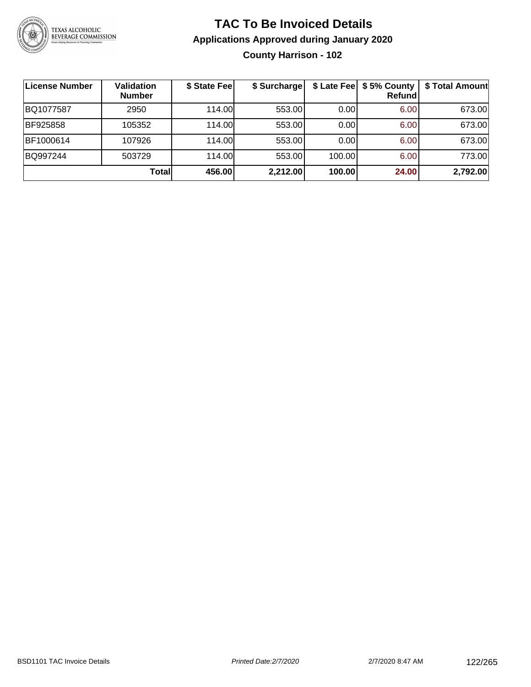

### **TAC To Be Invoiced Details Applications Approved during January 2020 County Harrison - 102**

| License Number | Validation<br><b>Number</b> | \$ State Fee | \$ Surcharge | \$ Late Fee | \$5% County<br>Refundl | \$ Total Amount |
|----------------|-----------------------------|--------------|--------------|-------------|------------------------|-----------------|
| BQ1077587      | 2950                        | 114.00L      | 553.00       | 0.00        | 6.00                   | 673.00          |
| BF925858       | 105352                      | 114.00       | 553.00       | 0.00        | 6.00                   | 673.00          |
| BF1000614      | 107926                      | 114.00       | 553.00       | 0.00        | 6.00                   | 673.00          |
| BQ997244       | 503729                      | 114.00       | 553.00       | 100.00      | 6.00                   | 773.00          |
|                | Total                       | 456.00       | 2,212.00     | 100.00      | 24.00                  | 2,792.00        |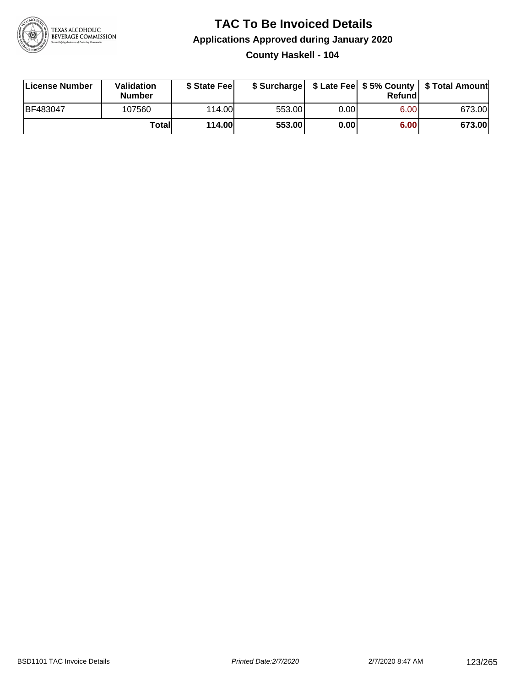

### **TAC To Be Invoiced Details Applications Approved during January 2020 County Haskell - 104**

| License Number  | Validation<br><b>Number</b> | \$ State Feel |        |      | Refund | \$ Surcharge   \$ Late Fee   \$5% County   \$ Total Amount |
|-----------------|-----------------------------|---------------|--------|------|--------|------------------------------------------------------------|
| <b>BF483047</b> | 107560                      | 114.00        | 553.00 | 0.00 | 6.00   | 673.00                                                     |
|                 | Totall                      | <b>114.00</b> | 553.00 | 0.00 | 6.00   | 673.00                                                     |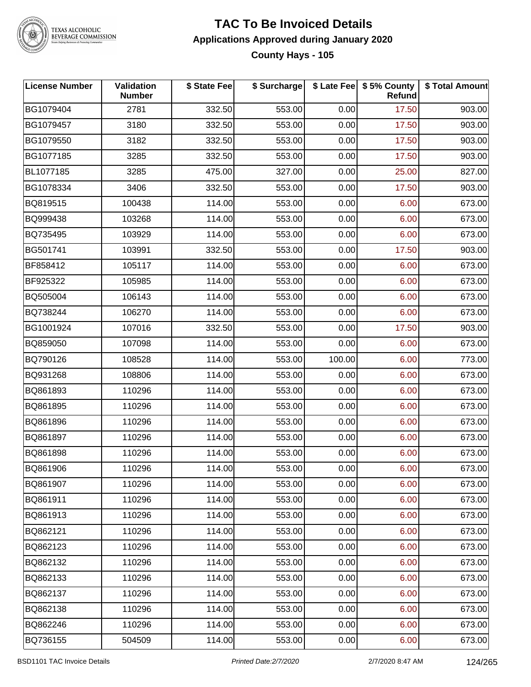

### **TAC To Be Invoiced Details Applications Approved during January 2020 County Hays - 105**

| <b>License Number</b> | Validation<br><b>Number</b> | \$ State Fee | \$ Surcharge |        | \$ Late Fee   \$5% County<br>Refund | \$ Total Amount |
|-----------------------|-----------------------------|--------------|--------------|--------|-------------------------------------|-----------------|
| BG1079404             | 2781                        | 332.50       | 553.00       | 0.00   | 17.50                               | 903.00          |
| BG1079457             | 3180                        | 332.50       | 553.00       | 0.00   | 17.50                               | 903.00          |
| BG1079550             | 3182                        | 332.50       | 553.00       | 0.00   | 17.50                               | 903.00          |
| BG1077185             | 3285                        | 332.50       | 553.00       | 0.00   | 17.50                               | 903.00          |
| BL1077185             | 3285                        | 475.00       | 327.00       | 0.00   | 25.00                               | 827.00          |
| BG1078334             | 3406                        | 332.50       | 553.00       | 0.00   | 17.50                               | 903.00          |
| BQ819515              | 100438                      | 114.00       | 553.00       | 0.00   | 6.00                                | 673.00          |
| BQ999438              | 103268                      | 114.00       | 553.00       | 0.00   | 6.00                                | 673.00          |
| BQ735495              | 103929                      | 114.00       | 553.00       | 0.00   | 6.00                                | 673.00          |
| BG501741              | 103991                      | 332.50       | 553.00       | 0.00   | 17.50                               | 903.00          |
| BF858412              | 105117                      | 114.00       | 553.00       | 0.00   | 6.00                                | 673.00          |
| BF925322              | 105985                      | 114.00       | 553.00       | 0.00   | 6.00                                | 673.00          |
| BQ505004              | 106143                      | 114.00       | 553.00       | 0.00   | 6.00                                | 673.00          |
| BQ738244              | 106270                      | 114.00       | 553.00       | 0.00   | 6.00                                | 673.00          |
| BG1001924             | 107016                      | 332.50       | 553.00       | 0.00   | 17.50                               | 903.00          |
| BQ859050              | 107098                      | 114.00       | 553.00       | 0.00   | 6.00                                | 673.00          |
| BQ790126              | 108528                      | 114.00       | 553.00       | 100.00 | 6.00                                | 773.00          |
| BQ931268              | 108806                      | 114.00       | 553.00       | 0.00   | 6.00                                | 673.00          |
| BQ861893              | 110296                      | 114.00       | 553.00       | 0.00   | 6.00                                | 673.00          |
| BQ861895              | 110296                      | 114.00       | 553.00       | 0.00   | 6.00                                | 673.00          |
| BQ861896              | 110296                      | 114.00       | 553.00       | 0.00   | 6.00                                | 673.00          |
| BQ861897              | 110296                      | 114.00       | 553.00       | 0.00   | 6.00                                | 673.00          |
| BQ861898              | 110296                      | 114.00       | 553.00       | 0.00   | 6.00                                | 673.00          |
| BQ861906              | 110296                      | 114.00       | 553.00       | 0.00   | 6.00                                | 673.00          |
| BQ861907              | 110296                      | 114.00       | 553.00       | 0.00   | 6.00                                | 673.00          |
| BQ861911              | 110296                      | 114.00       | 553.00       | 0.00   | 6.00                                | 673.00          |
| BQ861913              | 110296                      | 114.00       | 553.00       | 0.00   | 6.00                                | 673.00          |
| BQ862121              | 110296                      | 114.00       | 553.00       | 0.00   | 6.00                                | 673.00          |
| BQ862123              | 110296                      | 114.00       | 553.00       | 0.00   | 6.00                                | 673.00          |
| BQ862132              | 110296                      | 114.00       | 553.00       | 0.00   | 6.00                                | 673.00          |
| BQ862133              | 110296                      | 114.00       | 553.00       | 0.00   | 6.00                                | 673.00          |
| BQ862137              | 110296                      | 114.00       | 553.00       | 0.00   | 6.00                                | 673.00          |
| BQ862138              | 110296                      | 114.00       | 553.00       | 0.00   | 6.00                                | 673.00          |
| BQ862246              | 110296                      | 114.00       | 553.00       | 0.00   | 6.00                                | 673.00          |
| BQ736155              | 504509                      | 114.00       | 553.00       | 0.00   | 6.00                                | 673.00          |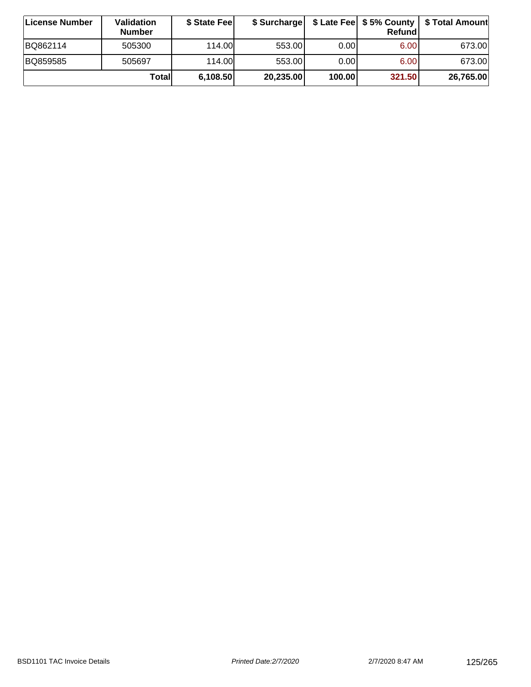| ∣License Number | Validation<br><b>Number</b> | \$ State Feel | \$ Surcharge |        | Refundl | \$ Late Fee   \$5% County   \$ Total Amount |
|-----------------|-----------------------------|---------------|--------------|--------|---------|---------------------------------------------|
| BQ862114        | 505300                      | 114.00        | 553.00       | 0.001  | 6.00    | 673.00                                      |
| BQ859585        | 505697                      | 114.00        | 553.00       | 0.001  | 6.00    | 673.00                                      |
|                 | Totall                      | 6,108.50      | 20,235.00    | 100.00 | 321.50  | 26,765.00                                   |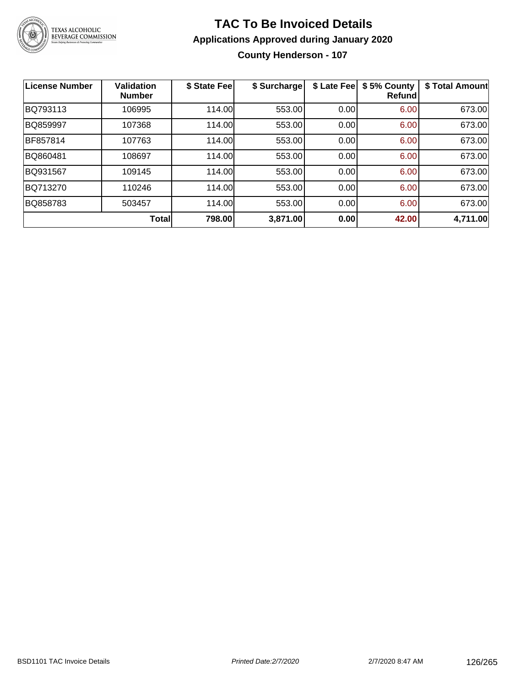

# **TAC To Be Invoiced Details Applications Approved during January 2020**

**County Henderson - 107**

| <b>License Number</b> | <b>Validation</b><br><b>Number</b> | \$ State Fee | \$ Surcharge | \$ Late Fee | \$5% County<br>Refund | \$ Total Amount |
|-----------------------|------------------------------------|--------------|--------------|-------------|-----------------------|-----------------|
| BQ793113              | 106995                             | 114.00       | 553.00       | 0.00        | 6.00                  | 673.00          |
| BQ859997              | 107368                             | 114.00       | 553.00       | 0.00        | 6.00                  | 673.00          |
| BF857814              | 107763                             | 114.00       | 553.00       | 0.00        | 6.00                  | 673.00          |
| BQ860481              | 108697                             | 114.00       | 553.00       | 0.00        | 6.00                  | 673.00          |
| BQ931567              | 109145                             | 114.00       | 553.00       | 0.00        | 6.00                  | 673.00          |
| BQ713270              | 110246                             | 114.00       | 553.00       | 0.00        | 6.00                  | 673.00          |
| BQ858783              | 503457                             | 114.00       | 553.00       | 0.00        | 6.00                  | 673.00          |
|                       | <b>Total</b>                       | 798.00       | 3,871.00     | 0.00        | 42.00                 | 4,711.00        |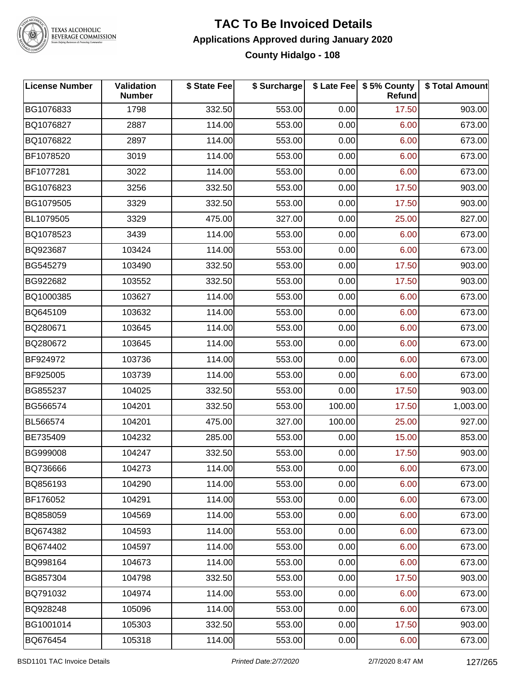

### **TAC To Be Invoiced Details Applications Approved during January 2020 County Hidalgo - 108**

| <b>License Number</b> | Validation<br><b>Number</b> | \$ State Fee | \$ Surcharge |        | \$ Late Fee   \$5% County<br>Refund | \$ Total Amount |
|-----------------------|-----------------------------|--------------|--------------|--------|-------------------------------------|-----------------|
| BG1076833             | 1798                        | 332.50       | 553.00       | 0.00   | 17.50                               | 903.00          |
| BQ1076827             | 2887                        | 114.00       | 553.00       | 0.00   | 6.00                                | 673.00          |
| BQ1076822             | 2897                        | 114.00       | 553.00       | 0.00   | 6.00                                | 673.00          |
| BF1078520             | 3019                        | 114.00       | 553.00       | 0.00   | 6.00                                | 673.00          |
| BF1077281             | 3022                        | 114.00       | 553.00       | 0.00   | 6.00                                | 673.00          |
| BG1076823             | 3256                        | 332.50       | 553.00       | 0.00   | 17.50                               | 903.00          |
| BG1079505             | 3329                        | 332.50       | 553.00       | 0.00   | 17.50                               | 903.00          |
| BL1079505             | 3329                        | 475.00       | 327.00       | 0.00   | 25.00                               | 827.00          |
| BQ1078523             | 3439                        | 114.00       | 553.00       | 0.00   | 6.00                                | 673.00          |
| BQ923687              | 103424                      | 114.00       | 553.00       | 0.00   | 6.00                                | 673.00          |
| BG545279              | 103490                      | 332.50       | 553.00       | 0.00   | 17.50                               | 903.00          |
| BG922682              | 103552                      | 332.50       | 553.00       | 0.00   | 17.50                               | 903.00          |
| BQ1000385             | 103627                      | 114.00       | 553.00       | 0.00   | 6.00                                | 673.00          |
| BQ645109              | 103632                      | 114.00       | 553.00       | 0.00   | 6.00                                | 673.00          |
| BQ280671              | 103645                      | 114.00       | 553.00       | 0.00   | 6.00                                | 673.00          |
| BQ280672              | 103645                      | 114.00       | 553.00       | 0.00   | 6.00                                | 673.00          |
| BF924972              | 103736                      | 114.00       | 553.00       | 0.00   | 6.00                                | 673.00          |
| BF925005              | 103739                      | 114.00       | 553.00       | 0.00   | 6.00                                | 673.00          |
| BG855237              | 104025                      | 332.50       | 553.00       | 0.00   | 17.50                               | 903.00          |
| BG566574              | 104201                      | 332.50       | 553.00       | 100.00 | 17.50                               | 1,003.00        |
| BL566574              | 104201                      | 475.00       | 327.00       | 100.00 | 25.00                               | 927.00          |
| BE735409              | 104232                      | 285.00       | 553.00       | 0.00   | 15.00                               | 853.00          |
| BG999008              | 104247                      | 332.50       | 553.00       | 0.00   | 17.50                               | 903.00          |
| BQ736666              | 104273                      | 114.00       | 553.00       | 0.00   | 6.00                                | 673.00          |
| BQ856193              | 104290                      | 114.00       | 553.00       | 0.00   | 6.00                                | 673.00          |
| BF176052              | 104291                      | 114.00       | 553.00       | 0.00   | 6.00                                | 673.00          |
| BQ858059              | 104569                      | 114.00       | 553.00       | 0.00   | 6.00                                | 673.00          |
| BQ674382              | 104593                      | 114.00       | 553.00       | 0.00   | 6.00                                | 673.00          |
| BQ674402              | 104597                      | 114.00       | 553.00       | 0.00   | 6.00                                | 673.00          |
| BQ998164              | 104673                      | 114.00       | 553.00       | 0.00   | 6.00                                | 673.00          |
| BG857304              | 104798                      | 332.50       | 553.00       | 0.00   | 17.50                               | 903.00          |
| BQ791032              | 104974                      | 114.00       | 553.00       | 0.00   | 6.00                                | 673.00          |
| BQ928248              | 105096                      | 114.00       | 553.00       | 0.00   | 6.00                                | 673.00          |
| BG1001014             | 105303                      | 332.50       | 553.00       | 0.00   | 17.50                               | 903.00          |
| BQ676454              | 105318                      | 114.00       | 553.00       | 0.00   | 6.00                                | 673.00          |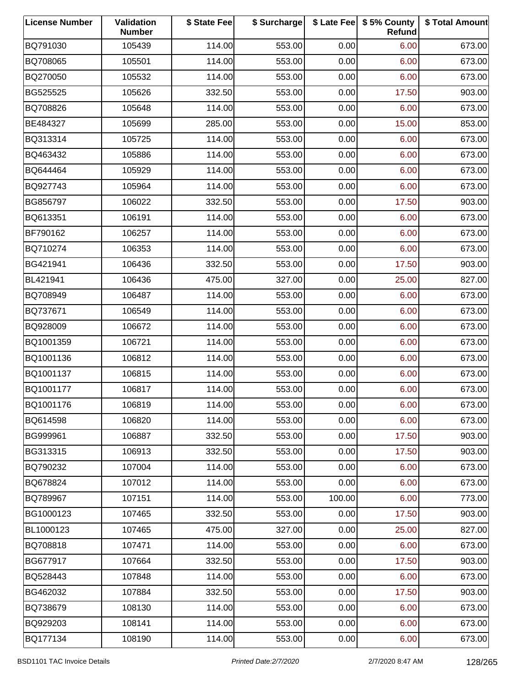| <b>License Number</b> | Validation<br><b>Number</b> | \$ State Fee | \$ Surcharge |        | \$ Late Fee   \$5% County<br>Refund | \$ Total Amount |
|-----------------------|-----------------------------|--------------|--------------|--------|-------------------------------------|-----------------|
| BQ791030              | 105439                      | 114.00       | 553.00       | 0.00   | 6.00                                | 673.00          |
| BQ708065              | 105501                      | 114.00       | 553.00       | 0.00   | 6.00                                | 673.00          |
| BQ270050              | 105532                      | 114.00       | 553.00       | 0.00   | 6.00                                | 673.00          |
| BG525525              | 105626                      | 332.50       | 553.00       | 0.00   | 17.50                               | 903.00          |
| BQ708826              | 105648                      | 114.00       | 553.00       | 0.00   | 6.00                                | 673.00          |
| BE484327              | 105699                      | 285.00       | 553.00       | 0.00   | 15.00                               | 853.00          |
| BQ313314              | 105725                      | 114.00       | 553.00       | 0.00   | 6.00                                | 673.00          |
| BQ463432              | 105886                      | 114.00       | 553.00       | 0.00   | 6.00                                | 673.00          |
| BQ644464              | 105929                      | 114.00       | 553.00       | 0.00   | 6.00                                | 673.00          |
| BQ927743              | 105964                      | 114.00       | 553.00       | 0.00   | 6.00                                | 673.00          |
| BG856797              | 106022                      | 332.50       | 553.00       | 0.00   | 17.50                               | 903.00          |
| BQ613351              | 106191                      | 114.00       | 553.00       | 0.00   | 6.00                                | 673.00          |
| BF790162              | 106257                      | 114.00       | 553.00       | 0.00   | 6.00                                | 673.00          |
| BQ710274              | 106353                      | 114.00       | 553.00       | 0.00   | 6.00                                | 673.00          |
| BG421941              | 106436                      | 332.50       | 553.00       | 0.00   | 17.50                               | 903.00          |
| BL421941              | 106436                      | 475.00       | 327.00       | 0.00   | 25.00                               | 827.00          |
| BQ708949              | 106487                      | 114.00       | 553.00       | 0.00   | 6.00                                | 673.00          |
| BQ737671              | 106549                      | 114.00       | 553.00       | 0.00   | 6.00                                | 673.00          |
| BQ928009              | 106672                      | 114.00       | 553.00       | 0.00   | 6.00                                | 673.00          |
| BQ1001359             | 106721                      | 114.00       | 553.00       | 0.00   | 6.00                                | 673.00          |
| BQ1001136             | 106812                      | 114.00       | 553.00       | 0.00   | 6.00                                | 673.00          |
| BQ1001137             | 106815                      | 114.00       | 553.00       | 0.00   | 6.00                                | 673.00          |
| BQ1001177             | 106817                      | 114.00       | 553.00       | 0.00   | 6.00                                | 673.00          |
| BQ1001176             | 106819                      | 114.00       | 553.00       | 0.00   | 6.00                                | 673.00          |
| BQ614598              | 106820                      | 114.00       | 553.00       | 0.00   | 6.00                                | 673.00          |
| BG999961              | 106887                      | 332.50       | 553.00       | 0.00   | 17.50                               | 903.00          |
| BG313315              | 106913                      | 332.50       | 553.00       | 0.00   | 17.50                               | 903.00          |
| BQ790232              | 107004                      | 114.00       | 553.00       | 0.00   | 6.00                                | 673.00          |
| BQ678824              | 107012                      | 114.00       | 553.00       | 0.00   | 6.00                                | 673.00          |
| BQ789967              | 107151                      | 114.00       | 553.00       | 100.00 | 6.00                                | 773.00          |
| BG1000123             | 107465                      | 332.50       | 553.00       | 0.00   | 17.50                               | 903.00          |
| BL1000123             | 107465                      | 475.00       | 327.00       | 0.00   | 25.00                               | 827.00          |
| BQ708818              | 107471                      | 114.00       | 553.00       | 0.00   | 6.00                                | 673.00          |
| BG677917              | 107664                      | 332.50       | 553.00       | 0.00   | 17.50                               | 903.00          |
| BQ528443              | 107848                      | 114.00       | 553.00       | 0.00   | 6.00                                | 673.00          |
| BG462032              | 107884                      | 332.50       | 553.00       | 0.00   | 17.50                               | 903.00          |
| BQ738679              | 108130                      | 114.00       | 553.00       | 0.00   | 6.00                                | 673.00          |
| BQ929203              | 108141                      | 114.00       | 553.00       | 0.00   | 6.00                                | 673.00          |
| BQ177134              | 108190                      | 114.00       | 553.00       | 0.00   | 6.00                                | 673.00          |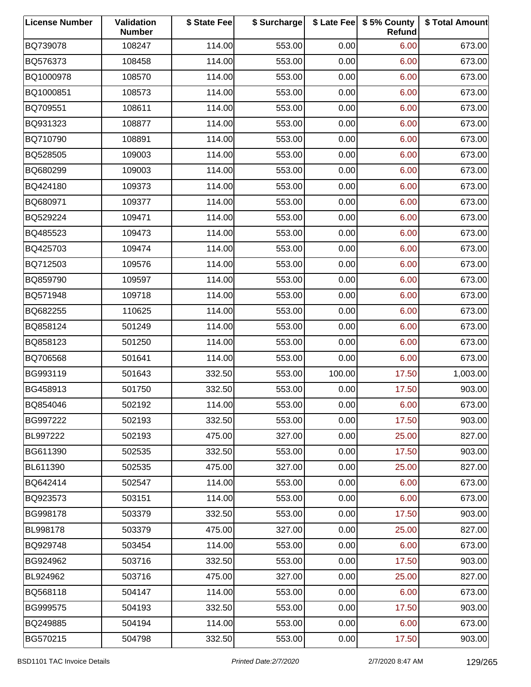| <b>License Number</b> | Validation<br><b>Number</b> | \$ State Fee | \$ Surcharge |        | \$ Late Fee   \$5% County<br>Refund | \$ Total Amount |
|-----------------------|-----------------------------|--------------|--------------|--------|-------------------------------------|-----------------|
| BQ739078              | 108247                      | 114.00       | 553.00       | 0.00   | 6.00                                | 673.00          |
| BQ576373              | 108458                      | 114.00       | 553.00       | 0.00   | 6.00                                | 673.00          |
| BQ1000978             | 108570                      | 114.00       | 553.00       | 0.00   | 6.00                                | 673.00          |
| BQ1000851             | 108573                      | 114.00       | 553.00       | 0.00   | 6.00                                | 673.00          |
| BQ709551              | 108611                      | 114.00       | 553.00       | 0.00   | 6.00                                | 673.00          |
| BQ931323              | 108877                      | 114.00       | 553.00       | 0.00   | 6.00                                | 673.00          |
| BQ710790              | 108891                      | 114.00       | 553.00       | 0.00   | 6.00                                | 673.00          |
| BQ528505              | 109003                      | 114.00       | 553.00       | 0.00   | 6.00                                | 673.00          |
| BQ680299              | 109003                      | 114.00       | 553.00       | 0.00   | 6.00                                | 673.00          |
| BQ424180              | 109373                      | 114.00       | 553.00       | 0.00   | 6.00                                | 673.00          |
| BQ680971              | 109377                      | 114.00       | 553.00       | 0.00   | 6.00                                | 673.00          |
| BQ529224              | 109471                      | 114.00       | 553.00       | 0.00   | 6.00                                | 673.00          |
| BQ485523              | 109473                      | 114.00       | 553.00       | 0.00   | 6.00                                | 673.00          |
| BQ425703              | 109474                      | 114.00       | 553.00       | 0.00   | 6.00                                | 673.00          |
| BQ712503              | 109576                      | 114.00       | 553.00       | 0.00   | 6.00                                | 673.00          |
| BQ859790              | 109597                      | 114.00       | 553.00       | 0.00   | 6.00                                | 673.00          |
| BQ571948              | 109718                      | 114.00       | 553.00       | 0.00   | 6.00                                | 673.00          |
| BQ682255              | 110625                      | 114.00       | 553.00       | 0.00   | 6.00                                | 673.00          |
| BQ858124              | 501249                      | 114.00       | 553.00       | 0.00   | 6.00                                | 673.00          |
| BQ858123              | 501250                      | 114.00       | 553.00       | 0.00   | 6.00                                | 673.00          |
| BQ706568              | 501641                      | 114.00       | 553.00       | 0.00   | 6.00                                | 673.00          |
| BG993119              | 501643                      | 332.50       | 553.00       | 100.00 | 17.50                               | 1,003.00        |
| BG458913              | 501750                      | 332.50       | 553.00       | 0.00   | 17.50                               | 903.00          |
| BQ854046              | 502192                      | 114.00       | 553.00       | 0.00   | 6.00                                | 673.00          |
| BG997222              | 502193                      | 332.50       | 553.00       | 0.00   | 17.50                               | 903.00          |
| BL997222              | 502193                      | 475.00       | 327.00       | 0.00   | 25.00                               | 827.00          |
| BG611390              | 502535                      | 332.50       | 553.00       | 0.00   | 17.50                               | 903.00          |
| BL611390              | 502535                      | 475.00       | 327.00       | 0.00   | 25.00                               | 827.00          |
| BQ642414              | 502547                      | 114.00       | 553.00       | 0.00   | 6.00                                | 673.00          |
| BQ923573              | 503151                      | 114.00       | 553.00       | 0.00   | 6.00                                | 673.00          |
| BG998178              | 503379                      | 332.50       | 553.00       | 0.00   | 17.50                               | 903.00          |
| BL998178              | 503379                      | 475.00       | 327.00       | 0.00   | 25.00                               | 827.00          |
| BQ929748              | 503454                      | 114.00       | 553.00       | 0.00   | 6.00                                | 673.00          |
| BG924962              | 503716                      | 332.50       | 553.00       | 0.00   | 17.50                               | 903.00          |
| BL924962              | 503716                      | 475.00       | 327.00       | 0.00   | 25.00                               | 827.00          |
| BQ568118              | 504147                      | 114.00       | 553.00       | 0.00   | 6.00                                | 673.00          |
| BG999575              | 504193                      | 332.50       | 553.00       | 0.00   | 17.50                               | 903.00          |
| BQ249885              | 504194                      | 114.00       | 553.00       | 0.00   | 6.00                                | 673.00          |
| BG570215              | 504798                      | 332.50       | 553.00       | 0.00   | 17.50                               | 903.00          |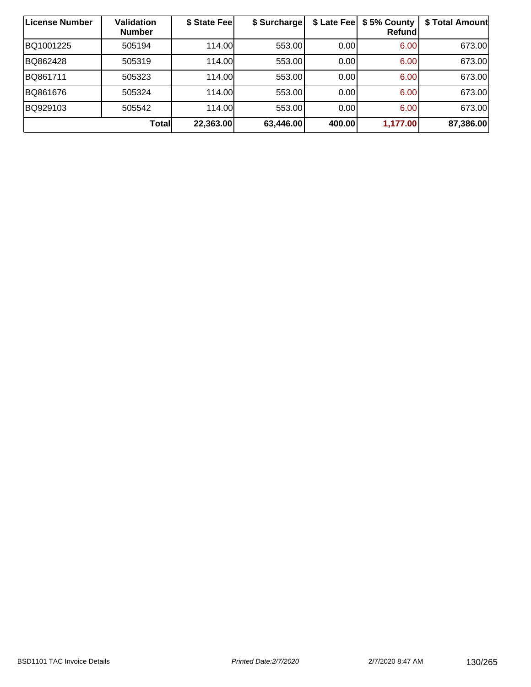| License Number | <b>Validation</b><br><b>Number</b> | \$ State Feel | \$ Surcharge | \$ Late Fee | \$5% County<br>Refundl | \$ Total Amount |
|----------------|------------------------------------|---------------|--------------|-------------|------------------------|-----------------|
| BQ1001225      | 505194                             | 114.00        | 553.00       | 0.00        | 6.00                   | 673.00          |
| BQ862428       | 505319                             | 114.00        | 553.00       | 0.00        | 6.00                   | 673.00          |
| BQ861711       | 505323                             | 114.00        | 553.00       | 0.00        | 6.00                   | 673.00          |
| BQ861676       | 505324                             | 114.00        | 553.00       | 0.00        | 6.00                   | 673.00          |
| BQ929103       | 505542                             | 114.00L       | 553.00       | 0.00        | 6.00                   | 673.00          |
|                | Total                              | 22,363.00     | 63,446.00    | 400.00      | 1,177.00               | 87,386.00       |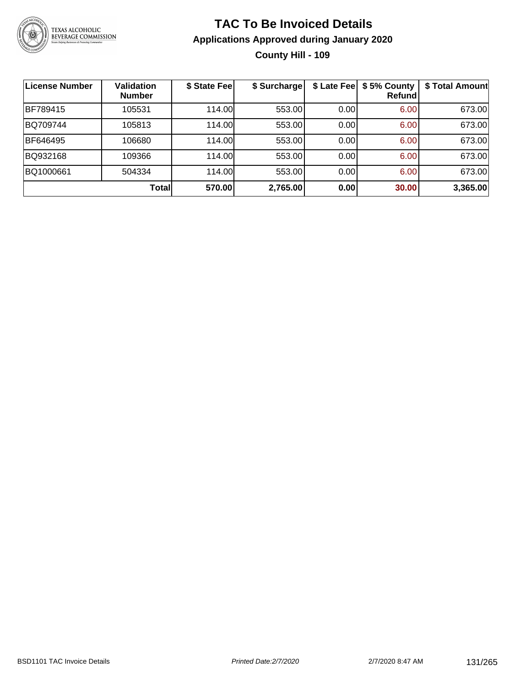

### **TAC To Be Invoiced Details Applications Approved during January 2020 County Hill - 109**

| <b>License Number</b> | <b>Validation</b><br><b>Number</b> | \$ State Fee | \$ Surcharge |      | \$ Late Fee   \$5% County<br>Refund | \$ Total Amount |
|-----------------------|------------------------------------|--------------|--------------|------|-------------------------------------|-----------------|
| BF789415              | 105531                             | 114.00       | 553.00       | 0.00 | 6.00                                | 673.00          |
| BQ709744              | 105813                             | 114.00       | 553.00       | 0.00 | 6.00                                | 673.00          |
| BF646495              | 106680                             | 114.00       | 553.00       | 0.00 | 6.00                                | 673.00          |
| BQ932168              | 109366                             | 114.00       | 553.00       | 0.00 | 6.00                                | 673.00          |
| BQ1000661             | 504334                             | 114.00       | 553.00       | 0.00 | 6.00                                | 673.00          |
|                       | Total                              | 570.00       | 2,765.00     | 0.00 | 30.00                               | 3,365.00        |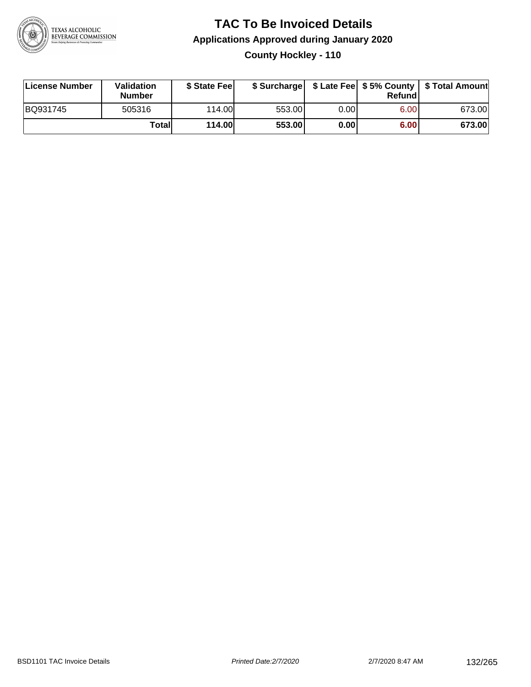

### **TAC To Be Invoiced Details Applications Approved during January 2020 County Hockley - 110**

| License Number | Validation<br><b>Number</b> | \$ State Feel |        |       | Refund | \$ Surcharge   \$ Late Fee   \$5% County   \$ Total Amount |
|----------------|-----------------------------|---------------|--------|-------|--------|------------------------------------------------------------|
| BQ931745       | 505316                      | 114.00L       | 553.00 | 0.001 | 6.00   | 673.00                                                     |
|                | Totall                      | <b>114.00</b> | 553.00 | 0.00  | 6.00   | 673.00                                                     |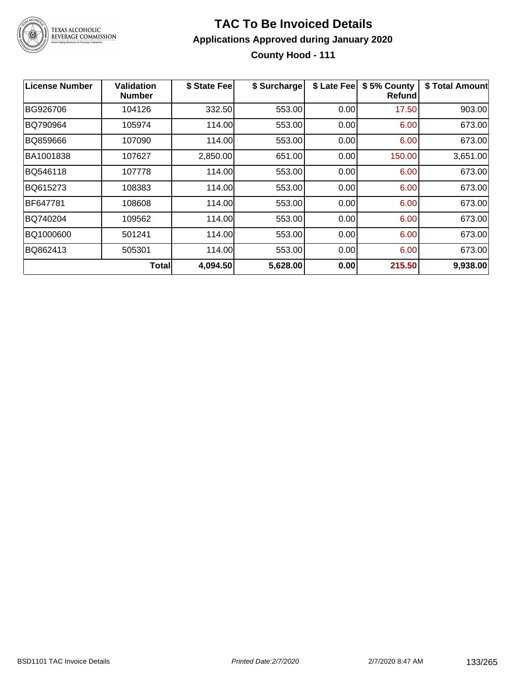

### **TAC To Be Invoiced Details Applications Approved during January 2020 County Hood - 111**

| License Number | Validation<br><b>Number</b> | \$ State Fee | \$ Surcharge | \$ Late Fee | \$5% County<br><b>Refund</b> | \$ Total Amount |
|----------------|-----------------------------|--------------|--------------|-------------|------------------------------|-----------------|
| BG926706       | 104126                      | 332.50       | 553.00       | 0.00        | 17.50                        | 903.00          |
| BQ790964       | 105974                      | 114.00       | 553.00       | 0.00        | 6.00                         | 673.00          |
| BQ859666       | 107090                      | 114.00       | 553.00       | 0.00        | 6.00                         | 673.00          |
| BA1001838      | 107627                      | 2,850.00     | 651.00       | 0.00        | 150.00                       | 3,651.00        |
| BQ546118       | 107778                      | 114.00       | 553.00       | 0.00        | 6.00                         | 673.00          |
| BQ615273       | 108383                      | 114.00       | 553.00       | 0.00        | 6.00                         | 673.00          |
| BF647781       | 108608                      | 114.00       | 553.00       | 0.00        | 6.00                         | 673.00          |
| BQ740204       | 109562                      | 114.00       | 553.00       | 0.00        | 6.00                         | 673.00          |
| BQ1000600      | 501241                      | 114.00       | 553.00       | 0.00        | 6.00                         | 673.00          |
| BQ862413       | 505301                      | 114.00       | 553.00       | 0.00        | 6.00                         | 673.00          |
|                | <b>Total</b>                | 4,094.50     | 5,628.00     | 0.00        | 215.50                       | 9,938.00        |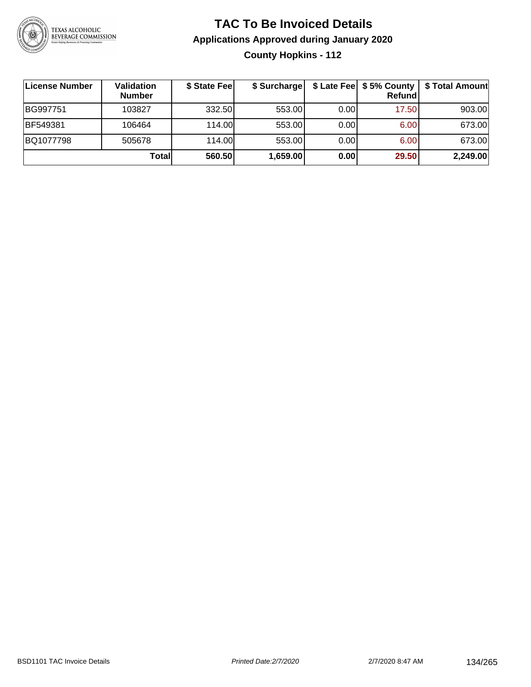

### **TAC To Be Invoiced Details Applications Approved during January 2020 County Hopkins - 112**

| ∣License Number | <b>Validation</b><br><b>Number</b> | \$ State Fee | \$ Surcharge |      | \$ Late Fee   \$5% County  <br>Refundl | \$ Total Amount |
|-----------------|------------------------------------|--------------|--------------|------|----------------------------------------|-----------------|
| BG997751        | 103827                             | 332.50       | 553.00       | 0.00 | 17.50                                  | 903.00          |
| BF549381        | 106464                             | 114.00       | 553.00       | 0.00 | 6.00                                   | 673.00          |
| BQ1077798       | 505678                             | 114.00       | 553.00       | 0.00 | 6.00                                   | 673.00          |
|                 | Total                              | 560.50       | 1,659.00     | 0.00 | 29.50                                  | 2,249.00        |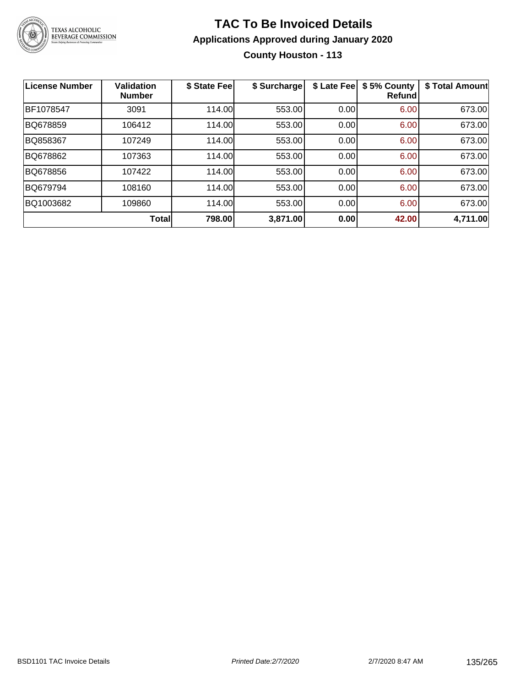

### **TAC To Be Invoiced Details Applications Approved during January 2020 County Houston - 113**

| <b>License Number</b> | <b>Validation</b><br><b>Number</b> | \$ State Fee | \$ Surcharge | \$ Late Fee | \$5% County<br>Refundl | \$ Total Amount |
|-----------------------|------------------------------------|--------------|--------------|-------------|------------------------|-----------------|
| BF1078547             | 3091                               | 114.00       | 553.00       | 0.00        | 6.00                   | 673.00          |
| BQ678859              | 106412                             | 114.00       | 553.00       | 0.00        | 6.00                   | 673.00          |
| BQ858367              | 107249                             | 114.00       | 553.00       | 0.00        | 6.00                   | 673.00          |
| BQ678862              | 107363                             | 114.00       | 553.00       | 0.00        | 6.00                   | 673.00          |
| BQ678856              | 107422                             | 114.00       | 553.00       | 0.00        | 6.00                   | 673.00          |
| BQ679794              | 108160                             | 114.00       | 553.00       | 0.00        | 6.00                   | 673.00          |
| BQ1003682             | 109860                             | 114.00       | 553.00       | 0.00        | 6.00                   | 673.00          |
|                       | Total                              | 798.00       | 3,871.00     | 0.00        | 42.00                  | 4,711.00        |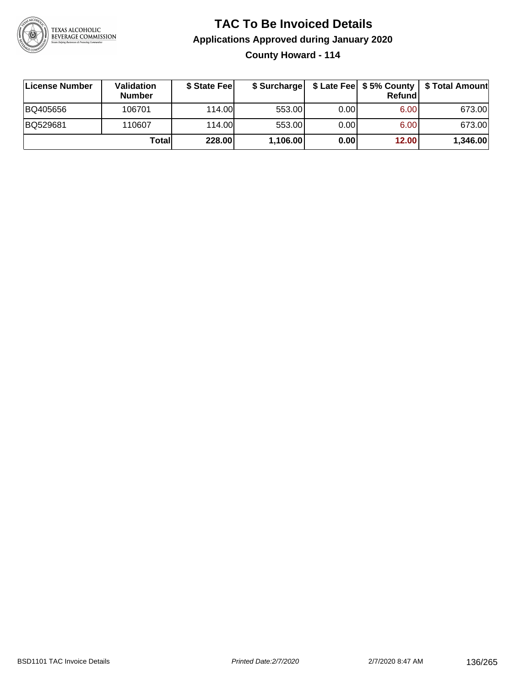

# **TAC To Be Invoiced Details Applications Approved during January 2020**

**County Howard - 114**

| ∣License Number | Validation<br><b>Number</b> | \$ State Fee | \$ Surcharge |       | <b>Refund</b>     | \$ Late Fee   \$5% County   \$ Total Amount |
|-----------------|-----------------------------|--------------|--------------|-------|-------------------|---------------------------------------------|
| BQ405656        | 106701                      | 114.00       | 553.00       | 0.00  | 6.00              | 673.00                                      |
| BQ529681        | 110607                      | 114.00L      | 553.00       | 0.001 | 6.00 <sub>1</sub> | 673.00                                      |
|                 | Totall                      | 228.00       | 1,106.00     | 0.00  | 12.00             | 1,346.00                                    |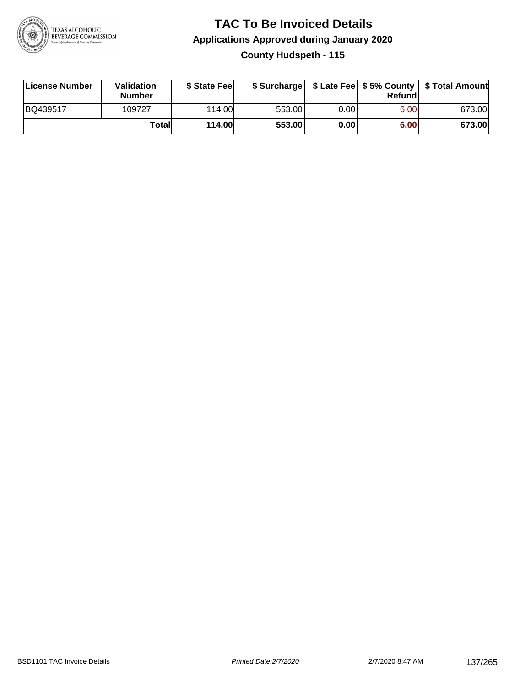

### **TAC To Be Invoiced Details Applications Approved during January 2020 County Hudspeth - 115**

| License Number | Validation<br><b>Number</b> | \$ State Feel |        |      | Refund | \$ Surcharge   \$ Late Fee   \$5% County   \$ Total Amount |
|----------------|-----------------------------|---------------|--------|------|--------|------------------------------------------------------------|
| BQ439517       | 109727                      | 114.00L       | 553.00 | 0.00 | 6.00   | 673.00                                                     |
|                | Totall                      | <b>114.00</b> | 553.00 | 0.00 | 6.00   | 673.00                                                     |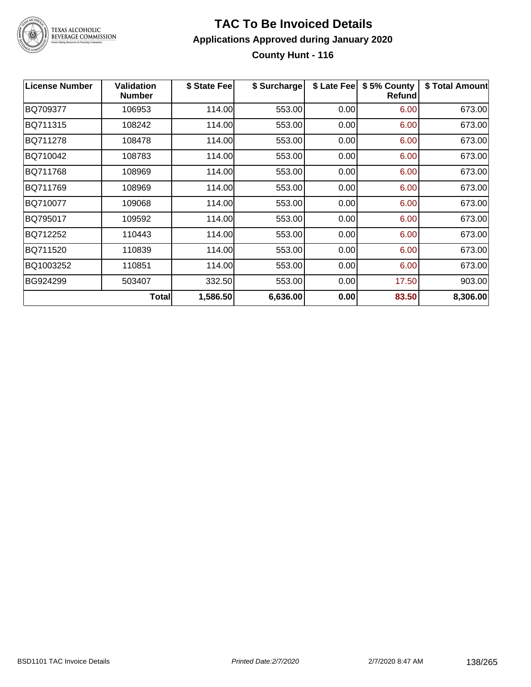

### **TAC To Be Invoiced Details Applications Approved during January 2020 County Hunt - 116**

| <b>License Number</b> | <b>Validation</b><br><b>Number</b> | \$ State Fee | \$ Surcharge | \$ Late Fee | \$5% County<br><b>Refund</b> | \$ Total Amount |
|-----------------------|------------------------------------|--------------|--------------|-------------|------------------------------|-----------------|
| BQ709377              | 106953                             | 114.00       | 553.00       | 0.00        | 6.00                         | 673.00          |
| BQ711315              | 108242                             | 114.00       | 553.00       | 0.00        | 6.00                         | 673.00          |
| BQ711278              | 108478                             | 114.00       | 553.00       | 0.00        | 6.00                         | 673.00          |
| BQ710042              | 108783                             | 114.00       | 553.00       | 0.00        | 6.00                         | 673.00          |
| BQ711768              | 108969                             | 114.00       | 553.00       | 0.00        | 6.00                         | 673.00          |
| BQ711769              | 108969                             | 114.00       | 553.00       | 0.00        | 6.00                         | 673.00          |
| BQ710077              | 109068                             | 114.00       | 553.00       | 0.00        | 6.00                         | 673.00          |
| BQ795017              | 109592                             | 114.00       | 553.00       | 0.00        | 6.00                         | 673.00          |
| BQ712252              | 110443                             | 114.00       | 553.00       | 0.00        | 6.00                         | 673.00          |
| BQ711520              | 110839                             | 114.00       | 553.00       | 0.00        | 6.00                         | 673.00          |
| BQ1003252             | 110851                             | 114.00       | 553.00       | 0.00        | 6.00                         | 673.00          |
| BG924299              | 503407                             | 332.50       | 553.00       | 0.00        | 17.50                        | 903.00          |
|                       | Total                              | 1,586.50     | 6,636.00     | 0.00        | 83.50                        | 8,306.00        |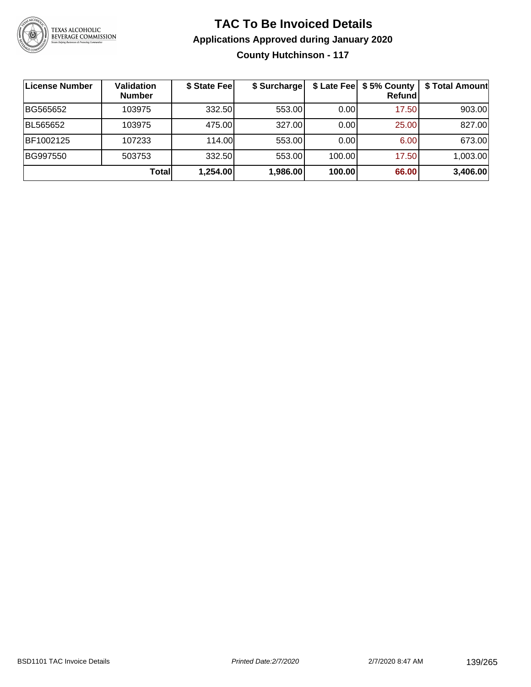

### **TAC To Be Invoiced Details Applications Approved during January 2020 County Hutchinson - 117**

| License Number | Validation<br><b>Number</b> | \$ State Fee | \$ Surcharge | \$ Late Fee | \$5% County<br>Refund | \$ Total Amount |
|----------------|-----------------------------|--------------|--------------|-------------|-----------------------|-----------------|
| BG565652       | 103975                      | 332.50       | 553.00       | 0.00        | 17.50                 | 903.00          |
| BL565652       | 103975                      | 475.00       | 327.00       | 0.00        | 25.00                 | 827.00          |
| BF1002125      | 107233                      | 114.00L      | 553.00       | 0.00        | 6.00                  | 673.00          |
| BG997550       | 503753                      | 332.50       | 553.00       | 100.00      | 17.50                 | 1,003.00        |
|                | Totall                      | 1,254.00     | 1,986.00     | 100.00      | 66.00                 | 3,406.00        |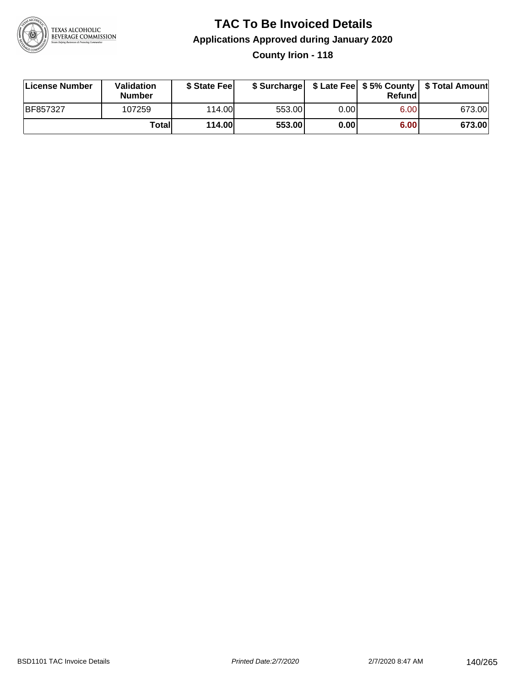

### **TAC To Be Invoiced Details Applications Approved during January 2020 County Irion - 118**

| License Number  | Validation<br><b>Number</b> | \$ State Fee  |        |      | Refund | \$ Surcharge   \$ Late Fee   \$5% County   \$ Total Amount |
|-----------------|-----------------------------|---------------|--------|------|--------|------------------------------------------------------------|
| <b>BF857327</b> | 107259                      | 114.00L       | 553.00 | 0.00 | 6.00   | 673.00                                                     |
|                 | Totall                      | <b>114.00</b> | 553.00 | 0.00 | 6.00   | 673.00                                                     |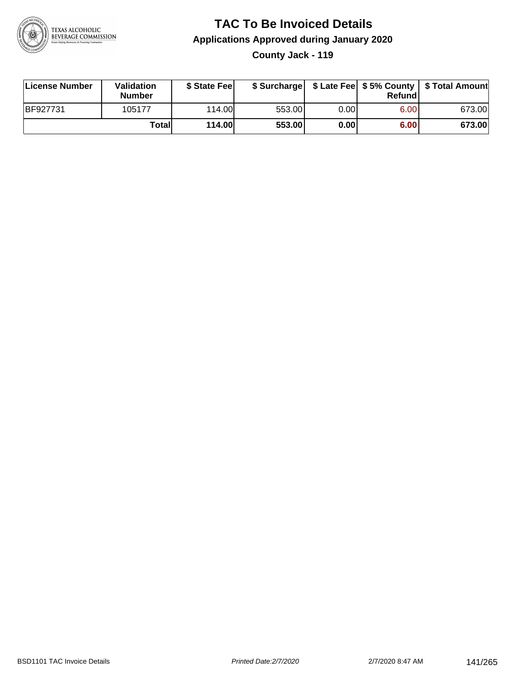

### **TAC To Be Invoiced Details Applications Approved during January 2020 County Jack - 119**

| <b>License Number</b> | <b>Validation</b><br><b>Number</b> | \$ State Fee |        |      | Refundl | \$ Surcharge   \$ Late Fee   \$5% County   \$ Total Amount |
|-----------------------|------------------------------------|--------------|--------|------|---------|------------------------------------------------------------|
| BF927731              | 105177                             | 114.00       | 553.00 | 0.00 | 6.00    | 673.00                                                     |
|                       | Totall                             | 114.00       | 553.00 | 0.00 | 6.00    | 673.00                                                     |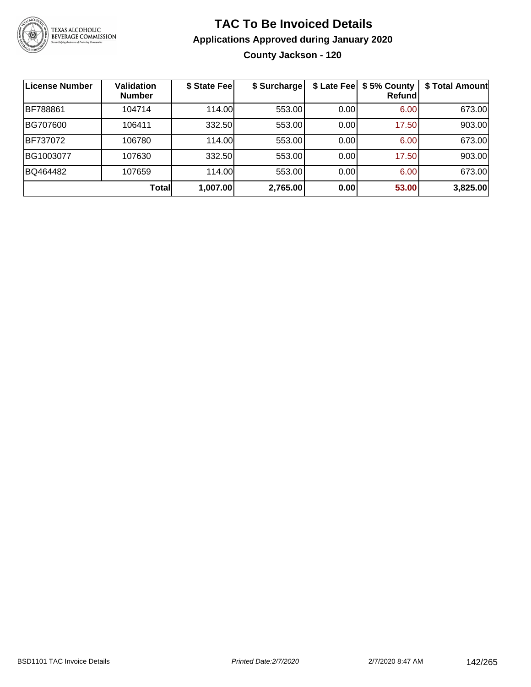

### **TAC To Be Invoiced Details Applications Approved during January 2020 County Jackson - 120**

| License Number | <b>Validation</b><br><b>Number</b> | \$ State Fee | \$ Surcharge | \$ Late Fee | \$5% County<br>Refundl | \$ Total Amount |
|----------------|------------------------------------|--------------|--------------|-------------|------------------------|-----------------|
| BF788861       | 104714                             | 114.00       | 553.00       | 0.00        | 6.00                   | 673.00          |
| BG707600       | 106411                             | 332.50       | 553.00       | 0.00        | 17.50                  | 903.00          |
| BF737072       | 106780                             | 114.00       | 553.00       | 0.00        | 6.00                   | 673.00          |
| BG1003077      | 107630                             | 332.50       | 553.00       | 0.00        | 17.50                  | 903.00          |
| BQ464482       | 107659                             | 114.00       | 553.00       | 0.00        | 6.00                   | 673.00          |
|                | <b>Total</b>                       | 1,007.00     | 2,765.00     | 0.00        | 53.00                  | 3,825.00        |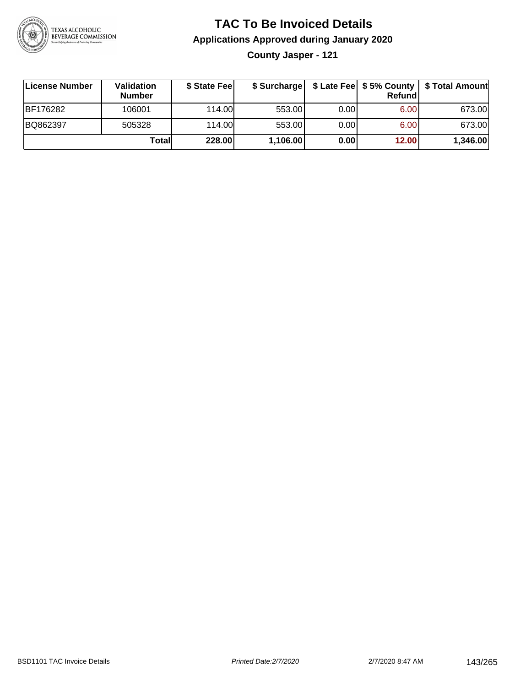

### **TAC To Be Invoiced Details Applications Approved during January 2020**

**County Jasper - 121**

| License Number  | Validation<br><b>Number</b> | \$ State Fee | \$ Surcharge |       | Refundl | \$ Late Fee   \$5% County   \$ Total Amount |
|-----------------|-----------------------------|--------------|--------------|-------|---------|---------------------------------------------|
| <b>BF176282</b> | 106001                      | 114.00       | 553.00       | 0.00  | 6.00    | 673.00                                      |
| BQ862397        | 505328                      | 114.00L      | 553.00       | 0.001 | 6.00    | 673.00                                      |
|                 | Totall                      | 228.00       | 1,106.00     | 0.00  | 12.00   | 1,346.00                                    |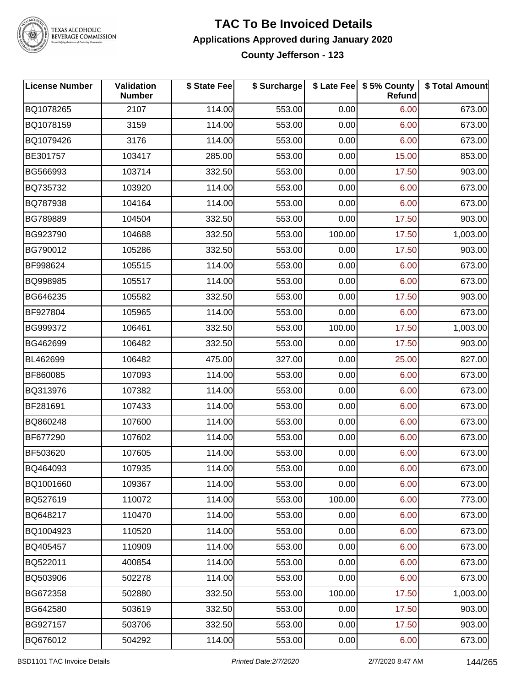

### **TAC To Be Invoiced Details Applications Approved during January 2020 County Jefferson - 123**

| <b>License Number</b> | <b>Validation</b><br><b>Number</b> | \$ State Fee | \$ Surcharge |        | \$ Late Fee   \$5% County<br>Refund | \$ Total Amount |
|-----------------------|------------------------------------|--------------|--------------|--------|-------------------------------------|-----------------|
| BQ1078265             | 2107                               | 114.00       | 553.00       | 0.00   | 6.00                                | 673.00          |
| BQ1078159             | 3159                               | 114.00       | 553.00       | 0.00   | 6.00                                | 673.00          |
| BQ1079426             | 3176                               | 114.00       | 553.00       | 0.00   | 6.00                                | 673.00          |
| BE301757              | 103417                             | 285.00       | 553.00       | 0.00   | 15.00                               | 853.00          |
| BG566993              | 103714                             | 332.50       | 553.00       | 0.00   | 17.50                               | 903.00          |
| BQ735732              | 103920                             | 114.00       | 553.00       | 0.00   | 6.00                                | 673.00          |
| BQ787938              | 104164                             | 114.00       | 553.00       | 0.00   | 6.00                                | 673.00          |
| BG789889              | 104504                             | 332.50       | 553.00       | 0.00   | 17.50                               | 903.00          |
| BG923790              | 104688                             | 332.50       | 553.00       | 100.00 | 17.50                               | 1,003.00        |
| BG790012              | 105286                             | 332.50       | 553.00       | 0.00   | 17.50                               | 903.00          |
| BF998624              | 105515                             | 114.00       | 553.00       | 0.00   | 6.00                                | 673.00          |
| BQ998985              | 105517                             | 114.00       | 553.00       | 0.00   | 6.00                                | 673.00          |
| BG646235              | 105582                             | 332.50       | 553.00       | 0.00   | 17.50                               | 903.00          |
| BF927804              | 105965                             | 114.00       | 553.00       | 0.00   | 6.00                                | 673.00          |
| BG999372              | 106461                             | 332.50       | 553.00       | 100.00 | 17.50                               | 1,003.00        |
| BG462699              | 106482                             | 332.50       | 553.00       | 0.00   | 17.50                               | 903.00          |
| BL462699              | 106482                             | 475.00       | 327.00       | 0.00   | 25.00                               | 827.00          |
| BF860085              | 107093                             | 114.00       | 553.00       | 0.00   | 6.00                                | 673.00          |
| BQ313976              | 107382                             | 114.00       | 553.00       | 0.00   | 6.00                                | 673.00          |
| BF281691              | 107433                             | 114.00       | 553.00       | 0.00   | 6.00                                | 673.00          |
| BQ860248              | 107600                             | 114.00       | 553.00       | 0.00   | 6.00                                | 673.00          |
| BF677290              | 107602                             | 114.00       | 553.00       | 0.00   | 6.00                                | 673.00          |
| BF503620              | 107605                             | 114.00       | 553.00       | 0.00   | 6.00                                | 673.00          |
| BQ464093              | 107935                             | 114.00       | 553.00       | 0.00   | 6.00                                | 673.00          |
| BQ1001660             | 109367                             | 114.00       | 553.00       | 0.00   | 6.00                                | 673.00          |
| BQ527619              | 110072                             | 114.00       | 553.00       | 100.00 | 6.00                                | 773.00          |
| BQ648217              | 110470                             | 114.00       | 553.00       | 0.00   | 6.00                                | 673.00          |
| BQ1004923             | 110520                             | 114.00       | 553.00       | 0.00   | 6.00                                | 673.00          |
| BQ405457              | 110909                             | 114.00       | 553.00       | 0.00   | 6.00                                | 673.00          |
| BQ522011              | 400854                             | 114.00       | 553.00       | 0.00   | 6.00                                | 673.00          |
| BQ503906              | 502278                             | 114.00       | 553.00       | 0.00   | 6.00                                | 673.00          |
| BG672358              | 502880                             | 332.50       | 553.00       | 100.00 | 17.50                               | 1,003.00        |
| BG642580              | 503619                             | 332.50       | 553.00       | 0.00   | 17.50                               | 903.00          |
| BG927157              | 503706                             | 332.50       | 553.00       | 0.00   | 17.50                               | 903.00          |
| BQ676012              | 504292                             | 114.00       | 553.00       | 0.00   | 6.00                                | 673.00          |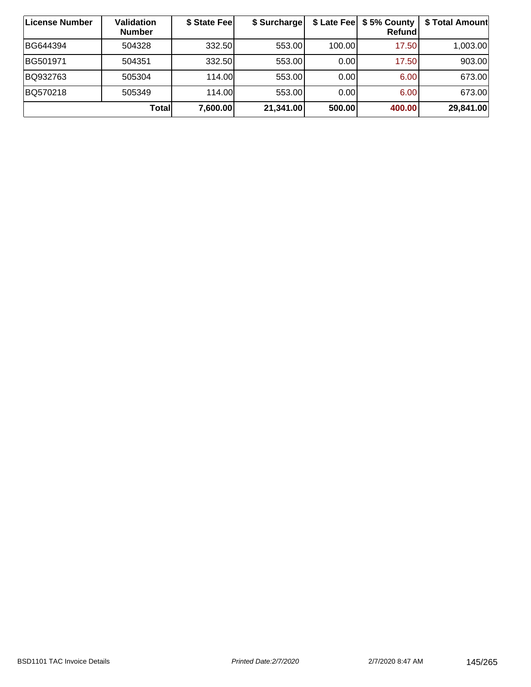| License Number | <b>Validation</b><br><b>Number</b> | \$ State Fee | \$ Surcharge |        | \$ Late Fee   \$5% County  <br>Refundl | \$ Total Amount |
|----------------|------------------------------------|--------------|--------------|--------|----------------------------------------|-----------------|
| BG644394       | 504328                             | 332.50       | 553.00       | 100.00 | 17.50                                  | 1,003.00        |
| BG501971       | 504351                             | 332.50       | 553.00       | 0.00   | 17.50                                  | 903.00          |
| BQ932763       | 505304                             | 114.00       | 553.00       | 0.00   | 6.00                                   | 673.00          |
| BQ570218       | 505349                             | 114.00L      | 553.00       | 0.00   | 6.00                                   | 673.00          |
|                | Totall                             | 7,600.00     | 21,341.00    | 500.00 | 400.00                                 | 29,841.00       |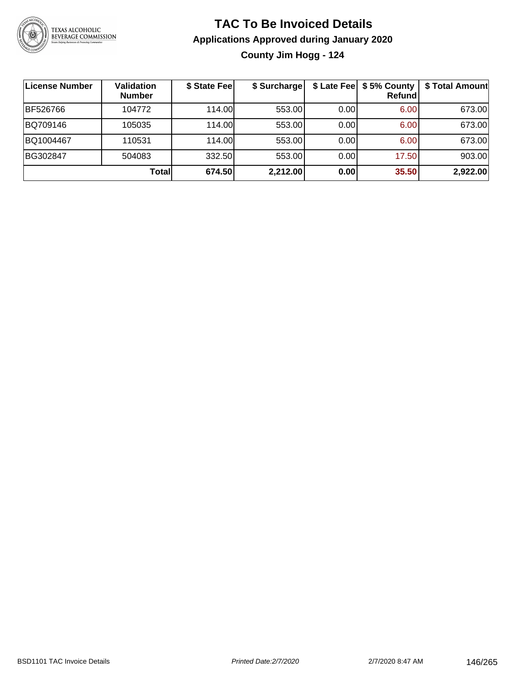

# **TAC To Be Invoiced Details Applications Approved during January 2020 County Jim Hogg - 124**

| License Number | <b>Validation</b><br><b>Number</b> | \$ State Fee | \$ Surcharge |      | \$ Late Fee   \$5% County<br>Refund | \$ Total Amount |
|----------------|------------------------------------|--------------|--------------|------|-------------------------------------|-----------------|
| BF526766       | 104772                             | 114.00       | 553.00       | 0.00 | 6.00                                | 673.00          |
| BQ709146       | 105035                             | 114.00       | 553.00       | 0.00 | 6.00                                | 673.00          |
| BQ1004467      | 110531                             | 114.00       | 553.00       | 0.00 | 6.00                                | 673.00          |
| BG302847       | 504083                             | 332.50       | 553.00       | 0.00 | 17.50                               | 903.00          |
|                | <b>Total</b>                       | 674.50       | 2,212.00     | 0.00 | 35.50                               | 2,922.00        |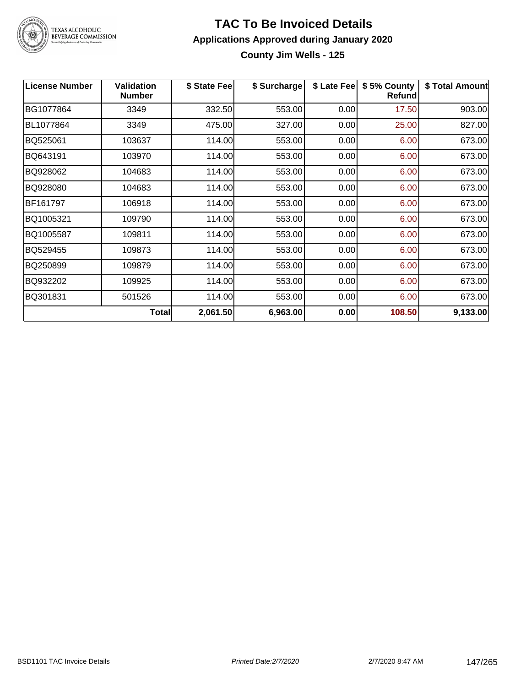

# TEXAS ALCOHOLIC<br>BEVERAGE COMMISSION

#### **TAC To Be Invoiced Details Applications Approved during January 2020 County Jim Wells - 125**

| <b>License Number</b> | <b>Validation</b><br><b>Number</b> | \$ State Feel | \$ Surcharge | \$ Late Fee | \$5% County<br><b>Refund</b> | \$ Total Amount |
|-----------------------|------------------------------------|---------------|--------------|-------------|------------------------------|-----------------|
| BG1077864             | 3349                               | 332.50        | 553.00       | 0.00        | 17.50                        | 903.00          |
| BL1077864             | 3349                               | 475.00        | 327.00       | 0.00        | 25.00                        | 827.00          |
| BQ525061              | 103637                             | 114.00        | 553.00       | 0.00        | 6.00                         | 673.00          |
| BQ643191              | 103970                             | 114.00        | 553.00       | 0.00        | 6.00                         | 673.00          |
| BQ928062              | 104683                             | 114.00        | 553.00       | 0.00        | 6.00                         | 673.00          |
| BQ928080              | 104683                             | 114.00        | 553.00       | 0.00        | 6.00                         | 673.00          |
| BF161797              | 106918                             | 114.00        | 553.00       | 0.00        | 6.00                         | 673.00          |
| BQ1005321             | 109790                             | 114.00        | 553.00       | 0.00        | 6.00                         | 673.00          |
| BQ1005587             | 109811                             | 114.00        | 553.00       | 0.00        | 6.00                         | 673.00          |
| BQ529455              | 109873                             | 114.00        | 553.00       | 0.00        | 6.00                         | 673.00          |
| BQ250899              | 109879                             | 114.00        | 553.00       | 0.00        | 6.00                         | 673.00          |
| BQ932202              | 109925                             | 114.00        | 553.00       | 0.00        | 6.00                         | 673.00          |
| BQ301831              | 501526                             | 114.00        | 553.00       | 0.00        | 6.00                         | 673.00          |
|                       | Total                              | 2,061.50      | 6,963.00     | 0.00        | 108.50                       | 9,133.00        |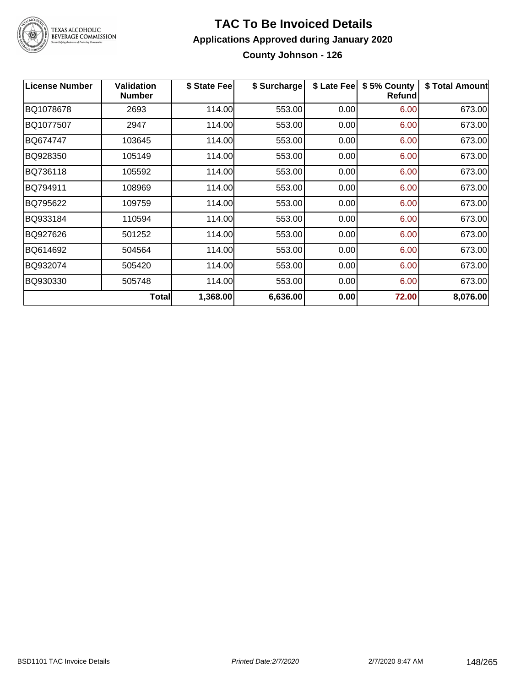

# TEXAS ALCOHOLIC<br>BEVERAGE COMMISSION

#### **TAC To Be Invoiced Details Applications Approved during January 2020 County Johnson - 126**

| <b>License Number</b> | <b>Validation</b><br><b>Number</b> | \$ State Fee | \$ Surcharge | \$ Late Fee | \$5% County<br><b>Refund</b> | \$ Total Amount |
|-----------------------|------------------------------------|--------------|--------------|-------------|------------------------------|-----------------|
| BQ1078678             | 2693                               | 114.00       | 553.00       | 0.00        | 6.00                         | 673.00          |
| BQ1077507             | 2947                               | 114.00       | 553.00       | 0.00        | 6.00                         | 673.00          |
| BQ674747              | 103645                             | 114.00       | 553.00       | 0.00        | 6.00                         | 673.00          |
| BQ928350              | 105149                             | 114.00       | 553.00       | 0.00        | 6.00                         | 673.00          |
| BQ736118              | 105592                             | 114.00       | 553.00       | 0.00        | 6.00                         | 673.00          |
| BQ794911              | 108969                             | 114.00       | 553.00       | 0.00        | 6.00                         | 673.00          |
| BQ795622              | 109759                             | 114.00       | 553.00       | 0.00        | 6.00                         | 673.00          |
| BQ933184              | 110594                             | 114.00       | 553.00       | 0.00        | 6.00                         | 673.00          |
| BQ927626              | 501252                             | 114.00       | 553.00       | 0.00        | 6.00                         | 673.00          |
| BQ614692              | 504564                             | 114.00       | 553.00       | 0.00        | 6.00                         | 673.00          |
| BQ932074              | 505420                             | 114.00       | 553.00       | 0.00        | 6.00                         | 673.00          |
| BQ930330              | 505748                             | 114.00       | 553.00       | 0.00        | 6.00                         | 673.00          |
|                       | Total                              | 1,368.00     | 6,636.00     | 0.00        | 72.00                        | 8,076.00        |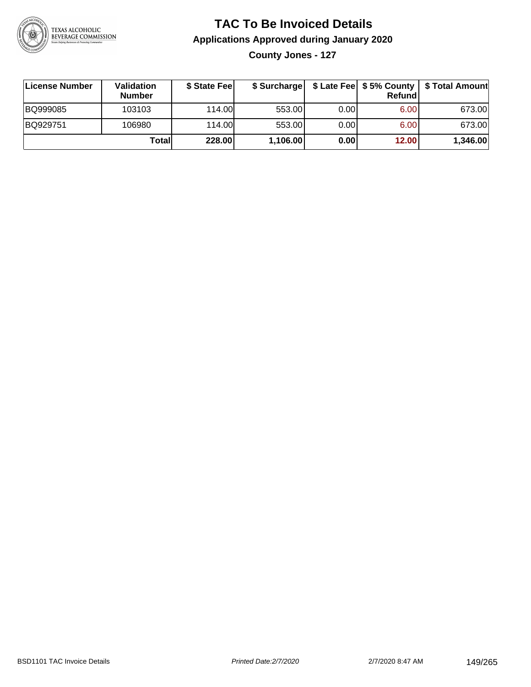

**County Jones - 127**

| License Number | Validation<br><b>Number</b> | \$ State Fee | \$ Surcharge |       | Refundl | \$ Late Fee   \$5% County   \$ Total Amount |
|----------------|-----------------------------|--------------|--------------|-------|---------|---------------------------------------------|
| BQ999085       | 103103                      | 114.00       | 553.00       | 0.00  | 6.00    | 673.00                                      |
| BQ929751       | 106980                      | 114.00L      | 553.00       | 0.001 | 6.00    | 673.00                                      |
|                | Totall                      | 228.00       | 1,106.00     | 0.00  | 12.00   | 1,346.00                                    |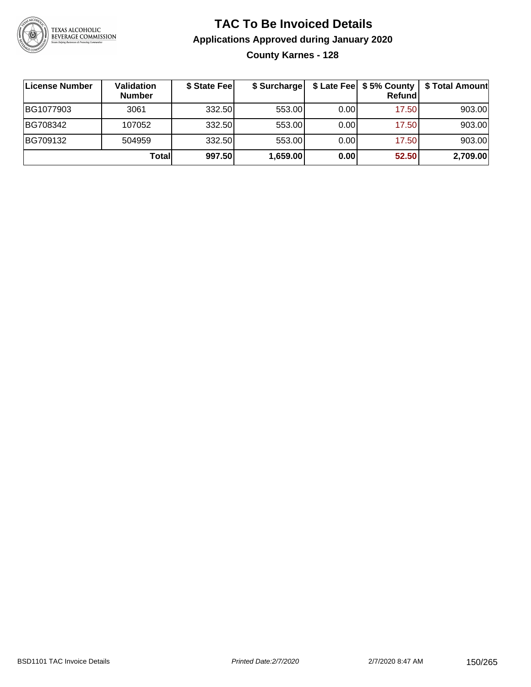

# **TAC To Be Invoiced Details Applications Approved during January 2020 County Karnes - 128**

| License Number | Validation<br><b>Number</b> | \$ State Fee | \$ Surcharge |      | $$$ Late Fee $$5%$ County<br>Refund | \$ Total Amount |
|----------------|-----------------------------|--------------|--------------|------|-------------------------------------|-----------------|
| BG1077903      | 3061                        | 332.50       | 553.00       | 0.00 | 17.50                               | 903.00          |
| BG708342       | 107052                      | 332.50       | 553.00       | 0.00 | 17.50                               | 903.00          |
| BG709132       | 504959                      | 332.50       | 553.00       | 0.00 | 17.50                               | 903.00          |
|                | Totall                      | 997.50       | 1,659.00     | 0.00 | 52.50                               | 2,709.00        |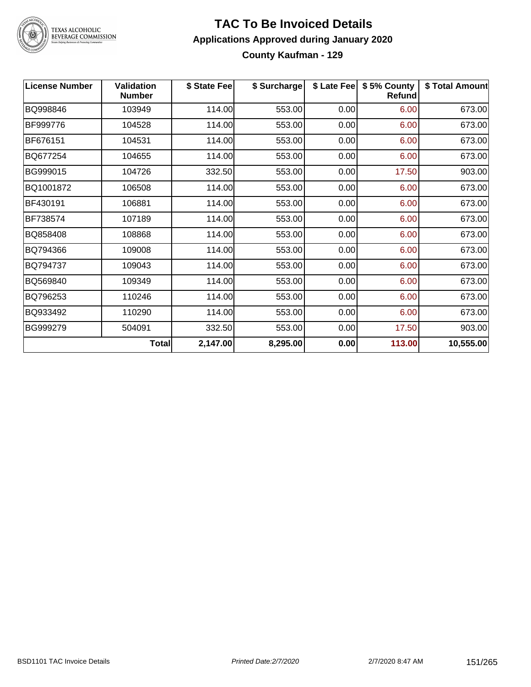

TEXAS ALCOHOLIC<br>BEVERAGE COMMISSION

#### **TAC To Be Invoiced Details Applications Approved during January 2020 County Kaufman - 129**

| <b>License Number</b> | <b>Validation</b><br><b>Number</b> | \$ State Fee | \$ Surcharge |      | \$ Late Fee   \$5% County<br><b>Refund</b> | \$ Total Amount |
|-----------------------|------------------------------------|--------------|--------------|------|--------------------------------------------|-----------------|
| BQ998846              | 103949                             | 114.00       | 553.00       | 0.00 | 6.00                                       | 673.00          |
| BF999776              | 104528                             | 114.00       | 553.00       | 0.00 | 6.00                                       | 673.00          |
| BF676151              | 104531                             | 114.00       | 553.00       | 0.00 | 6.00                                       | 673.00          |
| BQ677254              | 104655                             | 114.00       | 553.00       | 0.00 | 6.00                                       | 673.00          |
| BG999015              | 104726                             | 332.50       | 553.00       | 0.00 | 17.50                                      | 903.00          |
| BQ1001872             | 106508                             | 114.00       | 553.00       | 0.00 | 6.00                                       | 673.00          |
| BF430191              | 106881                             | 114.00       | 553.00       | 0.00 | 6.00                                       | 673.00          |
| BF738574              | 107189                             | 114.00       | 553.00       | 0.00 | 6.00                                       | 673.00          |
| BQ858408              | 108868                             | 114.00       | 553.00       | 0.00 | 6.00                                       | 673.00          |
| BQ794366              | 109008                             | 114.00       | 553.00       | 0.00 | 6.00                                       | 673.00          |
| BQ794737              | 109043                             | 114.00       | 553.00       | 0.00 | 6.00                                       | 673.00          |
| BQ569840              | 109349                             | 114.00       | 553.00       | 0.00 | 6.00                                       | 673.00          |
| BQ796253              | 110246                             | 114.00       | 553.00       | 0.00 | 6.00                                       | 673.00          |
| BQ933492              | 110290                             | 114.00       | 553.00       | 0.00 | 6.00                                       | 673.00          |
| BG999279              | 504091                             | 332.50       | 553.00       | 0.00 | 17.50                                      | 903.00          |
|                       | <b>Total</b>                       | 2,147.00     | 8,295.00     | 0.00 | 113.00                                     | 10,555.00       |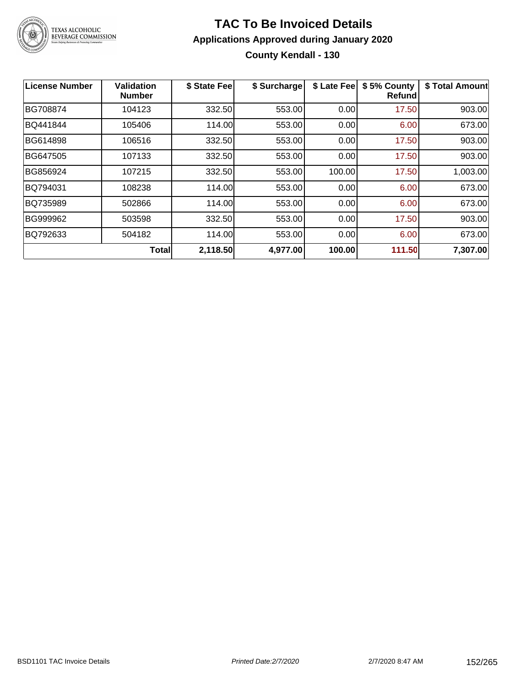

# **TAC To Be Invoiced Details Applications Approved during January 2020 County Kendall - 130**

| License Number  | <b>Validation</b><br><b>Number</b> | \$ State Fee | \$ Surcharge | \$ Late Fee | \$5% County<br><b>Refund</b> | \$ Total Amount |
|-----------------|------------------------------------|--------------|--------------|-------------|------------------------------|-----------------|
| BG708874        | 104123                             | 332.50       | 553.00       | 0.00        | 17.50                        | 903.00          |
| <b>BQ441844</b> | 105406                             | 114.00       | 553.00       | 0.00        | 6.00                         | 673.00          |
| BG614898        | 106516                             | 332.50       | 553.00       | 0.00        | 17.50                        | 903.00          |
| BG647505        | 107133                             | 332.50       | 553.00       | 0.00        | 17.50                        | 903.00          |
| BG856924        | 107215                             | 332.50       | 553.00       | 100.00      | 17.50                        | 1,003.00        |
| BQ794031        | 108238                             | 114.00       | 553.00       | 0.00        | 6.00                         | 673.00          |
| BQ735989        | 502866                             | 114.00       | 553.00       | 0.00        | 6.00                         | 673.00          |
| BG999962        | 503598                             | 332.50       | 553.00       | 0.00        | 17.50                        | 903.00          |
| BQ792633        | 504182                             | 114.00       | 553.00       | 0.00        | 6.00                         | 673.00          |
|                 | <b>Total</b>                       | 2,118.50     | 4,977.00     | 100.00      | 111.50                       | 7,307.00        |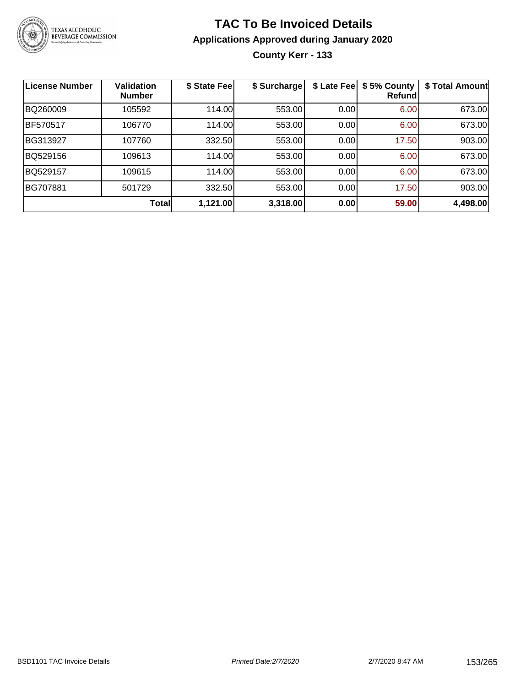

# **TAC To Be Invoiced Details Applications Approved during January 2020 County Kerr - 133**

| <b>License Number</b> | <b>Validation</b><br><b>Number</b> | \$ State Fee | \$ Surcharge | \$ Late Fee | \$5% County<br>Refund | \$ Total Amount |
|-----------------------|------------------------------------|--------------|--------------|-------------|-----------------------|-----------------|
| BQ260009              | 105592                             | 114.00       | 553.00       | 0.00        | 6.00                  | 673.00          |
| <b>BF570517</b>       | 106770                             | 114.00       | 553.00       | 0.00        | 6.00                  | 673.00          |
| BG313927              | 107760                             | 332.50       | 553.00       | 0.00        | 17.50                 | 903.00          |
| BQ529156              | 109613                             | 114.00       | 553.00       | 0.00        | 6.00                  | 673.00          |
| BQ529157              | 109615                             | 114.00       | 553.00       | 0.00        | 6.00                  | 673.00          |
| BG707881              | 501729                             | 332.50       | 553.00       | 0.00        | 17.50                 | 903.00          |
|                       | <b>Total</b>                       | 1,121.00     | 3,318.00     | 0.00        | 59.00                 | 4,498.00        |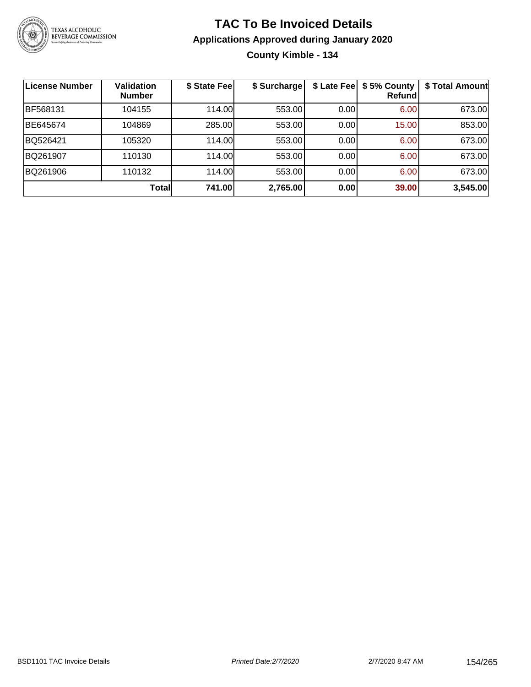

# **TAC To Be Invoiced Details Applications Approved during January 2020 County Kimble - 134**

| <b>License Number</b> | <b>Validation</b><br><b>Number</b> | \$ State Fee | \$ Surcharge |      | \$ Late Fee   \$5% County<br><b>Refund</b> | \$ Total Amount |
|-----------------------|------------------------------------|--------------|--------------|------|--------------------------------------------|-----------------|
| BF568131              | 104155                             | 114.00       | 553.00       | 0.00 | 6.00                                       | 673.00          |
| BE645674              | 104869                             | 285.00       | 553.00       | 0.00 | 15.00                                      | 853.00          |
| BQ526421              | 105320                             | 114.00       | 553.00       | 0.00 | 6.00                                       | 673.00          |
| BQ261907              | 110130                             | 114.00       | 553.00       | 0.00 | 6.00                                       | 673.00          |
| BQ261906              | 110132                             | 114.00       | 553.00       | 0.00 | 6.00                                       | 673.00          |
|                       | Total                              | 741.00       | 2,765.00     | 0.00 | 39.00                                      | 3,545.00        |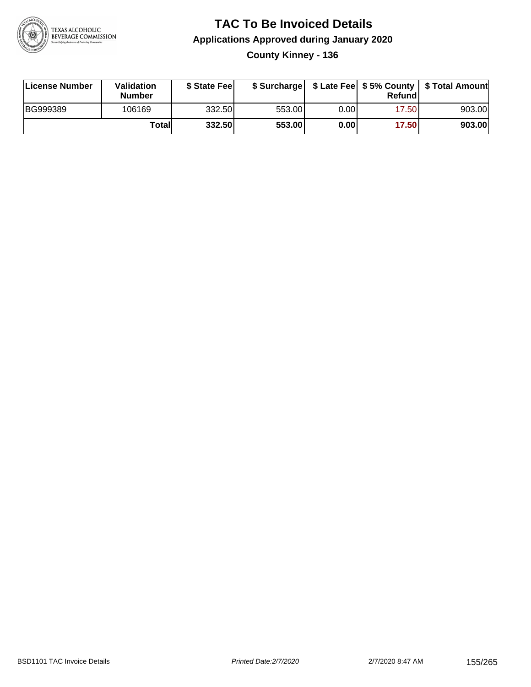

### **TAC To Be Invoiced Details Applications Approved during January 2020 County Kinney - 136**

| License Number | Validation<br>Number | \$ State Fee |        |       | Refundl | \$ Surcharge   \$ Late Fee   \$5% County   \$ Total Amount |
|----------------|----------------------|--------------|--------|-------|---------|------------------------------------------------------------|
| BG999389       | 106169               | 332.50       | 553.00 | 0.001 | 17.50   | 903.00                                                     |
|                | Totall               | 332.50       | 553.00 | 0.00  | 17.50   | 903.00                                                     |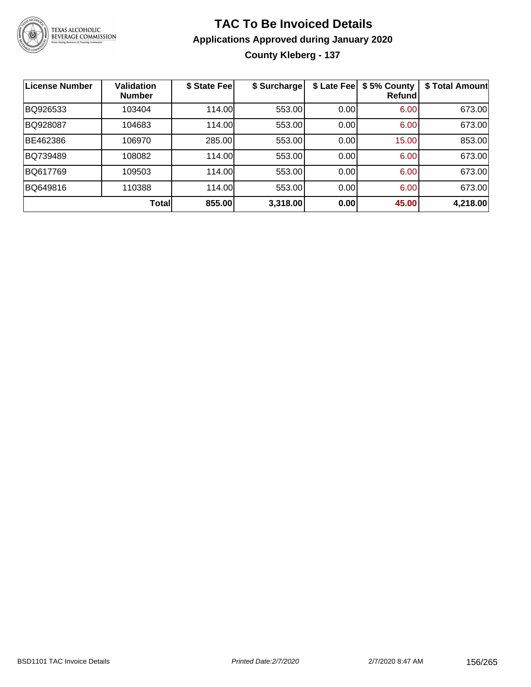

# **TAC To Be Invoiced Details Applications Approved during January 2020 County Kleberg - 137**

| <b>License Number</b> | <b>Validation</b><br><b>Number</b> | \$ State Fee | \$ Surcharge | \$ Late Fee | \$5% County<br>Refundl | \$ Total Amount |
|-----------------------|------------------------------------|--------------|--------------|-------------|------------------------|-----------------|
| BQ926533              | 103404                             | 114.00       | 553.00       | 0.00        | 6.00                   | 673.00          |
| BQ928087              | 104683                             | 114.00       | 553.00       | 0.00        | 6.00                   | 673.00          |
| BE462386              | 106970                             | 285.00       | 553.00       | 0.00        | 15.00                  | 853.00          |
| BQ739489              | 108082                             | 114.00       | 553.00       | 0.00        | 6.00                   | 673.00          |
| BQ617769              | 109503                             | 114.00       | 553.00       | 0.00        | 6.00                   | 673.00          |
| BQ649816              | 110388                             | 114.00       | 553.00       | 0.00        | 6.00                   | 673.00          |
|                       | <b>Total</b>                       | 855.00       | 3,318.00     | 0.00        | 45.00                  | 4,218.00        |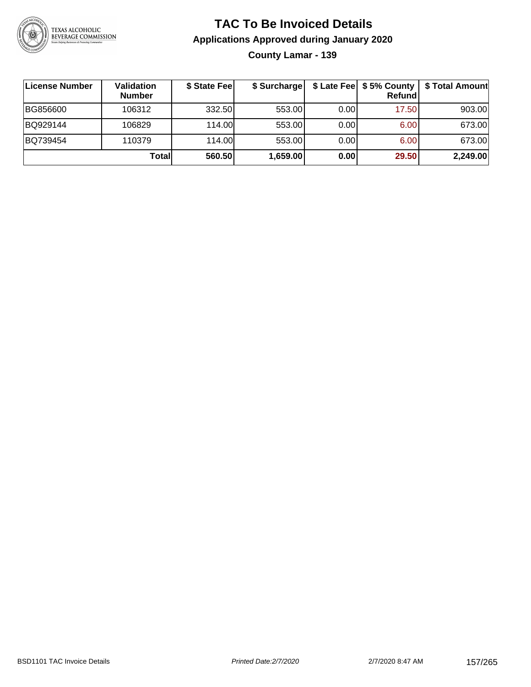

**County Lamar - 139**

| <b>License Number</b> | Validation<br><b>Number</b> | \$ State Fee | \$ Surcharge |       | Refundl | \$ Late Fee  \$5% County   \$ Total Amount |
|-----------------------|-----------------------------|--------------|--------------|-------|---------|--------------------------------------------|
| BG856600              | 106312                      | 332.50       | 553.00       | 0.001 | 17.50   | 903.00                                     |
| BQ929144              | 106829                      | 114.00       | 553.00       | 0.00  | 6.00    | 673.00                                     |
| BQ739454              | 110379                      | 114.00       | 553.00       | 0.00  | 6.00    | 673.00                                     |
|                       | Total                       | 560.50       | 1,659.00     | 0.00  | 29.50   | 2,249.00                                   |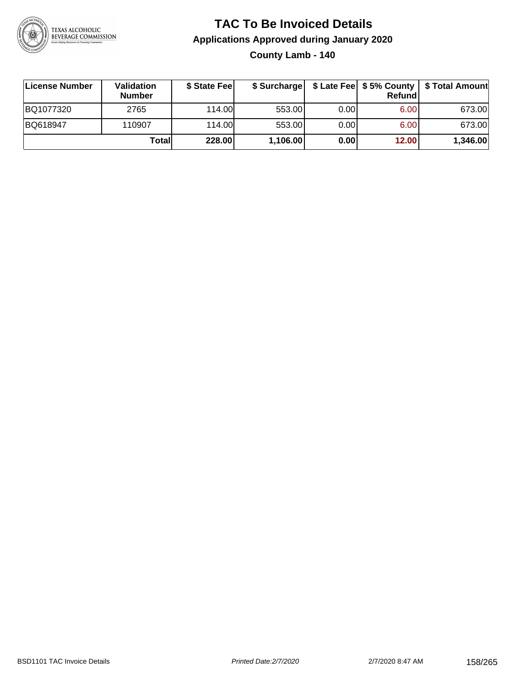

**County Lamb - 140**

| License Number | <b>Validation</b><br><b>Number</b> | \$ State Feel |          |      | Refundl | \$ Surcharge   \$ Late Fee   \$5% County   \$ Total Amount |
|----------------|------------------------------------|---------------|----------|------|---------|------------------------------------------------------------|
| BQ1077320      | 2765                               | 114.00L       | 553.00   | 0.00 | 6.00    | 673.00                                                     |
| BQ618947       | 110907                             | 114.00L       | 553.00   | 0.00 | 6.00    | 673.00                                                     |
|                | Totall                             | 228.00        | 1,106.00 | 0.00 | 12.00   | 1,346.00                                                   |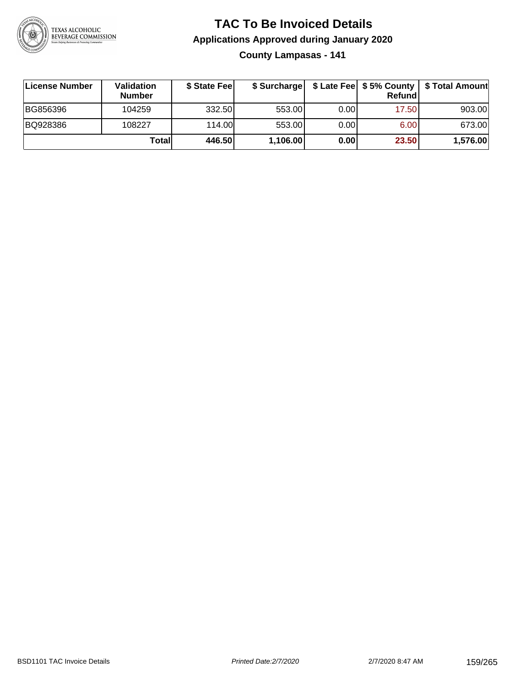

**County Lampasas - 141**

| License Number | <b>Validation</b><br><b>Number</b> | \$ State Feel | \$ Surcharge |       | <b>Refund</b> | \$ Late Fee   \$5% County   \$ Total Amount |
|----------------|------------------------------------|---------------|--------------|-------|---------------|---------------------------------------------|
| BG856396       | 104259                             | 332.50        | 553.00       | 0.001 | 17.50         | 903.00                                      |
| BQ928386       | 108227                             | 114.00        | 553.00       | 0.001 | 6.00          | 673.00                                      |
|                | Totall                             | 446.50        | 1,106.00     | 0.00  | 23.50         | 1,576.00                                    |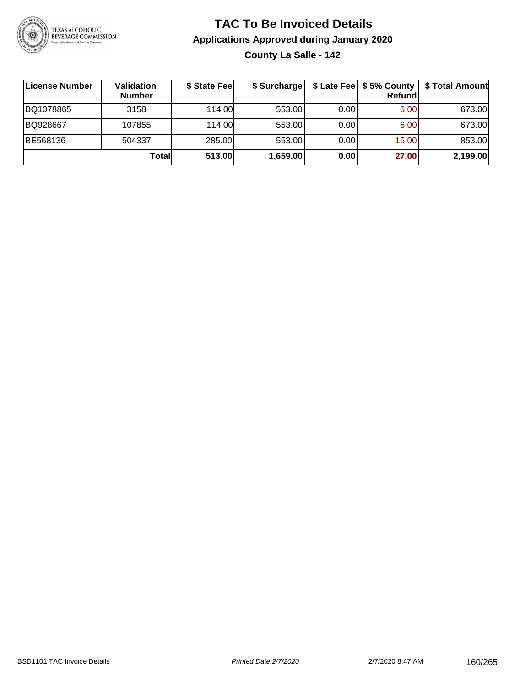

### **TAC To Be Invoiced Details Applications Approved during January 2020 County La Salle - 142**

| License Number | <b>Validation</b><br><b>Number</b> | \$ State Fee | \$ Surcharge |      | \$ Late Fee   \$5% County  <br>Refund | \$ Total Amount |
|----------------|------------------------------------|--------------|--------------|------|---------------------------------------|-----------------|
| BQ1078865      | 3158                               | 114.00       | 553.00       | 0.00 | 6.00                                  | 673.00          |
| BQ928667       | 107855                             | 114.00       | 553.00       | 0.00 | 6.00                                  | 673.00          |
| BE568136       | 504337                             | 285.00       | 553.00       | 0.00 | 15.00                                 | 853.00          |
|                | Totall                             | 513.00       | 1,659.00     | 0.00 | 27.00                                 | 2,199.00        |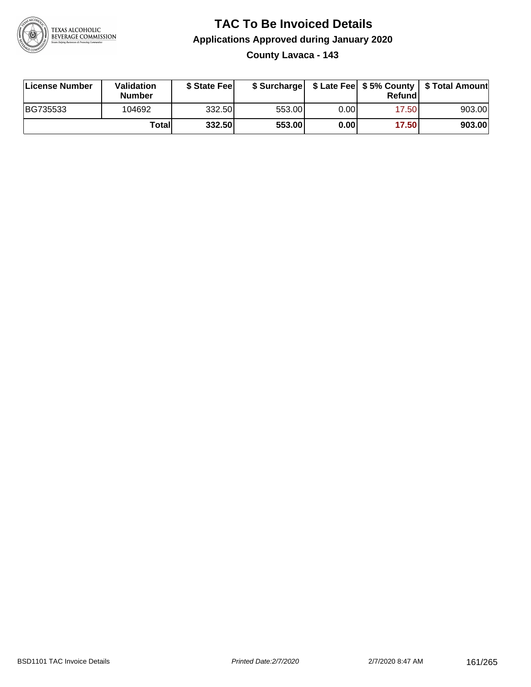

### **TAC To Be Invoiced Details Applications Approved during January 2020 County Lavaca - 143**

| License Number | <b>Validation</b><br><b>Number</b> | \$ State Feel |        |      | Refund | \$ Surcharge   \$ Late Fee   \$5% County   \$ Total Amount |
|----------------|------------------------------------|---------------|--------|------|--------|------------------------------------------------------------|
| BG735533       | 104692                             | 332.50        | 553.00 | 0.00 | 17.50  | 903.00                                                     |
|                | Totall                             | 332.50        | 553.00 | 0.00 | 17.50  | 903.00                                                     |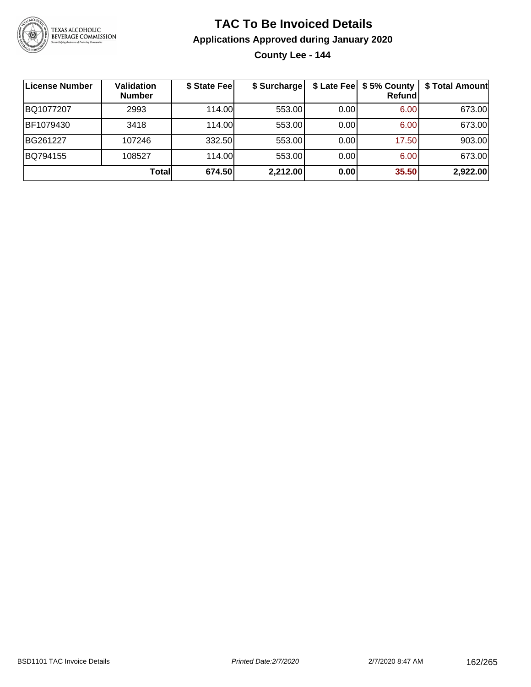

**County Lee - 144**

| License Number | Validation<br><b>Number</b> | \$ State Fee | \$ Surcharge |      | \$ Late Fee   \$5% County<br>Refundl | \$ Total Amount |
|----------------|-----------------------------|--------------|--------------|------|--------------------------------------|-----------------|
| BQ1077207      | 2993                        | 114.00       | 553.00       | 0.00 | 6.00                                 | 673.00          |
| BF1079430      | 3418                        | 114.00L      | 553.00       | 0.00 | 6.00                                 | 673.00          |
| BG261227       | 107246                      | 332.50       | 553.00       | 0.00 | 17.50                                | 903.00          |
| BQ794155       | 108527                      | 114.00       | 553.00       | 0.00 | 6.00                                 | 673.00          |
|                | Totall                      | 674.50       | 2,212.00     | 0.00 | 35.50                                | 2,922.00        |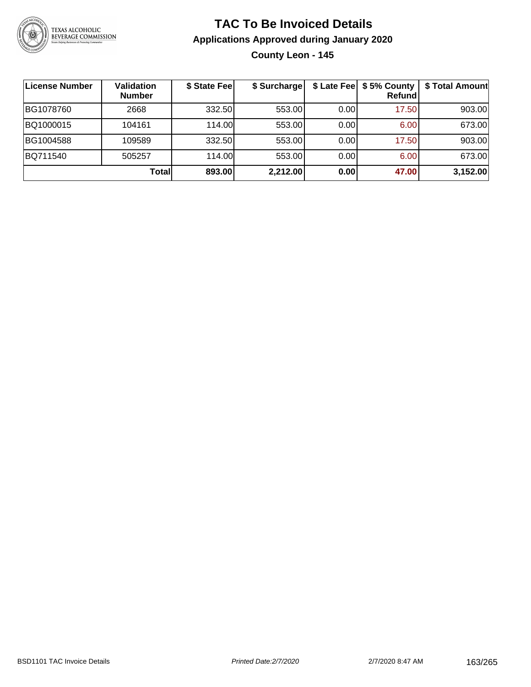

# **TAC To Be Invoiced Details Applications Approved during January 2020 County Leon - 145**

| License Number | <b>Validation</b><br><b>Number</b> | \$ State Fee | \$ Surcharge |      | \$ Late Fee   \$5% County<br>Refundl | \$ Total Amount |
|----------------|------------------------------------|--------------|--------------|------|--------------------------------------|-----------------|
| BG1078760      | 2668                               | 332.50       | 553.00       | 0.00 | 17.50                                | 903.00          |
| BQ1000015      | 104161                             | 114.00       | 553.00       | 0.00 | 6.00                                 | 673.00          |
| BG1004588      | 109589                             | 332.50       | 553.00       | 0.00 | 17.50                                | 903.00          |
| BQ711540       | 505257                             | 114.00       | 553.00       | 0.00 | 6.00                                 | 673.00          |
|                | <b>Total</b>                       | 893.00       | 2,212.00     | 0.00 | 47.00                                | 3,152.00        |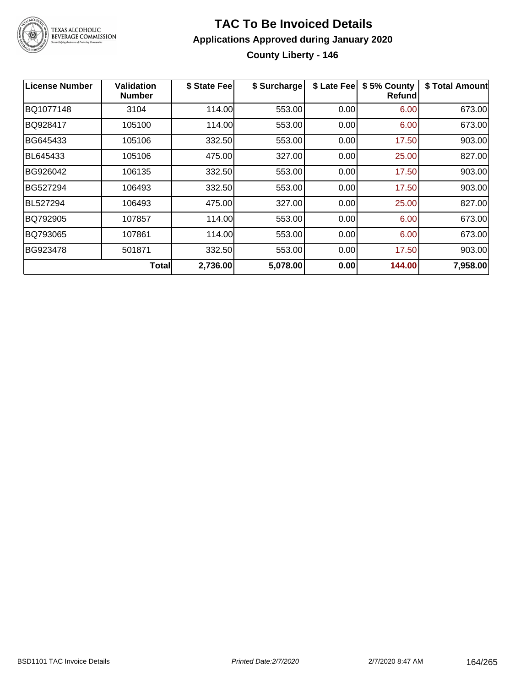

### **TAC To Be Invoiced Details Applications Approved during January 2020 County Liberty - 146**

| <b>License Number</b> | Validation<br><b>Number</b> | \$ State Fee | \$ Surcharge | \$ Late Fee | \$5% County<br>Refundl | \$ Total Amount |
|-----------------------|-----------------------------|--------------|--------------|-------------|------------------------|-----------------|
| BQ1077148             | 3104                        | 114.00       | 553.00       | 0.00        | 6.00                   | 673.00          |
| BQ928417              | 105100                      | 114.00       | 553.00       | 0.00        | 6.00                   | 673.00          |
| BG645433              | 105106                      | 332.50       | 553.00       | 0.00        | 17.50                  | 903.00          |
| BL645433              | 105106                      | 475.00       | 327.00       | 0.00        | 25.00                  | 827.00          |
| BG926042              | 106135                      | 332.50       | 553.00       | 0.00        | 17.50                  | 903.00          |
| BG527294              | 106493                      | 332.50       | 553.00       | 0.00        | 17.50                  | 903.00          |
| <b>BL527294</b>       | 106493                      | 475.00       | 327.00       | 0.00        | 25.00                  | 827.00          |
| BQ792905              | 107857                      | 114.00       | 553.00       | 0.00        | 6.00                   | 673.00          |
| BQ793065              | 107861                      | 114.00       | 553.00       | 0.00        | 6.00                   | 673.00          |
| BG923478              | 501871                      | 332.50       | 553.00       | 0.00        | 17.50                  | 903.00          |
|                       | <b>Total</b>                | 2,736.00     | 5,078.00     | 0.00        | 144.00                 | 7,958.00        |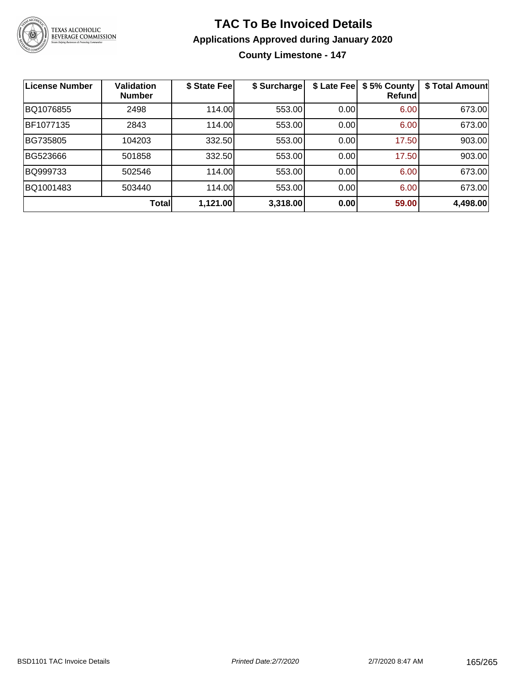

**County Limestone - 147**

| <b>License Number</b> | <b>Validation</b><br><b>Number</b> | \$ State Fee | \$ Surcharge | \$ Late Fee | \$5% County<br>Refundl | \$ Total Amount |
|-----------------------|------------------------------------|--------------|--------------|-------------|------------------------|-----------------|
| BQ1076855             | 2498                               | 114.00       | 553.00       | 0.00        | 6.00                   | 673.00          |
| BF1077135             | 2843                               | 114.00       | 553.00       | 0.00        | 6.00                   | 673.00          |
| BG735805              | 104203                             | 332.50       | 553.00       | 0.00        | 17.50                  | 903.00          |
| BG523666              | 501858                             | 332.50       | 553.00       | 0.00        | 17.50                  | 903.00          |
| BQ999733              | 502546                             | 114.00       | 553.00       | 0.00        | 6.00                   | 673.00          |
| BQ1001483             | 503440                             | 114.00       | 553.00       | 0.00        | 6.00                   | 673.00          |
|                       | <b>Total</b>                       | 1,121.00     | 3,318.00     | 0.00        | 59.00                  | 4,498.00        |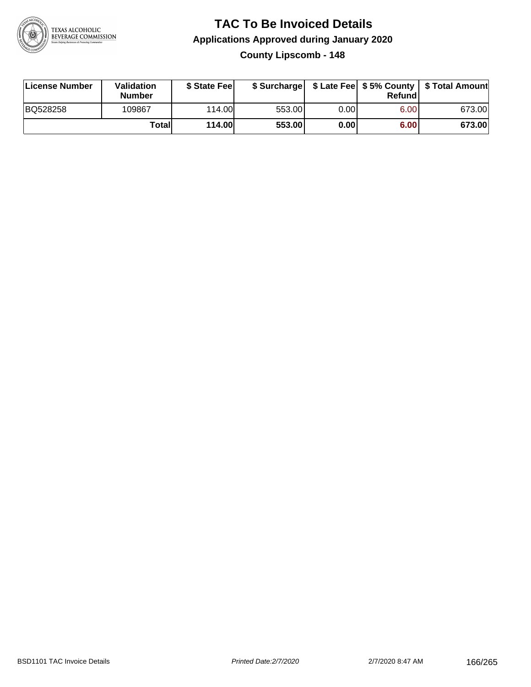

**County Lipscomb - 148**

| License Number | <b>Validation</b><br><b>Number</b> | \$ State Feel |        |      | Refundl | \$ Surcharge   \$ Late Fee   \$5% County   \$ Total Amount |
|----------------|------------------------------------|---------------|--------|------|---------|------------------------------------------------------------|
| BQ528258       | 109867                             | 114.00        | 553.00 | 0.00 | 6.00    | 673.00                                                     |
|                | Totall                             | <b>114.00</b> | 553.00 | 0.00 | 6.00    | 673.00                                                     |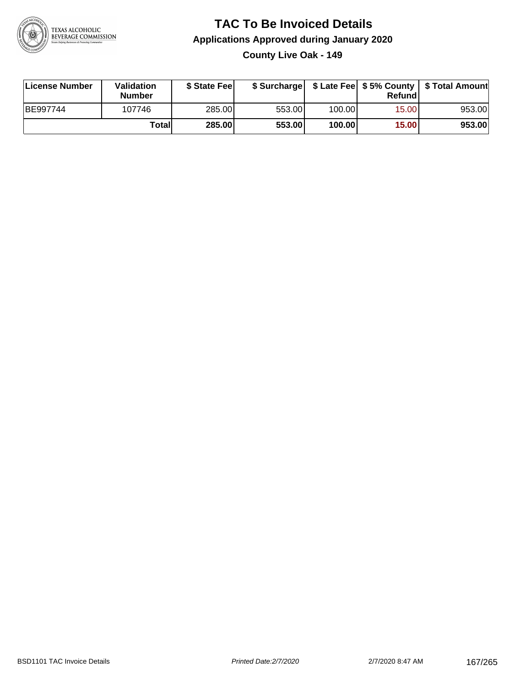

**County Live Oak - 149**

| License Number | Validation<br><b>Number</b> | \$ State Fee | \$ Surcharge |        | Refundl |        |
|----------------|-----------------------------|--------------|--------------|--------|---------|--------|
| BE997744       | 107746                      | 285.00       | 553.00       | 100.00 | 15.00   | 953.00 |
|                | Totall                      | 285.00       | 553.00       | 100.00 | 15.00   | 953.00 |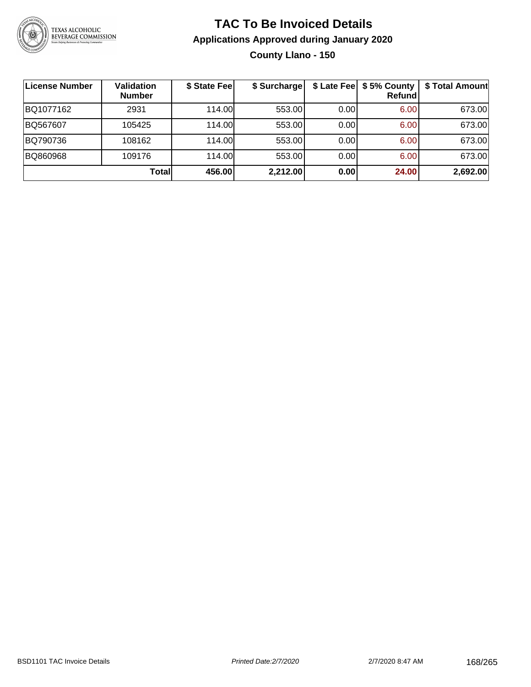

# **TAC To Be Invoiced Details Applications Approved during January 2020 County Llano - 150**

| License Number | <b>Validation</b><br><b>Number</b> | \$ State Fee | \$ Surcharge |      | \$ Late Fee   \$5% County<br>Refund | \$ Total Amount |
|----------------|------------------------------------|--------------|--------------|------|-------------------------------------|-----------------|
| BQ1077162      | 2931                               | 114.00       | 553.00       | 0.00 | 6.00                                | 673.00          |
| BQ567607       | 105425                             | 114.00       | 553.00       | 0.00 | 6.00                                | 673.00          |
| BQ790736       | 108162                             | 114.00       | 553.00       | 0.00 | 6.00                                | 673.00          |
| BQ860968       | 109176                             | 114.00L      | 553.00       | 0.00 | 6.00                                | 673.00          |
|                | <b>Total</b>                       | 456.00       | 2,212.00     | 0.00 | 24.00                               | 2,692.00        |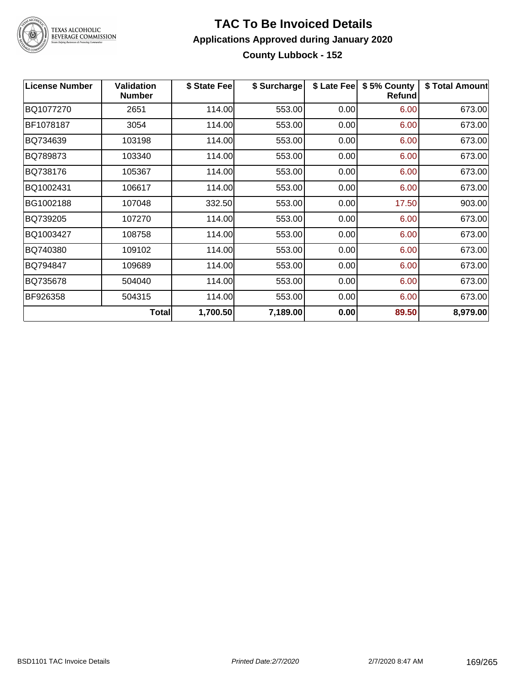

### **TAC To Be Invoiced Details Applications Approved during January 2020 County Lubbock - 152**

| <b>License Number</b> | <b>Validation</b><br><b>Number</b> | \$ State Fee | \$ Surcharge | \$ Late Fee | \$5% County<br><b>Refund</b> | \$ Total Amount |
|-----------------------|------------------------------------|--------------|--------------|-------------|------------------------------|-----------------|
| BQ1077270             | 2651                               | 114.00       | 553.00       | 0.00        | 6.00                         | 673.00          |
| BF1078187             | 3054                               | 114.00       | 553.00       | 0.00        | 6.00                         | 673.00          |
| BQ734639              | 103198                             | 114.00       | 553.00       | 0.00        | 6.00                         | 673.00          |
| BQ789873              | 103340                             | 114.00       | 553.00       | 0.00        | 6.00                         | 673.00          |
| BQ738176              | 105367                             | 114.00       | 553.00       | 0.00        | 6.00                         | 673.00          |
| BQ1002431             | 106617                             | 114.00       | 553.00       | 0.00        | 6.00                         | 673.00          |
| BG1002188             | 107048                             | 332.50       | 553.00       | 0.00        | 17.50                        | 903.00          |
| BQ739205              | 107270                             | 114.00       | 553.00       | 0.00        | 6.00                         | 673.00          |
| BQ1003427             | 108758                             | 114.00       | 553.00       | 0.00        | 6.00                         | 673.00          |
| BQ740380              | 109102                             | 114.00       | 553.00       | 0.00        | 6.00                         | 673.00          |
| BQ794847              | 109689                             | 114.00       | 553.00       | 0.00        | 6.00                         | 673.00          |
| BQ735678              | 504040                             | 114.00       | 553.00       | 0.00        | 6.00                         | 673.00          |
| BF926358              | 504315                             | 114.00       | 553.00       | 0.00        | 6.00                         | 673.00          |
|                       | Total                              | 1,700.50     | 7,189.00     | 0.00        | 89.50                        | 8,979.00        |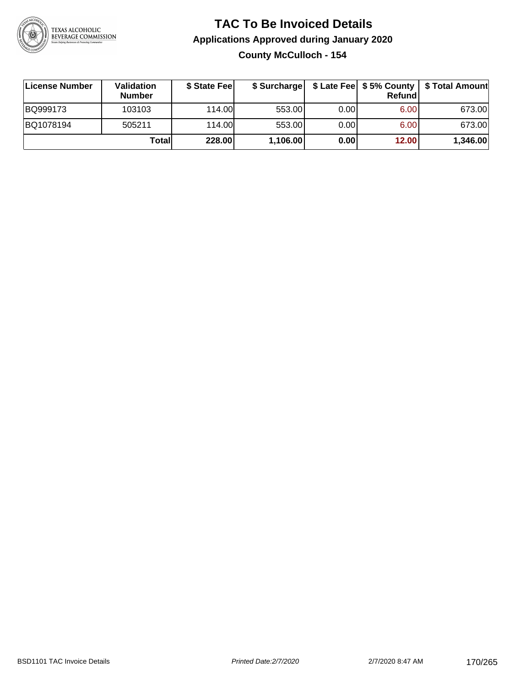

## **TAC To Be Invoiced Details Applications Approved during January 2020 County McCulloch - 154**

| <b>∣License Number</b> | Validation<br><b>Number</b> | \$ State Feel | \$ Surcharge |      | Refundl | \$ Late Fee   \$5% County   \$ Total Amount |
|------------------------|-----------------------------|---------------|--------------|------|---------|---------------------------------------------|
| BQ999173               | 103103                      | 114.00        | 553.00       | 0.00 | 6.00    | 673.00                                      |
| BQ1078194              | 505211                      | 114.00L       | 553.00       | 0.00 | 6.00    | 673.00                                      |
|                        | Totall                      | 228.00        | 1,106.00     | 0.00 | 12.00   | 1,346.00                                    |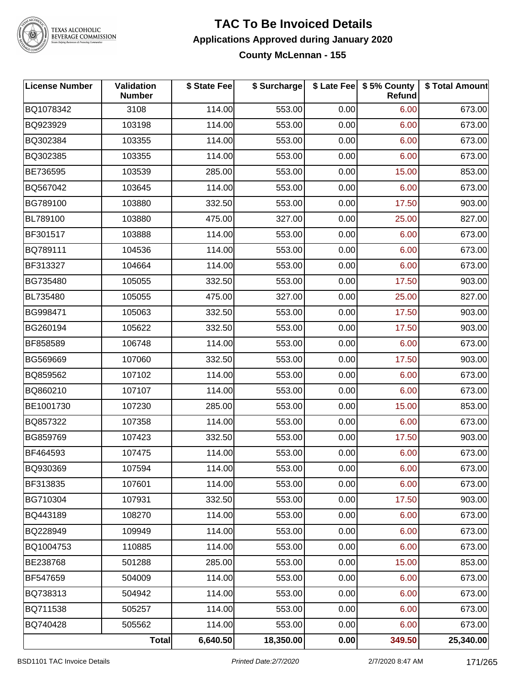

# TEXAS ALCOHOLIC<br>BEVERAGE COMMISSION

#### **TAC To Be Invoiced Details Applications Approved during January 2020 County McLennan - 155**

| <b>License Number</b> | Validation<br><b>Number</b> | \$ State Fee | \$ Surcharge | \$ Late Fee | \$5% County<br>Refund | \$ Total Amount |
|-----------------------|-----------------------------|--------------|--------------|-------------|-----------------------|-----------------|
| BQ1078342             | 3108                        | 114.00       | 553.00       | 0.00        | 6.00                  | 673.00          |
| BQ923929              | 103198                      | 114.00       | 553.00       | 0.00        | 6.00                  | 673.00          |
| BQ302384              | 103355                      | 114.00       | 553.00       | 0.00        | 6.00                  | 673.00          |
| BQ302385              | 103355                      | 114.00       | 553.00       | 0.00        | 6.00                  | 673.00          |
| BE736595              | 103539                      | 285.00       | 553.00       | 0.00        | 15.00                 | 853.00          |
| BQ567042              | 103645                      | 114.00       | 553.00       | 0.00        | 6.00                  | 673.00          |
| BG789100              | 103880                      | 332.50       | 553.00       | 0.00        | 17.50                 | 903.00          |
| BL789100              | 103880                      | 475.00       | 327.00       | 0.00        | 25.00                 | 827.00          |
| BF301517              | 103888                      | 114.00       | 553.00       | 0.00        | 6.00                  | 673.00          |
| BQ789111              | 104536                      | 114.00       | 553.00       | 0.00        | 6.00                  | 673.00          |
| BF313327              | 104664                      | 114.00       | 553.00       | 0.00        | 6.00                  | 673.00          |
| BG735480              | 105055                      | 332.50       | 553.00       | 0.00        | 17.50                 | 903.00          |
| BL735480              | 105055                      | 475.00       | 327.00       | 0.00        | 25.00                 | 827.00          |
| BG998471              | 105063                      | 332.50       | 553.00       | 0.00        | 17.50                 | 903.00          |
| BG260194              | 105622                      | 332.50       | 553.00       | 0.00        | 17.50                 | 903.00          |
| BF858589              | 106748                      | 114.00       | 553.00       | 0.00        | 6.00                  | 673.00          |
| BG569669              | 107060                      | 332.50       | 553.00       | 0.00        | 17.50                 | 903.00          |
| BQ859562              | 107102                      | 114.00       | 553.00       | 0.00        | 6.00                  | 673.00          |
| BQ860210              | 107107                      | 114.00       | 553.00       | 0.00        | 6.00                  | 673.00          |
| BE1001730             | 107230                      | 285.00       | 553.00       | 0.00        | 15.00                 | 853.00          |
| BQ857322              | 107358                      | 114.00       | 553.00       | 0.00        | 6.00                  | 673.00          |
| BG859769              | 107423                      | 332.50       | 553.00       | 0.00        | 17.50                 | 903.00          |
| BF464593              | 107475                      | 114.00       | 553.00       | 0.00        | 6.00                  | 673.00          |
| BQ930369              | 107594                      | 114.00       | 553.00       | 0.00        | 6.00                  | 673.00          |
| BF313835              | 107601                      | 114.00       | 553.00       | 0.00        | 6.00                  | 673.00          |
| BG710304              | 107931                      | 332.50       | 553.00       | 0.00        | 17.50                 | 903.00          |
| BQ443189              | 108270                      | 114.00       | 553.00       | 0.00        | 6.00                  | 673.00          |
| BQ228949              | 109949                      | 114.00       | 553.00       | 0.00        | 6.00                  | 673.00          |
| BQ1004753             | 110885                      | 114.00       | 553.00       | 0.00        | 6.00                  | 673.00          |
| BE238768              | 501288                      | 285.00       | 553.00       | 0.00        | 15.00                 | 853.00          |
| BF547659              | 504009                      | 114.00       | 553.00       | 0.00        | 6.00                  | 673.00          |
| BQ738313              | 504942                      | 114.00       | 553.00       | 0.00        | 6.00                  | 673.00          |
| BQ711538              | 505257                      | 114.00       | 553.00       | 0.00        | 6.00                  | 673.00          |
| BQ740428              | 505562                      | 114.00       | 553.00       | 0.00        | 6.00                  | 673.00          |
|                       | <b>Total</b>                | 6,640.50     | 18,350.00    | 0.00        | 349.50                | 25,340.00       |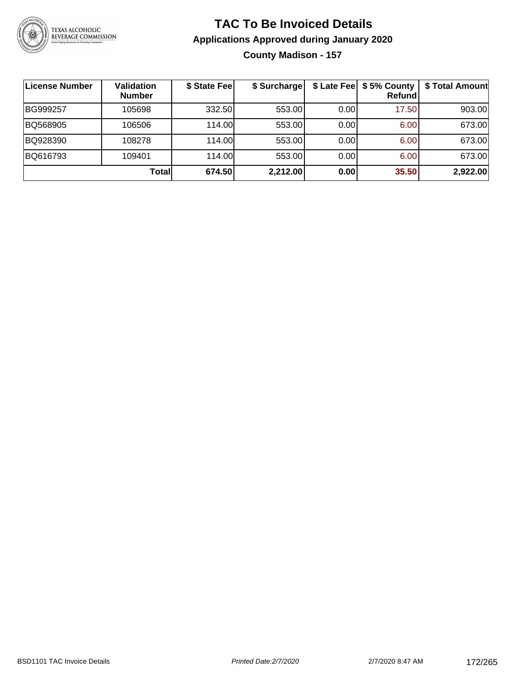

# **TAC To Be Invoiced Details Applications Approved during January 2020 County Madison - 157**

| <b>License Number</b> | <b>Validation</b><br><b>Number</b> | \$ State Fee | \$ Surcharge |      | \$ Late Fee   \$5% County<br>Refundl | \$ Total Amount |
|-----------------------|------------------------------------|--------------|--------------|------|--------------------------------------|-----------------|
| BG999257              | 105698                             | 332.50       | 553.00       | 0.00 | 17.50                                | 903.00          |
| BQ568905              | 106506                             | 114.00       | 553.00       | 0.00 | 6.00                                 | 673.00          |
| BQ928390              | 108278                             | 114.00       | 553.00       | 0.00 | 6.00                                 | 673.00          |
| BQ616793              | 109401                             | 114.00L      | 553.00       | 0.00 | 6.00                                 | 673.00          |
|                       | Totall                             | 674.50       | 2,212.00     | 0.00 | 35.50                                | 2,922.00        |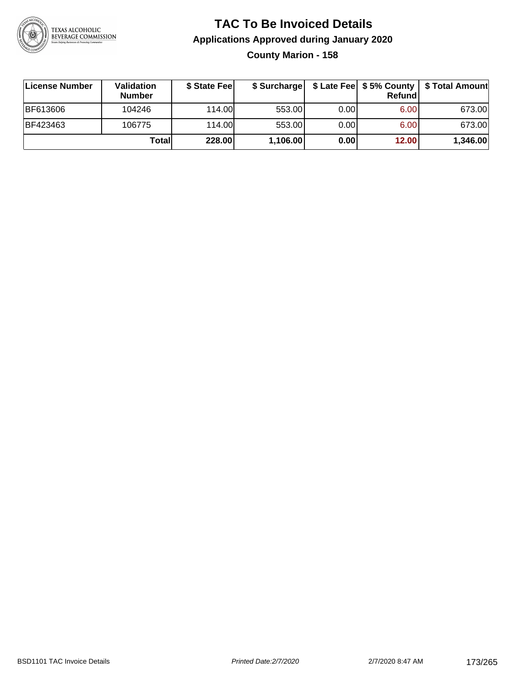

### **TAC To Be Invoiced Details Applications Approved during January 2020 County Marion - 158**

| License Number | <b>Validation</b><br><b>Number</b> | \$ State Fee  | \$ Surcharge |       | Refund | \$ Late Fee   \$5% County   \$ Total Amount |
|----------------|------------------------------------|---------------|--------------|-------|--------|---------------------------------------------|
| BF613606       | 104246                             | 114.00L       | 553.00       | 0.00  | 6.00   | 673.00                                      |
| BF423463       | 106775                             | 114.00        | 553.00       | 0.001 | 6.00   | 673.00                                      |
|                | Totall                             | <b>228.00</b> | 1,106.00     | 0.00  | 12.00  | 1,346.00                                    |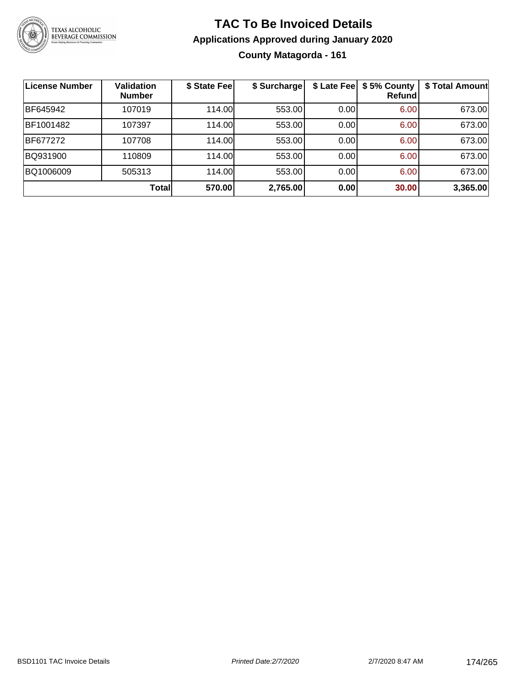

# **TAC To Be Invoiced Details Applications Approved during January 2020 County Matagorda - 161**

| License Number | <b>Validation</b><br><b>Number</b> | \$ State Fee | \$ Surcharge | \$ Late Fee | \$5% County<br>Refundl | \$ Total Amount |
|----------------|------------------------------------|--------------|--------------|-------------|------------------------|-----------------|
| BF645942       | 107019                             | 114.00       | 553.00       | 0.00        | 6.00                   | 673.00          |
| BF1001482      | 107397                             | 114.00       | 553.00       | 0.00        | 6.00                   | 673.00          |
| BF677272       | 107708                             | 114.00       | 553.00       | 0.00        | 6.00                   | 673.00          |
| BQ931900       | 110809                             | 114.00       | 553.00       | 0.00        | 6.00                   | 673.00          |
| BQ1006009      | 505313                             | 114.00       | 553.00       | 0.00        | 6.00                   | 673.00          |
|                | Totall                             | 570.00       | 2,765.00     | 0.00        | 30.00                  | 3,365.00        |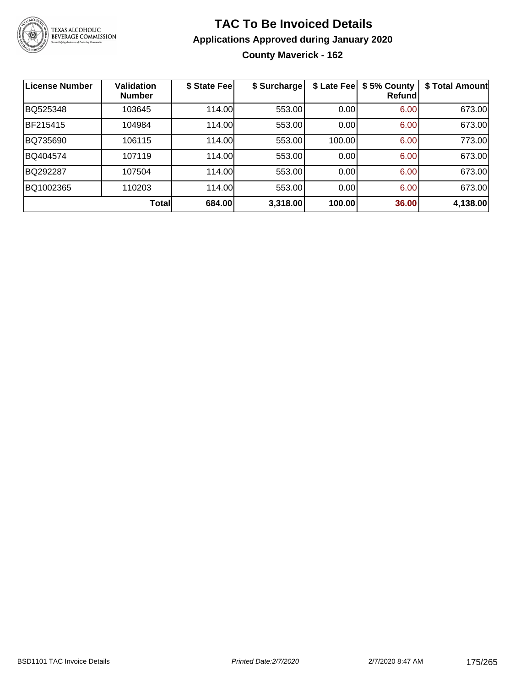

# **TAC To Be Invoiced Details Applications Approved during January 2020 County Maverick - 162**

| <b>License Number</b> | <b>Validation</b><br><b>Number</b> | \$ State Fee | \$ Surcharge | \$ Late Fee | \$5% County<br>Refund | \$ Total Amount |
|-----------------------|------------------------------------|--------------|--------------|-------------|-----------------------|-----------------|
| BQ525348              | 103645                             | 114.00       | 553.00       | 0.00        | 6.00                  | 673.00          |
| BF215415              | 104984                             | 114.00       | 553.00       | 0.00        | 6.00                  | 673.00          |
| BQ735690              | 106115                             | 114.00       | 553.00       | 100.00      | 6.00                  | 773.00          |
| BQ404574              | 107119                             | 114.00       | 553.00       | 0.00        | 6.00                  | 673.00          |
| BQ292287              | 107504                             | 114.00       | 553.00       | 0.00        | 6.00                  | 673.00          |
| BQ1002365             | 110203                             | 114.00       | 553.00       | 0.00        | 6.00                  | 673.00          |
|                       | <b>Total</b>                       | 684.00       | 3,318.00     | 100.00      | 36.00                 | 4,138.00        |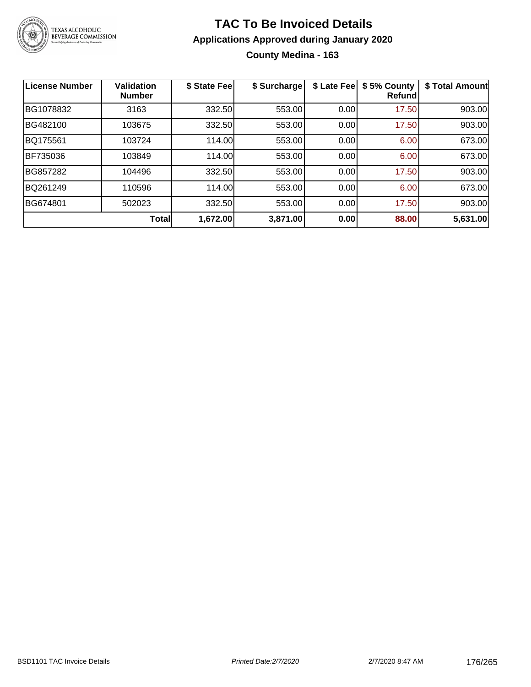

### **TAC To Be Invoiced Details Applications Approved during January 2020 County Medina - 163**

| <b>License Number</b> | Validation<br><b>Number</b> | \$ State Fee | \$ Surcharge | \$ Late Fee | \$5% County<br>Refund | \$ Total Amount |
|-----------------------|-----------------------------|--------------|--------------|-------------|-----------------------|-----------------|
| BG1078832             | 3163                        | 332.50       | 553.00       | 0.00        | 17.50                 | 903.00          |
| BG482100              | 103675                      | 332.50       | 553.00       | 0.00        | 17.50                 | 903.00          |
| BQ175561              | 103724                      | 114.00       | 553.00       | 0.00        | 6.00                  | 673.00          |
| <b>BF735036</b>       | 103849                      | 114.00       | 553.00       | 0.00        | 6.00                  | 673.00          |
| BG857282              | 104496                      | 332.50       | 553.00       | 0.00        | 17.50                 | 903.00          |
| BQ261249              | 110596                      | 114.00       | 553.00       | 0.00        | 6.00                  | 673.00          |
| BG674801              | 502023                      | 332.50       | 553.00       | 0.00        | 17.50                 | 903.00          |
|                       | <b>Total</b>                | 1,672.00     | 3,871.00     | 0.00        | 88.00                 | 5,631.00        |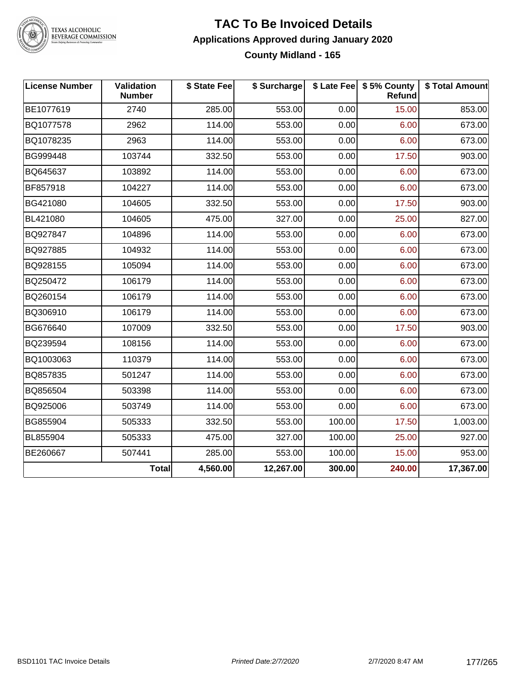

TEXAS ALCOHOLIC<br>BEVERAGE COMMISSION

#### **TAC To Be Invoiced Details Applications Approved during January 2020 County Midland - 165**

| <b>License Number</b> | Validation<br><b>Number</b> | \$ State Fee | \$ Surcharge |        | \$ Late Fee   \$5% County<br>Refund | \$ Total Amount |
|-----------------------|-----------------------------|--------------|--------------|--------|-------------------------------------|-----------------|
| BE1077619             | 2740                        | 285.00       | 553.00       | 0.00   | 15.00                               | 853.00          |
| BQ1077578             | 2962                        | 114.00       | 553.00       | 0.00   | 6.00                                | 673.00          |
| BQ1078235             | 2963                        | 114.00       | 553.00       | 0.00   | 6.00                                | 673.00          |
| BG999448              | 103744                      | 332.50       | 553.00       | 0.00   | 17.50                               | 903.00          |
| BQ645637              | 103892                      | 114.00       | 553.00       | 0.00   | 6.00                                | 673.00          |
| BF857918              | 104227                      | 114.00       | 553.00       | 0.00   | 6.00                                | 673.00          |
| BG421080              | 104605                      | 332.50       | 553.00       | 0.00   | 17.50                               | 903.00          |
| BL421080              | 104605                      | 475.00       | 327.00       | 0.00   | 25.00                               | 827.00          |
| BQ927847              | 104896                      | 114.00       | 553.00       | 0.00   | 6.00                                | 673.00          |
| BQ927885              | 104932                      | 114.00       | 553.00       | 0.00   | 6.00                                | 673.00          |
| BQ928155              | 105094                      | 114.00       | 553.00       | 0.00   | 6.00                                | 673.00          |
| BQ250472              | 106179                      | 114.00       | 553.00       | 0.00   | 6.00                                | 673.00          |
| BQ260154              | 106179                      | 114.00       | 553.00       | 0.00   | 6.00                                | 673.00          |
| BQ306910              | 106179                      | 114.00       | 553.00       | 0.00   | 6.00                                | 673.00          |
| BG676640              | 107009                      | 332.50       | 553.00       | 0.00   | 17.50                               | 903.00          |
| BQ239594              | 108156                      | 114.00       | 553.00       | 0.00   | 6.00                                | 673.00          |
| BQ1003063             | 110379                      | 114.00       | 553.00       | 0.00   | 6.00                                | 673.00          |
| BQ857835              | 501247                      | 114.00       | 553.00       | 0.00   | 6.00                                | 673.00          |
| BQ856504              | 503398                      | 114.00       | 553.00       | 0.00   | 6.00                                | 673.00          |
| BQ925006              | 503749                      | 114.00       | 553.00       | 0.00   | 6.00                                | 673.00          |
| BG855904              | 505333                      | 332.50       | 553.00       | 100.00 | 17.50                               | 1,003.00        |
| BL855904              | 505333                      | 475.00       | 327.00       | 100.00 | 25.00                               | 927.00          |
| BE260667              | 507441                      | 285.00       | 553.00       | 100.00 | 15.00                               | 953.00          |
|                       | <b>Total</b>                | 4,560.00     | 12,267.00    | 300.00 | 240.00                              | 17,367.00       |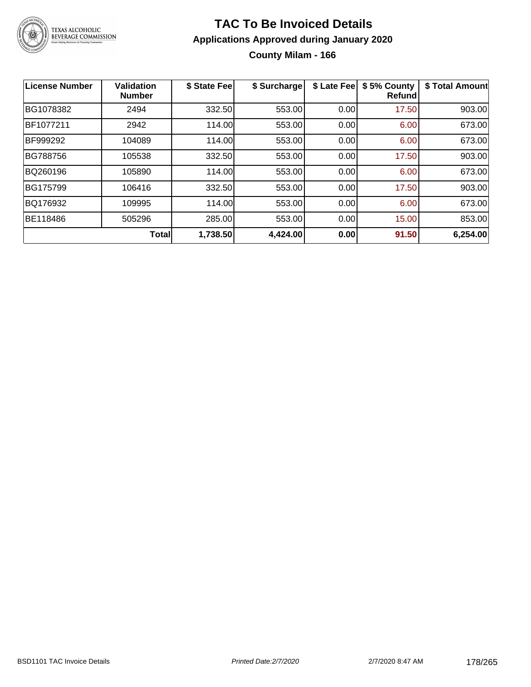

# **TAC To Be Invoiced Details Applications Approved during January 2020 County Milam - 166**

| <b>License Number</b> | <b>Validation</b><br><b>Number</b> | \$ State Fee | \$ Surcharge | \$ Late Fee | \$5% County<br><b>Refund</b> | \$ Total Amount |
|-----------------------|------------------------------------|--------------|--------------|-------------|------------------------------|-----------------|
| BG1078382             | 2494                               | 332.50       | 553.00       | 0.00        | 17.50                        | 903.00          |
| BF1077211             | 2942                               | 114.00       | 553.00       | 0.00        | 6.00                         | 673.00          |
| BF999292              | 104089                             | 114.00       | 553.00       | 0.00        | 6.00                         | 673.00          |
| <b>BG788756</b>       | 105538                             | 332.50       | 553.00       | 0.00        | 17.50                        | 903.00          |
| BQ260196              | 105890                             | 114.00       | 553.00       | 0.00        | 6.00                         | 673.00          |
| BG175799              | 106416                             | 332.50       | 553.00       | 0.00        | 17.50                        | 903.00          |
| BQ176932              | 109995                             | 114.00       | 553.00       | 0.00        | 6.00                         | 673.00          |
| BE118486              | 505296                             | 285.00       | 553.00       | 0.00        | 15.00                        | 853.00          |
|                       | <b>Total</b>                       | 1,738.50     | 4,424.00     | 0.00        | 91.50                        | 6,254.00        |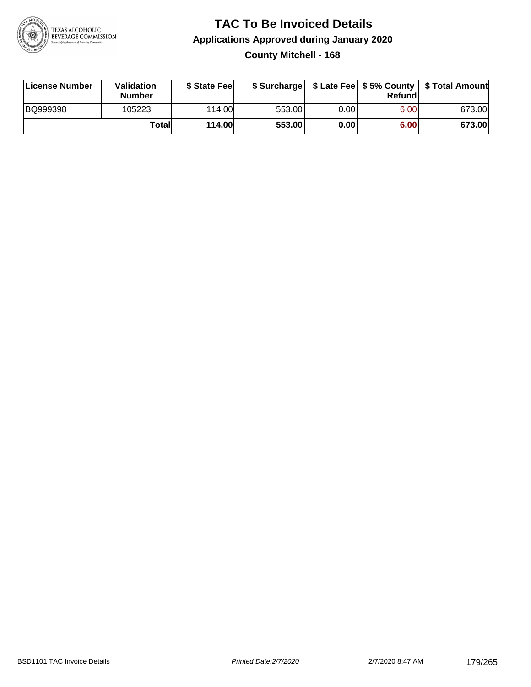

### **TAC To Be Invoiced Details Applications Approved during January 2020 County Mitchell - 168**

| License Number | <b>Validation</b><br><b>Number</b> | \$ State Feel |        |      | Refundl | \$ Surcharge   \$ Late Fee   \$5% County   \$ Total Amount |
|----------------|------------------------------------|---------------|--------|------|---------|------------------------------------------------------------|
| BQ999398       | 105223                             | 114.00L       | 553.00 | 0.00 | 6.00    | 673.00                                                     |
|                | Totall                             | <b>114.00</b> | 553.00 | 0.00 | 6.00    | 673.00                                                     |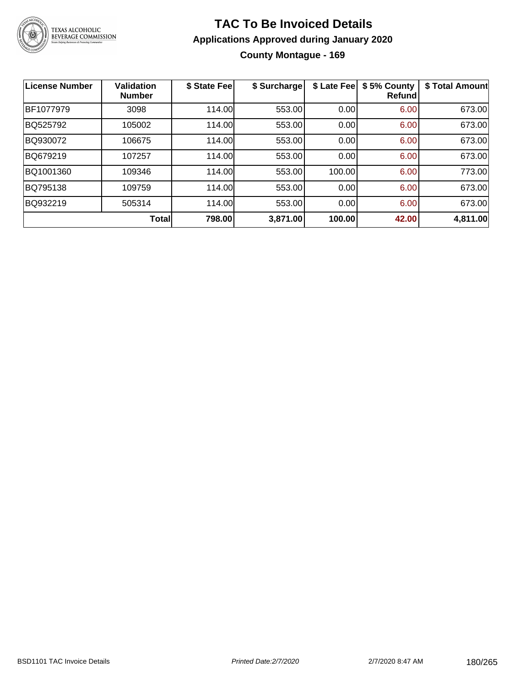

### **TAC To Be Invoiced Details Applications Approved during January 2020 County Montague - 169**

| <b>License Number</b> | <b>Validation</b><br><b>Number</b> | \$ State Fee | \$ Surcharge | \$ Late Fee | \$5% County<br>Refund | \$ Total Amount |
|-----------------------|------------------------------------|--------------|--------------|-------------|-----------------------|-----------------|
| BF1077979             | 3098                               | 114.00       | 553.00       | 0.00        | 6.00                  | 673.00          |
| BQ525792              | 105002                             | 114.00       | 553.00       | 0.00        | 6.00                  | 673.00          |
| BQ930072              | 106675                             | 114.00       | 553.00       | 0.00        | 6.00                  | 673.00          |
| BQ679219              | 107257                             | 114.00       | 553.00       | 0.00        | 6.00                  | 673.00          |
| BQ1001360             | 109346                             | 114.00       | 553.00       | 100.00      | 6.00                  | 773.00          |
| BQ795138              | 109759                             | 114.00       | 553.00       | 0.00        | 6.00                  | 673.00          |
| BQ932219              | 505314                             | 114.00       | 553.00       | 0.00        | 6.00                  | 673.00          |
|                       | Total                              | 798.00       | 3,871.00     | 100.00      | 42.00                 | 4,811.00        |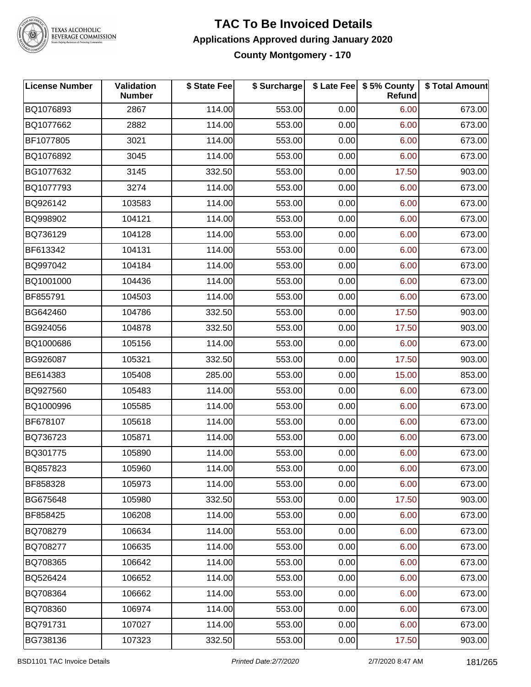

TEXAS ALCOHOLIC<br>BEVERAGE COMMISSION

#### **TAC To Be Invoiced Details Applications Approved during January 2020 County Montgomery - 170**

| <b>License Number</b> | Validation<br><b>Number</b> | \$ State Fee | \$ Surcharge |      | \$ Late Fee   \$5% County<br>Refund | \$ Total Amount |
|-----------------------|-----------------------------|--------------|--------------|------|-------------------------------------|-----------------|
| BQ1076893             | 2867                        | 114.00       | 553.00       | 0.00 | 6.00                                | 673.00          |
| BQ1077662             | 2882                        | 114.00       | 553.00       | 0.00 | 6.00                                | 673.00          |
| BF1077805             | 3021                        | 114.00       | 553.00       | 0.00 | 6.00                                | 673.00          |
| BQ1076892             | 3045                        | 114.00       | 553.00       | 0.00 | 6.00                                | 673.00          |
| BG1077632             | 3145                        | 332.50       | 553.00       | 0.00 | 17.50                               | 903.00          |
| BQ1077793             | 3274                        | 114.00       | 553.00       | 0.00 | 6.00                                | 673.00          |
| BQ926142              | 103583                      | 114.00       | 553.00       | 0.00 | 6.00                                | 673.00          |
| BQ998902              | 104121                      | 114.00       | 553.00       | 0.00 | 6.00                                | 673.00          |
| BQ736129              | 104128                      | 114.00       | 553.00       | 0.00 | 6.00                                | 673.00          |
| BF613342              | 104131                      | 114.00       | 553.00       | 0.00 | 6.00                                | 673.00          |
| BQ997042              | 104184                      | 114.00       | 553.00       | 0.00 | 6.00                                | 673.00          |
| BQ1001000             | 104436                      | 114.00       | 553.00       | 0.00 | 6.00                                | 673.00          |
| BF855791              | 104503                      | 114.00       | 553.00       | 0.00 | 6.00                                | 673.00          |
| BG642460              | 104786                      | 332.50       | 553.00       | 0.00 | 17.50                               | 903.00          |
| BG924056              | 104878                      | 332.50       | 553.00       | 0.00 | 17.50                               | 903.00          |
| BQ1000686             | 105156                      | 114.00       | 553.00       | 0.00 | 6.00                                | 673.00          |
| BG926087              | 105321                      | 332.50       | 553.00       | 0.00 | 17.50                               | 903.00          |
| BE614383              | 105408                      | 285.00       | 553.00       | 0.00 | 15.00                               | 853.00          |
| BQ927560              | 105483                      | 114.00       | 553.00       | 0.00 | 6.00                                | 673.00          |
| BQ1000996             | 105585                      | 114.00       | 553.00       | 0.00 | 6.00                                | 673.00          |
| BF678107              | 105618                      | 114.00       | 553.00       | 0.00 | 6.00                                | 673.00          |
| BQ736723              | 105871                      | 114.00       | 553.00       | 0.00 | 6.00                                | 673.00          |
| BQ301775              | 105890                      | 114.00       | 553.00       | 0.00 | 6.00                                | 673.00          |
| BQ857823              | 105960                      | 114.00       | 553.00       | 0.00 | 6.00                                | 673.00          |
| BF858328              | 105973                      | 114.00       | 553.00       | 0.00 | 6.00                                | 673.00          |
| BG675648              | 105980                      | 332.50       | 553.00       | 0.00 | 17.50                               | 903.00          |
| BF858425              | 106208                      | 114.00       | 553.00       | 0.00 | 6.00                                | 673.00          |
| BQ708279              | 106634                      | 114.00       | 553.00       | 0.00 | 6.00                                | 673.00          |
| BQ708277              | 106635                      | 114.00       | 553.00       | 0.00 | 6.00                                | 673.00          |
| BQ708365              | 106642                      | 114.00       | 553.00       | 0.00 | 6.00                                | 673.00          |
| BQ526424              | 106652                      | 114.00       | 553.00       | 0.00 | 6.00                                | 673.00          |
| BQ708364              | 106662                      | 114.00       | 553.00       | 0.00 | 6.00                                | 673.00          |
| BQ708360              | 106974                      | 114.00       | 553.00       | 0.00 | 6.00                                | 673.00          |
| BQ791731              | 107027                      | 114.00       | 553.00       | 0.00 | 6.00                                | 673.00          |
| BG738136              | 107323                      | 332.50       | 553.00       | 0.00 | 17.50                               | 903.00          |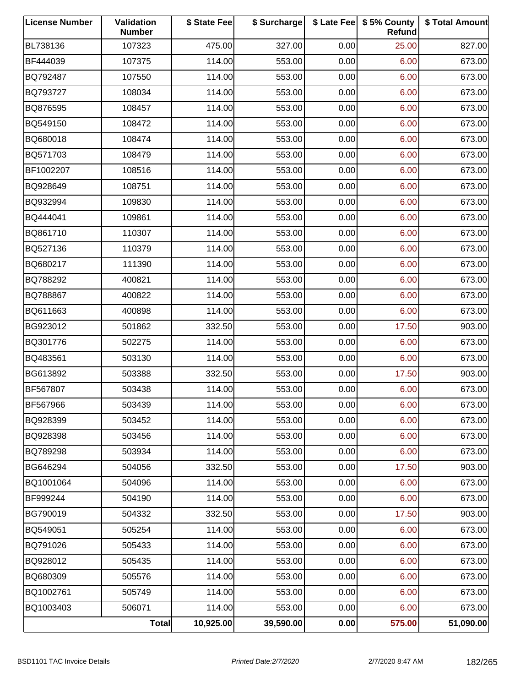| <b>License Number</b> | Validation<br><b>Number</b> | \$ State Fee | \$ Surcharge |      | \$ Late Fee   \$5% County<br>Refund | \$ Total Amount |
|-----------------------|-----------------------------|--------------|--------------|------|-------------------------------------|-----------------|
| BL738136              | 107323                      | 475.00       | 327.00       | 0.00 | 25.00                               | 827.00          |
| BF444039              | 107375                      | 114.00       | 553.00       | 0.00 | 6.00                                | 673.00          |
| BQ792487              | 107550                      | 114.00       | 553.00       | 0.00 | 6.00                                | 673.00          |
| BQ793727              | 108034                      | 114.00       | 553.00       | 0.00 | 6.00                                | 673.00          |
| BQ876595              | 108457                      | 114.00       | 553.00       | 0.00 | 6.00                                | 673.00          |
| BQ549150              | 108472                      | 114.00       | 553.00       | 0.00 | 6.00                                | 673.00          |
| BQ680018              | 108474                      | 114.00       | 553.00       | 0.00 | 6.00                                | 673.00          |
| BQ571703              | 108479                      | 114.00       | 553.00       | 0.00 | 6.00                                | 673.00          |
| BF1002207             | 108516                      | 114.00       | 553.00       | 0.00 | 6.00                                | 673.00          |
| BQ928649              | 108751                      | 114.00       | 553.00       | 0.00 | 6.00                                | 673.00          |
| BQ932994              | 109830                      | 114.00       | 553.00       | 0.00 | 6.00                                | 673.00          |
| BQ444041              | 109861                      | 114.00       | 553.00       | 0.00 | 6.00                                | 673.00          |
| BQ861710              | 110307                      | 114.00       | 553.00       | 0.00 | 6.00                                | 673.00          |
| BQ527136              | 110379                      | 114.00       | 553.00       | 0.00 | 6.00                                | 673.00          |
| BQ680217              | 111390                      | 114.00       | 553.00       | 0.00 | 6.00                                | 673.00          |
| BQ788292              | 400821                      | 114.00       | 553.00       | 0.00 | 6.00                                | 673.00          |
| BQ788867              | 400822                      | 114.00       | 553.00       | 0.00 | 6.00                                | 673.00          |
| BQ611663              | 400898                      | 114.00       | 553.00       | 0.00 | 6.00                                | 673.00          |
| BG923012              | 501862                      | 332.50       | 553.00       | 0.00 | 17.50                               | 903.00          |
| BQ301776              | 502275                      | 114.00       | 553.00       | 0.00 | 6.00                                | 673.00          |
| BQ483561              | 503130                      | 114.00       | 553.00       | 0.00 | 6.00                                | 673.00          |
| BG613892              | 503388                      | 332.50       | 553.00       | 0.00 | 17.50                               | 903.00          |
| BF567807              | 503438                      | 114.00       | 553.00       | 0.00 | 6.00                                | 673.00          |
| BF567966              | 503439                      | 114.00       | 553.00       | 0.00 | 6.00                                | 673.00          |
| BQ928399              | 503452                      | 114.00       | 553.00       | 0.00 | 6.00                                | 673.00          |
| BQ928398              | 503456                      | 114.00       | 553.00       | 0.00 | 6.00                                | 673.00          |
| BQ789298              | 503934                      | 114.00       | 553.00       | 0.00 | 6.00                                | 673.00          |
| BG646294              | 504056                      | 332.50       | 553.00       | 0.00 | 17.50                               | 903.00          |
| BQ1001064             | 504096                      | 114.00       | 553.00       | 0.00 | 6.00                                | 673.00          |
| BF999244              | 504190                      | 114.00       | 553.00       | 0.00 | 6.00                                | 673.00          |
| BG790019              | 504332                      | 332.50       | 553.00       | 0.00 | 17.50                               | 903.00          |
| BQ549051              | 505254                      | 114.00       | 553.00       | 0.00 | 6.00                                | 673.00          |
| BQ791026              | 505433                      | 114.00       | 553.00       | 0.00 | 6.00                                | 673.00          |
| BQ928012              | 505435                      | 114.00       | 553.00       | 0.00 | 6.00                                | 673.00          |
| BQ680309              | 505576                      | 114.00       | 553.00       | 0.00 | 6.00                                | 673.00          |
| BQ1002761             | 505749                      | 114.00       | 553.00       | 0.00 | 6.00                                | 673.00          |
| BQ1003403             | 506071                      | 114.00       | 553.00       | 0.00 | 6.00                                | 673.00          |
|                       | Total                       | 10,925.00    | 39,590.00    | 0.00 | 575.00                              | 51,090.00       |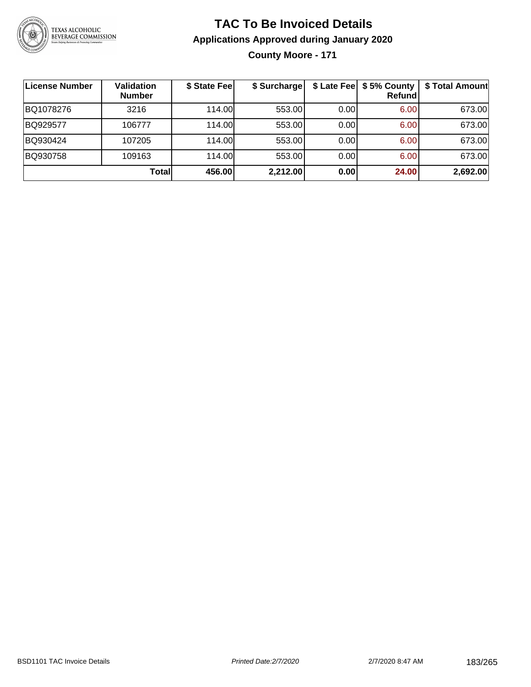

# **TAC To Be Invoiced Details Applications Approved during January 2020**

**County Moore - 171**

| License Number | <b>Validation</b><br><b>Number</b> | \$ State Fee | \$ Surcharge |      | \$ Late Fee   \$5% County  <br><b>Refund</b> | \$ Total Amount |
|----------------|------------------------------------|--------------|--------------|------|----------------------------------------------|-----------------|
| BQ1078276      | 3216                               | 114.00L      | 553.00       | 0.00 | 6.00                                         | 673.00          |
| BQ929577       | 106777                             | 114.00       | 553.00       | 0.00 | 6.00                                         | 673.00          |
| BQ930424       | 107205                             | 114.00L      | 553.00       | 0.00 | 6.00                                         | 673.00          |
| BQ930758       | 109163                             | 114.00       | 553.00       | 0.00 | 6.00                                         | 673.00          |
|                | Totall                             | 456.00       | 2,212.00     | 0.00 | 24.00                                        | 2,692.00        |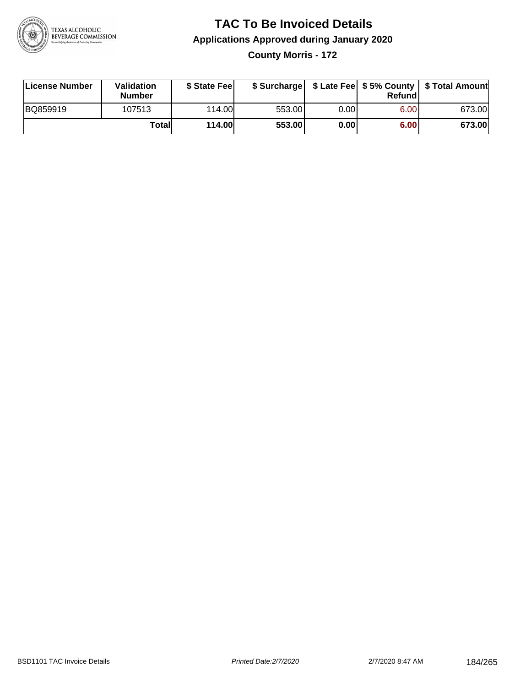

### **TAC To Be Invoiced Details Applications Approved during January 2020 County Morris - 172**

| License Number | Validation<br><b>Number</b> | \$ State Fee |        |      | Refund | \$ Surcharge   \$ Late Fee   \$5% County   \$ Total Amount |
|----------------|-----------------------------|--------------|--------|------|--------|------------------------------------------------------------|
| BQ859919       | 107513                      | 114.00       | 553.00 | 0.00 | 6.00   | 673.00                                                     |
|                | Totall                      | 114.00       | 553.00 | 0.00 | 6.00   | 673.00                                                     |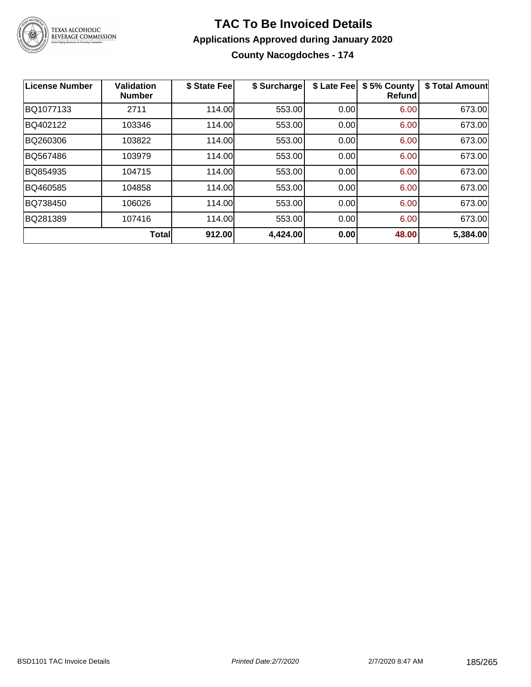

# **TAC To Be Invoiced Details Applications Approved during January 2020**

**County Nacogdoches - 174**

| License Number | <b>Validation</b><br><b>Number</b> | \$ State Fee | \$ Surcharge | \$ Late Fee | \$5% County<br>Refund | \$ Total Amount |
|----------------|------------------------------------|--------------|--------------|-------------|-----------------------|-----------------|
| BQ1077133      | 2711                               | 114.00       | 553.00       | 0.00        | 6.00                  | 673.00          |
| BQ402122       | 103346                             | 114.00       | 553.00       | 0.00        | 6.00                  | 673.00          |
| BQ260306       | 103822                             | 114.00       | 553.00       | 0.00        | 6.00                  | 673.00          |
| BQ567486       | 103979                             | 114.00       | 553.00       | 0.00        | 6.00                  | 673.00          |
| BQ854935       | 104715                             | 114.00       | 553.00       | 0.00        | 6.00                  | 673.00          |
| BQ460585       | 104858                             | 114.00       | 553.00       | 0.00        | 6.00                  | 673.00          |
| BQ738450       | 106026                             | 114.00       | 553.00       | 0.00        | 6.00                  | 673.00          |
| BQ281389       | 107416                             | 114.00       | 553.00       | 0.00        | 6.00                  | 673.00          |
|                | <b>Total</b>                       | 912.00       | 4,424.00     | 0.00        | 48.00                 | 5,384.00        |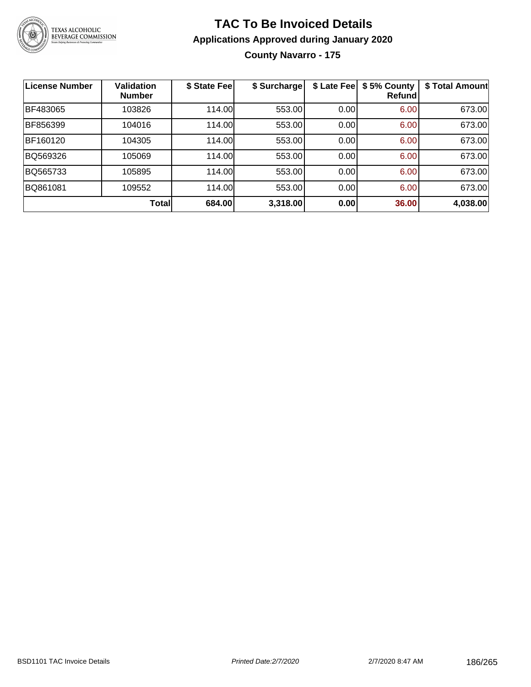

### **TAC To Be Invoiced Details Applications Approved during January 2020 County Navarro - 175**

| <b>License Number</b> | <b>Validation</b><br><b>Number</b> | \$ State Fee | \$ Surcharge | \$ Late Fee | \$5% County<br>Refund | \$ Total Amount |
|-----------------------|------------------------------------|--------------|--------------|-------------|-----------------------|-----------------|
| BF483065              | 103826                             | 114.00       | 553.00       | 0.00        | 6.00                  | 673.00          |
| BF856399              | 104016                             | 114.00       | 553.00       | 0.00        | 6.00                  | 673.00          |
| BF160120              | 104305                             | 114.00       | 553.00       | 0.00        | 6.00                  | 673.00          |
| BQ569326              | 105069                             | 114.00       | 553.00       | 0.00        | 6.00                  | 673.00          |
| BQ565733              | 105895                             | 114.00       | 553.00       | 0.00        | 6.00                  | 673.00          |
| BQ861081              | 109552                             | 114.00       | 553.00       | 0.00        | 6.00                  | 673.00          |
|                       | <b>Total</b>                       | 684.00       | 3,318.00     | 0.00        | 36.00                 | 4,038.00        |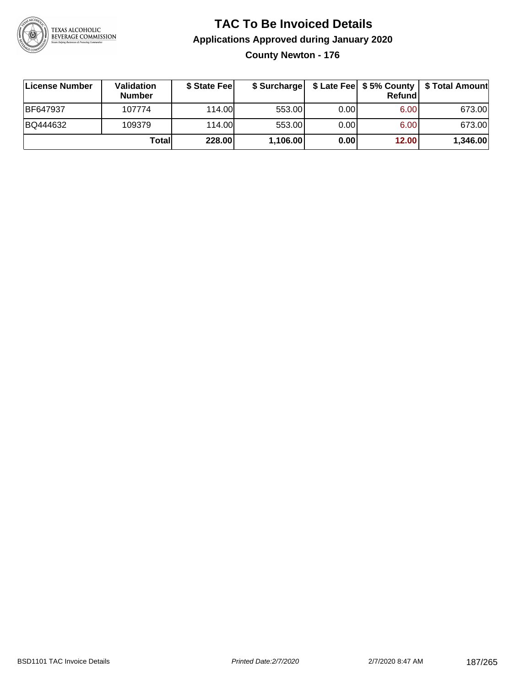

### **TAC To Be Invoiced Details Applications Approved during January 2020 County Newton - 176**

| License Number  | Validation<br><b>Number</b> | \$ State Fee |          |      | Refundl | \$ Surcharge   \$ Late Fee   \$5% County   \$ Total Amount |
|-----------------|-----------------------------|--------------|----------|------|---------|------------------------------------------------------------|
| <b>BF647937</b> | 107774                      | 114.00L      | 553.00   | 0.00 | 6.00    | 673.00                                                     |
| BQ444632        | 109379                      | 114.00       | 553.00   | 0.00 | 6.00    | 673.00                                                     |
|                 | Totall                      | 228.00       | 1,106.00 | 0.00 | 12.00   | 1,346.00                                                   |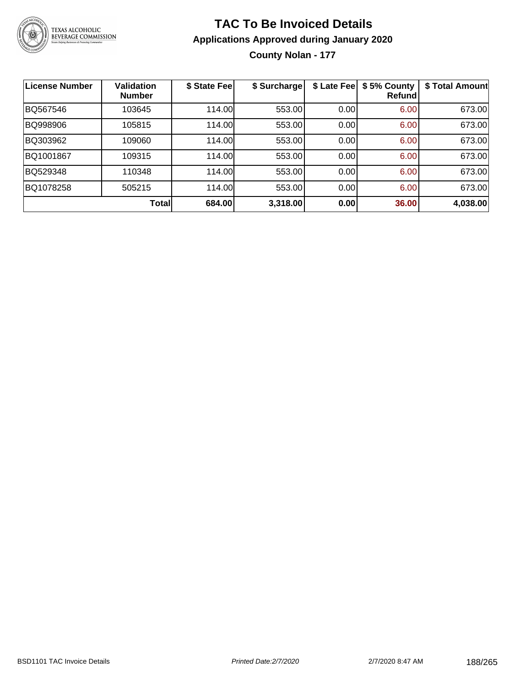

# **TAC To Be Invoiced Details Applications Approved during January 2020**

**County Nolan - 177**

| License Number | Validation<br><b>Number</b> | \$ State Fee | \$ Surcharge |      | \$ Late Fee   \$5% County<br>Refund | \$ Total Amount |
|----------------|-----------------------------|--------------|--------------|------|-------------------------------------|-----------------|
| BQ567546       | 103645                      | 114.00       | 553.00       | 0.00 | 6.00                                | 673.00          |
| BQ998906       | 105815                      | 114.00       | 553.00       | 0.00 | 6.00                                | 673.00          |
| BQ303962       | 109060                      | 114.00       | 553.00       | 0.00 | 6.00                                | 673.00          |
| BQ1001867      | 109315                      | 114.00       | 553.00       | 0.00 | 6.00                                | 673.00          |
| BQ529348       | 110348                      | 114.00       | 553.00       | 0.00 | 6.00                                | 673.00          |
| BQ1078258      | 505215                      | 114.00       | 553.00       | 0.00 | 6.00                                | 673.00          |
|                | <b>Total</b>                | 684.00       | 3,318.00     | 0.00 | 36.00                               | 4,038.00        |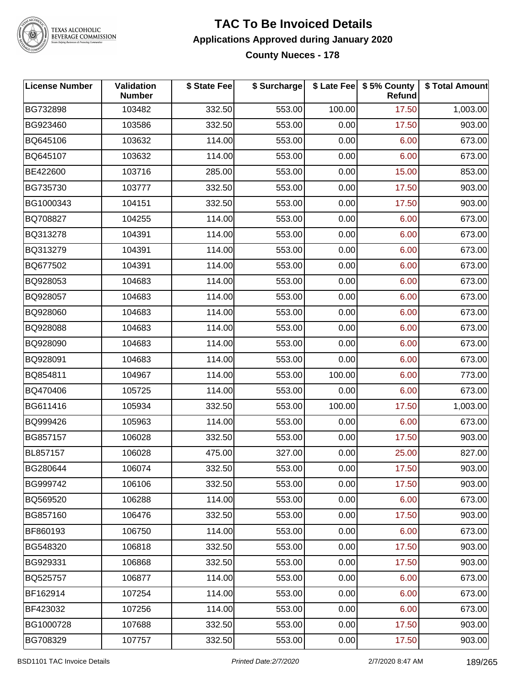

TEXAS ALCOHOLIC<br>BEVERAGE COMMISSION

#### **TAC To Be Invoiced Details Applications Approved during January 2020 County Nueces - 178**

| <b>License Number</b> | Validation<br><b>Number</b> | \$ State Fee | \$ Surcharge |        | \$ Late Fee   \$5% County<br>Refund | \$ Total Amount |
|-----------------------|-----------------------------|--------------|--------------|--------|-------------------------------------|-----------------|
| BG732898              | 103482                      | 332.50       | 553.00       | 100.00 | 17.50                               | 1,003.00        |
| BG923460              | 103586                      | 332.50       | 553.00       | 0.00   | 17.50                               | 903.00          |
| BQ645106              | 103632                      | 114.00       | 553.00       | 0.00   | 6.00                                | 673.00          |
| BQ645107              | 103632                      | 114.00       | 553.00       | 0.00   | 6.00                                | 673.00          |
| BE422600              | 103716                      | 285.00       | 553.00       | 0.00   | 15.00                               | 853.00          |
| BG735730              | 103777                      | 332.50       | 553.00       | 0.00   | 17.50                               | 903.00          |
| BG1000343             | 104151                      | 332.50       | 553.00       | 0.00   | 17.50                               | 903.00          |
| BQ708827              | 104255                      | 114.00       | 553.00       | 0.00   | 6.00                                | 673.00          |
| BQ313278              | 104391                      | 114.00       | 553.00       | 0.00   | 6.00                                | 673.00          |
| BQ313279              | 104391                      | 114.00       | 553.00       | 0.00   | 6.00                                | 673.00          |
| BQ677502              | 104391                      | 114.00       | 553.00       | 0.00   | 6.00                                | 673.00          |
| BQ928053              | 104683                      | 114.00       | 553.00       | 0.00   | 6.00                                | 673.00          |
| BQ928057              | 104683                      | 114.00       | 553.00       | 0.00   | 6.00                                | 673.00          |
| BQ928060              | 104683                      | 114.00       | 553.00       | 0.00   | 6.00                                | 673.00          |
| BQ928088              | 104683                      | 114.00       | 553.00       | 0.00   | 6.00                                | 673.00          |
| BQ928090              | 104683                      | 114.00       | 553.00       | 0.00   | 6.00                                | 673.00          |
| BQ928091              | 104683                      | 114.00       | 553.00       | 0.00   | 6.00                                | 673.00          |
| BQ854811              | 104967                      | 114.00       | 553.00       | 100.00 | 6.00                                | 773.00          |
| BQ470406              | 105725                      | 114.00       | 553.00       | 0.00   | 6.00                                | 673.00          |
| BG611416              | 105934                      | 332.50       | 553.00       | 100.00 | 17.50                               | 1,003.00        |
| BQ999426              | 105963                      | 114.00       | 553.00       | 0.00   | 6.00                                | 673.00          |
| BG857157              | 106028                      | 332.50       | 553.00       | 0.00   | 17.50                               | 903.00          |
| BL857157              | 106028                      | 475.00       | 327.00       | 0.00   | 25.00                               | 827.00          |
| BG280644              | 106074                      | 332.50       | 553.00       | 0.00   | 17.50                               | 903.00          |
| BG999742              | 106106                      | 332.50       | 553.00       | 0.00   | 17.50                               | 903.00          |
| BQ569520              | 106288                      | 114.00       | 553.00       | 0.00   | 6.00                                | 673.00          |
| BG857160              | 106476                      | 332.50       | 553.00       | 0.00   | 17.50                               | 903.00          |
| BF860193              | 106750                      | 114.00       | 553.00       | 0.00   | 6.00                                | 673.00          |
| BG548320              | 106818                      | 332.50       | 553.00       | 0.00   | 17.50                               | 903.00          |
| BG929331              | 106868                      | 332.50       | 553.00       | 0.00   | 17.50                               | 903.00          |
| BQ525757              | 106877                      | 114.00       | 553.00       | 0.00   | 6.00                                | 673.00          |
| BF162914              | 107254                      | 114.00       | 553.00       | 0.00   | 6.00                                | 673.00          |
| BF423032              | 107256                      | 114.00       | 553.00       | 0.00   | 6.00                                | 673.00          |
| BG1000728             | 107688                      | 332.50       | 553.00       | 0.00   | 17.50                               | 903.00          |
| BG708329              | 107757                      | 332.50       | 553.00       | 0.00   | 17.50                               | 903.00          |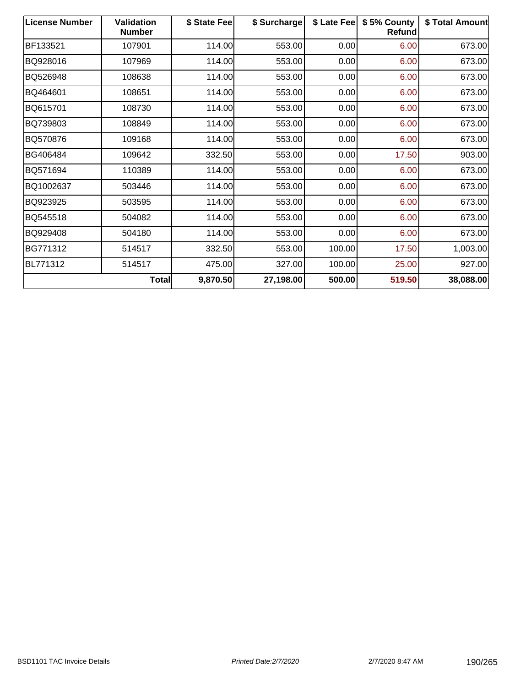| <b>License Number</b> | <b>Validation</b><br><b>Number</b> | \$ State Fee | \$ Surcharge | \$ Late Fee | \$5% County<br>Refund | \$ Total Amount |
|-----------------------|------------------------------------|--------------|--------------|-------------|-----------------------|-----------------|
| BF133521              | 107901                             | 114.00       | 553.00       | 0.00        | 6.00                  | 673.00          |
| BQ928016              | 107969                             | 114.00       | 553.00       | 0.00        | 6.00                  | 673.00          |
| BQ526948              | 108638                             | 114.00       | 553.00       | 0.00        | 6.00                  | 673.00          |
| BQ464601              | 108651                             | 114.00       | 553.00       | 0.00        | 6.00                  | 673.00          |
| BQ615701              | 108730                             | 114.00       | 553.00       | 0.00        | 6.00                  | 673.00          |
| BQ739803              | 108849                             | 114.00       | 553.00       | 0.00        | 6.00                  | 673.00          |
| BQ570876              | 109168                             | 114.00       | 553.00       | 0.00        | 6.00                  | 673.00          |
| BG406484              | 109642                             | 332.50       | 553.00       | 0.00        | 17.50                 | 903.00          |
| BQ571694              | 110389                             | 114.00       | 553.00       | 0.00        | 6.00                  | 673.00          |
| BQ1002637             | 503446                             | 114.00       | 553.00       | 0.00        | 6.00                  | 673.00          |
| BQ923925              | 503595                             | 114.00       | 553.00       | 0.00        | 6.00                  | 673.00          |
| BQ545518              | 504082                             | 114.00       | 553.00       | 0.00        | 6.00                  | 673.00          |
| BQ929408              | 504180                             | 114.00       | 553.00       | 0.00        | 6.00                  | 673.00          |
| BG771312              | 514517                             | 332.50       | 553.00       | 100.00      | 17.50                 | 1,003.00        |
| BL771312              | 514517                             | 475.00       | 327.00       | 100.00      | 25.00                 | 927.00          |
|                       | Total                              | 9,870.50     | 27,198.00    | 500.00      | 519.50                | 38,088.00       |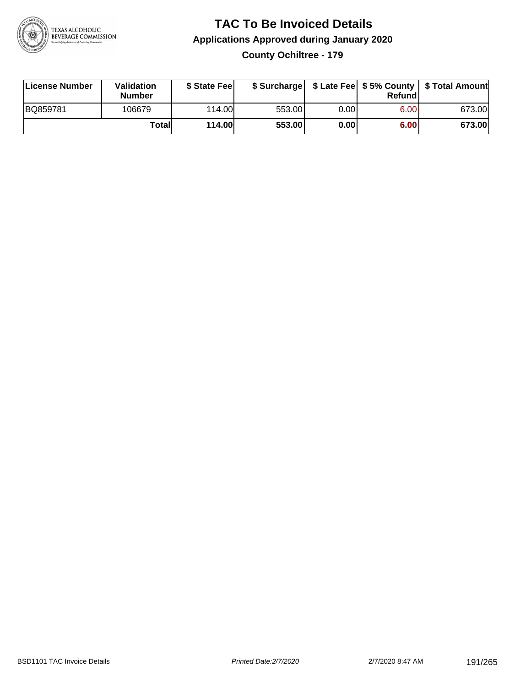

### **TAC To Be Invoiced Details Applications Approved during January 2020 County Ochiltree - 179**

| License Number | <b>Validation</b><br><b>Number</b> | \$ State Feel |        |        | Refundl | \$ Surcharge   \$ Late Fee   \$5% County   \$ Total Amount |
|----------------|------------------------------------|---------------|--------|--------|---------|------------------------------------------------------------|
| BQ859781       | 106679                             | 114.00L       | 553.00 | 0.00 l | 6.00    | 673.00                                                     |
|                | Totall                             | <b>114.00</b> | 553.00 | 0.00   | 6.00    | 673.00                                                     |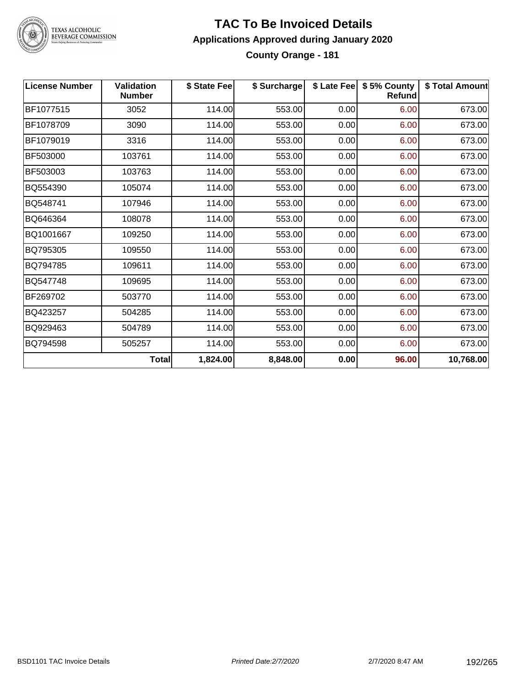

# TEXAS ALCOHOLIC<br>BEVERAGE COMMISSION

#### **TAC To Be Invoiced Details Applications Approved during January 2020 County Orange - 181**

| <b>License Number</b> | <b>Validation</b><br><b>Number</b> | \$ State Fee | \$ Surcharge |      | \$ Late Fee   \$5% County<br>Refund | \$ Total Amount |
|-----------------------|------------------------------------|--------------|--------------|------|-------------------------------------|-----------------|
| BF1077515             | 3052                               | 114.00       | 553.00       | 0.00 | 6.00                                | 673.00          |
| BF1078709             | 3090                               | 114.00       | 553.00       | 0.00 | 6.00                                | 673.00          |
| BF1079019             | 3316                               | 114.00       | 553.00       | 0.00 | 6.00                                | 673.00          |
| BF503000              | 103761                             | 114.00       | 553.00       | 0.00 | 6.00                                | 673.00          |
| BF503003              | 103763                             | 114.00       | 553.00       | 0.00 | 6.00                                | 673.00          |
| BQ554390              | 105074                             | 114.00       | 553.00       | 0.00 | 6.00                                | 673.00          |
| BQ548741              | 107946                             | 114.00       | 553.00       | 0.00 | 6.00                                | 673.00          |
| BQ646364              | 108078                             | 114.00       | 553.00       | 0.00 | 6.00                                | 673.00          |
| BQ1001667             | 109250                             | 114.00       | 553.00       | 0.00 | 6.00                                | 673.00          |
| BQ795305              | 109550                             | 114.00       | 553.00       | 0.00 | 6.00                                | 673.00          |
| BQ794785              | 109611                             | 114.00       | 553.00       | 0.00 | 6.00                                | 673.00          |
| BQ547748              | 109695                             | 114.00       | 553.00       | 0.00 | 6.00                                | 673.00          |
| BF269702              | 503770                             | 114.00       | 553.00       | 0.00 | 6.00                                | 673.00          |
| BQ423257              | 504285                             | 114.00       | 553.00       | 0.00 | 6.00                                | 673.00          |
| BQ929463              | 504789                             | 114.00       | 553.00       | 0.00 | 6.00                                | 673.00          |
| BQ794598              | 505257                             | 114.00       | 553.00       | 0.00 | 6.00                                | 673.00          |
|                       | <b>Total</b>                       | 1,824.00     | 8,848.00     | 0.00 | 96.00                               | 10,768.00       |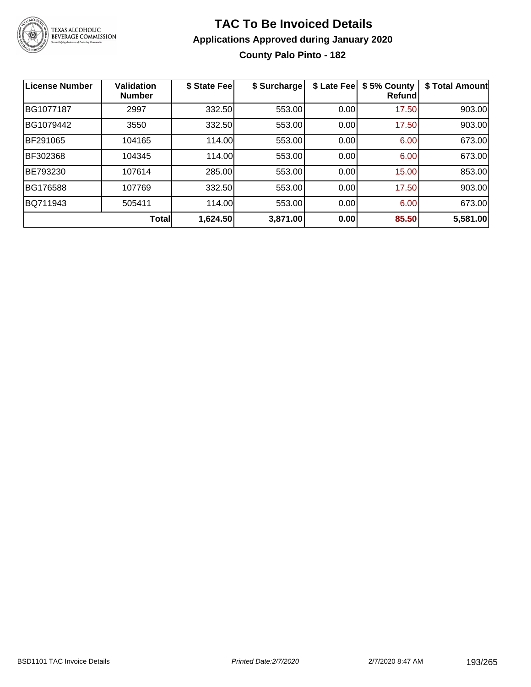

### **TAC To Be Invoiced Details Applications Approved during January 2020 County Palo Pinto - 182**

| <b>License Number</b> | <b>Validation</b><br><b>Number</b> | \$ State Fee | \$ Surcharge | \$ Late Fee | \$5% County<br>Refund | \$ Total Amount |
|-----------------------|------------------------------------|--------------|--------------|-------------|-----------------------|-----------------|
| BG1077187             | 2997                               | 332.50       | 553.00       | 0.00        | 17.50                 | 903.00          |
| BG1079442             | 3550                               | 332.50       | 553.00       | 0.00        | 17.50                 | 903.00          |
| BF291065              | 104165                             | 114.00       | 553.00       | 0.00        | 6.00                  | 673.00          |
| BF302368              | 104345                             | 114.00       | 553.00       | 0.00        | 6.00                  | 673.00          |
| BE793230              | 107614                             | 285.00       | 553.00       | 0.00        | 15.00                 | 853.00          |
| <b>BG176588</b>       | 107769                             | 332.50       | 553.00       | 0.00        | 17.50                 | 903.00          |
| BQ711943              | 505411                             | 114.00       | 553.00       | 0.00        | 6.00                  | 673.00          |
|                       | <b>Total</b>                       | 1,624.50     | 3,871.00     | 0.00        | 85.50                 | 5,581.00        |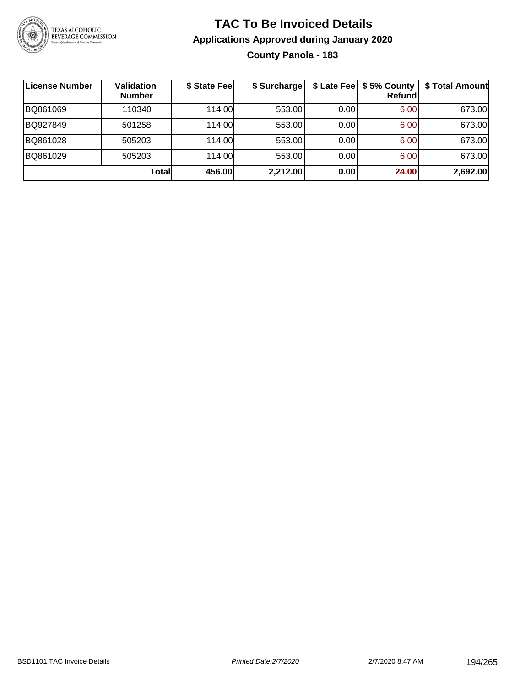

### **TAC To Be Invoiced Details Applications Approved during January 2020 County Panola - 183**

| License Number | <b>Validation</b><br><b>Number</b> | \$ State Fee | \$ Surcharge |       | \$ Late Fee   \$5% County<br>Refundl | \$ Total Amount |
|----------------|------------------------------------|--------------|--------------|-------|--------------------------------------|-----------------|
| BQ861069       | 110340                             | 114.00       | 553.00       | 0.00  | 6.00                                 | 673.00          |
| BQ927849       | 501258                             | 114.00       | 553.00       | 0.00  | 6.00                                 | 673.00          |
| BQ861028       | 505203                             | 114.00       | 553.00       | 0.00  | 6.00                                 | 673.00          |
| BQ861029       | 505203                             | 114.00       | 553.00       | 0.001 | 6.00                                 | 673.00          |
|                | Total                              | 456.00       | 2,212.00     | 0.00  | 24.00                                | 2,692.00        |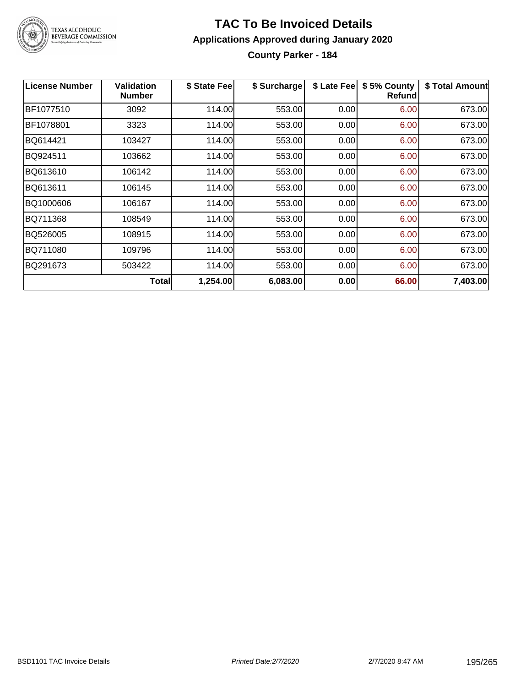

# **TAC To Be Invoiced Details Applications Approved during January 2020**

**County Parker - 184**

| <b>License Number</b> | Validation<br><b>Number</b> | \$ State Fee | \$ Surcharge | \$ Late Fee | \$5% County<br><b>Refund</b> | \$ Total Amount |
|-----------------------|-----------------------------|--------------|--------------|-------------|------------------------------|-----------------|
| BF1077510             | 3092                        | 114.00       | 553.00       | 0.00        | 6.00                         | 673.00          |
| BF1078801             | 3323                        | 114.00       | 553.00       | 0.00        | 6.00                         | 673.00          |
| BQ614421              | 103427                      | 114.00       | 553.00       | 0.00        | 6.00                         | 673.00          |
| BQ924511              | 103662                      | 114.00       | 553.00       | 0.00        | 6.00                         | 673.00          |
| BQ613610              | 106142                      | 114.00       | 553.00       | 0.00        | 6.00                         | 673.00          |
| BQ613611              | 106145                      | 114.00       | 553.00       | 0.00        | 6.00                         | 673.00          |
| BQ1000606             | 106167                      | 114.00       | 553.00       | 0.00        | 6.00                         | 673.00          |
| BQ711368              | 108549                      | 114.00       | 553.00       | 0.00        | 6.00                         | 673.00          |
| BQ526005              | 108915                      | 114.00       | 553.00       | 0.00        | 6.00                         | 673.00          |
| BQ711080              | 109796                      | 114.00       | 553.00       | 0.00        | 6.00                         | 673.00          |
| BQ291673              | 503422                      | 114.00       | 553.00       | 0.00        | 6.00                         | 673.00          |
|                       | Total                       | 1,254.00     | 6,083.00     | 0.00        | 66.00                        | 7,403.00        |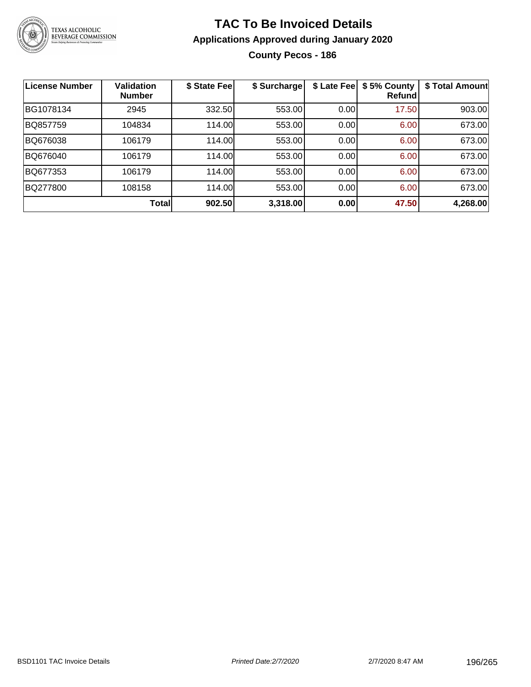

# **TAC To Be Invoiced Details Applications Approved during January 2020**

**County Pecos - 186**

| <b>License Number</b> | <b>Validation</b><br><b>Number</b> | \$ State Fee | \$ Surcharge | \$ Late Fee | \$5% County<br>Refund | \$ Total Amount |
|-----------------------|------------------------------------|--------------|--------------|-------------|-----------------------|-----------------|
| BG1078134             | 2945                               | 332.50       | 553.00       | 0.00        | 17.50                 | 903.00          |
| BQ857759              | 104834                             | 114.00       | 553.00       | 0.00        | 6.00                  | 673.00          |
| BQ676038              | 106179                             | 114.00       | 553.00       | 0.00        | 6.00                  | 673.00          |
| BQ676040              | 106179                             | 114.00       | 553.00       | 0.00        | 6.00                  | 673.00          |
| BQ677353              | 106179                             | 114.00       | 553.00       | 0.00        | 6.00                  | 673.00          |
| BQ277800              | 108158                             | 114.00       | 553.00       | 0.00        | 6.00                  | 673.00          |
|                       | <b>Total</b>                       | 902.50       | 3,318.00     | 0.00        | 47.50                 | 4,268.00        |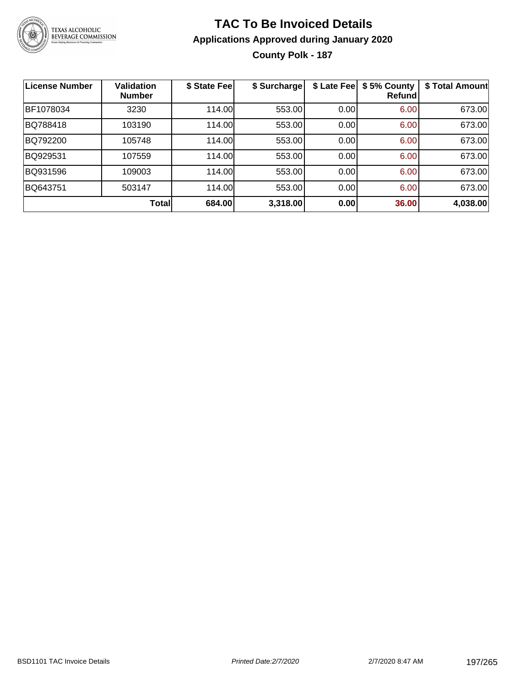

## **TAC To Be Invoiced Details Applications Approved during January 2020 County Polk - 187**

| <b>License Number</b> | <b>Validation</b><br><b>Number</b> | \$ State Fee | \$ Surcharge | \$ Late Fee | \$5% County<br>Refundl | \$ Total Amount |
|-----------------------|------------------------------------|--------------|--------------|-------------|------------------------|-----------------|
| BF1078034             | 3230                               | 114.00       | 553.00       | 0.00        | 6.00                   | 673.00          |
| BQ788418              | 103190                             | 114.00       | 553.00       | 0.00        | 6.00                   | 673.00          |
| BQ792200              | 105748                             | 114.00       | 553.00       | 0.00        | 6.00                   | 673.00          |
| BQ929531              | 107559                             | 114.00       | 553.00       | 0.00        | 6.00                   | 673.00          |
| BQ931596              | 109003                             | 114.00       | 553.00       | 0.00        | 6.00                   | 673.00          |
| BQ643751              | 503147                             | 114.00       | 553.00       | 0.00        | 6.00                   | 673.00          |
|                       | <b>Total</b>                       | 684.00       | 3,318.00     | 0.00        | 36.00                  | 4,038.00        |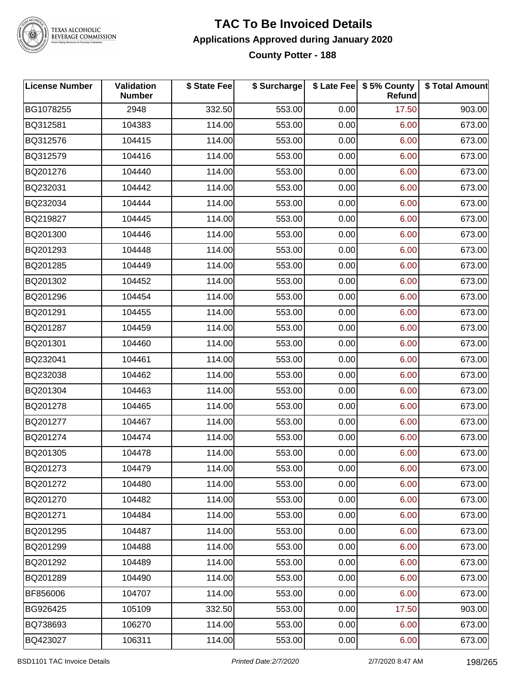

# TEXAS ALCOHOLIC<br>BEVERAGE COMMISSION

#### **TAC To Be Invoiced Details Applications Approved during January 2020 County Potter - 188**

| <b>License Number</b> | <b>Validation</b><br><b>Number</b> | \$ State Fee | \$ Surcharge |      | \$ Late Fee   \$5% County<br><b>Refund</b> | \$ Total Amount |
|-----------------------|------------------------------------|--------------|--------------|------|--------------------------------------------|-----------------|
| BG1078255             | 2948                               | 332.50       | 553.00       | 0.00 | 17.50                                      | 903.00          |
| BQ312581              | 104383                             | 114.00       | 553.00       | 0.00 | 6.00                                       | 673.00          |
| BQ312576              | 104415                             | 114.00       | 553.00       | 0.00 | 6.00                                       | 673.00          |
| BQ312579              | 104416                             | 114.00       | 553.00       | 0.00 | 6.00                                       | 673.00          |
| BQ201276              | 104440                             | 114.00       | 553.00       | 0.00 | 6.00                                       | 673.00          |
| BQ232031              | 104442                             | 114.00       | 553.00       | 0.00 | 6.00                                       | 673.00          |
| BQ232034              | 104444                             | 114.00       | 553.00       | 0.00 | 6.00                                       | 673.00          |
| BQ219827              | 104445                             | 114.00       | 553.00       | 0.00 | 6.00                                       | 673.00          |
| BQ201300              | 104446                             | 114.00       | 553.00       | 0.00 | 6.00                                       | 673.00          |
| BQ201293              | 104448                             | 114.00       | 553.00       | 0.00 | 6.00                                       | 673.00          |
| BQ201285              | 104449                             | 114.00       | 553.00       | 0.00 | 6.00                                       | 673.00          |
| BQ201302              | 104452                             | 114.00       | 553.00       | 0.00 | 6.00                                       | 673.00          |
| BQ201296              | 104454                             | 114.00       | 553.00       | 0.00 | 6.00                                       | 673.00          |
| BQ201291              | 104455                             | 114.00       | 553.00       | 0.00 | 6.00                                       | 673.00          |
| BQ201287              | 104459                             | 114.00       | 553.00       | 0.00 | 6.00                                       | 673.00          |
| BQ201301              | 104460                             | 114.00       | 553.00       | 0.00 | 6.00                                       | 673.00          |
| BQ232041              | 104461                             | 114.00       | 553.00       | 0.00 | 6.00                                       | 673.00          |
| BQ232038              | 104462                             | 114.00       | 553.00       | 0.00 | 6.00                                       | 673.00          |
| BQ201304              | 104463                             | 114.00       | 553.00       | 0.00 | 6.00                                       | 673.00          |
| BQ201278              | 104465                             | 114.00       | 553.00       | 0.00 | 6.00                                       | 673.00          |
| BQ201277              | 104467                             | 114.00       | 553.00       | 0.00 | 6.00                                       | 673.00          |
| BQ201274              | 104474                             | 114.00       | 553.00       | 0.00 | 6.00                                       | 673.00          |
| BQ201305              | 104478                             | 114.00       | 553.00       | 0.00 | 6.00                                       | 673.00          |
| BQ201273              | 104479                             | 114.00       | 553.00       | 0.00 | 6.00                                       | 673.00          |
| BQ201272              | 104480                             | 114.00       | 553.00       | 0.00 | 6.00                                       | 673.00          |
| BQ201270              | 104482                             | 114.00       | 553.00       | 0.00 | 6.00                                       | 673.00          |
| BQ201271              | 104484                             | 114.00       | 553.00       | 0.00 | 6.00                                       | 673.00          |
| BQ201295              | 104487                             | 114.00       | 553.00       | 0.00 | 6.00                                       | 673.00          |
| BQ201299              | 104488                             | 114.00       | 553.00       | 0.00 | 6.00                                       | 673.00          |
| BQ201292              | 104489                             | 114.00       | 553.00       | 0.00 | 6.00                                       | 673.00          |
| BQ201289              | 104490                             | 114.00       | 553.00       | 0.00 | 6.00                                       | 673.00          |
| BF856006              | 104707                             | 114.00       | 553.00       | 0.00 | 6.00                                       | 673.00          |
| BG926425              | 105109                             | 332.50       | 553.00       | 0.00 | 17.50                                      | 903.00          |
| BQ738693              | 106270                             | 114.00       | 553.00       | 0.00 | 6.00                                       | 673.00          |
| BQ423027              | 106311                             | 114.00       | 553.00       | 0.00 | 6.00                                       | 673.00          |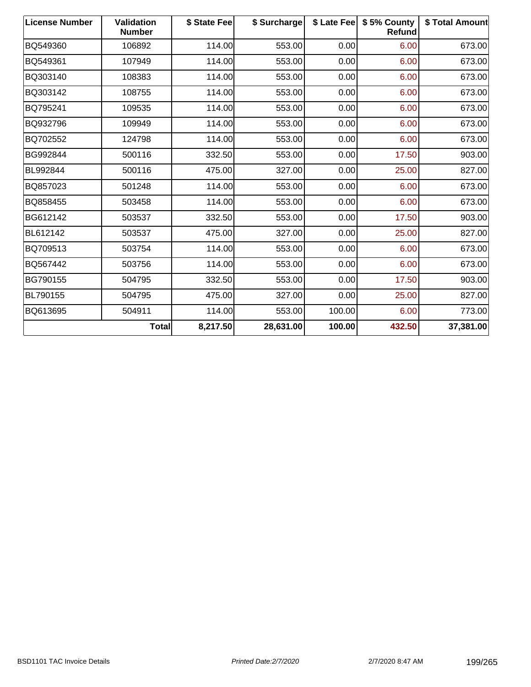| <b>License Number</b> | <b>Validation</b><br><b>Number</b> | \$ State Fee | \$ Surcharge |        | \$ Late Fee   \$5% County<br>Refund | \$ Total Amount |
|-----------------------|------------------------------------|--------------|--------------|--------|-------------------------------------|-----------------|
| BQ549360              | 106892                             | 114.00       | 553.00       | 0.00   | 6.00                                | 673.00          |
| BQ549361              | 107949                             | 114.00       | 553.00       | 0.00   | 6.00                                | 673.00          |
| BQ303140              | 108383                             | 114.00       | 553.00       | 0.00   | 6.00                                | 673.00          |
| BQ303142              | 108755                             | 114.00       | 553.00       | 0.00   | 6.00                                | 673.00          |
| BQ795241              | 109535                             | 114.00       | 553.00       | 0.00   | 6.00                                | 673.00          |
| BQ932796              | 109949                             | 114.00       | 553.00       | 0.00   | 6.00                                | 673.00          |
| BQ702552              | 124798                             | 114.00       | 553.00       | 0.00   | 6.00                                | 673.00          |
| BG992844              | 500116                             | 332.50       | 553.00       | 0.00   | 17.50                               | 903.00          |
| BL992844              | 500116                             | 475.00       | 327.00       | 0.00   | 25.00                               | 827.00          |
| BQ857023              | 501248                             | 114.00       | 553.00       | 0.00   | 6.00                                | 673.00          |
| BQ858455              | 503458                             | 114.00       | 553.00       | 0.00   | 6.00                                | 673.00          |
| BG612142              | 503537                             | 332.50       | 553.00       | 0.00   | 17.50                               | 903.00          |
| BL612142              | 503537                             | 475.00       | 327.00       | 0.00   | 25.00                               | 827.00          |
| BQ709513              | 503754                             | 114.00       | 553.00       | 0.00   | 6.00                                | 673.00          |
| BQ567442              | 503756                             | 114.00       | 553.00       | 0.00   | 6.00                                | 673.00          |
| BG790155              | 504795                             | 332.50       | 553.00       | 0.00   | 17.50                               | 903.00          |
| BL790155              | 504795                             | 475.00       | 327.00       | 0.00   | 25.00                               | 827.00          |
| BQ613695              | 504911                             | 114.00       | 553.00       | 100.00 | 6.00                                | 773.00          |
|                       | <b>Total</b>                       | 8,217.50     | 28,631.00    | 100.00 | 432.50                              | 37,381.00       |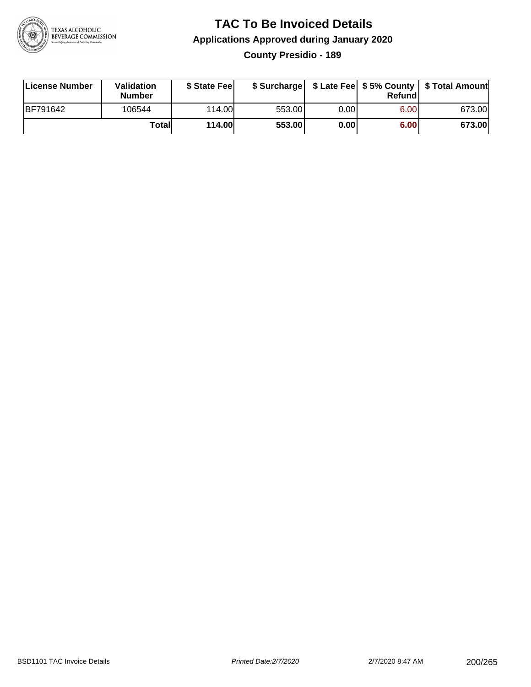

#### **TAC To Be Invoiced Details Applications Approved during January 2020 County Presidio - 189**

| License Number | Validation<br><b>Number</b> | \$ State Fee  |        |       | Refund | \$ Surcharge   \$ Late Fee   \$5% County   \$ Total Amount |
|----------------|-----------------------------|---------------|--------|-------|--------|------------------------------------------------------------|
| BF791642       | 106544                      | 114.00        | 553.00 | 0.001 | 6.00   | 673.00                                                     |
|                | Totall                      | <b>114.00</b> | 553.00 | 0.00  | 6.00   | 673.00                                                     |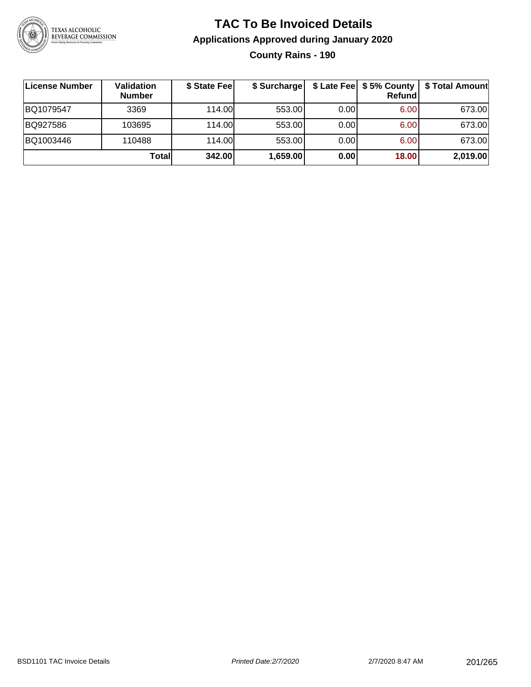

### **TAC To Be Invoiced Details Applications Approved during January 2020 County Rains - 190**

| License Number | Validation<br><b>Number</b> | \$ State Fee | \$ Surcharge |       | \$ Late Fee   \$5% County<br>Refundl | \$ Total Amount |
|----------------|-----------------------------|--------------|--------------|-------|--------------------------------------|-----------------|
| BQ1079547      | 3369                        | 114.00L      | 553.00       | 0.001 | 6.00                                 | 673.00          |
| BQ927586       | 103695                      | 114.00       | 553.00       | 0.00  | 6.00                                 | 673.00          |
| BQ1003446      | 110488                      | 114.00       | 553.00       | 0.00  | 6.00                                 | 673.00          |
|                | Total                       | 342.00       | 1,659.00     | 0.00  | 18.00                                | 2,019.00        |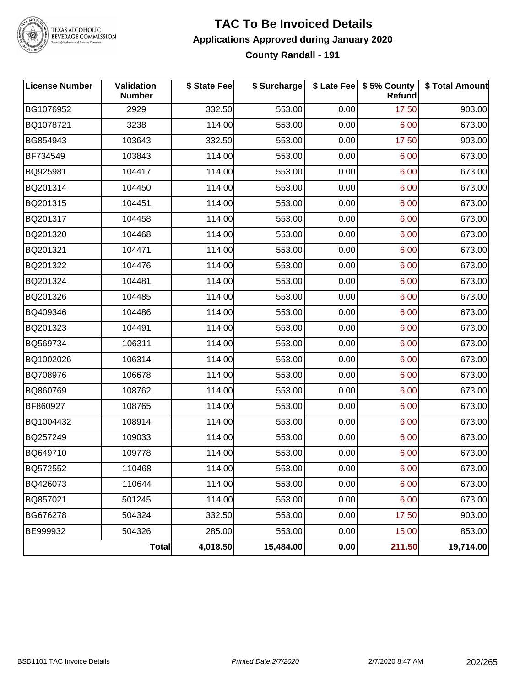

TEXAS ALCOHOLIC<br>BEVERAGE COMMISSION

#### **TAC To Be Invoiced Details Applications Approved during January 2020 County Randall - 191**

| <b>License Number</b> | Validation<br><b>Number</b> | \$ State Fee | \$ Surcharge |      | \$ Late Fee   \$5% County<br><b>Refund</b> | \$ Total Amount |
|-----------------------|-----------------------------|--------------|--------------|------|--------------------------------------------|-----------------|
| BG1076952             | 2929                        | 332.50       | 553.00       | 0.00 | 17.50                                      | 903.00          |
| BQ1078721             | 3238                        | 114.00       | 553.00       | 0.00 | 6.00                                       | 673.00          |
| BG854943              | 103643                      | 332.50       | 553.00       | 0.00 | 17.50                                      | 903.00          |
| BF734549              | 103843                      | 114.00       | 553.00       | 0.00 | 6.00                                       | 673.00          |
| BQ925981              | 104417                      | 114.00       | 553.00       | 0.00 | 6.00                                       | 673.00          |
| BQ201314              | 104450                      | 114.00       | 553.00       | 0.00 | 6.00                                       | 673.00          |
| BQ201315              | 104451                      | 114.00       | 553.00       | 0.00 | 6.00                                       | 673.00          |
| BQ201317              | 104458                      | 114.00       | 553.00       | 0.00 | 6.00                                       | 673.00          |
| BQ201320              | 104468                      | 114.00       | 553.00       | 0.00 | 6.00                                       | 673.00          |
| BQ201321              | 104471                      | 114.00       | 553.00       | 0.00 | 6.00                                       | 673.00          |
| BQ201322              | 104476                      | 114.00       | 553.00       | 0.00 | 6.00                                       | 673.00          |
| BQ201324              | 104481                      | 114.00       | 553.00       | 0.00 | 6.00                                       | 673.00          |
| BQ201326              | 104485                      | 114.00       | 553.00       | 0.00 | 6.00                                       | 673.00          |
| BQ409346              | 104486                      | 114.00       | 553.00       | 0.00 | 6.00                                       | 673.00          |
| BQ201323              | 104491                      | 114.00       | 553.00       | 0.00 | 6.00                                       | 673.00          |
| BQ569734              | 106311                      | 114.00       | 553.00       | 0.00 | 6.00                                       | 673.00          |
| BQ1002026             | 106314                      | 114.00       | 553.00       | 0.00 | 6.00                                       | 673.00          |
| BQ708976              | 106678                      | 114.00       | 553.00       | 0.00 | 6.00                                       | 673.00          |
| BQ860769              | 108762                      | 114.00       | 553.00       | 0.00 | 6.00                                       | 673.00          |
| BF860927              | 108765                      | 114.00       | 553.00       | 0.00 | 6.00                                       | 673.00          |
| BQ1004432             | 108914                      | 114.00       | 553.00       | 0.00 | 6.00                                       | 673.00          |
| BQ257249              | 109033                      | 114.00       | 553.00       | 0.00 | 6.00                                       | 673.00          |
| BQ649710              | 109778                      | 114.00       | 553.00       | 0.00 | 6.00                                       | 673.00          |
| BQ572552              | 110468                      | 114.00       | 553.00       | 0.00 | 6.00                                       | 673.00          |
| BQ426073              | 110644                      | 114.00       | 553.00       | 0.00 | 6.00                                       | 673.00          |
| BQ857021              | 501245                      | 114.00       | 553.00       | 0.00 | 6.00                                       | 673.00          |
| BG676278              | 504324                      | 332.50       | 553.00       | 0.00 | 17.50                                      | 903.00          |
| BE999932              | 504326                      | 285.00       | 553.00       | 0.00 | 15.00                                      | 853.00          |
|                       | Total                       | 4,018.50     | 15,484.00    | 0.00 | 211.50                                     | 19,714.00       |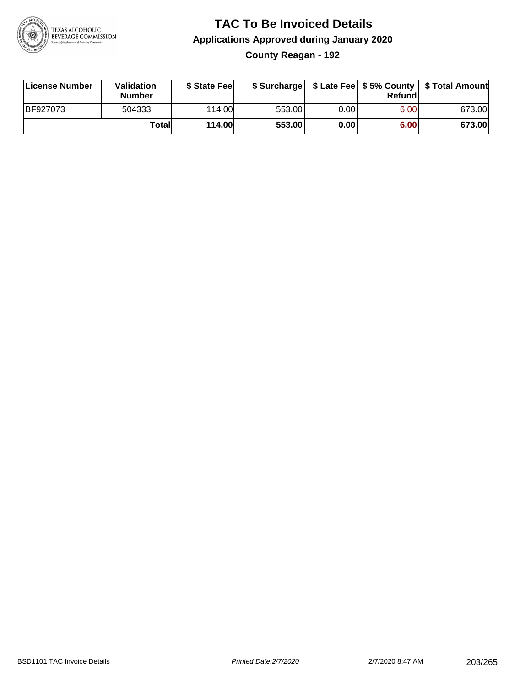

### **TAC To Be Invoiced Details Applications Approved during January 2020 County Reagan - 192**

| License Number  | Validation<br><b>Number</b> | \$ State Feel |        |      | Refund | \$ Surcharge   \$ Late Fee   \$5% County   \$ Total Amount |
|-----------------|-----------------------------|---------------|--------|------|--------|------------------------------------------------------------|
| <b>BF927073</b> | 504333                      | 114.00L       | 553.00 | 0.00 | 6.00   | 673.00                                                     |
|                 | Totall                      | <b>114.00</b> | 553.00 | 0.00 | 6.00   | 673.00                                                     |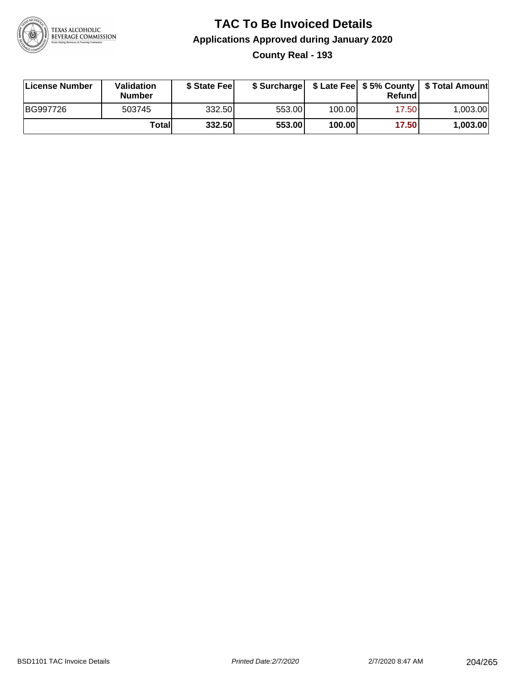

### **TAC To Be Invoiced Details Applications Approved during January 2020 County Real - 193**

| License Number | Validation<br>Number | \$ State Fee |        |        | Refundl | \$ Surcharge   \$ Late Fee   \$5% County   \$ Total Amount |
|----------------|----------------------|--------------|--------|--------|---------|------------------------------------------------------------|
| BG997726       | 503745               | 332.50       | 553.00 | 100.00 | 17.50   | 1.003.00                                                   |
|                | Totall               | 332.50       | 553.00 | 100.00 | 17.50   | 1,003.00                                                   |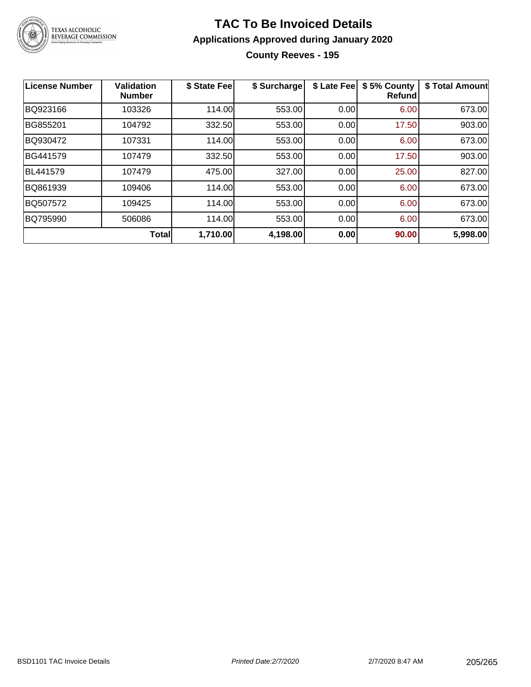

### **TAC To Be Invoiced Details Applications Approved during January 2020 County Reeves - 195**

| License Number | <b>Validation</b><br><b>Number</b> | \$ State Fee | \$ Surcharge | \$ Late Fee | \$5% County<br>Refund | \$ Total Amount |
|----------------|------------------------------------|--------------|--------------|-------------|-----------------------|-----------------|
| BQ923166       | 103326                             | 114.00       | 553.00       | 0.00        | 6.00                  | 673.00          |
| BG855201       | 104792                             | 332.50       | 553.00       | 0.00        | 17.50                 | 903.00          |
| BQ930472       | 107331                             | 114.00       | 553.00       | 0.00        | 6.00                  | 673.00          |
| BG441579       | 107479                             | 332.50       | 553.00       | 0.00        | 17.50                 | 903.00          |
| BL441579       | 107479                             | 475.00       | 327.00       | 0.00        | 25.00                 | 827.00          |
| BQ861939       | 109406                             | 114.00       | 553.00       | 0.00        | 6.00                  | 673.00          |
| BQ507572       | 109425                             | 114.00       | 553.00       | 0.00        | 6.00                  | 673.00          |
| BQ795990       | 506086                             | 114.00       | 553.00       | 0.00        | 6.00                  | 673.00          |
|                | <b>Total</b>                       | 1,710.00     | 4,198.00     | 0.00        | 90.00                 | 5,998.00        |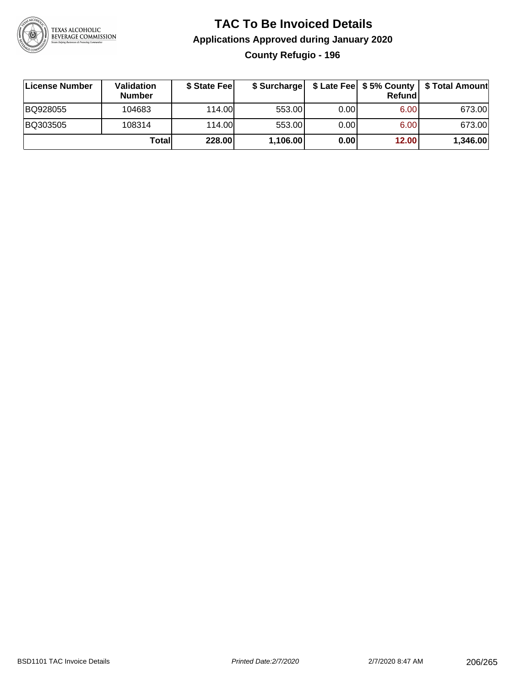

## **TAC To Be Invoiced Details Applications Approved during January 2020 County Refugio - 196**

| License Number | <b>Validation</b><br><b>Number</b> | \$ State Feel | \$ Surcharge |      | Refundl           |          |
|----------------|------------------------------------|---------------|--------------|------|-------------------|----------|
| BQ928055       | 104683                             | 114.00        | 553.00       | 0.00 | 6.00              | 673.00   |
| BQ303505       | 108314                             | 114.00L       | 553.00       | 0.00 | 6.00 <sub>1</sub> | 673.00   |
|                | Totall                             | 228.00        | 1,106.00     | 0.00 | 12.00             | 1,346.00 |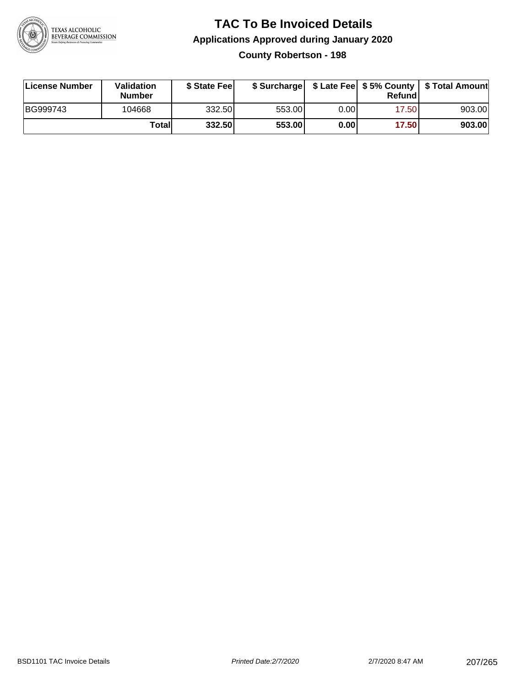

# **TAC To Be Invoiced Details Applications Approved during January 2020**

**County Robertson - 198**

| License Number | Validation<br><b>Number</b> | \$ State Fee | \$ Surcharge |      | Refundl |        |
|----------------|-----------------------------|--------------|--------------|------|---------|--------|
| BG999743       | 104668                      | 332.50       | 553.00       | 0.00 | 17.501  | 903.00 |
|                | Totall                      | 332.50       | 553.00       | 0.00 | 17.50   | 903.00 |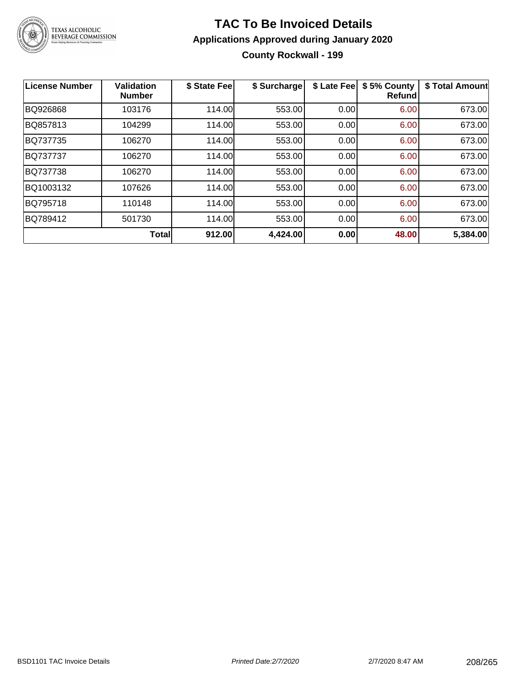

### **TAC To Be Invoiced Details Applications Approved during January 2020 County Rockwall - 199**

| License Number | <b>Validation</b><br><b>Number</b> | \$ State Fee | \$ Surcharge | \$ Late Fee | \$5% County<br><b>Refund</b> | \$ Total Amount |
|----------------|------------------------------------|--------------|--------------|-------------|------------------------------|-----------------|
| BQ926868       | 103176                             | 114.00       | 553.00       | 0.00        | 6.00                         | 673.00          |
| BQ857813       | 104299                             | 114.00       | 553.00       | 0.00        | 6.00                         | 673.00          |
| BQ737735       | 106270                             | 114.00       | 553.00       | 0.00        | 6.00                         | 673.00          |
| BQ737737       | 106270                             | 114.00       | 553.00       | 0.00        | 6.00                         | 673.00          |
| BQ737738       | 106270                             | 114.00       | 553.00       | 0.00        | 6.00                         | 673.00          |
| BQ1003132      | 107626                             | 114.00       | 553.00       | 0.00        | 6.00                         | 673.00          |
| BQ795718       | 110148                             | 114.00       | 553.00       | 0.00        | 6.00                         | 673.00          |
| BQ789412       | 501730                             | 114.00       | 553.00       | 0.00        | 6.00                         | 673.00          |
|                | <b>Total</b>                       | 912.00       | 4,424.00     | 0.00        | 48.00                        | 5,384.00        |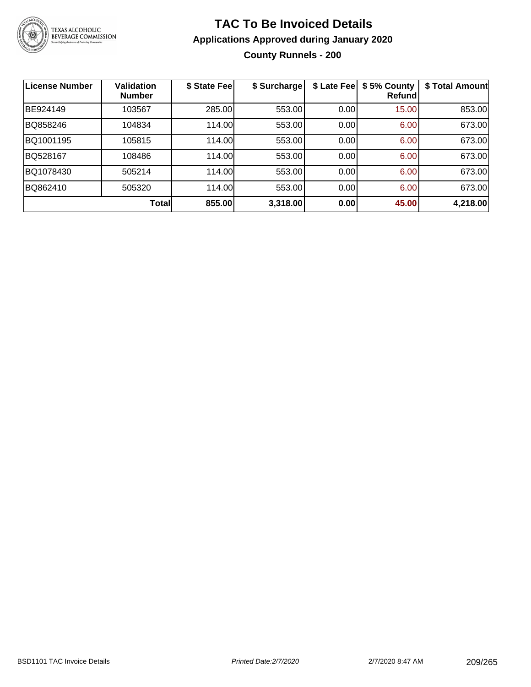

### **TAC To Be Invoiced Details Applications Approved during January 2020 County Runnels - 200**

| <b>License Number</b> | <b>Validation</b><br><b>Number</b> | \$ State Fee | \$ Surcharge | \$ Late Fee | \$5% County<br>Refundl | \$ Total Amount |
|-----------------------|------------------------------------|--------------|--------------|-------------|------------------------|-----------------|
| BE924149              | 103567                             | 285.00       | 553.00       | 0.00        | 15.00                  | 853.00          |
| BQ858246              | 104834                             | 114.00       | 553.00       | 0.00        | 6.00                   | 673.00          |
| BQ1001195             | 105815                             | 114.00       | 553.00       | 0.00        | 6.00                   | 673.00          |
| BQ528167              | 108486                             | 114.00       | 553.00       | 0.00        | 6.00                   | 673.00          |
| BQ1078430             | 505214                             | 114.00       | 553.00       | 0.00        | 6.00                   | 673.00          |
| BQ862410              | 505320                             | 114.00       | 553.00       | 0.00        | 6.00                   | 673.00          |
|                       | Total                              | 855.00       | 3,318.00     | 0.00        | 45.00                  | 4,218.00        |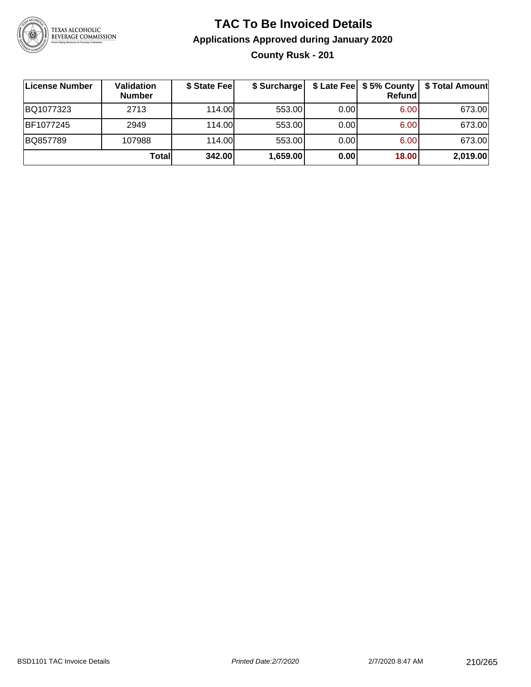

### **TAC To Be Invoiced Details Applications Approved during January 2020 County Rusk - 201**

| License Number | <b>Validation</b><br><b>Number</b> | \$ State Fee | \$ Surcharge |      | \$ Late Fee   \$5% County<br>Refundl | \$ Total Amount |
|----------------|------------------------------------|--------------|--------------|------|--------------------------------------|-----------------|
| BQ1077323      | 2713                               | 114.00       | 553.00       | 0.00 | 6.00                                 | 673.00          |
| BF1077245      | 2949                               | 114.00       | 553.00       | 0.00 | 6.00                                 | 673.00          |
| BQ857789       | 107988                             | 114.00       | 553.00       | 0.00 | 6.00                                 | 673.00          |
|                | Total                              | 342.00       | 1,659.00     | 0.00 | 18.00                                | 2,019.00        |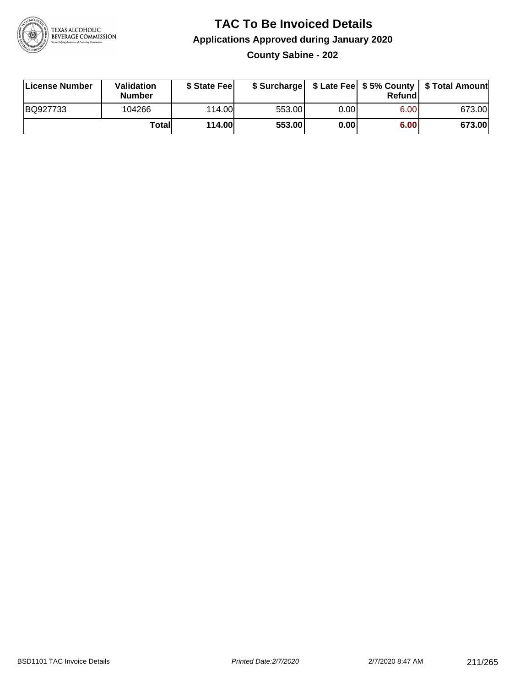

### **TAC To Be Invoiced Details Applications Approved during January 2020 County Sabine - 202**

| License Number | <b>Validation</b><br><b>Number</b> | \$ State Fee |        |      | Refundl | \$ Surcharge   \$ Late Fee   \$5% County   \$ Total Amount |
|----------------|------------------------------------|--------------|--------|------|---------|------------------------------------------------------------|
| BQ927733       | 104266                             | 114.00       | 553.00 | 0.00 | 6.00    | 673.00                                                     |
|                | Totall                             | 114.00       | 553.00 | 0.00 | 6.00    | 673.00                                                     |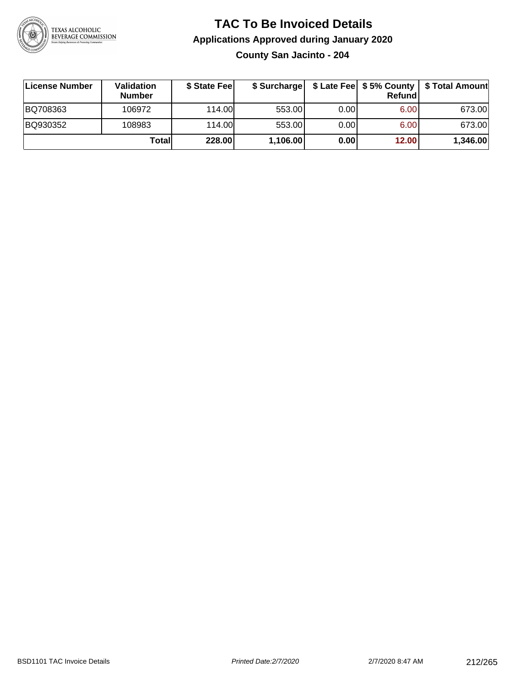

#### **TAC To Be Invoiced Details Applications Approved during January 2020 County San Jacinto - 204**

**License Number Validation Number \$ State Fee \$ Surcharge \$ Late Fee \$ 5% County Refund \$ Total Amount** BQ708363 106972 114.00 553.00 0.00 6.00 673.00 BQ930352 | 108983 | 114.00| 553.00| 0.00| 6.00| 673.00 **Total 228.00 1,106.00 0.00 12.00 1,346.00**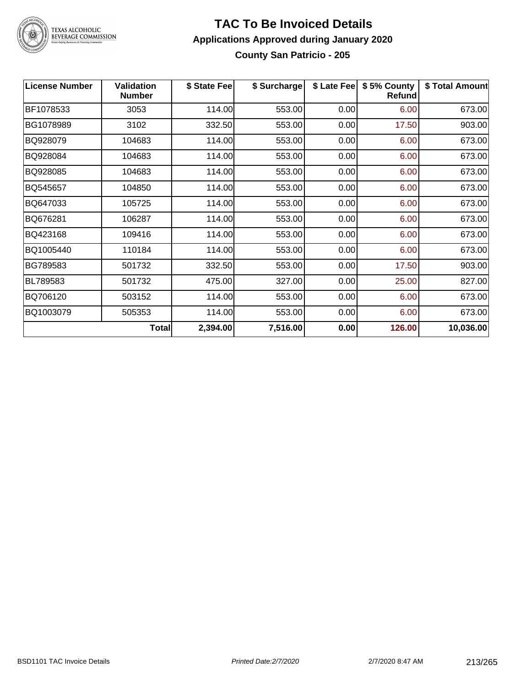

# TEXAS ALCOHOLIC<br>BEVERAGE COMMISSION

#### **TAC To Be Invoiced Details Applications Approved during January 2020 County San Patricio - 205**

| <b>License Number</b> | <b>Validation</b><br><b>Number</b> | \$ State Fee | \$ Surcharge | \$ Late Fee | \$5% County<br><b>Refund</b> | \$ Total Amount |
|-----------------------|------------------------------------|--------------|--------------|-------------|------------------------------|-----------------|
| BF1078533             | 3053                               | 114.00       | 553.00       | 0.00        | 6.00                         | 673.00          |
| BG1078989             | 3102                               | 332.50       | 553.00       | 0.00        | 17.50                        | 903.00          |
| BQ928079              | 104683                             | 114.00       | 553.00       | 0.00        | 6.00                         | 673.00          |
| BQ928084              | 104683                             | 114.00       | 553.00       | 0.00        | 6.00                         | 673.00          |
| BQ928085              | 104683                             | 114.00       | 553.00       | 0.00        | 6.00                         | 673.00          |
| BQ545657              | 104850                             | 114.00       | 553.00       | 0.00        | 6.00                         | 673.00          |
| BQ647033              | 105725                             | 114.00       | 553.00       | 0.00        | 6.00                         | 673.00          |
| BQ676281              | 106287                             | 114.00       | 553.00       | 0.00        | 6.00                         | 673.00          |
| BQ423168              | 109416                             | 114.00       | 553.00       | 0.00        | 6.00                         | 673.00          |
| BQ1005440             | 110184                             | 114.00       | 553.00       | 0.00        | 6.00                         | 673.00          |
| BG789583              | 501732                             | 332.50       | 553.00       | 0.00        | 17.50                        | 903.00          |
| BL789583              | 501732                             | 475.00       | 327.00       | 0.00        | 25.00                        | 827.00          |
| BQ706120              | 503152                             | 114.00       | 553.00       | 0.00        | 6.00                         | 673.00          |
| BQ1003079             | 505353                             | 114.00       | 553.00       | 0.00        | 6.00                         | 673.00          |
|                       | <b>Total</b>                       | 2,394.00     | 7,516.00     | 0.00        | 126.00                       | 10,036.00       |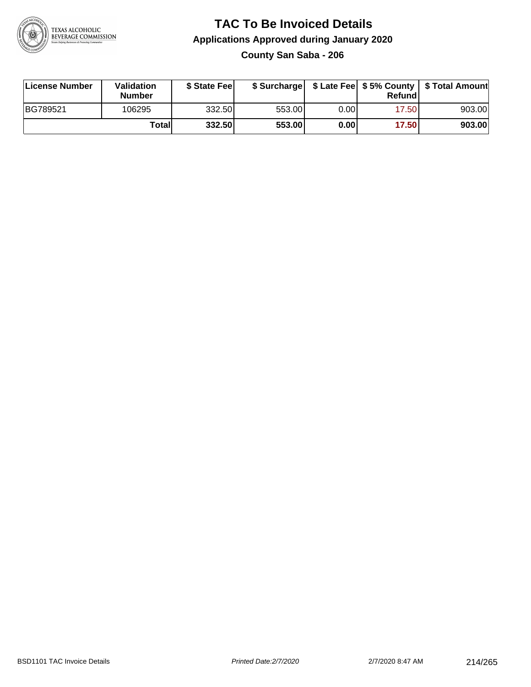

#### **TAC To Be Invoiced Details Applications Approved during January 2020 County San Saba - 206**

| License Number | Validation<br>Number | \$ State Feel |        |      | Refundl | \$ Surcharge   \$ Late Fee   \$5% County   \$ Total Amount |
|----------------|----------------------|---------------|--------|------|---------|------------------------------------------------------------|
| BG789521       | 106295               | 332.50        | 553.00 | 0.00 | 17.50   | 903.00                                                     |
|                | <b>Total</b>         | 332.50        | 553.00 | 0.00 | 17.50   | 903.00                                                     |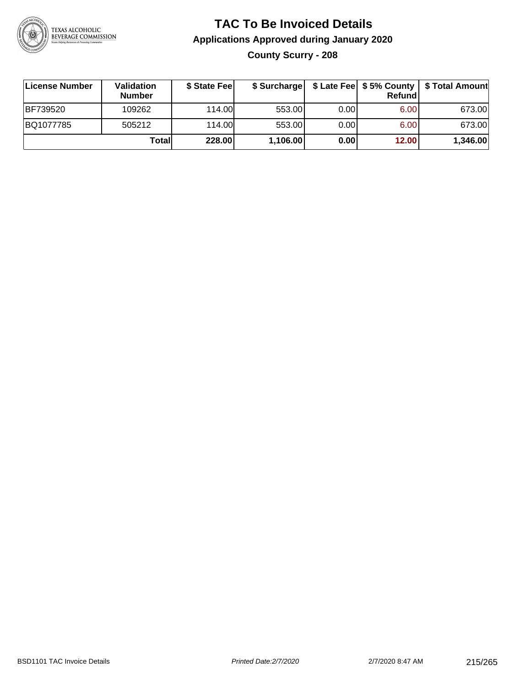

### **TAC To Be Invoiced Details Applications Approved during January 2020 County Scurry - 208**

| License Number  | <b>Validation</b><br><b>Number</b> | \$ State Fee | \$ Surcharge |      | Refundi | \$ Late Fee   \$5% County   \$ Total Amount |
|-----------------|------------------------------------|--------------|--------------|------|---------|---------------------------------------------|
| <b>BF739520</b> | 109262                             | 114.00       | 553.00       | 0.00 | 6.00    | 673.00                                      |
| BQ1077785       | 505212                             | 114.00       | 553.00       | 0.00 | 6.00    | 673.00                                      |
|                 | Totall                             | 228.00       | 1,106.00     | 0.00 | 12.00   | 1,346.00                                    |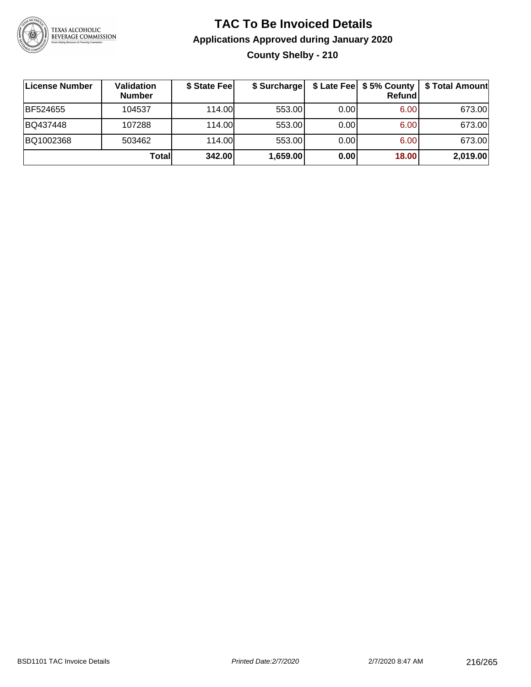

## **TAC To Be Invoiced Details Applications Approved during January 2020 County Shelby - 210**

| License Number | Validation<br><b>Number</b> | \$ State Fee | \$ Surcharge |       | Refundl | \$ Late Fee   \$5% County   \$ Total Amount |
|----------------|-----------------------------|--------------|--------------|-------|---------|---------------------------------------------|
| BF524655       | 104537                      | 114.00       | 553.00       | 0.001 | 6.00    | 673.00                                      |
| BQ437448       | 107288                      | 114.00       | 553.00       | 0.001 | 6.00    | 673.00                                      |
| BQ1002368      | 503462                      | 114.00       | 553.00       | 0.001 | 6.00    | 673.00                                      |
|                | Totall                      | 342.00       | 1,659.00     | 0.00  | 18.00   | 2,019.00                                    |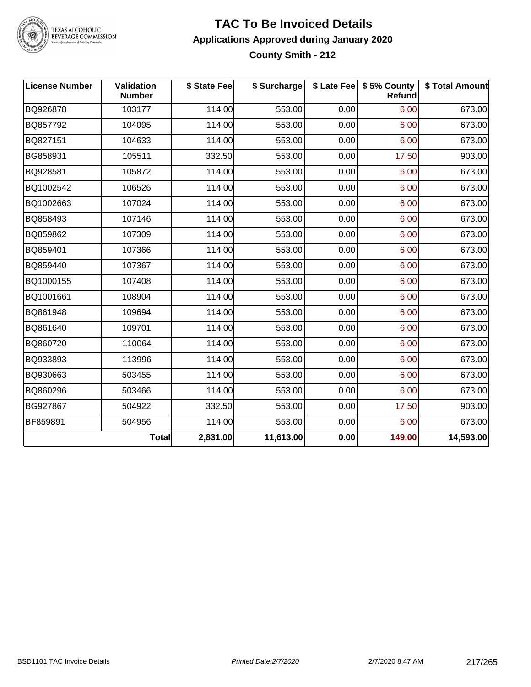

#### **TAC To Be Invoiced Details Applications Approved during January 2020 County Smith - 212**

| <b>License Number</b> | <b>Validation</b><br><b>Number</b> | \$ State Fee | \$ Surcharge |      | \$ Late Fee   \$5% County<br>Refund | \$ Total Amount |
|-----------------------|------------------------------------|--------------|--------------|------|-------------------------------------|-----------------|
| BQ926878              | 103177                             | 114.00       | 553.00       | 0.00 | 6.00                                | 673.00          |
| BQ857792              | 104095                             | 114.00       | 553.00       | 0.00 | 6.00                                | 673.00          |
| BQ827151              | 104633                             | 114.00       | 553.00       | 0.00 | 6.00                                | 673.00          |
| BG858931              | 105511                             | 332.50       | 553.00       | 0.00 | 17.50                               | 903.00          |
| BQ928581              | 105872                             | 114.00       | 553.00       | 0.00 | 6.00                                | 673.00          |
| BQ1002542             | 106526                             | 114.00       | 553.00       | 0.00 | 6.00                                | 673.00          |
| BQ1002663             | 107024                             | 114.00       | 553.00       | 0.00 | 6.00                                | 673.00          |
| BQ858493              | 107146                             | 114.00       | 553.00       | 0.00 | 6.00                                | 673.00          |
| BQ859862              | 107309                             | 114.00       | 553.00       | 0.00 | 6.00                                | 673.00          |
| BQ859401              | 107366                             | 114.00       | 553.00       | 0.00 | 6.00                                | 673.00          |
| BQ859440              | 107367                             | 114.00       | 553.00       | 0.00 | 6.00                                | 673.00          |
| BQ1000155             | 107408                             | 114.00       | 553.00       | 0.00 | 6.00                                | 673.00          |
| BQ1001661             | 108904                             | 114.00       | 553.00       | 0.00 | 6.00                                | 673.00          |
| BQ861948              | 109694                             | 114.00       | 553.00       | 0.00 | 6.00                                | 673.00          |
| BQ861640              | 109701                             | 114.00       | 553.00       | 0.00 | 6.00                                | 673.00          |
| BQ860720              | 110064                             | 114.00       | 553.00       | 0.00 | 6.00                                | 673.00          |
| BQ933893              | 113996                             | 114.00       | 553.00       | 0.00 | 6.00                                | 673.00          |
| BQ930663              | 503455                             | 114.00       | 553.00       | 0.00 | 6.00                                | 673.00          |
| BQ860296              | 503466                             | 114.00       | 553.00       | 0.00 | 6.00                                | 673.00          |
| BG927867              | 504922                             | 332.50       | 553.00       | 0.00 | 17.50                               | 903.00          |
| BF859891              | 504956                             | 114.00       | 553.00       | 0.00 | 6.00                                | 673.00          |
|                       | <b>Total</b>                       | 2,831.00     | 11,613.00    | 0.00 | 149.00                              | 14,593.00       |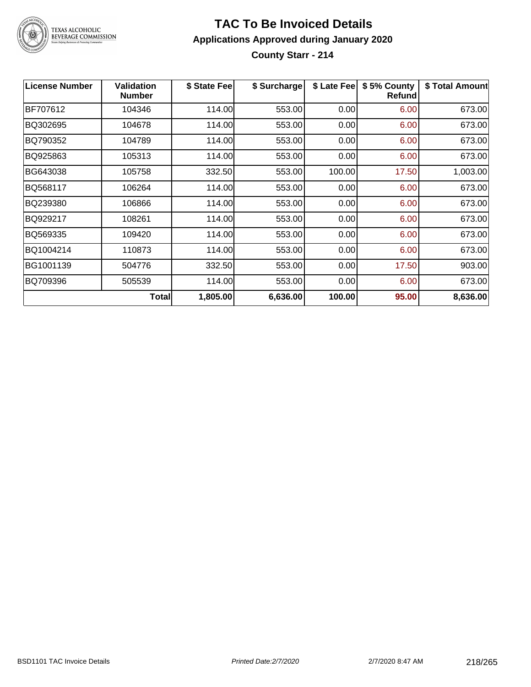

#### **TAC To Be Invoiced Details Applications Approved during January 2020 County Starr - 214**

| <b>License Number</b> | <b>Validation</b><br><b>Number</b> | \$ State Fee | \$ Surcharge | \$ Late Fee | \$5% County<br><b>Refund</b> | \$ Total Amount |
|-----------------------|------------------------------------|--------------|--------------|-------------|------------------------------|-----------------|
| BF707612              | 104346                             | 114.00       | 553.00       | 0.00        | 6.00                         | 673.00          |
| BQ302695              | 104678                             | 114.00       | 553.00       | 0.00        | 6.00                         | 673.00          |
| BQ790352              | 104789                             | 114.00       | 553.00       | 0.00        | 6.00                         | 673.00          |
| BQ925863              | 105313                             | 114.00       | 553.00       | 0.00        | 6.00                         | 673.00          |
| BG643038              | 105758                             | 332.50       | 553.00       | 100.00      | 17.50                        | 1,003.00        |
| BQ568117              | 106264                             | 114.00       | 553.00       | 0.00        | 6.00                         | 673.00          |
| BQ239380              | 106866                             | 114.00       | 553.00       | 0.00        | 6.00                         | 673.00          |
| BQ929217              | 108261                             | 114.00       | 553.00       | 0.00        | 6.00                         | 673.00          |
| BQ569335              | 109420                             | 114.00       | 553.00       | 0.00        | 6.00                         | 673.00          |
| BQ1004214             | 110873                             | 114.00       | 553.00       | 0.00        | 6.00                         | 673.00          |
| BG1001139             | 504776                             | 332.50       | 553.00       | 0.00        | 17.50                        | 903.00          |
| BQ709396              | 505539                             | 114.00       | 553.00       | 0.00        | 6.00                         | 673.00          |
|                       | <b>Total</b>                       | 1,805.00     | 6,636.00     | 100.00      | 95.00                        | 8,636.00        |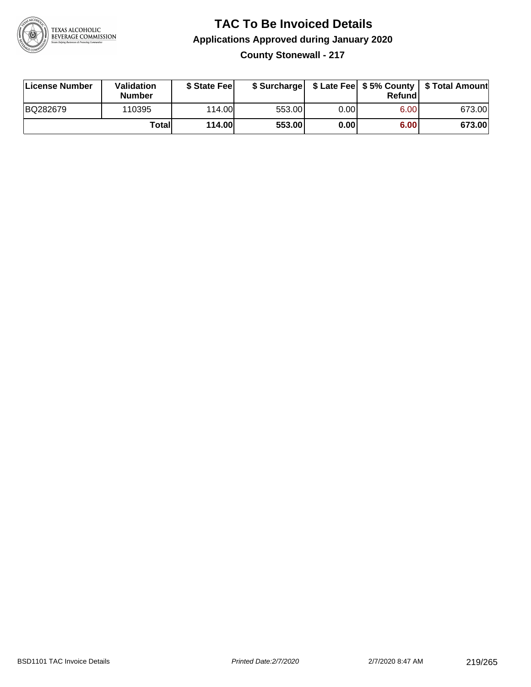

### **TAC To Be Invoiced Details Applications Approved during January 2020 County Stonewall - 217**

| <b>License Number</b> | <b>Validation</b><br><b>Number</b> | \$ State Feel |        |      | Refund            | \$ Surcharge   \$ Late Fee   \$5% County   \$ Total Amount |
|-----------------------|------------------------------------|---------------|--------|------|-------------------|------------------------------------------------------------|
| BQ282679              | 110395                             | 114.00L       | 553.00 | 0.00 | 6.00 <sub>1</sub> | 673.00                                                     |
|                       | Totall                             | 114.00        | 553.00 | 0.00 | 6.00              | 673.00                                                     |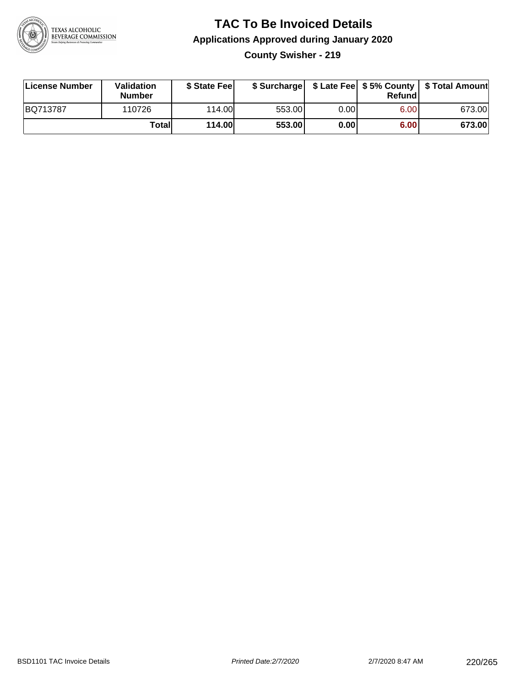

# **TAC To Be Invoiced Details Applications Approved during January 2020**

**County Swisher - 219**

| License Number | <b>Validation</b><br><b>Number</b> | \$ State Fee  | \$ Surcharge |       | Refundl |        |
|----------------|------------------------------------|---------------|--------------|-------|---------|--------|
| BQ713787       | 110726                             | 114.00L       | 553.00       | 0.001 | 6.00    | 673.00 |
|                | Totall                             | <b>114.00</b> | 553.00       | 0.00  | 6.00    | 673.00 |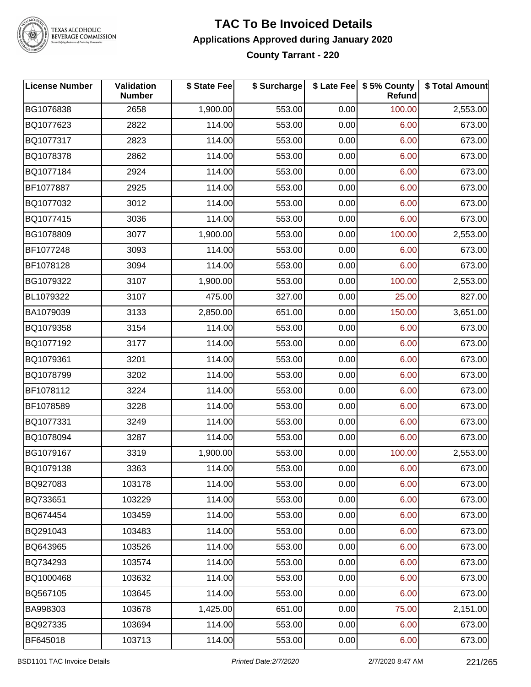

#### **TAC To Be Invoiced Details Applications Approved during January 2020 County Tarrant - 220**

| <b>License Number</b> | Validation<br><b>Number</b> | \$ State Fee | \$ Surcharge |      | \$ Late Fee \$ 5% County<br><b>Refund</b> | \$ Total Amount |
|-----------------------|-----------------------------|--------------|--------------|------|-------------------------------------------|-----------------|
| BG1076838             | 2658                        | 1,900.00     | 553.00       | 0.00 | 100.00                                    | 2,553.00        |
| BQ1077623             | 2822                        | 114.00       | 553.00       | 0.00 | 6.00                                      | 673.00          |
| BQ1077317             | 2823                        | 114.00       | 553.00       | 0.00 | 6.00                                      | 673.00          |
| BQ1078378             | 2862                        | 114.00       | 553.00       | 0.00 | 6.00                                      | 673.00          |
| BQ1077184             | 2924                        | 114.00       | 553.00       | 0.00 | 6.00                                      | 673.00          |
| BF1077887             | 2925                        | 114.00       | 553.00       | 0.00 | 6.00                                      | 673.00          |
| BQ1077032             | 3012                        | 114.00       | 553.00       | 0.00 | 6.00                                      | 673.00          |
| BQ1077415             | 3036                        | 114.00       | 553.00       | 0.00 | 6.00                                      | 673.00          |
| BG1078809             | 3077                        | 1,900.00     | 553.00       | 0.00 | 100.00                                    | 2,553.00        |
| BF1077248             | 3093                        | 114.00       | 553.00       | 0.00 | 6.00                                      | 673.00          |
| BF1078128             | 3094                        | 114.00       | 553.00       | 0.00 | 6.00                                      | 673.00          |
| BG1079322             | 3107                        | 1,900.00     | 553.00       | 0.00 | 100.00                                    | 2,553.00        |
| BL1079322             | 3107                        | 475.00       | 327.00       | 0.00 | 25.00                                     | 827.00          |
| BA1079039             | 3133                        | 2,850.00     | 651.00       | 0.00 | 150.00                                    | 3,651.00        |
| BQ1079358             | 3154                        | 114.00       | 553.00       | 0.00 | 6.00                                      | 673.00          |
| BQ1077192             | 3177                        | 114.00       | 553.00       | 0.00 | 6.00                                      | 673.00          |
| BQ1079361             | 3201                        | 114.00       | 553.00       | 0.00 | 6.00                                      | 673.00          |
| BQ1078799             | 3202                        | 114.00       | 553.00       | 0.00 | 6.00                                      | 673.00          |
| BF1078112             | 3224                        | 114.00       | 553.00       | 0.00 | 6.00                                      | 673.00          |
| BF1078589             | 3228                        | 114.00       | 553.00       | 0.00 | 6.00                                      | 673.00          |
| BQ1077331             | 3249                        | 114.00       | 553.00       | 0.00 | 6.00                                      | 673.00          |
| BQ1078094             | 3287                        | 114.00       | 553.00       | 0.00 | 6.00                                      | 673.00          |
| BG1079167             | 3319                        | 1,900.00     | 553.00       | 0.00 | 100.00                                    | 2,553.00        |
| BQ1079138             | 3363                        | 114.00       | 553.00       | 0.00 | 6.00                                      | 673.00          |
| BQ927083              | 103178                      | 114.00       | 553.00       | 0.00 | 6.00                                      | 673.00          |
| BQ733651              | 103229                      | 114.00       | 553.00       | 0.00 | 6.00                                      | 673.00          |
| BQ674454              | 103459                      | 114.00       | 553.00       | 0.00 | 6.00                                      | 673.00          |
| BQ291043              | 103483                      | 114.00       | 553.00       | 0.00 | 6.00                                      | 673.00          |
| BQ643965              | 103526                      | 114.00       | 553.00       | 0.00 | 6.00                                      | 673.00          |
| BQ734293              | 103574                      | 114.00       | 553.00       | 0.00 | 6.00                                      | 673.00          |
| BQ1000468             | 103632                      | 114.00       | 553.00       | 0.00 | 6.00                                      | 673.00          |
| BQ567105              | 103645                      | 114.00       | 553.00       | 0.00 | 6.00                                      | 673.00          |
| BA998303              | 103678                      | 1,425.00     | 651.00       | 0.00 | 75.00                                     | 2,151.00        |
| BQ927335              | 103694                      | 114.00       | 553.00       | 0.00 | 6.00                                      | 673.00          |
| BF645018              | 103713                      | 114.00       | 553.00       | 0.00 | 6.00                                      | 673.00          |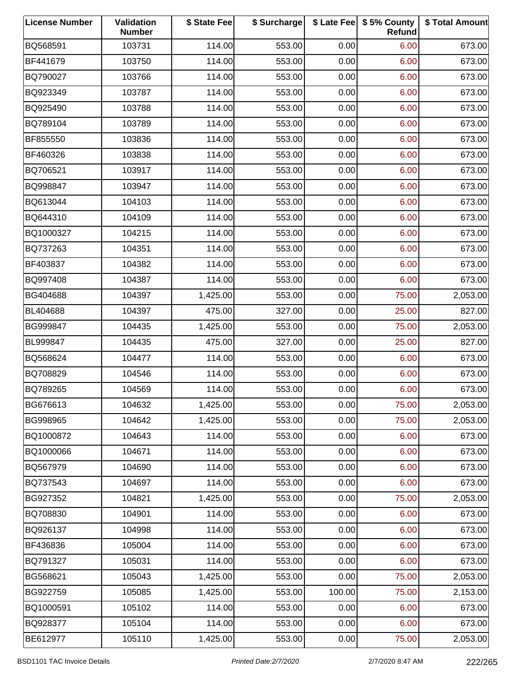| <b>License Number</b> | Validation<br><b>Number</b> | \$ State Fee | \$ Surcharge |        | \$ Late Fee   \$5% County<br>Refund | \$ Total Amount |
|-----------------------|-----------------------------|--------------|--------------|--------|-------------------------------------|-----------------|
| BQ568591              | 103731                      | 114.00       | 553.00       | 0.00   | 6.00                                | 673.00          |
| BF441679              | 103750                      | 114.00       | 553.00       | 0.00   | 6.00                                | 673.00          |
| BQ790027              | 103766                      | 114.00       | 553.00       | 0.00   | 6.00                                | 673.00          |
| BQ923349              | 103787                      | 114.00       | 553.00       | 0.00   | 6.00                                | 673.00          |
| BQ925490              | 103788                      | 114.00       | 553.00       | 0.00   | 6.00                                | 673.00          |
| BQ789104              | 103789                      | 114.00       | 553.00       | 0.00   | 6.00                                | 673.00          |
| BF855550              | 103836                      | 114.00       | 553.00       | 0.00   | 6.00                                | 673.00          |
| BF460326              | 103838                      | 114.00       | 553.00       | 0.00   | 6.00                                | 673.00          |
| BQ706521              | 103917                      | 114.00       | 553.00       | 0.00   | 6.00                                | 673.00          |
| BQ998847              | 103947                      | 114.00       | 553.00       | 0.00   | 6.00                                | 673.00          |
| BQ613044              | 104103                      | 114.00       | 553.00       | 0.00   | 6.00                                | 673.00          |
| BQ644310              | 104109                      | 114.00       | 553.00       | 0.00   | 6.00                                | 673.00          |
| BQ1000327             | 104215                      | 114.00       | 553.00       | 0.00   | 6.00                                | 673.00          |
| BQ737263              | 104351                      | 114.00       | 553.00       | 0.00   | 6.00                                | 673.00          |
| BF403837              | 104382                      | 114.00       | 553.00       | 0.00   | 6.00                                | 673.00          |
| BQ997408              | 104387                      | 114.00       | 553.00       | 0.00   | 6.00                                | 673.00          |
| BG404688              | 104397                      | 1,425.00     | 553.00       | 0.00   | 75.00                               | 2,053.00        |
| BL404688              | 104397                      | 475.00       | 327.00       | 0.00   | 25.00                               | 827.00          |
| BG999847              | 104435                      | 1,425.00     | 553.00       | 0.00   | 75.00                               | 2,053.00        |
| BL999847              | 104435                      | 475.00       | 327.00       | 0.00   | 25.00                               | 827.00          |
| BQ568624              | 104477                      | 114.00       | 553.00       | 0.00   | 6.00                                | 673.00          |
| BQ708829              | 104546                      | 114.00       | 553.00       | 0.00   | 6.00                                | 673.00          |
| BQ789265              | 104569                      | 114.00       | 553.00       | 0.00   | 6.00                                | 673.00          |
| BG676613              | 104632                      | 1,425.00     | 553.00       | 0.00   | 75.00                               | 2,053.00        |
| BG998965              | 104642                      | 1,425.00     | 553.00       | 0.00   | 75.00                               | 2,053.00        |
| BQ1000872             | 104643                      | 114.00       | 553.00       | 0.00   | 6.00                                | 673.00          |
| BQ1000066             | 104671                      | 114.00       | 553.00       | 0.00   | 6.00                                | 673.00          |
| BQ567979              | 104690                      | 114.00       | 553.00       | 0.00   | 6.00                                | 673.00          |
| BQ737543              | 104697                      | 114.00       | 553.00       | 0.00   | 6.00                                | 673.00          |
| BG927352              | 104821                      | 1,425.00     | 553.00       | 0.00   | 75.00                               | 2,053.00        |
| BQ708830              | 104901                      | 114.00       | 553.00       | 0.00   | 6.00                                | 673.00          |
| BQ926137              | 104998                      | 114.00       | 553.00       | 0.00   | 6.00                                | 673.00          |
| BF436836              | 105004                      | 114.00       | 553.00       | 0.00   | 6.00                                | 673.00          |
| BQ791327              | 105031                      | 114.00       | 553.00       | 0.00   | 6.00                                | 673.00          |
| BG568621              | 105043                      | 1,425.00     | 553.00       | 0.00   | 75.00                               | 2,053.00        |
| BG922759              | 105085                      | 1,425.00     | 553.00       | 100.00 | 75.00                               | 2,153.00        |
| BQ1000591             | 105102                      | 114.00       | 553.00       | 0.00   | 6.00                                | 673.00          |
| BQ928377              | 105104                      | 114.00       | 553.00       | 0.00   | 6.00                                | 673.00          |
| BE612977              | 105110                      | 1,425.00     | 553.00       | 0.00   | 75.00                               | 2,053.00        |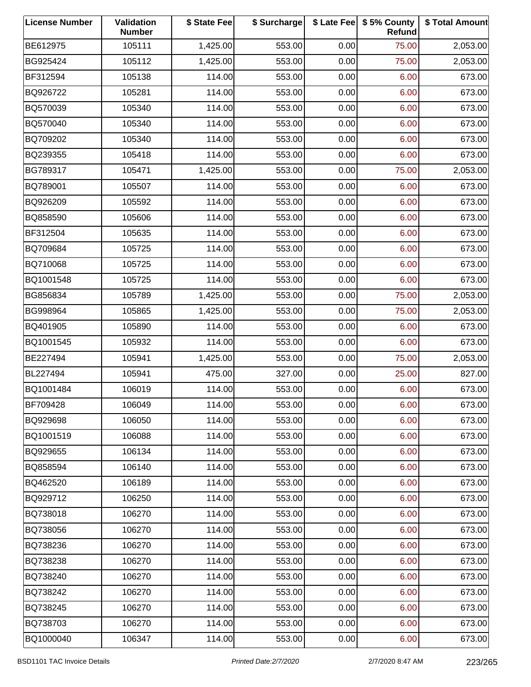| <b>License Number</b> | Validation<br><b>Number</b> | \$ State Fee | \$ Surcharge |      | \$ Late Fee   \$5% County<br>Refund | \$ Total Amount |
|-----------------------|-----------------------------|--------------|--------------|------|-------------------------------------|-----------------|
| BE612975              | 105111                      | 1,425.00     | 553.00       | 0.00 | 75.00                               | 2,053.00        |
| BG925424              | 105112                      | 1,425.00     | 553.00       | 0.00 | 75.00                               | 2,053.00        |
| BF312594              | 105138                      | 114.00       | 553.00       | 0.00 | 6.00                                | 673.00          |
| BQ926722              | 105281                      | 114.00       | 553.00       | 0.00 | 6.00                                | 673.00          |
| BQ570039              | 105340                      | 114.00       | 553.00       | 0.00 | 6.00                                | 673.00          |
| BQ570040              | 105340                      | 114.00       | 553.00       | 0.00 | 6.00                                | 673.00          |
| BQ709202              | 105340                      | 114.00       | 553.00       | 0.00 | 6.00                                | 673.00          |
| BQ239355              | 105418                      | 114.00       | 553.00       | 0.00 | 6.00                                | 673.00          |
| BG789317              | 105471                      | 1,425.00     | 553.00       | 0.00 | 75.00                               | 2,053.00        |
| BQ789001              | 105507                      | 114.00       | 553.00       | 0.00 | 6.00                                | 673.00          |
| BQ926209              | 105592                      | 114.00       | 553.00       | 0.00 | 6.00                                | 673.00          |
| BQ858590              | 105606                      | 114.00       | 553.00       | 0.00 | 6.00                                | 673.00          |
| BF312504              | 105635                      | 114.00       | 553.00       | 0.00 | 6.00                                | 673.00          |
| BQ709684              | 105725                      | 114.00       | 553.00       | 0.00 | 6.00                                | 673.00          |
| BQ710068              | 105725                      | 114.00       | 553.00       | 0.00 | 6.00                                | 673.00          |
| BQ1001548             | 105725                      | 114.00       | 553.00       | 0.00 | 6.00                                | 673.00          |
| BG856834              | 105789                      | 1,425.00     | 553.00       | 0.00 | 75.00                               | 2,053.00        |
| BG998964              | 105865                      | 1,425.00     | 553.00       | 0.00 | 75.00                               | 2,053.00        |
| BQ401905              | 105890                      | 114.00       | 553.00       | 0.00 | 6.00                                | 673.00          |
| BQ1001545             | 105932                      | 114.00       | 553.00       | 0.00 | 6.00                                | 673.00          |
| BE227494              | 105941                      | 1,425.00     | 553.00       | 0.00 | 75.00                               | 2,053.00        |
| BL227494              | 105941                      | 475.00       | 327.00       | 0.00 | 25.00                               | 827.00          |
| BQ1001484             | 106019                      | 114.00       | 553.00       | 0.00 | 6.00                                | 673.00          |
| BF709428              | 106049                      | 114.00       | 553.00       | 0.00 | 6.00                                | 673.00          |
| BQ929698              | 106050                      | 114.00       | 553.00       | 0.00 | 6.00                                | 673.00          |
| BQ1001519             | 106088                      | 114.00       | 553.00       | 0.00 | 6.00                                | 673.00          |
| BQ929655              | 106134                      | 114.00       | 553.00       | 0.00 | 6.00                                | 673.00          |
| BQ858594              | 106140                      | 114.00       | 553.00       | 0.00 | 6.00                                | 673.00          |
| BQ462520              | 106189                      | 114.00       | 553.00       | 0.00 | 6.00                                | 673.00          |
| BQ929712              | 106250                      | 114.00       | 553.00       | 0.00 | 6.00                                | 673.00          |
| BQ738018              | 106270                      | 114.00       | 553.00       | 0.00 | 6.00                                | 673.00          |
| BQ738056              | 106270                      | 114.00       | 553.00       | 0.00 | 6.00                                | 673.00          |
| BQ738236              | 106270                      | 114.00       | 553.00       | 0.00 | 6.00                                | 673.00          |
| BQ738238              | 106270                      | 114.00       | 553.00       | 0.00 | 6.00                                | 673.00          |
| BQ738240              | 106270                      | 114.00       | 553.00       | 0.00 | 6.00                                | 673.00          |
| BQ738242              | 106270                      | 114.00       | 553.00       | 0.00 | 6.00                                | 673.00          |
| BQ738245              | 106270                      | 114.00       | 553.00       | 0.00 | 6.00                                | 673.00          |
| BQ738703              | 106270                      | 114.00       | 553.00       | 0.00 | 6.00                                | 673.00          |
| BQ1000040             | 106347                      | 114.00       | 553.00       | 0.00 | 6.00                                | 673.00          |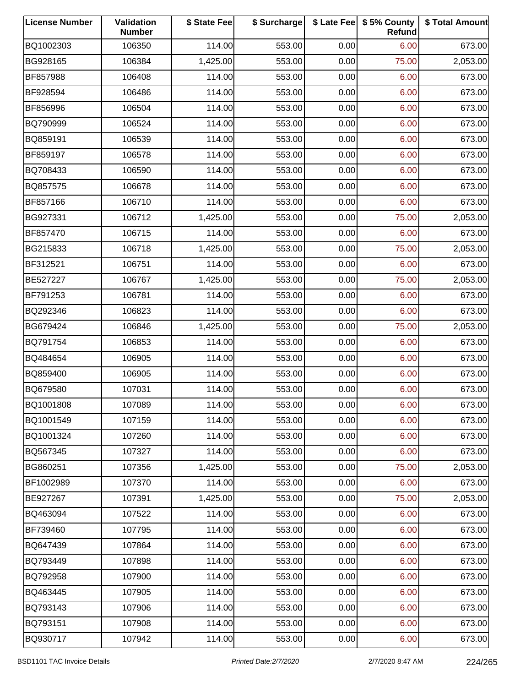| <b>License Number</b> | Validation<br><b>Number</b> | \$ State Fee | \$ Surcharge |      | \$ Late Fee   \$5% County<br>Refund | \$ Total Amount |
|-----------------------|-----------------------------|--------------|--------------|------|-------------------------------------|-----------------|
| BQ1002303             | 106350                      | 114.00       | 553.00       | 0.00 | 6.00                                | 673.00          |
| BG928165              | 106384                      | 1,425.00     | 553.00       | 0.00 | 75.00                               | 2,053.00        |
| BF857988              | 106408                      | 114.00       | 553.00       | 0.00 | 6.00                                | 673.00          |
| BF928594              | 106486                      | 114.00       | 553.00       | 0.00 | 6.00                                | 673.00          |
| BF856996              | 106504                      | 114.00       | 553.00       | 0.00 | 6.00                                | 673.00          |
| BQ790999              | 106524                      | 114.00       | 553.00       | 0.00 | 6.00                                | 673.00          |
| BQ859191              | 106539                      | 114.00       | 553.00       | 0.00 | 6.00                                | 673.00          |
| BF859197              | 106578                      | 114.00       | 553.00       | 0.00 | 6.00                                | 673.00          |
| BQ708433              | 106590                      | 114.00       | 553.00       | 0.00 | 6.00                                | 673.00          |
| BQ857575              | 106678                      | 114.00       | 553.00       | 0.00 | 6.00                                | 673.00          |
| BF857166              | 106710                      | 114.00       | 553.00       | 0.00 | 6.00                                | 673.00          |
| BG927331              | 106712                      | 1,425.00     | 553.00       | 0.00 | 75.00                               | 2,053.00        |
| BF857470              | 106715                      | 114.00       | 553.00       | 0.00 | 6.00                                | 673.00          |
| BG215833              | 106718                      | 1,425.00     | 553.00       | 0.00 | 75.00                               | 2,053.00        |
| BF312521              | 106751                      | 114.00       | 553.00       | 0.00 | 6.00                                | 673.00          |
| BE527227              | 106767                      | 1,425.00     | 553.00       | 0.00 | 75.00                               | 2,053.00        |
| BF791253              | 106781                      | 114.00       | 553.00       | 0.00 | 6.00                                | 673.00          |
| BQ292346              | 106823                      | 114.00       | 553.00       | 0.00 | 6.00                                | 673.00          |
| BG679424              | 106846                      | 1,425.00     | 553.00       | 0.00 | 75.00                               | 2,053.00        |
| BQ791754              | 106853                      | 114.00       | 553.00       | 0.00 | 6.00                                | 673.00          |
| BQ484654              | 106905                      | 114.00       | 553.00       | 0.00 | 6.00                                | 673.00          |
| BQ859400              | 106905                      | 114.00       | 553.00       | 0.00 | 6.00                                | 673.00          |
| BQ679580              | 107031                      | 114.00       | 553.00       | 0.00 | 6.00                                | 673.00          |
| BQ1001808             | 107089                      | 114.00       | 553.00       | 0.00 | 6.00                                | 673.00          |
| BQ1001549             | 107159                      | 114.00       | 553.00       | 0.00 | 6.00                                | 673.00          |
| BQ1001324             | 107260                      | 114.00       | 553.00       | 0.00 | 6.00                                | 673.00          |
| BQ567345              | 107327                      | 114.00       | 553.00       | 0.00 | 6.00                                | 673.00          |
| BG860251              | 107356                      | 1,425.00     | 553.00       | 0.00 | 75.00                               | 2,053.00        |
| BF1002989             | 107370                      | 114.00       | 553.00       | 0.00 | 6.00                                | 673.00          |
| BE927267              | 107391                      | 1,425.00     | 553.00       | 0.00 | 75.00                               | 2,053.00        |
| BQ463094              | 107522                      | 114.00       | 553.00       | 0.00 | 6.00                                | 673.00          |
| BF739460              | 107795                      | 114.00       | 553.00       | 0.00 | 6.00                                | 673.00          |
| BQ647439              | 107864                      | 114.00       | 553.00       | 0.00 | 6.00                                | 673.00          |
| BQ793449              | 107898                      | 114.00       | 553.00       | 0.00 | 6.00                                | 673.00          |
| BQ792958              | 107900                      | 114.00       | 553.00       | 0.00 | 6.00                                | 673.00          |
| BQ463445              | 107905                      | 114.00       | 553.00       | 0.00 | 6.00                                | 673.00          |
| BQ793143              | 107906                      | 114.00       | 553.00       | 0.00 | 6.00                                | 673.00          |
| BQ793151              | 107908                      | 114.00       | 553.00       | 0.00 | 6.00                                | 673.00          |
| BQ930717              | 107942                      | 114.00       | 553.00       | 0.00 | 6.00                                | 673.00          |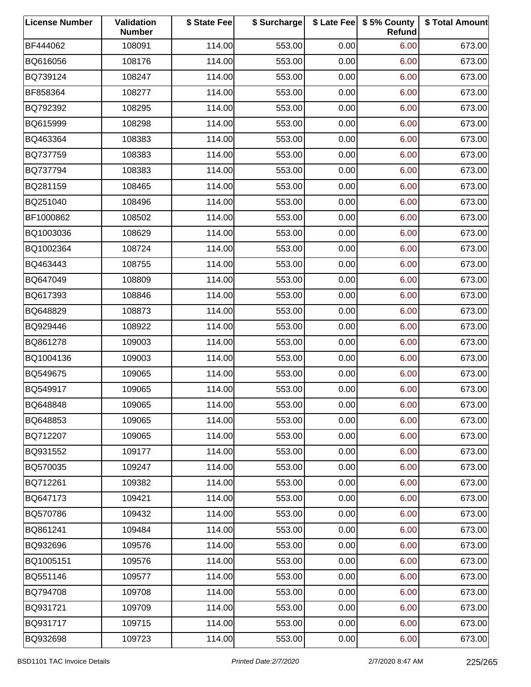| <b>License Number</b> | Validation<br><b>Number</b> | \$ State Fee | \$ Surcharge |      | \$ Late Fee   \$5% County<br>Refund | \$ Total Amount |
|-----------------------|-----------------------------|--------------|--------------|------|-------------------------------------|-----------------|
| BF444062              | 108091                      | 114.00       | 553.00       | 0.00 | 6.00                                | 673.00          |
| BQ616056              | 108176                      | 114.00       | 553.00       | 0.00 | 6.00                                | 673.00          |
| BQ739124              | 108247                      | 114.00       | 553.00       | 0.00 | 6.00                                | 673.00          |
| BF858364              | 108277                      | 114.00       | 553.00       | 0.00 | 6.00                                | 673.00          |
| BQ792392              | 108295                      | 114.00       | 553.00       | 0.00 | 6.00                                | 673.00          |
| BQ615999              | 108298                      | 114.00       | 553.00       | 0.00 | 6.00                                | 673.00          |
| BQ463364              | 108383                      | 114.00       | 553.00       | 0.00 | 6.00                                | 673.00          |
| BQ737759              | 108383                      | 114.00       | 553.00       | 0.00 | 6.00                                | 673.00          |
| BQ737794              | 108383                      | 114.00       | 553.00       | 0.00 | 6.00                                | 673.00          |
| BQ281159              | 108465                      | 114.00       | 553.00       | 0.00 | 6.00                                | 673.00          |
| BQ251040              | 108496                      | 114.00       | 553.00       | 0.00 | 6.00                                | 673.00          |
| BF1000862             | 108502                      | 114.00       | 553.00       | 0.00 | 6.00                                | 673.00          |
| BQ1003036             | 108629                      | 114.00       | 553.00       | 0.00 | 6.00                                | 673.00          |
| BQ1002364             | 108724                      | 114.00       | 553.00       | 0.00 | 6.00                                | 673.00          |
| BQ463443              | 108755                      | 114.00       | 553.00       | 0.00 | 6.00                                | 673.00          |
| BQ647049              | 108809                      | 114.00       | 553.00       | 0.00 | 6.00                                | 673.00          |
| BQ617393              | 108846                      | 114.00       | 553.00       | 0.00 | 6.00                                | 673.00          |
| BQ648829              | 108873                      | 114.00       | 553.00       | 0.00 | 6.00                                | 673.00          |
| BQ929446              | 108922                      | 114.00       | 553.00       | 0.00 | 6.00                                | 673.00          |
| BQ861278              | 109003                      | 114.00       | 553.00       | 0.00 | 6.00                                | 673.00          |
| BQ1004136             | 109003                      | 114.00       | 553.00       | 0.00 | 6.00                                | 673.00          |
| BQ549675              | 109065                      | 114.00       | 553.00       | 0.00 | 6.00                                | 673.00          |
| BQ549917              | 109065                      | 114.00       | 553.00       | 0.00 | 6.00                                | 673.00          |
| BQ648848              | 109065                      | 114.00       | 553.00       | 0.00 | 6.00                                | 673.00          |
| BQ648853              | 109065                      | 114.00       | 553.00       | 0.00 | 6.00                                | 673.00          |
| BQ712207              | 109065                      | 114.00       | 553.00       | 0.00 | 6.00                                | 673.00          |
| BQ931552              | 109177                      | 114.00       | 553.00       | 0.00 | 6.00                                | 673.00          |
| BQ570035              | 109247                      | 114.00       | 553.00       | 0.00 | 6.00                                | 673.00          |
| BQ712261              | 109382                      | 114.00       | 553.00       | 0.00 | 6.00                                | 673.00          |
| BQ647173              | 109421                      | 114.00       | 553.00       | 0.00 | 6.00                                | 673.00          |
| BQ570786              | 109432                      | 114.00       | 553.00       | 0.00 | 6.00                                | 673.00          |
| BQ861241              | 109484                      | 114.00       | 553.00       | 0.00 | 6.00                                | 673.00          |
| BQ932696              | 109576                      | 114.00       | 553.00       | 0.00 | 6.00                                | 673.00          |
| BQ1005151             | 109576                      | 114.00       | 553.00       | 0.00 | 6.00                                | 673.00          |
| BQ551146              | 109577                      | 114.00       | 553.00       | 0.00 | 6.00                                | 673.00          |
| BQ794708              | 109708                      | 114.00       | 553.00       | 0.00 | 6.00                                | 673.00          |
| BQ931721              | 109709                      | 114.00       | 553.00       | 0.00 | 6.00                                | 673.00          |
| BQ931717              | 109715                      | 114.00       | 553.00       | 0.00 | 6.00                                | 673.00          |
| BQ932698              | 109723                      | 114.00       | 553.00       | 0.00 | 6.00                                | 673.00          |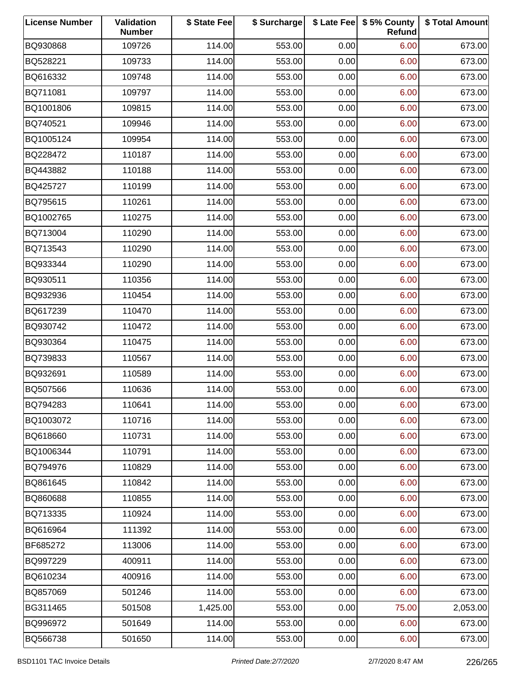| <b>License Number</b> | Validation<br><b>Number</b> | \$ State Fee | \$ Surcharge |      | \$ Late Fee   \$5% County<br>Refund | \$ Total Amount |
|-----------------------|-----------------------------|--------------|--------------|------|-------------------------------------|-----------------|
| BQ930868              | 109726                      | 114.00       | 553.00       | 0.00 | 6.00                                | 673.00          |
| BQ528221              | 109733                      | 114.00       | 553.00       | 0.00 | 6.00                                | 673.00          |
| BQ616332              | 109748                      | 114.00       | 553.00       | 0.00 | 6.00                                | 673.00          |
| BQ711081              | 109797                      | 114.00       | 553.00       | 0.00 | 6.00                                | 673.00          |
| BQ1001806             | 109815                      | 114.00       | 553.00       | 0.00 | 6.00                                | 673.00          |
| BQ740521              | 109946                      | 114.00       | 553.00       | 0.00 | 6.00                                | 673.00          |
| BQ1005124             | 109954                      | 114.00       | 553.00       | 0.00 | 6.00                                | 673.00          |
| BQ228472              | 110187                      | 114.00       | 553.00       | 0.00 | 6.00                                | 673.00          |
| BQ443882              | 110188                      | 114.00       | 553.00       | 0.00 | 6.00                                | 673.00          |
| BQ425727              | 110199                      | 114.00       | 553.00       | 0.00 | 6.00                                | 673.00          |
| BQ795615              | 110261                      | 114.00       | 553.00       | 0.00 | 6.00                                | 673.00          |
| BQ1002765             | 110275                      | 114.00       | 553.00       | 0.00 | 6.00                                | 673.00          |
| BQ713004              | 110290                      | 114.00       | 553.00       | 0.00 | 6.00                                | 673.00          |
| BQ713543              | 110290                      | 114.00       | 553.00       | 0.00 | 6.00                                | 673.00          |
| BQ933344              | 110290                      | 114.00       | 553.00       | 0.00 | 6.00                                | 673.00          |
| BQ930511              | 110356                      | 114.00       | 553.00       | 0.00 | 6.00                                | 673.00          |
| BQ932936              | 110454                      | 114.00       | 553.00       | 0.00 | 6.00                                | 673.00          |
| BQ617239              | 110470                      | 114.00       | 553.00       | 0.00 | 6.00                                | 673.00          |
| BQ930742              | 110472                      | 114.00       | 553.00       | 0.00 | 6.00                                | 673.00          |
| BQ930364              | 110475                      | 114.00       | 553.00       | 0.00 | 6.00                                | 673.00          |
| BQ739833              | 110567                      | 114.00       | 553.00       | 0.00 | 6.00                                | 673.00          |
| BQ932691              | 110589                      | 114.00       | 553.00       | 0.00 | 6.00                                | 673.00          |
| BQ507566              | 110636                      | 114.00       | 553.00       | 0.00 | 6.00                                | 673.00          |
| BQ794283              | 110641                      | 114.00       | 553.00       | 0.00 | 6.00                                | 673.00          |
| BQ1003072             | 110716                      | 114.00       | 553.00       | 0.00 | 6.00                                | 673.00          |
| BQ618660              | 110731                      | 114.00       | 553.00       | 0.00 | 6.00                                | 673.00          |
| BQ1006344             | 110791                      | 114.00       | 553.00       | 0.00 | 6.00                                | 673.00          |
| BQ794976              | 110829                      | 114.00       | 553.00       | 0.00 | 6.00                                | 673.00          |
| BQ861645              | 110842                      | 114.00       | 553.00       | 0.00 | 6.00                                | 673.00          |
| BQ860688              | 110855                      | 114.00       | 553.00       | 0.00 | 6.00                                | 673.00          |
| BQ713335              | 110924                      | 114.00       | 553.00       | 0.00 | 6.00                                | 673.00          |
| BQ616964              | 111392                      | 114.00       | 553.00       | 0.00 | 6.00                                | 673.00          |
| BF685272              | 113006                      | 114.00       | 553.00       | 0.00 | 6.00                                | 673.00          |
| BQ997229              | 400911                      | 114.00       | 553.00       | 0.00 | 6.00                                | 673.00          |
| BQ610234              | 400916                      | 114.00       | 553.00       | 0.00 | 6.00                                | 673.00          |
| BQ857069              | 501246                      | 114.00       | 553.00       | 0.00 | 6.00                                | 673.00          |
| BG311465              | 501508                      | 1,425.00     | 553.00       | 0.00 | 75.00                               | 2,053.00        |
| BQ996972              | 501649                      | 114.00       | 553.00       | 0.00 | 6.00                                | 673.00          |
| BQ566738              | 501650                      | 114.00       | 553.00       | 0.00 | 6.00                                | 673.00          |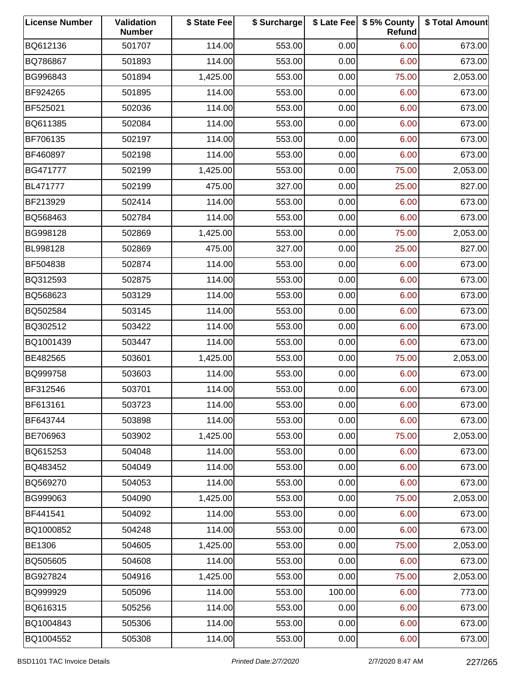| <b>License Number</b> | Validation<br><b>Number</b> | \$ State Fee | \$ Surcharge |        | \$ Late Fee   \$5% County<br>Refund | \$ Total Amount |
|-----------------------|-----------------------------|--------------|--------------|--------|-------------------------------------|-----------------|
| BQ612136              | 501707                      | 114.00       | 553.00       | 0.00   | 6.00                                | 673.00          |
| BQ786867              | 501893                      | 114.00       | 553.00       | 0.00   | 6.00                                | 673.00          |
| BG996843              | 501894                      | 1,425.00     | 553.00       | 0.00   | 75.00                               | 2,053.00        |
| BF924265              | 501895                      | 114.00       | 553.00       | 0.00   | 6.00                                | 673.00          |
| BF525021              | 502036                      | 114.00       | 553.00       | 0.00   | 6.00                                | 673.00          |
| BQ611385              | 502084                      | 114.00       | 553.00       | 0.00   | 6.00                                | 673.00          |
| BF706135              | 502197                      | 114.00       | 553.00       | 0.00   | 6.00                                | 673.00          |
| BF460897              | 502198                      | 114.00       | 553.00       | 0.00   | 6.00                                | 673.00          |
| BG471777              | 502199                      | 1,425.00     | 553.00       | 0.00   | 75.00                               | 2,053.00        |
| BL471777              | 502199                      | 475.00       | 327.00       | 0.00   | 25.00                               | 827.00          |
| BF213929              | 502414                      | 114.00       | 553.00       | 0.00   | 6.00                                | 673.00          |
| BQ568463              | 502784                      | 114.00       | 553.00       | 0.00   | 6.00                                | 673.00          |
| BG998128              | 502869                      | 1,425.00     | 553.00       | 0.00   | 75.00                               | 2,053.00        |
| BL998128              | 502869                      | 475.00       | 327.00       | 0.00   | 25.00                               | 827.00          |
| BF504838              | 502874                      | 114.00       | 553.00       | 0.00   | 6.00                                | 673.00          |
| BQ312593              | 502875                      | 114.00       | 553.00       | 0.00   | 6.00                                | 673.00          |
| BQ568623              | 503129                      | 114.00       | 553.00       | 0.00   | 6.00                                | 673.00          |
| BQ502584              | 503145                      | 114.00       | 553.00       | 0.00   | 6.00                                | 673.00          |
| BQ302512              | 503422                      | 114.00       | 553.00       | 0.00   | 6.00                                | 673.00          |
| BQ1001439             | 503447                      | 114.00       | 553.00       | 0.00   | 6.00                                | 673.00          |
| BE482565              | 503601                      | 1,425.00     | 553.00       | 0.00   | 75.00                               | 2,053.00        |
| BQ999758              | 503603                      | 114.00       | 553.00       | 0.00   | 6.00                                | 673.00          |
| BF312546              | 503701                      | 114.00       | 553.00       | 0.00   | 6.00                                | 673.00          |
| BF613161              | 503723                      | 114.00       | 553.00       | 0.00   | 6.00                                | 673.00          |
| BF643744              | 503898                      | 114.00       | 553.00       | 0.00   | 6.00                                | 673.00          |
| BE706963              | 503902                      | 1,425.00     | 553.00       | 0.00   | 75.00                               | 2,053.00        |
| BQ615253              | 504048                      | 114.00       | 553.00       | 0.00   | 6.00                                | 673.00          |
| BQ483452              | 504049                      | 114.00       | 553.00       | 0.00   | 6.00                                | 673.00          |
| BQ569270              | 504053                      | 114.00       | 553.00       | 0.00   | 6.00                                | 673.00          |
| BG999063              | 504090                      | 1,425.00     | 553.00       | 0.00   | 75.00                               | 2,053.00        |
| BF441541              | 504092                      | 114.00       | 553.00       | 0.00   | 6.00                                | 673.00          |
| BQ1000852             | 504248                      | 114.00       | 553.00       | 0.00   | 6.00                                | 673.00          |
| BE1306                | 504605                      | 1,425.00     | 553.00       | 0.00   | 75.00                               | 2,053.00        |
| BQ505605              | 504608                      | 114.00       | 553.00       | 0.00   | 6.00                                | 673.00          |
| BG927824              | 504916                      | 1,425.00     | 553.00       | 0.00   | 75.00                               | 2,053.00        |
| BQ999929              | 505096                      | 114.00       | 553.00       | 100.00 | 6.00                                | 773.00          |
| BQ616315              | 505256                      | 114.00       | 553.00       | 0.00   | 6.00                                | 673.00          |
| BQ1004843             | 505306                      | 114.00       | 553.00       | 0.00   | 6.00                                | 673.00          |
| BQ1004552             | 505308                      | 114.00       | 553.00       | 0.00   | 6.00                                | 673.00          |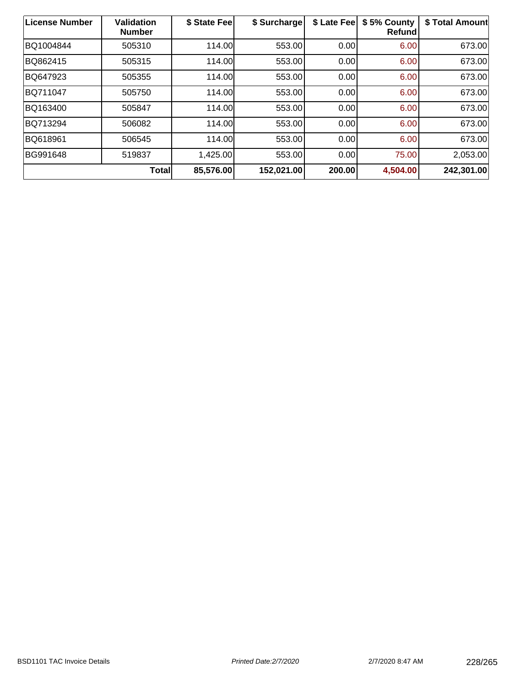| License Number | <b>Validation</b><br><b>Number</b> | \$ State Fee | \$ Surcharge | \$ Late Fee | \$5% County<br><b>Refund</b> | \$ Total Amount |
|----------------|------------------------------------|--------------|--------------|-------------|------------------------------|-----------------|
| BQ1004844      | 505310                             | 114.00       | 553.00       | 0.00        | 6.00                         | 673.00          |
| BQ862415       | 505315                             | 114.00       | 553.00       | 0.00        | 6.00                         | 673.00          |
| BQ647923       | 505355                             | 114.00       | 553.00       | 0.00        | 6.00                         | 673.00          |
| BQ711047       | 505750                             | 114.00       | 553.00       | 0.00        | 6.00                         | 673.00          |
| BQ163400       | 505847                             | 114.00       | 553.00       | 0.00        | 6.00                         | 673.00          |
| BQ713294       | 506082                             | 114.00       | 553.00       | 0.00        | 6.00                         | 673.00          |
| BQ618961       | 506545                             | 114.00       | 553.00       | 0.00        | 6.00                         | 673.00          |
| BG991648       | 519837                             | 1,425.00     | 553.00       | 0.00        | 75.00                        | 2,053.00        |
|                | <b>Total</b>                       | 85,576.00    | 152,021.00   | 200.00      | 4,504.00                     | 242,301.00      |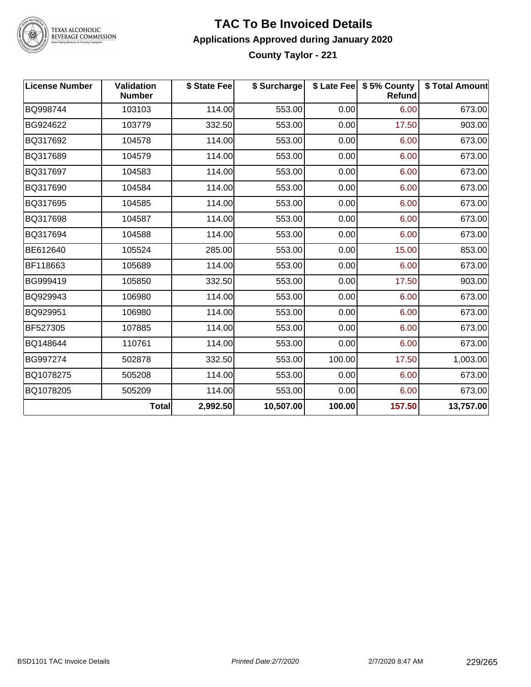

### **TAC To Be Invoiced Details Applications Approved during January 2020 County Taylor - 221**

| <b>License Number</b> | <b>Validation</b><br><b>Number</b> | \$ State Fee | \$ Surcharge |        | \$ Late Fee   \$5% County<br><b>Refund</b> | \$ Total Amount |
|-----------------------|------------------------------------|--------------|--------------|--------|--------------------------------------------|-----------------|
| BQ998744              | 103103                             | 114.00       | 553.00       | 0.00   | 6.00                                       | 673.00          |
| BG924622              | 103779                             | 332.50       | 553.00       | 0.00   | 17.50                                      | 903.00          |
| BQ317692              | 104578                             | 114.00       | 553.00       | 0.00   | 6.00                                       | 673.00          |
| BQ317689              | 104579                             | 114.00       | 553.00       | 0.00   | 6.00                                       | 673.00          |
| BQ317697              | 104583                             | 114.00       | 553.00       | 0.00   | 6.00                                       | 673.00          |
| BQ317690              | 104584                             | 114.00       | 553.00       | 0.00   | 6.00                                       | 673.00          |
| BQ317695              | 104585                             | 114.00       | 553.00       | 0.00   | 6.00                                       | 673.00          |
| BQ317698              | 104587                             | 114.00       | 553.00       | 0.00   | 6.00                                       | 673.00          |
| BQ317694              | 104588                             | 114.00       | 553.00       | 0.00   | 6.00                                       | 673.00          |
| BE612640              | 105524                             | 285.00       | 553.00       | 0.00   | 15.00                                      | 853.00          |
| BF118663              | 105689                             | 114.00       | 553.00       | 0.00   | 6.00                                       | 673.00          |
| BG999419              | 105850                             | 332.50       | 553.00       | 0.00   | 17.50                                      | 903.00          |
| BQ929943              | 106980                             | 114.00       | 553.00       | 0.00   | 6.00                                       | 673.00          |
| BQ929951              | 106980                             | 114.00       | 553.00       | 0.00   | 6.00                                       | 673.00          |
| BF527305              | 107885                             | 114.00       | 553.00       | 0.00   | 6.00                                       | 673.00          |
| BQ148644              | 110761                             | 114.00       | 553.00       | 0.00   | 6.00                                       | 673.00          |
| BG997274              | 502878                             | 332.50       | 553.00       | 100.00 | 17.50                                      | 1,003.00        |
| BQ1078275             | 505208                             | 114.00       | 553.00       | 0.00   | 6.00                                       | 673.00          |
| BQ1078205             | 505209                             | 114.00       | 553.00       | 0.00   | 6.00                                       | 673.00          |
|                       | <b>Total</b>                       | 2,992.50     | 10,507.00    | 100.00 | 157.50                                     | 13,757.00       |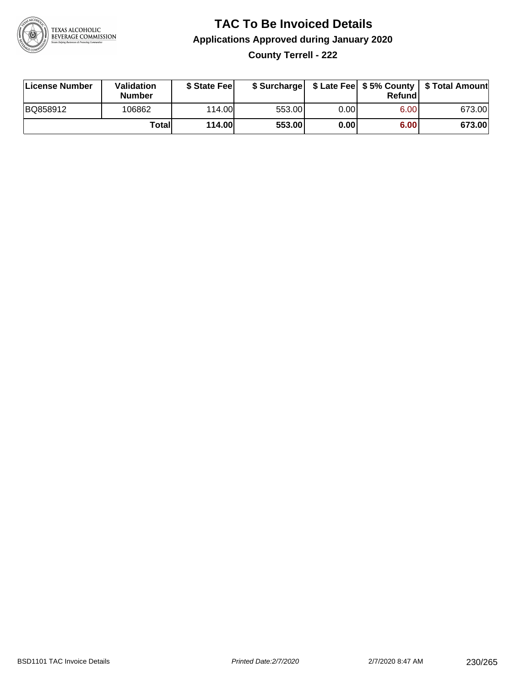

### **TAC To Be Invoiced Details Applications Approved during January 2020 County Terrell - 222**

| License Number | Validation<br><b>Number</b> | \$ State Fee |        |      | Refundl | \$ Surcharge   \$ Late Fee   \$5% County   \$ Total Amount |
|----------------|-----------------------------|--------------|--------|------|---------|------------------------------------------------------------|
| BQ858912       | 106862                      | 114.00       | 553.00 | 0.00 | 6.00    | 673.00                                                     |
|                | Totall                      | 114.00       | 553.00 | 0.00 | 6.00    | 673.00                                                     |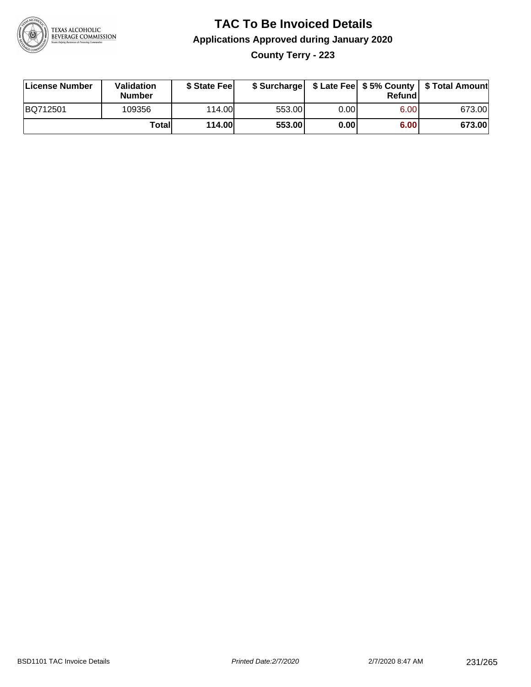

# **TAC To Be Invoiced Details Applications Approved during January 2020 County Terry - 223**

| License Number | <b>Validation</b><br><b>Number</b> | \$ State Fee |        |       | Refund | \$ Surcharge   \$ Late Fee   \$5% County   \$ Total Amount |
|----------------|------------------------------------|--------------|--------|-------|--------|------------------------------------------------------------|
| BQ712501       | 109356                             | 114.00       | 553.00 | 0.00I | 6.00   | 673.00                                                     |
|                | Totall                             | 114.00       | 553.00 | 0.00  | 6.00   | 673.00                                                     |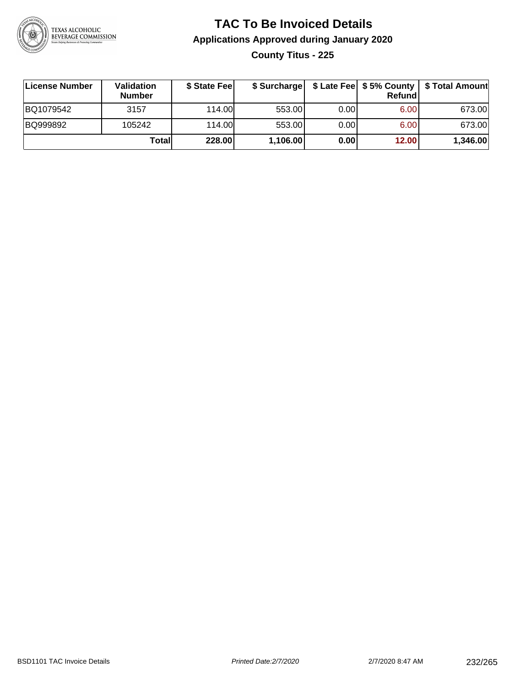

# **TAC To Be Invoiced Details Applications Approved during January 2020 County Titus - 225**

| License Number | Validation<br><b>Number</b> | \$ State Feel |          |       | Refundl | \$ Surcharge   \$ Late Fee   \$5% County   \$ Total Amount |
|----------------|-----------------------------|---------------|----------|-------|---------|------------------------------------------------------------|
| BQ1079542      | 3157                        | 114.00        | 553.00   | 0.001 | 6.00    | 673.00                                                     |
| BQ999892       | 105242                      | 114.00L       | 553.00   | 0.00  | 6.00    | 673.00                                                     |
|                | Totall                      | 228.00        | 1,106.00 | 0.00  | 12.00   | 1,346.00                                                   |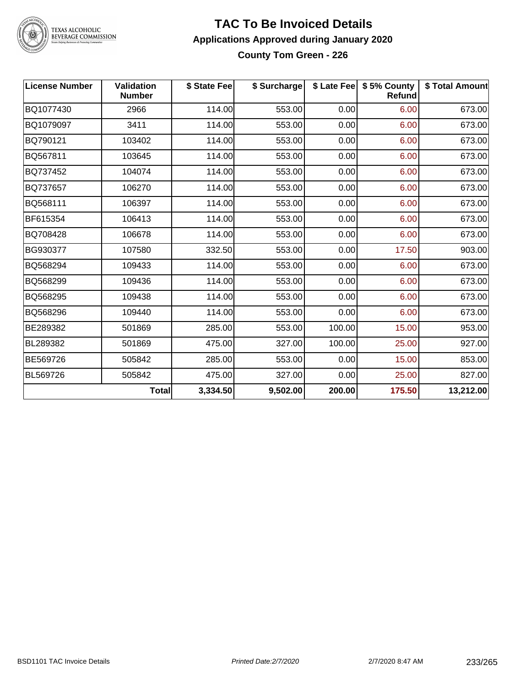

#### **TAC To Be Invoiced Details Applications Approved during January 2020 County Tom Green - 226**

| <b>License Number</b> | <b>Validation</b><br><b>Number</b> | \$ State Fee | \$ Surcharge |        | \$ Late Fee   \$5% County<br>Refund | \$ Total Amount |
|-----------------------|------------------------------------|--------------|--------------|--------|-------------------------------------|-----------------|
| BQ1077430             | 2966                               | 114.00       | 553.00       | 0.00   | 6.00                                | 673.00          |
| BQ1079097             | 3411                               | 114.00       | 553.00       | 0.00   | 6.00                                | 673.00          |
| BQ790121              | 103402                             | 114.00       | 553.00       | 0.00   | 6.00                                | 673.00          |
| BQ567811              | 103645                             | 114.00       | 553.00       | 0.00   | 6.00                                | 673.00          |
| BQ737452              | 104074                             | 114.00       | 553.00       | 0.00   | 6.00                                | 673.00          |
| BQ737657              | 106270                             | 114.00       | 553.00       | 0.00   | 6.00                                | 673.00          |
| BQ568111              | 106397                             | 114.00       | 553.00       | 0.00   | 6.00                                | 673.00          |
| BF615354              | 106413                             | 114.00       | 553.00       | 0.00   | 6.00                                | 673.00          |
| BQ708428              | 106678                             | 114.00       | 553.00       | 0.00   | 6.00                                | 673.00          |
| BG930377              | 107580                             | 332.50       | 553.00       | 0.00   | 17.50                               | 903.00          |
| BQ568294              | 109433                             | 114.00       | 553.00       | 0.00   | 6.00                                | 673.00          |
| BQ568299              | 109436                             | 114.00       | 553.00       | 0.00   | 6.00                                | 673.00          |
| BQ568295              | 109438                             | 114.00       | 553.00       | 0.00   | 6.00                                | 673.00          |
| BQ568296              | 109440                             | 114.00       | 553.00       | 0.00   | 6.00                                | 673.00          |
| BE289382              | 501869                             | 285.00       | 553.00       | 100.00 | 15.00                               | 953.00          |
| BL289382              | 501869                             | 475.00       | 327.00       | 100.00 | 25.00                               | 927.00          |
| BE569726              | 505842                             | 285.00       | 553.00       | 0.00   | 15.00                               | 853.00          |
| BL569726              | 505842                             | 475.00       | 327.00       | 0.00   | 25.00                               | 827.00          |
|                       | <b>Total</b>                       | 3,334.50     | 9,502.00     | 200.00 | 175.50                              | 13,212.00       |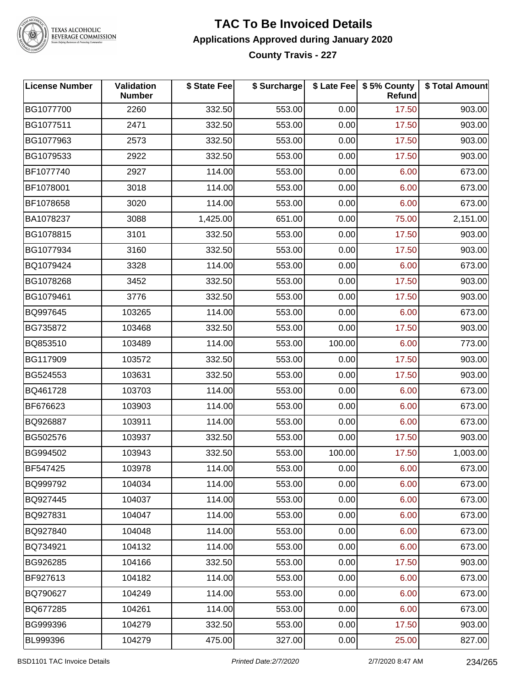

#### **TAC To Be Invoiced Details Applications Approved during January 2020 County Travis - 227**

| <b>License Number</b> | Validation<br><b>Number</b> | \$ State Fee | \$ Surcharge |        | \$ Late Fee   \$5% County<br><b>Refund</b> | \$ Total Amount |
|-----------------------|-----------------------------|--------------|--------------|--------|--------------------------------------------|-----------------|
| BG1077700             | 2260                        | 332.50       | 553.00       | 0.00   | 17.50                                      | 903.00          |
| BG1077511             | 2471                        | 332.50       | 553.00       | 0.00   | 17.50                                      | 903.00          |
| BG1077963             | 2573                        | 332.50       | 553.00       | 0.00   | 17.50                                      | 903.00          |
| BG1079533             | 2922                        | 332.50       | 553.00       | 0.00   | 17.50                                      | 903.00          |
| BF1077740             | 2927                        | 114.00       | 553.00       | 0.00   | 6.00                                       | 673.00          |
| BF1078001             | 3018                        | 114.00       | 553.00       | 0.00   | 6.00                                       | 673.00          |
| BF1078658             | 3020                        | 114.00       | 553.00       | 0.00   | 6.00                                       | 673.00          |
| BA1078237             | 3088                        | 1,425.00     | 651.00       | 0.00   | 75.00                                      | 2,151.00        |
| BG1078815             | 3101                        | 332.50       | 553.00       | 0.00   | 17.50                                      | 903.00          |
| BG1077934             | 3160                        | 332.50       | 553.00       | 0.00   | 17.50                                      | 903.00          |
| BQ1079424             | 3328                        | 114.00       | 553.00       | 0.00   | 6.00                                       | 673.00          |
| BG1078268             | 3452                        | 332.50       | 553.00       | 0.00   | 17.50                                      | 903.00          |
| BG1079461             | 3776                        | 332.50       | 553.00       | 0.00   | 17.50                                      | 903.00          |
| BQ997645              | 103265                      | 114.00       | 553.00       | 0.00   | 6.00                                       | 673.00          |
| BG735872              | 103468                      | 332.50       | 553.00       | 0.00   | 17.50                                      | 903.00          |
| BQ853510              | 103489                      | 114.00       | 553.00       | 100.00 | 6.00                                       | 773.00          |
| BG117909              | 103572                      | 332.50       | 553.00       | 0.00   | 17.50                                      | 903.00          |
| BG524553              | 103631                      | 332.50       | 553.00       | 0.00   | 17.50                                      | 903.00          |
| BQ461728              | 103703                      | 114.00       | 553.00       | 0.00   | 6.00                                       | 673.00          |
| BF676623              | 103903                      | 114.00       | 553.00       | 0.00   | 6.00                                       | 673.00          |
| BQ926887              | 103911                      | 114.00       | 553.00       | 0.00   | 6.00                                       | 673.00          |
| BG502576              | 103937                      | 332.50       | 553.00       | 0.00   | 17.50                                      | 903.00          |
| BG994502              | 103943                      | 332.50       | 553.00       | 100.00 | 17.50                                      | 1,003.00        |
| BF547425              | 103978                      | 114.00       | 553.00       | 0.00   | 6.00                                       | 673.00          |
| BQ999792              | 104034                      | 114.00       | 553.00       | 0.00   | 6.00                                       | 673.00          |
| BQ927445              | 104037                      | 114.00       | 553.00       | 0.00   | 6.00                                       | 673.00          |
| BQ927831              | 104047                      | 114.00       | 553.00       | 0.00   | 6.00                                       | 673.00          |
| BQ927840              | 104048                      | 114.00       | 553.00       | 0.00   | 6.00                                       | 673.00          |
| BQ734921              | 104132                      | 114.00       | 553.00       | 0.00   | 6.00                                       | 673.00          |
| BG926285              | 104166                      | 332.50       | 553.00       | 0.00   | 17.50                                      | 903.00          |
| BF927613              | 104182                      | 114.00       | 553.00       | 0.00   | 6.00                                       | 673.00          |
| BQ790627              | 104249                      | 114.00       | 553.00       | 0.00   | 6.00                                       | 673.00          |
| BQ677285              | 104261                      | 114.00       | 553.00       | 0.00   | 6.00                                       | 673.00          |
| BG999396              | 104279                      | 332.50       | 553.00       | 0.00   | 17.50                                      | 903.00          |
| BL999396              | 104279                      | 475.00       | 327.00       | 0.00   | 25.00                                      | 827.00          |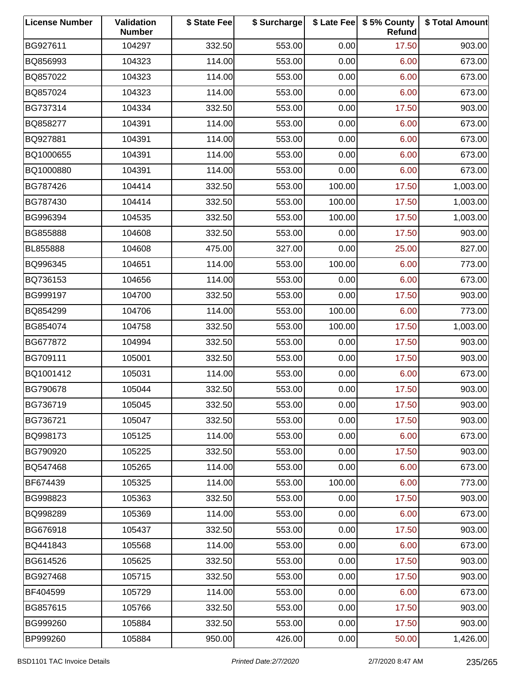| <b>License Number</b> | Validation<br><b>Number</b> | \$ State Fee | \$ Surcharge |        | \$ Late Fee   \$5% County<br>Refund | \$ Total Amount |
|-----------------------|-----------------------------|--------------|--------------|--------|-------------------------------------|-----------------|
| BG927611              | 104297                      | 332.50       | 553.00       | 0.00   | 17.50                               | 903.00          |
| BQ856993              | 104323                      | 114.00       | 553.00       | 0.00   | 6.00                                | 673.00          |
| BQ857022              | 104323                      | 114.00       | 553.00       | 0.00   | 6.00                                | 673.00          |
| BQ857024              | 104323                      | 114.00       | 553.00       | 0.00   | 6.00                                | 673.00          |
| BG737314              | 104334                      | 332.50       | 553.00       | 0.00   | 17.50                               | 903.00          |
| BQ858277              | 104391                      | 114.00       | 553.00       | 0.00   | 6.00                                | 673.00          |
| BQ927881              | 104391                      | 114.00       | 553.00       | 0.00   | 6.00                                | 673.00          |
| BQ1000655             | 104391                      | 114.00       | 553.00       | 0.00   | 6.00                                | 673.00          |
| BQ1000880             | 104391                      | 114.00       | 553.00       | 0.00   | 6.00                                | 673.00          |
| BG787426              | 104414                      | 332.50       | 553.00       | 100.00 | 17.50                               | 1,003.00        |
| BG787430              | 104414                      | 332.50       | 553.00       | 100.00 | 17.50                               | 1,003.00        |
| BG996394              | 104535                      | 332.50       | 553.00       | 100.00 | 17.50                               | 1,003.00        |
| BG855888              | 104608                      | 332.50       | 553.00       | 0.00   | 17.50                               | 903.00          |
| BL855888              | 104608                      | 475.00       | 327.00       | 0.00   | 25.00                               | 827.00          |
| BQ996345              | 104651                      | 114.00       | 553.00       | 100.00 | 6.00                                | 773.00          |
| BQ736153              | 104656                      | 114.00       | 553.00       | 0.00   | 6.00                                | 673.00          |
| BG999197              | 104700                      | 332.50       | 553.00       | 0.00   | 17.50                               | 903.00          |
| BQ854299              | 104706                      | 114.00       | 553.00       | 100.00 | 6.00                                | 773.00          |
| BG854074              | 104758                      | 332.50       | 553.00       | 100.00 | 17.50                               | 1,003.00        |
| BG677872              | 104994                      | 332.50       | 553.00       | 0.00   | 17.50                               | 903.00          |
| BG709111              | 105001                      | 332.50       | 553.00       | 0.00   | 17.50                               | 903.00          |
| BQ1001412             | 105031                      | 114.00       | 553.00       | 0.00   | 6.00                                | 673.00          |
| BG790678              | 105044                      | 332.50       | 553.00       | 0.00   | 17.50                               | 903.00          |
| BG736719              | 105045                      | 332.50       | 553.00       | 0.00   | 17.50                               | 903.00          |
| BG736721              | 105047                      | 332.50       | 553.00       | 0.00   | 17.50                               | 903.00          |
| BQ998173              | 105125                      | 114.00       | 553.00       | 0.00   | 6.00                                | 673.00          |
| BG790920              | 105225                      | 332.50       | 553.00       | 0.00   | 17.50                               | 903.00          |
| BQ547468              | 105265                      | 114.00       | 553.00       | 0.00   | 6.00                                | 673.00          |
| BF674439              | 105325                      | 114.00       | 553.00       | 100.00 | 6.00                                | 773.00          |
| BG998823              | 105363                      | 332.50       | 553.00       | 0.00   | 17.50                               | 903.00          |
| BQ998289              | 105369                      | 114.00       | 553.00       | 0.00   | 6.00                                | 673.00          |
| BG676918              | 105437                      | 332.50       | 553.00       | 0.00   | 17.50                               | 903.00          |
| BQ441843              | 105568                      | 114.00       | 553.00       | 0.00   | 6.00                                | 673.00          |
| BG614526              | 105625                      | 332.50       | 553.00       | 0.00   | 17.50                               | 903.00          |
| BG927468              | 105715                      | 332.50       | 553.00       | 0.00   | 17.50                               | 903.00          |
| BF404599              | 105729                      | 114.00       | 553.00       | 0.00   | 6.00                                | 673.00          |
| BG857615              | 105766                      | 332.50       | 553.00       | 0.00   | 17.50                               | 903.00          |
| BG999260              | 105884                      | 332.50       | 553.00       | 0.00   | 17.50                               | 903.00          |
| BP999260              | 105884                      | 950.00       | 426.00       | 0.00   | 50.00                               | 1,426.00        |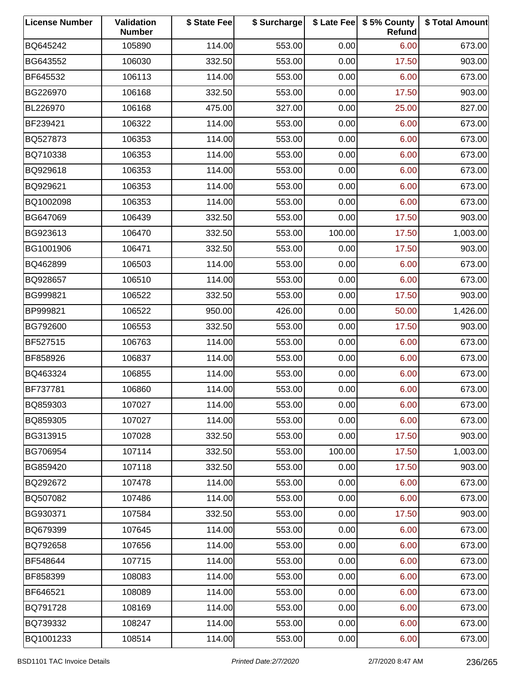| <b>License Number</b> | Validation<br><b>Number</b> | \$ State Fee | \$ Surcharge |        | \$ Late Fee   \$5% County<br>Refund | \$ Total Amount |
|-----------------------|-----------------------------|--------------|--------------|--------|-------------------------------------|-----------------|
| BQ645242              | 105890                      | 114.00       | 553.00       | 0.00   | 6.00                                | 673.00          |
| BG643552              | 106030                      | 332.50       | 553.00       | 0.00   | 17.50                               | 903.00          |
| BF645532              | 106113                      | 114.00       | 553.00       | 0.00   | 6.00                                | 673.00          |
| BG226970              | 106168                      | 332.50       | 553.00       | 0.00   | 17.50                               | 903.00          |
| BL226970              | 106168                      | 475.00       | 327.00       | 0.00   | 25.00                               | 827.00          |
| BF239421              | 106322                      | 114.00       | 553.00       | 0.00   | 6.00                                | 673.00          |
| BQ527873              | 106353                      | 114.00       | 553.00       | 0.00   | 6.00                                | 673.00          |
| BQ710338              | 106353                      | 114.00       | 553.00       | 0.00   | 6.00                                | 673.00          |
| BQ929618              | 106353                      | 114.00       | 553.00       | 0.00   | 6.00                                | 673.00          |
| BQ929621              | 106353                      | 114.00       | 553.00       | 0.00   | 6.00                                | 673.00          |
| BQ1002098             | 106353                      | 114.00       | 553.00       | 0.00   | 6.00                                | 673.00          |
| BG647069              | 106439                      | 332.50       | 553.00       | 0.00   | 17.50                               | 903.00          |
| BG923613              | 106470                      | 332.50       | 553.00       | 100.00 | 17.50                               | 1,003.00        |
| BG1001906             | 106471                      | 332.50       | 553.00       | 0.00   | 17.50                               | 903.00          |
| BQ462899              | 106503                      | 114.00       | 553.00       | 0.00   | 6.00                                | 673.00          |
| BQ928657              | 106510                      | 114.00       | 553.00       | 0.00   | 6.00                                | 673.00          |
| BG999821              | 106522                      | 332.50       | 553.00       | 0.00   | 17.50                               | 903.00          |
| BP999821              | 106522                      | 950.00       | 426.00       | 0.00   | 50.00                               | 1,426.00        |
| BG792600              | 106553                      | 332.50       | 553.00       | 0.00   | 17.50                               | 903.00          |
| BF527515              | 106763                      | 114.00       | 553.00       | 0.00   | 6.00                                | 673.00          |
| BF858926              | 106837                      | 114.00       | 553.00       | 0.00   | 6.00                                | 673.00          |
| BQ463324              | 106855                      | 114.00       | 553.00       | 0.00   | 6.00                                | 673.00          |
| BF737781              | 106860                      | 114.00       | 553.00       | 0.00   | 6.00                                | 673.00          |
| BQ859303              | 107027                      | 114.00       | 553.00       | 0.00   | 6.00                                | 673.00          |
| BQ859305              | 107027                      | 114.00       | 553.00       | 0.00   | 6.00                                | 673.00          |
| BG313915              | 107028                      | 332.50       | 553.00       | 0.00   | 17.50                               | 903.00          |
| BG706954              | 107114                      | 332.50       | 553.00       | 100.00 | 17.50                               | 1,003.00        |
| BG859420              | 107118                      | 332.50       | 553.00       | 0.00   | 17.50                               | 903.00          |
| BQ292672              | 107478                      | 114.00       | 553.00       | 0.00   | 6.00                                | 673.00          |
| BQ507082              | 107486                      | 114.00       | 553.00       | 0.00   | 6.00                                | 673.00          |
| BG930371              | 107584                      | 332.50       | 553.00       | 0.00   | 17.50                               | 903.00          |
| BQ679399              | 107645                      | 114.00       | 553.00       | 0.00   | 6.00                                | 673.00          |
| BQ792658              | 107656                      | 114.00       | 553.00       | 0.00   | 6.00                                | 673.00          |
| BF548644              | 107715                      | 114.00       | 553.00       | 0.00   | 6.00                                | 673.00          |
| BF858399              | 108083                      | 114.00       | 553.00       | 0.00   | 6.00                                | 673.00          |
| BF646521              | 108089                      | 114.00       | 553.00       | 0.00   | 6.00                                | 673.00          |
| BQ791728              | 108169                      | 114.00       | 553.00       | 0.00   | 6.00                                | 673.00          |
| BQ739332              | 108247                      | 114.00       | 553.00       | 0.00   | 6.00                                | 673.00          |
| BQ1001233             | 108514                      | 114.00       | 553.00       | 0.00   | 6.00                                | 673.00          |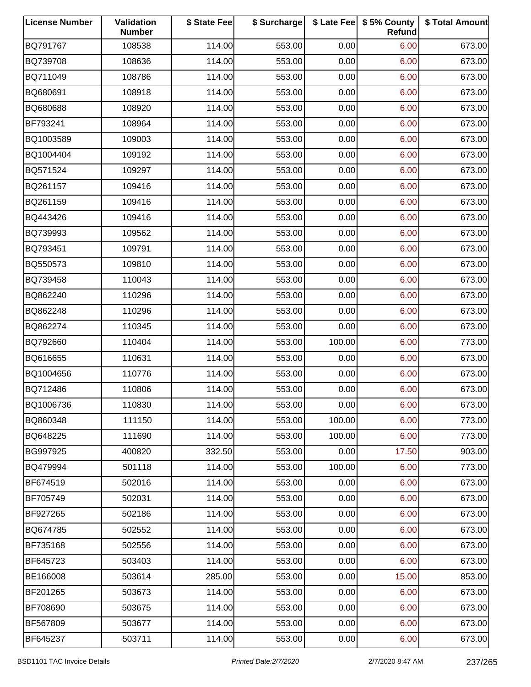| <b>License Number</b> | Validation<br><b>Number</b> | \$ State Fee | \$ Surcharge |        | \$ Late Fee   \$5% County<br>Refund | \$ Total Amount |
|-----------------------|-----------------------------|--------------|--------------|--------|-------------------------------------|-----------------|
| BQ791767              | 108538                      | 114.00       | 553.00       | 0.00   | 6.00                                | 673.00          |
| BQ739708              | 108636                      | 114.00       | 553.00       | 0.00   | 6.00                                | 673.00          |
| BQ711049              | 108786                      | 114.00       | 553.00       | 0.00   | 6.00                                | 673.00          |
| BQ680691              | 108918                      | 114.00       | 553.00       | 0.00   | 6.00                                | 673.00          |
| BQ680688              | 108920                      | 114.00       | 553.00       | 0.00   | 6.00                                | 673.00          |
| BF793241              | 108964                      | 114.00       | 553.00       | 0.00   | 6.00                                | 673.00          |
| BQ1003589             | 109003                      | 114.00       | 553.00       | 0.00   | 6.00                                | 673.00          |
| BQ1004404             | 109192                      | 114.00       | 553.00       | 0.00   | 6.00                                | 673.00          |
| BQ571524              | 109297                      | 114.00       | 553.00       | 0.00   | 6.00                                | 673.00          |
| BQ261157              | 109416                      | 114.00       | 553.00       | 0.00   | 6.00                                | 673.00          |
| BQ261159              | 109416                      | 114.00       | 553.00       | 0.00   | 6.00                                | 673.00          |
| BQ443426              | 109416                      | 114.00       | 553.00       | 0.00   | 6.00                                | 673.00          |
| BQ739993              | 109562                      | 114.00       | 553.00       | 0.00   | 6.00                                | 673.00          |
| BQ793451              | 109791                      | 114.00       | 553.00       | 0.00   | 6.00                                | 673.00          |
| BQ550573              | 109810                      | 114.00       | 553.00       | 0.00   | 6.00                                | 673.00          |
| BQ739458              | 110043                      | 114.00       | 553.00       | 0.00   | 6.00                                | 673.00          |
| BQ862240              | 110296                      | 114.00       | 553.00       | 0.00   | 6.00                                | 673.00          |
| BQ862248              | 110296                      | 114.00       | 553.00       | 0.00   | 6.00                                | 673.00          |
| BQ862274              | 110345                      | 114.00       | 553.00       | 0.00   | 6.00                                | 673.00          |
| BQ792660              | 110404                      | 114.00       | 553.00       | 100.00 | 6.00                                | 773.00          |
| BQ616655              | 110631                      | 114.00       | 553.00       | 0.00   | 6.00                                | 673.00          |
| BQ1004656             | 110776                      | 114.00       | 553.00       | 0.00   | 6.00                                | 673.00          |
| BQ712486              | 110806                      | 114.00       | 553.00       | 0.00   | 6.00                                | 673.00          |
| BQ1006736             | 110830                      | 114.00       | 553.00       | 0.00   | 6.00                                | 673.00          |
| BQ860348              | 111150                      | 114.00       | 553.00       | 100.00 | 6.00                                | 773.00          |
| BQ648225              | 111690                      | 114.00       | 553.00       | 100.00 | 6.00                                | 773.00          |
| BG997925              | 400820                      | 332.50       | 553.00       | 0.00   | 17.50                               | 903.00          |
| BQ479994              | 501118                      | 114.00       | 553.00       | 100.00 | 6.00                                | 773.00          |
| BF674519              | 502016                      | 114.00       | 553.00       | 0.00   | 6.00                                | 673.00          |
| BF705749              | 502031                      | 114.00       | 553.00       | 0.00   | 6.00                                | 673.00          |
| BF927265              | 502186                      | 114.00       | 553.00       | 0.00   | 6.00                                | 673.00          |
| BQ674785              | 502552                      | 114.00       | 553.00       | 0.00   | 6.00                                | 673.00          |
| BF735168              | 502556                      | 114.00       | 553.00       | 0.00   | 6.00                                | 673.00          |
| BF645723              | 503403                      | 114.00       | 553.00       | 0.00   | 6.00                                | 673.00          |
| BE166008              | 503614                      | 285.00       | 553.00       | 0.00   | 15.00                               | 853.00          |
| BF201265              | 503673                      | 114.00       | 553.00       | 0.00   | 6.00                                | 673.00          |
| BF708690              | 503675                      | 114.00       | 553.00       | 0.00   | 6.00                                | 673.00          |
| BF567809              | 503677                      | 114.00       | 553.00       | 0.00   | 6.00                                | 673.00          |
| BF645237              | 503711                      | 114.00       | 553.00       | 0.00   | 6.00                                | 673.00          |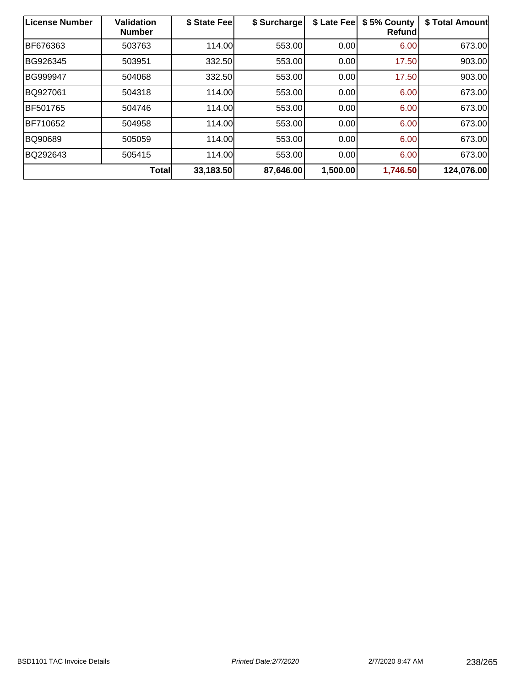| License Number  | <b>Validation</b><br><b>Number</b> | \$ State Fee | \$ Surcharge | \$ Late Fee | \$5% County<br><b>Refund</b> | \$ Total Amount |
|-----------------|------------------------------------|--------------|--------------|-------------|------------------------------|-----------------|
| BF676363        | 503763                             | 114.00       | 553.00       | 0.00        | 6.00                         | 673.00          |
| BG926345        | 503951                             | 332.50       | 553.00       | 0.00        | 17.50                        | 903.00          |
| <b>BG999947</b> | 504068                             | 332.50       | 553.00       | 0.00        | 17.50                        | 903.00          |
| BQ927061        | 504318                             | 114.00       | 553.00       | 0.00        | 6.00                         | 673.00          |
| BF501765        | 504746                             | 114.00       | 553.00       | 0.00        | 6.00                         | 673.00          |
| BF710652        | 504958                             | 114.00       | 553.00       | 0.00        | 6.00                         | 673.00          |
| BQ90689         | 505059                             | 114.00       | 553.00       | 0.00        | 6.00                         | 673.00          |
| BQ292643        | 505415                             | 114.00       | 553.00       | 0.00        | 6.00                         | 673.00          |
|                 | <b>Total</b>                       | 33,183.50    | 87,646.00    | 1,500.00    | 1,746.50                     | 124,076.00      |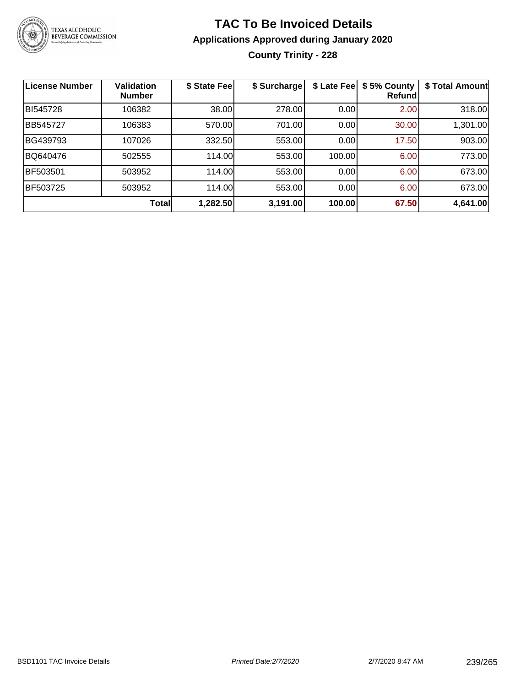

# **TAC To Be Invoiced Details Applications Approved during January 2020 County Trinity - 228**

| <b>License Number</b> | <b>Validation</b><br><b>Number</b> | \$ State Fee | \$ Surcharge | \$ Late Fee | \$5% County<br>Refund | \$ Total Amount |
|-----------------------|------------------------------------|--------------|--------------|-------------|-----------------------|-----------------|
| BI545728              | 106382                             | 38.00        | 278.00       | 0.00        | 2.00                  | 318.00          |
| BB545727              | 106383                             | 570.00       | 701.00       | 0.00        | 30.00                 | 1,301.00        |
| BG439793              | 107026                             | 332.50       | 553.00       | 0.00        | 17.50                 | 903.00          |
| BQ640476              | 502555                             | 114.00       | 553.00       | 100.00      | 6.00                  | 773.00          |
| BF503501              | 503952                             | 114.00       | 553.00       | 0.00        | 6.00                  | 673.00          |
| BF503725              | 503952                             | 114.00       | 553.00       | 0.00        | 6.00                  | 673.00          |
|                       | <b>Total</b>                       | 1,282.50     | 3,191.00     | 100.00      | 67.50                 | 4,641.00        |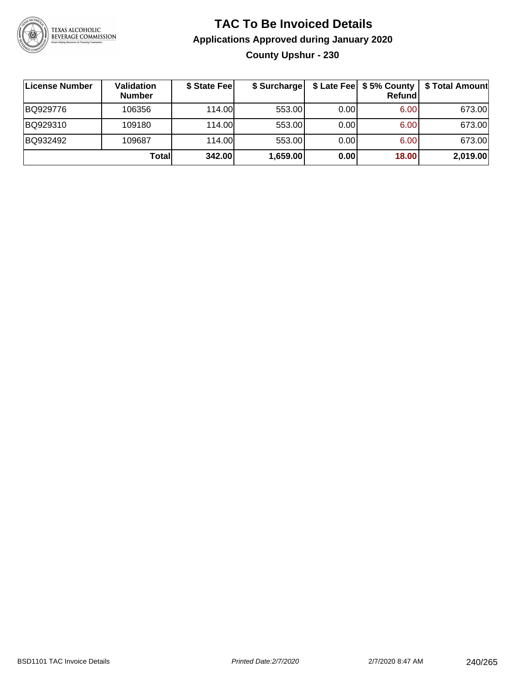

# **TAC To Be Invoiced Details Applications Approved during January 2020 County Upshur - 230**

| ∣License Number | Validation<br><b>Number</b> | \$ State Fee | \$ Surcharge |       | \$ Late Fee   \$5% County  <br>Refundl | \$ Total Amount |
|-----------------|-----------------------------|--------------|--------------|-------|----------------------------------------|-----------------|
| BQ929776        | 106356                      | 114.00L      | 553.00       | 0.001 | 6.00                                   | 673.00          |
| BQ929310        | 109180                      | 114.00       | 553.00       | 0.00  | 6.00                                   | 673.00          |
| BQ932492        | 109687                      | 114.00       | 553.00       | 0.00  | 6.00                                   | 673.00          |
|                 | Totall                      | 342.00       | 1,659.00     | 0.00  | 18.00                                  | 2,019.00        |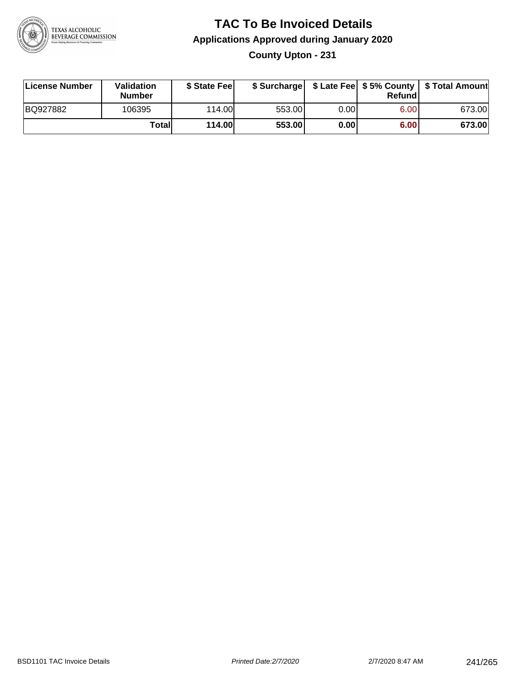

### **TAC To Be Invoiced Details Applications Approved during January 2020 County Upton - 231**

| License Number | <b>Validation</b><br><b>Number</b> | \$ State Feel |        |      | Refund | \$ Surcharge   \$ Late Fee   \$5% County   \$ Total Amount |
|----------------|------------------------------------|---------------|--------|------|--------|------------------------------------------------------------|
| BQ927882       | 106395                             | 114.00L       | 553.00 | 0.00 | 6.00   | 673.00                                                     |
|                | Totall                             | <b>114.00</b> | 553.00 | 0.00 | 6.00   | 673.00                                                     |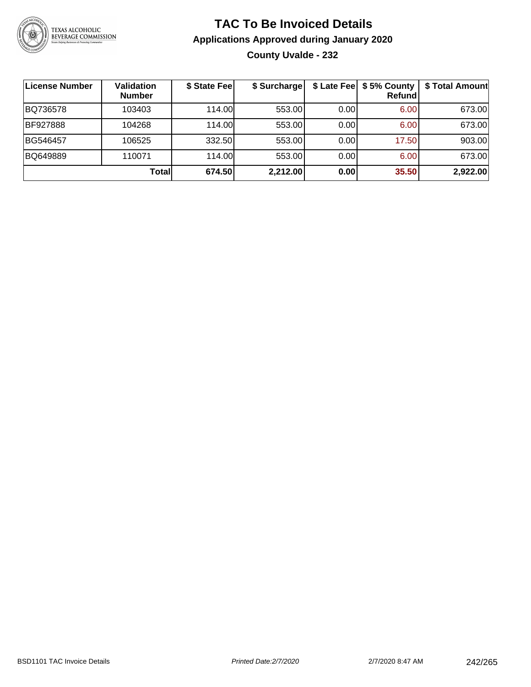

# **TAC To Be Invoiced Details Applications Approved during January 2020 County Uvalde - 232**

| License Number  | <b>Validation</b><br><b>Number</b> | \$ State Fee | \$ Surcharge |      | \$ Late Fee   \$5% County<br>Refund | \$ Total Amount |
|-----------------|------------------------------------|--------------|--------------|------|-------------------------------------|-----------------|
| BQ736578        | 103403                             | 114.00L      | 553.00       | 0.00 | 6.00                                | 673.00          |
| <b>BF927888</b> | 104268                             | 114.00L      | 553.00       | 0.00 | 6.00                                | 673.00          |
| BG546457        | 106525                             | 332.50       | 553.00       | 0.00 | 17.50                               | 903.00          |
| BQ649889        | 110071                             | 114.00       | 553.00       | 0.00 | 6.00                                | 673.00          |
|                 | Totall                             | 674.50       | 2,212.00     | 0.00 | 35.50                               | 2,922.00        |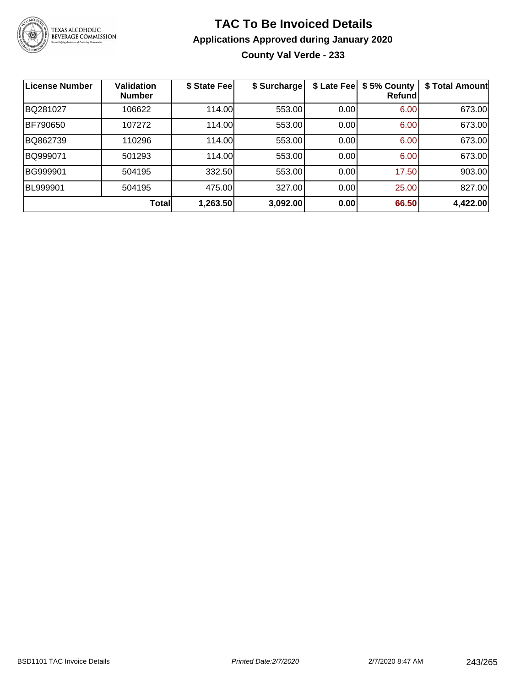

# **TAC To Be Invoiced Details Applications Approved during January 2020 County Val Verde - 233**

| <b>License Number</b> | <b>Validation</b><br><b>Number</b> | \$ State Fee | \$ Surcharge | \$ Late Fee | \$5% County<br>Refund | \$ Total Amount |
|-----------------------|------------------------------------|--------------|--------------|-------------|-----------------------|-----------------|
| BQ281027              | 106622                             | 114.00       | 553.00       | 0.00        | 6.00                  | 673.00          |
| <b>BF790650</b>       | 107272                             | 114.00       | 553.00       | 0.00        | 6.00                  | 673.00          |
| BQ862739              | 110296                             | 114.00       | 553.00       | 0.00        | 6.00                  | 673.00          |
| BQ999071              | 501293                             | 114.00       | 553.00       | 0.00        | 6.00                  | 673.00          |
| BG999901              | 504195                             | 332.50       | 553.00       | 0.00        | 17.50                 | 903.00          |
| <b>BL999901</b>       | 504195                             | 475.00       | 327.00       | 0.00        | 25.00                 | 827.00          |
|                       | <b>Total</b>                       | 1,263.50     | 3,092.00     | 0.00        | 66.50                 | 4,422.00        |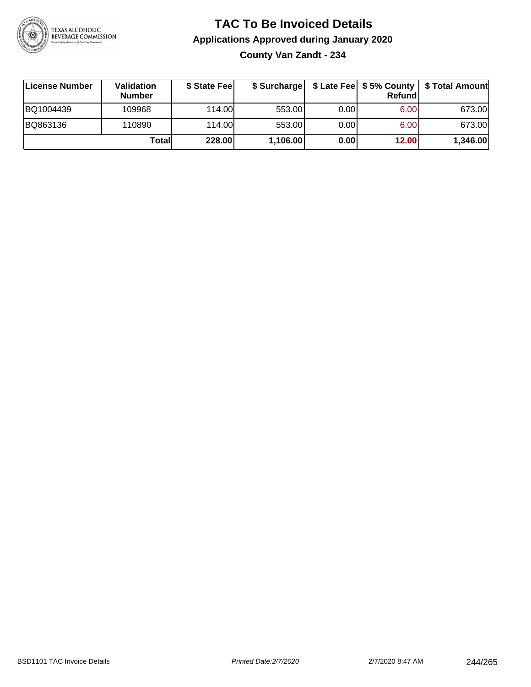

### **TAC To Be Invoiced Details Applications Approved during January 2020 County Van Zandt - 234**

| ∣License Number | Validation<br><b>Number</b> | \$ State Feel | \$ Surcharge |      | Refund | \$ Late Fee   \$5% County   \$ Total Amount |
|-----------------|-----------------------------|---------------|--------------|------|--------|---------------------------------------------|
| BQ1004439       | 109968                      | 114.00        | 553.00       | 0.00 | 6.00   | 673.00                                      |
| BQ863136        | 110890                      | 114.00        | 553.00       | 0.00 | 6.00   | 673.00                                      |
|                 | Totall                      | 228.00        | 1,106.00     | 0.00 | 12.00  | 1,346.00                                    |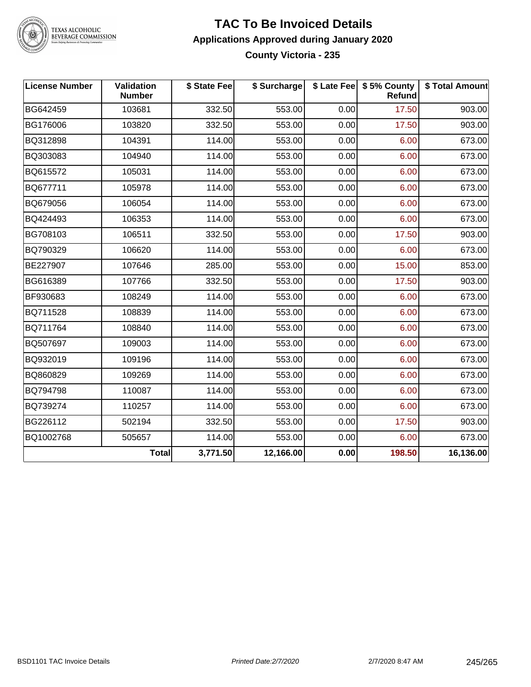

#### **TAC To Be Invoiced Details Applications Approved during January 2020 County Victoria - 235**

| <b>License Number</b> | Validation<br><b>Number</b> | \$ State Fee | \$ Surcharge |      | \$ Late Fee   \$5% County<br>Refund | \$ Total Amount |
|-----------------------|-----------------------------|--------------|--------------|------|-------------------------------------|-----------------|
| BG642459              | 103681                      | 332.50       | 553.00       | 0.00 | 17.50                               | 903.00          |
| BG176006              | 103820                      | 332.50       | 553.00       | 0.00 | 17.50                               | 903.00          |
| BQ312898              | 104391                      | 114.00       | 553.00       | 0.00 | 6.00                                | 673.00          |
| BQ303083              | 104940                      | 114.00       | 553.00       | 0.00 | 6.00                                | 673.00          |
| BQ615572              | 105031                      | 114.00       | 553.00       | 0.00 | 6.00                                | 673.00          |
| BQ677711              | 105978                      | 114.00       | 553.00       | 0.00 | 6.00                                | 673.00          |
| BQ679056              | 106054                      | 114.00       | 553.00       | 0.00 | 6.00                                | 673.00          |
| BQ424493              | 106353                      | 114.00       | 553.00       | 0.00 | 6.00                                | 673.00          |
| BG708103              | 106511                      | 332.50       | 553.00       | 0.00 | 17.50                               | 903.00          |
| BQ790329              | 106620                      | 114.00       | 553.00       | 0.00 | 6.00                                | 673.00          |
| BE227907              | 107646                      | 285.00       | 553.00       | 0.00 | 15.00                               | 853.00          |
| BG616389              | 107766                      | 332.50       | 553.00       | 0.00 | 17.50                               | 903.00          |
| BF930683              | 108249                      | 114.00       | 553.00       | 0.00 | 6.00                                | 673.00          |
| BQ711528              | 108839                      | 114.00       | 553.00       | 0.00 | 6.00                                | 673.00          |
| BQ711764              | 108840                      | 114.00       | 553.00       | 0.00 | 6.00                                | 673.00          |
| BQ507697              | 109003                      | 114.00       | 553.00       | 0.00 | 6.00                                | 673.00          |
| BQ932019              | 109196                      | 114.00       | 553.00       | 0.00 | 6.00                                | 673.00          |
| BQ860829              | 109269                      | 114.00       | 553.00       | 0.00 | 6.00                                | 673.00          |
| BQ794798              | 110087                      | 114.00       | 553.00       | 0.00 | 6.00                                | 673.00          |
| BQ739274              | 110257                      | 114.00       | 553.00       | 0.00 | 6.00                                | 673.00          |
| BG226112              | 502194                      | 332.50       | 553.00       | 0.00 | 17.50                               | 903.00          |
| BQ1002768             | 505657                      | 114.00       | 553.00       | 0.00 | 6.00                                | 673.00          |
|                       | <b>Total</b>                | 3,771.50     | 12,166.00    | 0.00 | 198.50                              | 16,136.00       |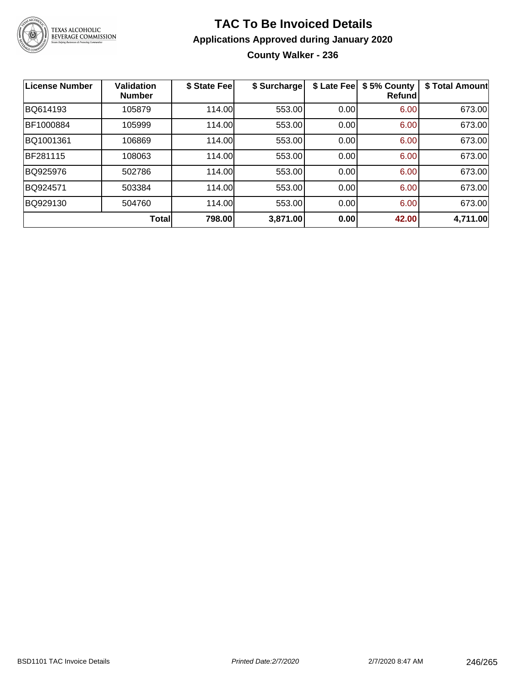

# **TAC To Be Invoiced Details Applications Approved during January 2020 County Walker - 236**

| <b>License Number</b> | <b>Validation</b><br><b>Number</b> | \$ State Fee | \$ Surcharge | \$ Late Fee | \$5% County<br><b>Refund</b> | \$ Total Amount |
|-----------------------|------------------------------------|--------------|--------------|-------------|------------------------------|-----------------|
| BQ614193              | 105879                             | 114.00       | 553.00       | 0.00        | 6.00                         | 673.00          |
| BF1000884             | 105999                             | 114.00       | 553.00       | 0.00        | 6.00                         | 673.00          |
| BQ1001361             | 106869                             | 114.00       | 553.00       | 0.00        | 6.00                         | 673.00          |
| BF281115              | 108063                             | 114.00       | 553.00       | 0.00        | 6.00                         | 673.00          |
| BQ925976              | 502786                             | 114.00       | 553.00       | 0.00        | 6.00                         | 673.00          |
| BQ924571              | 503384                             | 114.00       | 553.00       | 0.00        | 6.00                         | 673.00          |
| BQ929130              | 504760                             | 114.00       | 553.00       | 0.00        | 6.00                         | 673.00          |
|                       | Total                              | 798.00       | 3,871.00     | 0.00        | 42.00                        | 4,711.00        |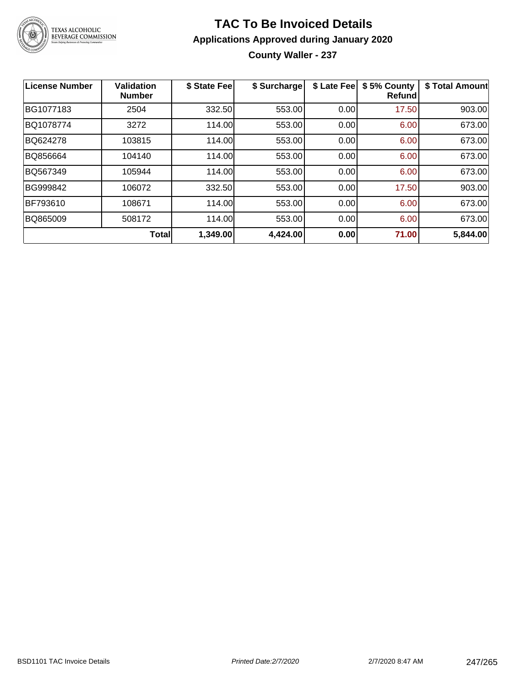

# **TAC To Be Invoiced Details Applications Approved during January 2020**

**County Waller - 237**

| <b>License Number</b> | <b>Validation</b><br><b>Number</b> | \$ State Fee | \$ Surcharge | \$ Late Fee | \$5% County<br>Refundl | \$ Total Amount |
|-----------------------|------------------------------------|--------------|--------------|-------------|------------------------|-----------------|
| BG1077183             | 2504                               | 332.50       | 553.00       | 0.00        | 17.50                  | 903.00          |
| BQ1078774             | 3272                               | 114.00       | 553.00       | 0.00        | 6.00                   | 673.00          |
| BQ624278              | 103815                             | 114.00       | 553.00       | 0.00        | 6.00                   | 673.00          |
| BQ856664              | 104140                             | 114.00       | 553.00       | 0.00        | 6.00                   | 673.00          |
| BQ567349              | 105944                             | 114.00       | 553.00       | 0.00        | 6.00                   | 673.00          |
| BG999842              | 106072                             | 332.50       | 553.00       | 0.00        | 17.50                  | 903.00          |
| BF793610              | 108671                             | 114.00       | 553.00       | 0.00        | 6.00                   | 673.00          |
| BQ865009              | 508172                             | 114.00       | 553.00       | 0.00        | 6.00                   | 673.00          |
|                       | Total                              | 1,349.00     | 4,424.00     | 0.00        | 71.00                  | 5,844.00        |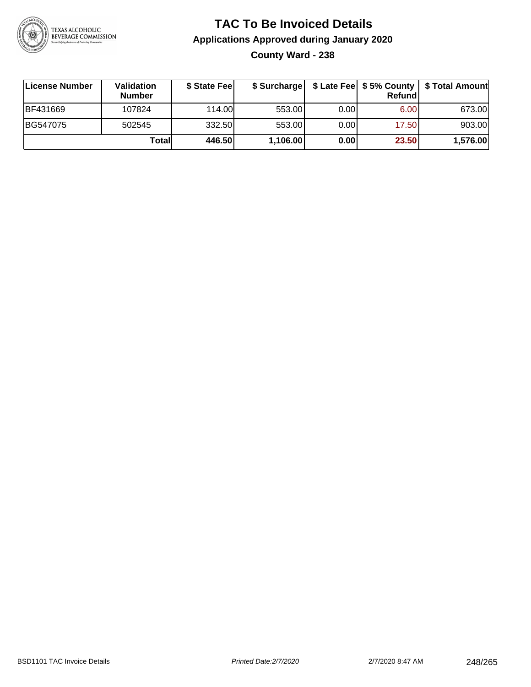

### **TAC To Be Invoiced Details Applications Approved during January 2020 County Ward - 238**

| License Number  | Validation<br><b>Number</b> | \$ State Fee | \$ Surcharge |      | Refund | \$ Late Fee   \$5% County   \$ Total Amount |
|-----------------|-----------------------------|--------------|--------------|------|--------|---------------------------------------------|
| <b>BF431669</b> | 107824                      | 114.00L      | 553.00       | 0.00 | 6.00   | 673.00                                      |
| BG547075        | 502545                      | 332.50       | 553.00       | 0.00 | 17.50  | 903.00                                      |
|                 | Totall                      | 446.50       | 1,106.00     | 0.00 | 23.50  | 1,576.00                                    |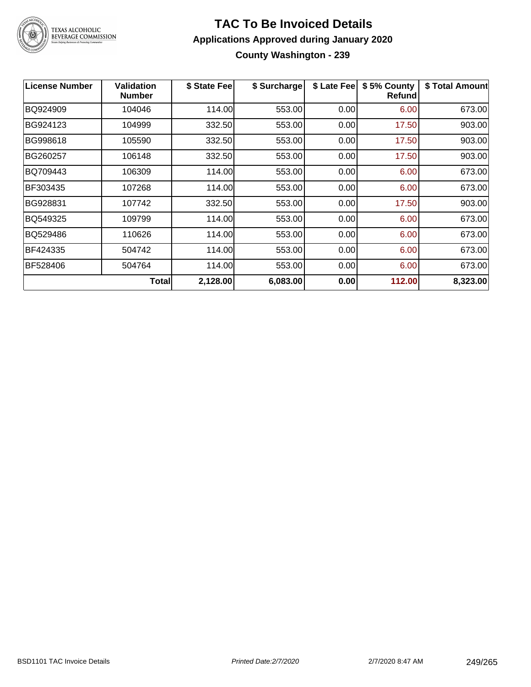

#### **TAC To Be Invoiced Details Applications Approved during January 2020 County Washington - 239**

| <b>License Number</b> | <b>Validation</b><br><b>Number</b> | \$ State Fee | \$ Surcharge | \$ Late Fee | \$5% County<br><b>Refund</b> | \$ Total Amount |
|-----------------------|------------------------------------|--------------|--------------|-------------|------------------------------|-----------------|
| BQ924909              | 104046                             | 114.00       | 553.00       | 0.00        | 6.00                         | 673.00          |
| BG924123              | 104999                             | 332.50       | 553.00       | 0.00        | 17.50                        | 903.00          |
| BG998618              | 105590                             | 332.50       | 553.00       | 0.00        | 17.50                        | 903.00          |
| BG260257              | 106148                             | 332.50       | 553.00       | 0.00        | 17.50                        | 903.00          |
| BQ709443              | 106309                             | 114.00       | 553.00       | 0.00        | 6.00                         | 673.00          |
| BF303435              | 107268                             | 114.00       | 553.00       | 0.00        | 6.00                         | 673.00          |
| BG928831              | 107742                             | 332.50       | 553.00       | 0.00        | 17.50                        | 903.00          |
| BQ549325              | 109799                             | 114.00       | 553.00       | 0.00        | 6.00                         | 673.00          |
| BQ529486              | 110626                             | 114.00       | 553.00       | 0.00        | 6.00                         | 673.00          |
| BF424335              | 504742                             | 114.00       | 553.00       | 0.00        | 6.00                         | 673.00          |
| BF528406              | 504764                             | 114.00       | 553.00       | 0.00        | 6.00                         | 673.00          |
|                       | <b>Total</b>                       | 2,128.00     | 6,083.00     | 0.00        | 112.00                       | 8,323.00        |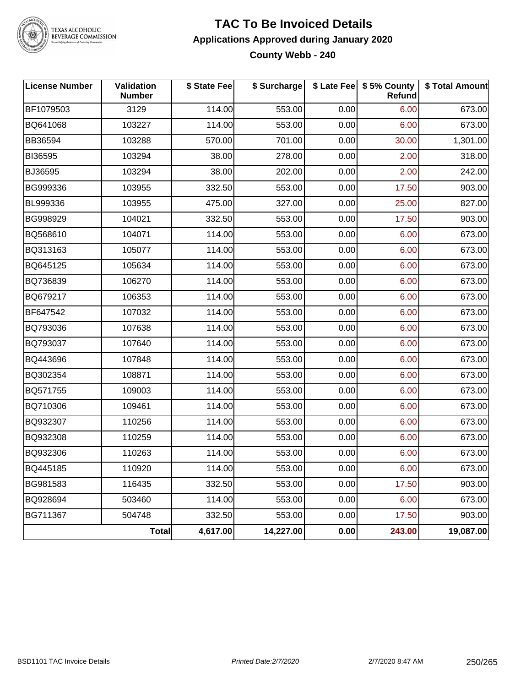

#### **TAC To Be Invoiced Details Applications Approved during January 2020 County Webb - 240**

| <b>License Number</b> | Validation<br><b>Number</b> | \$ State Fee | \$ Surcharge |      | \$ Late Fee   \$5% County<br>Refund | \$ Total Amount |
|-----------------------|-----------------------------|--------------|--------------|------|-------------------------------------|-----------------|
| BF1079503             | 3129                        | 114.00       | 553.00       | 0.00 | 6.00                                | 673.00          |
| BQ641068              | 103227                      | 114.00       | 553.00       | 0.00 | 6.00                                | 673.00          |
| <b>BB36594</b>        | 103288                      | 570.00       | 701.00       | 0.00 | 30.00                               | 1,301.00        |
| BI36595               | 103294                      | 38.00        | 278.00       | 0.00 | 2.00                                | 318.00          |
| <b>BJ36595</b>        | 103294                      | 38.00        | 202.00       | 0.00 | 2.00                                | 242.00          |
| BG999336              | 103955                      | 332.50       | 553.00       | 0.00 | 17.50                               | 903.00          |
| BL999336              | 103955                      | 475.00       | 327.00       | 0.00 | 25.00                               | 827.00          |
| BG998929              | 104021                      | 332.50       | 553.00       | 0.00 | 17.50                               | 903.00          |
| BQ568610              | 104071                      | 114.00       | 553.00       | 0.00 | 6.00                                | 673.00          |
| BQ313163              | 105077                      | 114.00       | 553.00       | 0.00 | 6.00                                | 673.00          |
| BQ645125              | 105634                      | 114.00       | 553.00       | 0.00 | 6.00                                | 673.00          |
| BQ736839              | 106270                      | 114.00       | 553.00       | 0.00 | 6.00                                | 673.00          |
| BQ679217              | 106353                      | 114.00       | 553.00       | 0.00 | 6.00                                | 673.00          |
| BF647542              | 107032                      | 114.00       | 553.00       | 0.00 | 6.00                                | 673.00          |
| BQ793036              | 107638                      | 114.00       | 553.00       | 0.00 | 6.00                                | 673.00          |
| BQ793037              | 107640                      | 114.00       | 553.00       | 0.00 | 6.00                                | 673.00          |
| BQ443696              | 107848                      | 114.00       | 553.00       | 0.00 | 6.00                                | 673.00          |
| BQ302354              | 108871                      | 114.00       | 553.00       | 0.00 | 6.00                                | 673.00          |
| BQ571755              | 109003                      | 114.00       | 553.00       | 0.00 | 6.00                                | 673.00          |
| BQ710306              | 109461                      | 114.00       | 553.00       | 0.00 | 6.00                                | 673.00          |
| BQ932307              | 110256                      | 114.00       | 553.00       | 0.00 | 6.00                                | 673.00          |
| BQ932308              | 110259                      | 114.00       | 553.00       | 0.00 | 6.00                                | 673.00          |
| BQ932306              | 110263                      | 114.00       | 553.00       | 0.00 | 6.00                                | 673.00          |
| BQ445185              | 110920                      | 114.00       | 553.00       | 0.00 | 6.00                                | 673.00          |
| BG981583              | 116435                      | 332.50       | 553.00       | 0.00 | 17.50                               | 903.00          |
| BQ928694              | 503460                      | 114.00       | 553.00       | 0.00 | 6.00                                | 673.00          |
| BG711367              | 504748                      | 332.50       | 553.00       | 0.00 | 17.50                               | 903.00          |
|                       | <b>Total</b>                | 4,617.00     | 14,227.00    | 0.00 | 243.00                              | 19,087.00       |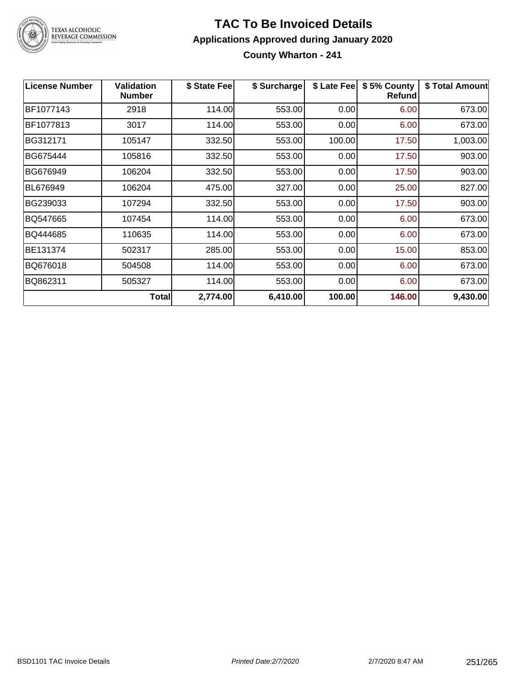

### **TAC To Be Invoiced Details Applications Approved during January 2020 County Wharton - 241**

| <b>License Number</b> | <b>Validation</b><br><b>Number</b> | \$ State Fee | \$ Surcharge | \$ Late Fee | \$5% County<br>Refund | \$ Total Amount |
|-----------------------|------------------------------------|--------------|--------------|-------------|-----------------------|-----------------|
| BF1077143             | 2918                               | 114.00       | 553.00       | 0.00        | 6.00                  | 673.00          |
| BF1077813             | 3017                               | 114.00       | 553.00       | 0.00        | 6.00                  | 673.00          |
| BG312171              | 105147                             | 332.50       | 553.00       | 100.00      | 17.50                 | 1,003.00        |
| BG675444              | 105816                             | 332.50       | 553.00       | 0.00        | 17.50                 | 903.00          |
| BG676949              | 106204                             | 332.50       | 553.00       | 0.00        | 17.50                 | 903.00          |
| <b>BL676949</b>       | 106204                             | 475.00       | 327.00       | 0.00        | 25.00                 | 827.00          |
| BG239033              | 107294                             | 332.50       | 553.00       | 0.00        | 17.50                 | 903.00          |
| BQ547665              | 107454                             | 114.00       | 553.00       | 0.00        | 6.00                  | 673.00          |
| BQ444685              | 110635                             | 114.00       | 553.00       | 0.00        | 6.00                  | 673.00          |
| BE131374              | 502317                             | 285.00       | 553.00       | 0.00        | 15.00                 | 853.00          |
| BQ676018              | 504508                             | 114.00       | 553.00       | 0.00        | 6.00                  | 673.00          |
| BQ862311              | 505327                             | 114.00       | 553.00       | 0.00        | 6.00                  | 673.00          |
|                       | Total                              | 2,774.00     | 6,410.00     | 100.00      | 146.00                | 9,430.00        |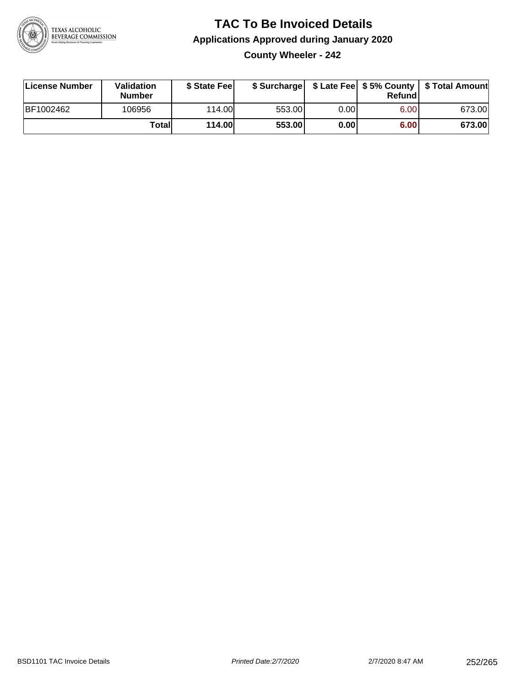

### **TAC To Be Invoiced Details Applications Approved during January 2020 County Wheeler - 242**

| License Number | <b>Validation</b><br><b>Number</b> | \$ State Fee  |        |      | Refund | \$ Surcharge   \$ Late Fee   \$5% County   \$ Total Amount |
|----------------|------------------------------------|---------------|--------|------|--------|------------------------------------------------------------|
| BF1002462      | 106956                             | 114.00        | 553.00 | 0.00 | 6.00   | 673.00                                                     |
|                | <b>Totall</b>                      | <b>114.00</b> | 553.00 | 0.00 | 6.00   | 673.00                                                     |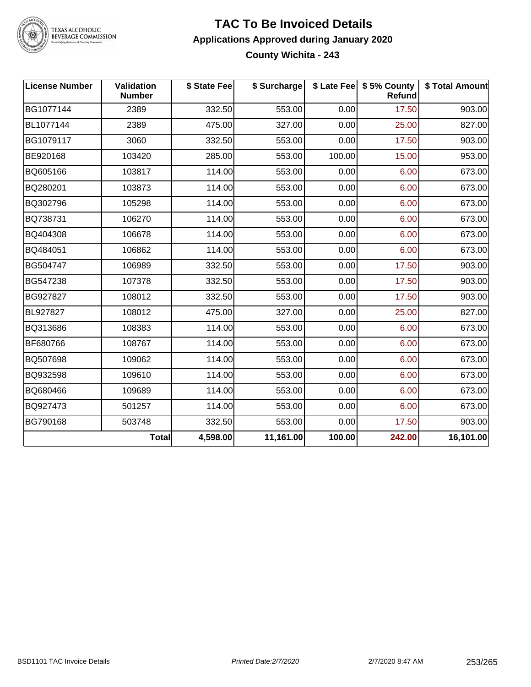

# TEXAS ALCOHOLIC<br>BEVERAGE COMMISSION

#### **TAC To Be Invoiced Details Applications Approved during January 2020 County Wichita - 243**

| <b>License Number</b> | Validation<br><b>Number</b> | \$ State Fee | \$ Surcharge |        | \$ Late Fee   \$5% County<br>Refund | \$ Total Amount |
|-----------------------|-----------------------------|--------------|--------------|--------|-------------------------------------|-----------------|
| BG1077144             | 2389                        | 332.50       | 553.00       | 0.00   | 17.50                               | 903.00          |
| BL1077144             | 2389                        | 475.00       | 327.00       | 0.00   | 25.00                               | 827.00          |
| BG1079117             | 3060                        | 332.50       | 553.00       | 0.00   | 17.50                               | 903.00          |
| BE920168              | 103420                      | 285.00       | 553.00       | 100.00 | 15.00                               | 953.00          |
| BQ605166              | 103817                      | 114.00       | 553.00       | 0.00   | 6.00                                | 673.00          |
| BQ280201              | 103873                      | 114.00       | 553.00       | 0.00   | 6.00                                | 673.00          |
| BQ302796              | 105298                      | 114.00       | 553.00       | 0.00   | 6.00                                | 673.00          |
| BQ738731              | 106270                      | 114.00       | 553.00       | 0.00   | 6.00                                | 673.00          |
| BQ404308              | 106678                      | 114.00       | 553.00       | 0.00   | 6.00                                | 673.00          |
| BQ484051              | 106862                      | 114.00       | 553.00       | 0.00   | 6.00                                | 673.00          |
| BG504747              | 106989                      | 332.50       | 553.00       | 0.00   | 17.50                               | 903.00          |
| BG547238              | 107378                      | 332.50       | 553.00       | 0.00   | 17.50                               | 903.00          |
| BG927827              | 108012                      | 332.50       | 553.00       | 0.00   | 17.50                               | 903.00          |
| BL927827              | 108012                      | 475.00       | 327.00       | 0.00   | 25.00                               | 827.00          |
| BQ313686              | 108383                      | 114.00       | 553.00       | 0.00   | 6.00                                | 673.00          |
| BF680766              | 108767                      | 114.00       | 553.00       | 0.00   | 6.00                                | 673.00          |
| BQ507698              | 109062                      | 114.00       | 553.00       | 0.00   | 6.00                                | 673.00          |
| BQ932598              | 109610                      | 114.00       | 553.00       | 0.00   | 6.00                                | 673.00          |
| BQ680466              | 109689                      | 114.00       | 553.00       | 0.00   | 6.00                                | 673.00          |
| BQ927473              | 501257                      | 114.00       | 553.00       | 0.00   | 6.00                                | 673.00          |
| BG790168              | 503748                      | 332.50       | 553.00       | 0.00   | 17.50                               | 903.00          |
|                       | Total                       | 4,598.00     | 11,161.00    | 100.00 | 242.00                              | 16,101.00       |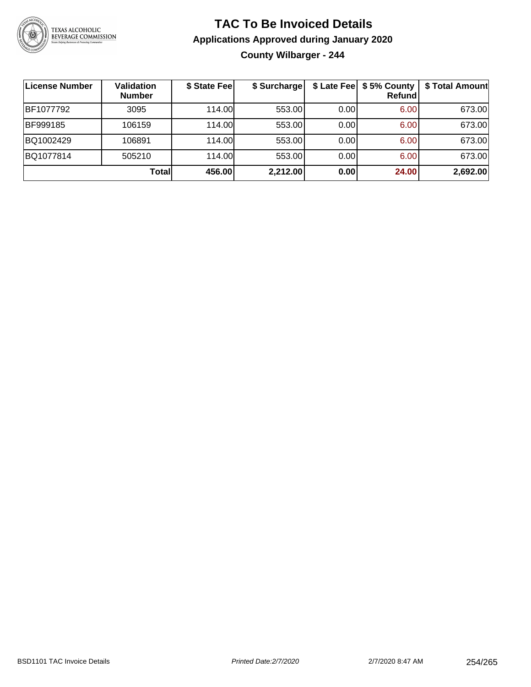

#### **TAC To Be Invoiced Details Applications Approved during January 2020 County Wilbarger - 244**

| <b>License Number</b> | Validation<br><b>Number</b> | \$ State Fee | \$ Surcharge |      | \$ Late Fee   \$5% County<br><b>Refund</b> | \$ Total Amount |
|-----------------------|-----------------------------|--------------|--------------|------|--------------------------------------------|-----------------|
| BF1077792             | 3095                        | 114.00L      | 553.00       | 0.00 | 6.00                                       | 673.00          |
| BF999185              | 106159                      | 114.00L      | 553.00       | 0.00 | 6.00                                       | 673.00          |
| BQ1002429             | 106891                      | 114.00       | 553.00       | 0.00 | 6.00                                       | 673.00          |
| BQ1077814             | 505210                      | 114.00L      | 553.00       | 0.00 | 6.00                                       | 673.00          |
|                       | Totall                      | 456.00       | 2,212.00     | 0.00 | 24.00                                      | 2,692.00        |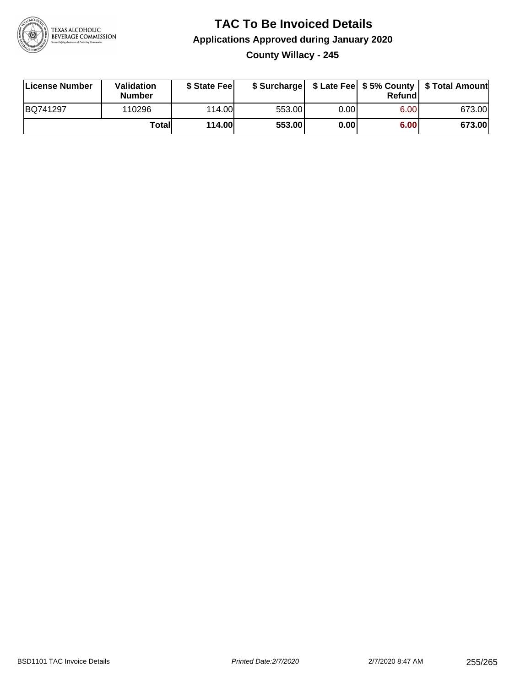

#### **TAC To Be Invoiced Details Applications Approved during January 2020 County Willacy - 245**

| License Number | Validation<br>Number | \$ State Fee |        |       | Refundl | \$ Surcharge   \$ Late Fee   \$5% County   \$ Total Amount |
|----------------|----------------------|--------------|--------|-------|---------|------------------------------------------------------------|
| BQ741297       | 110296               | 114.00L      | 553.00 | 0.001 | 6.00    | 673.00                                                     |
|                | Total                | 114.00       | 553.00 | 0.001 | 6.00    | 673.00                                                     |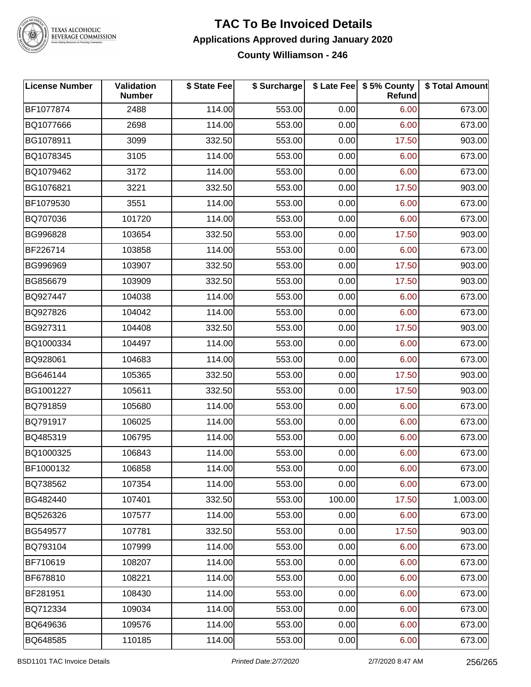

## TEXAS ALCOHOLIC<br>BEVERAGE COMMISSION

#### **TAC To Be Invoiced Details Applications Approved during January 2020 County Williamson - 246**

| <b>License Number</b> | Validation<br><b>Number</b> | \$ State Fee | \$ Surcharge |        | \$ Late Fee   \$5% County<br>Refund | \$ Total Amount |
|-----------------------|-----------------------------|--------------|--------------|--------|-------------------------------------|-----------------|
| BF1077874             | 2488                        | 114.00       | 553.00       | 0.00   | 6.00                                | 673.00          |
| BQ1077666             | 2698                        | 114.00       | 553.00       | 0.00   | 6.00                                | 673.00          |
| BG1078911             | 3099                        | 332.50       | 553.00       | 0.00   | 17.50                               | 903.00          |
| BQ1078345             | 3105                        | 114.00       | 553.00       | 0.00   | 6.00                                | 673.00          |
| BQ1079462             | 3172                        | 114.00       | 553.00       | 0.00   | 6.00                                | 673.00          |
| BG1076821             | 3221                        | 332.50       | 553.00       | 0.00   | 17.50                               | 903.00          |
| BF1079530             | 3551                        | 114.00       | 553.00       | 0.00   | 6.00                                | 673.00          |
| BQ707036              | 101720                      | 114.00       | 553.00       | 0.00   | 6.00                                | 673.00          |
| BG996828              | 103654                      | 332.50       | 553.00       | 0.00   | 17.50                               | 903.00          |
| BF226714              | 103858                      | 114.00       | 553.00       | 0.00   | 6.00                                | 673.00          |
| BG996969              | 103907                      | 332.50       | 553.00       | 0.00   | 17.50                               | 903.00          |
| BG856679              | 103909                      | 332.50       | 553.00       | 0.00   | 17.50                               | 903.00          |
| BQ927447              | 104038                      | 114.00       | 553.00       | 0.00   | 6.00                                | 673.00          |
| BQ927826              | 104042                      | 114.00       | 553.00       | 0.00   | 6.00                                | 673.00          |
| BG927311              | 104408                      | 332.50       | 553.00       | 0.00   | 17.50                               | 903.00          |
| BQ1000334             | 104497                      | 114.00       | 553.00       | 0.00   | 6.00                                | 673.00          |
| BQ928061              | 104683                      | 114.00       | 553.00       | 0.00   | 6.00                                | 673.00          |
| BG646144              | 105365                      | 332.50       | 553.00       | 0.00   | 17.50                               | 903.00          |
| BG1001227             | 105611                      | 332.50       | 553.00       | 0.00   | 17.50                               | 903.00          |
| BQ791859              | 105680                      | 114.00       | 553.00       | 0.00   | 6.00                                | 673.00          |
| BQ791917              | 106025                      | 114.00       | 553.00       | 0.00   | 6.00                                | 673.00          |
| BQ485319              | 106795                      | 114.00       | 553.00       | 0.00   | 6.00                                | 673.00          |
| BQ1000325             | 106843                      | 114.00       | 553.00       | 0.00   | 6.00                                | 673.00          |
| BF1000132             | 106858                      | 114.00       | 553.00       | 0.00   | 6.00                                | 673.00          |
| BQ738562              | 107354                      | 114.00       | 553.00       | 0.00   | 6.00                                | 673.00          |
| BG482440              | 107401                      | 332.50       | 553.00       | 100.00 | 17.50                               | 1,003.00        |
| BQ526326              | 107577                      | 114.00       | 553.00       | 0.00   | 6.00                                | 673.00          |
| BG549577              | 107781                      | 332.50       | 553.00       | 0.00   | 17.50                               | 903.00          |
| BQ793104              | 107999                      | 114.00       | 553.00       | 0.00   | 6.00                                | 673.00          |
| BF710619              | 108207                      | 114.00       | 553.00       | 0.00   | 6.00                                | 673.00          |
| BF678810              | 108221                      | 114.00       | 553.00       | 0.00   | 6.00                                | 673.00          |
| BF281951              | 108430                      | 114.00       | 553.00       | 0.00   | 6.00                                | 673.00          |
| BQ712334              | 109034                      | 114.00       | 553.00       | 0.00   | 6.00                                | 673.00          |
| BQ649636              | 109576                      | 114.00       | 553.00       | 0.00   | 6.00                                | 673.00          |
| BQ648585              | 110185                      | 114.00       | 553.00       | 0.00   | 6.00                                | 673.00          |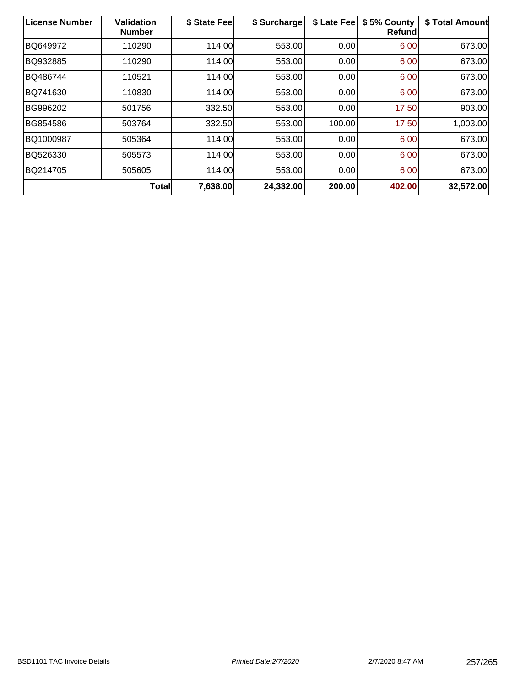| License Number | <b>Validation</b><br><b>Number</b> | \$ State Fee | \$ Surcharge | \$ Late Fee | \$5% County<br><b>Refund</b> | \$ Total Amount |
|----------------|------------------------------------|--------------|--------------|-------------|------------------------------|-----------------|
| BQ649972       | 110290                             | 114.00       | 553.00       | 0.00        | 6.00                         | 673.00          |
| BQ932885       | 110290                             | 114.00       | 553.00       | 0.00        | 6.00                         | 673.00          |
| BQ486744       | 110521                             | 114.00       | 553.00       | 0.00        | 6.00                         | 673.00          |
| BQ741630       | 110830                             | 114.00       | 553.00       | 0.00        | 6.00                         | 673.00          |
| BG996202       | 501756                             | 332.50       | 553.00       | 0.00        | 17.50                        | 903.00          |
| BG854586       | 503764                             | 332.50       | 553.00       | 100.00      | 17.50                        | 1,003.00        |
| BQ1000987      | 505364                             | 114.00       | 553.00       | 0.00        | 6.00                         | 673.00          |
| BQ526330       | 505573                             | 114.00       | 553.00       | 0.00        | 6.00                         | 673.00          |
| BQ214705       | 505605                             | 114.00       | 553.00       | 0.00        | 6.00                         | 673.00          |
|                | <b>Total</b>                       | 7,638.00     | 24,332.00    | 200.00      | 402.00                       | 32,572.00       |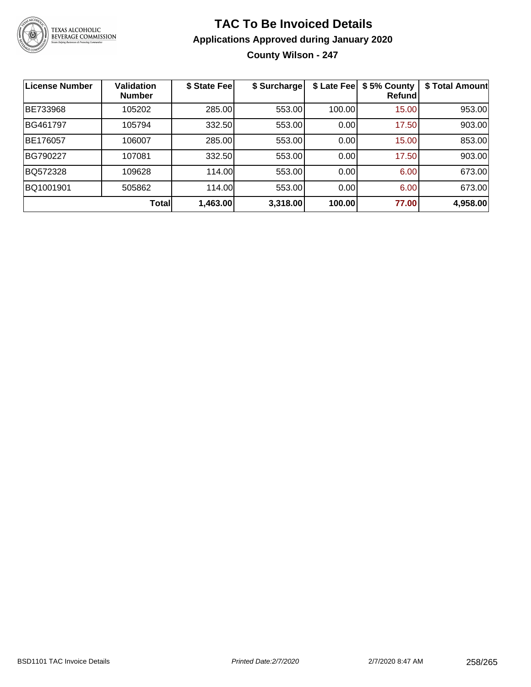

### **TAC To Be Invoiced Details Applications Approved during January 2020 County Wilson - 247**

| <b>License Number</b> | <b>Validation</b><br><b>Number</b> | \$ State Fee | \$ Surcharge | \$ Late Fee | \$5% County<br>Refund | \$ Total Amount |
|-----------------------|------------------------------------|--------------|--------------|-------------|-----------------------|-----------------|
| BE733968              | 105202                             | 285.00       | 553.00       | 100.00      | 15.00                 | 953.00          |
| BG461797              | 105794                             | 332.50       | 553.00       | 0.00        | 17.50                 | 903.00          |
| BE176057              | 106007                             | 285.00       | 553.00       | 0.00        | 15.00                 | 853.00          |
| BG790227              | 107081                             | 332.50       | 553.00       | 0.00        | 17.50                 | 903.00          |
| BQ572328              | 109628                             | 114.00       | 553.00       | 0.00        | 6.00                  | 673.00          |
| BQ1001901             | 505862                             | 114.00       | 553.00       | 0.00        | 6.00                  | 673.00          |
|                       | <b>Total</b>                       | 1,463.00     | 3,318.00     | 100.00      | 77.00                 | 4,958.00        |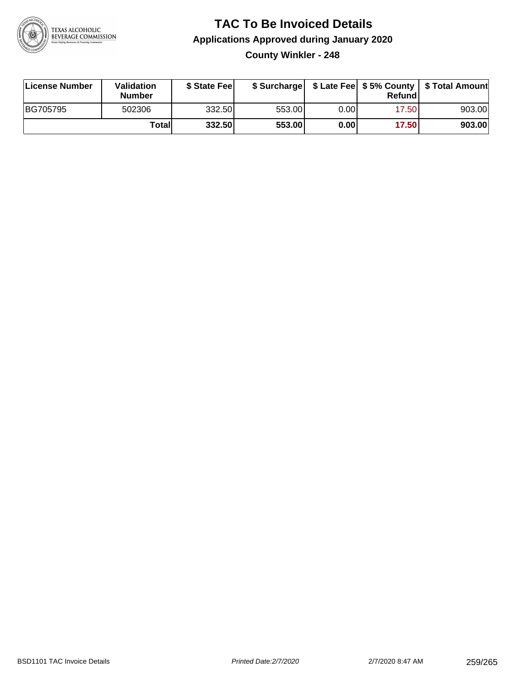

### **TAC To Be Invoiced Details Applications Approved during January 2020 County Winkler - 248**

| License Number | Validation<br>Number | \$ State Feel |        |      | Refund | \$ Surcharge   \$ Late Fee   \$5% County   \$ Total Amount |
|----------------|----------------------|---------------|--------|------|--------|------------------------------------------------------------|
| BG705795       | 502306               | 332.50        | 553.00 | 0.00 | 17.50  | 903.00                                                     |
|                | Totall               | 332.50        | 553.00 | 0.00 | 17.50  | 903.00                                                     |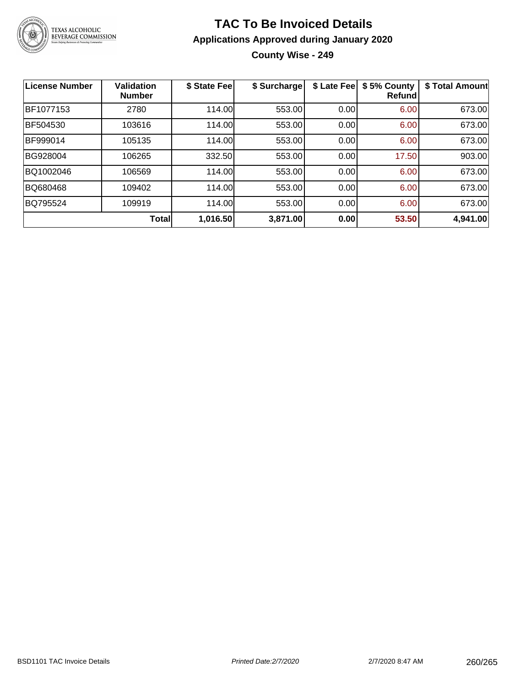

#### **TAC To Be Invoiced Details Applications Approved during January 2020 County Wise - 249**

| <b>License Number</b> | <b>Validation</b><br><b>Number</b> | \$ State Fee | \$ Surcharge | \$ Late Fee | \$5% County<br><b>Refund</b> | \$ Total Amount |
|-----------------------|------------------------------------|--------------|--------------|-------------|------------------------------|-----------------|
| BF1077153             | 2780                               | 114.00       | 553.00       | 0.00        | 6.00                         | 673.00          |
| BF504530              | 103616                             | 114.00       | 553.00       | 0.00        | 6.00                         | 673.00          |
| BF999014              | 105135                             | 114.00       | 553.00       | 0.00        | 6.00                         | 673.00          |
| BG928004              | 106265                             | 332.50       | 553.00       | 0.00        | 17.50                        | 903.00          |
| BQ1002046             | 106569                             | 114.00       | 553.00       | 0.00        | 6.00                         | 673.00          |
| BQ680468              | 109402                             | 114.00       | 553.00       | 0.00        | 6.00                         | 673.00          |
| BQ795524              | 109919                             | 114.00       | 553.00       | 0.00        | 6.00                         | 673.00          |
|                       | Total                              | 1,016.50     | 3,871.00     | 0.00        | 53.50                        | 4,941.00        |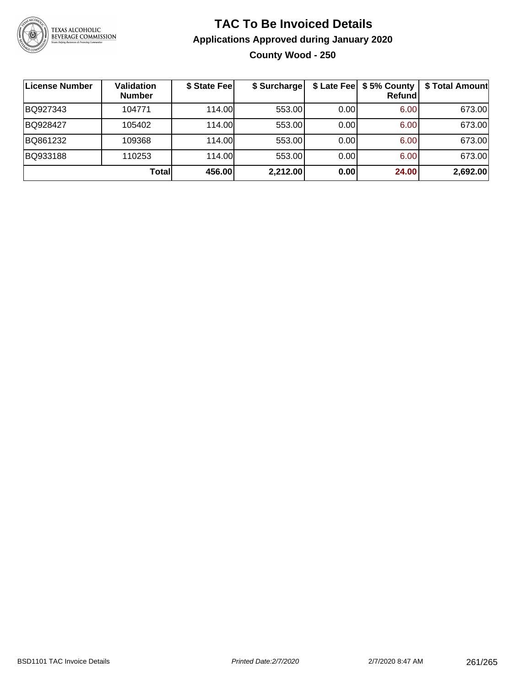

#### **TAC To Be Invoiced Details Applications Approved during January 2020 County Wood - 250**

| License Number | <b>Validation</b><br><b>Number</b> | \$ State Fee | \$ Surcharge |       | \$ Late Fee   \$5% County  <br><b>Refund</b> | \$ Total Amount |
|----------------|------------------------------------|--------------|--------------|-------|----------------------------------------------|-----------------|
| BQ927343       | 104771                             | 114.00       | 553.00       | 0.00  | 6.00                                         | 673.00          |
| BQ928427       | 105402                             | 114.00       | 553.00       | 0.00  | 6.00                                         | 673.00          |
| BQ861232       | 109368                             | 114.00       | 553.00       | 0.001 | 6.00                                         | 673.00          |
| BQ933188       | 110253                             | 114.00       | 553.00       | 0.00  | 6.00                                         | 673.00          |
|                | <b>Total</b>                       | 456.00       | 2,212.00     | 0.00  | 24.00                                        | 2,692.00        |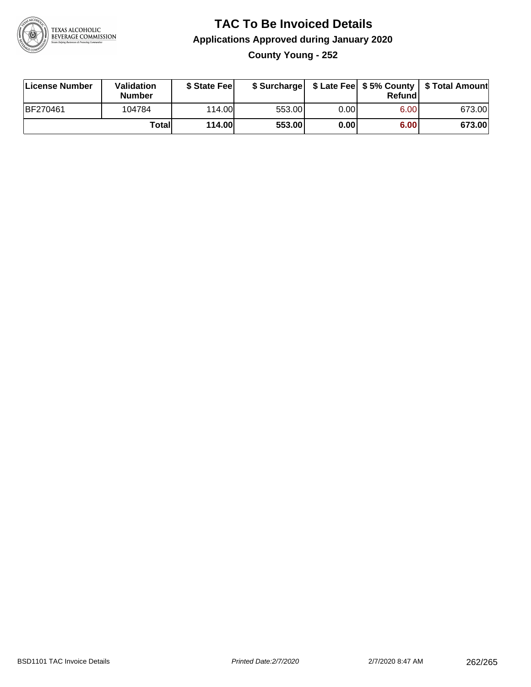

### **TAC To Be Invoiced Details Applications Approved during January 2020 County Young - 252**

| License Number  | Validation<br><b>Number</b> | \$ State Fee  |        |      | Refund | \$ Surcharge   \$ Late Fee   \$5% County   \$ Total Amount |
|-----------------|-----------------------------|---------------|--------|------|--------|------------------------------------------------------------|
| <b>BF270461</b> | 104784                      | 114.00L       | 553.00 | 0.00 | 6.00   | 673.00                                                     |
|                 | Totall                      | <b>114.00</b> | 553.00 | 0.00 | 6.00   | 673.00                                                     |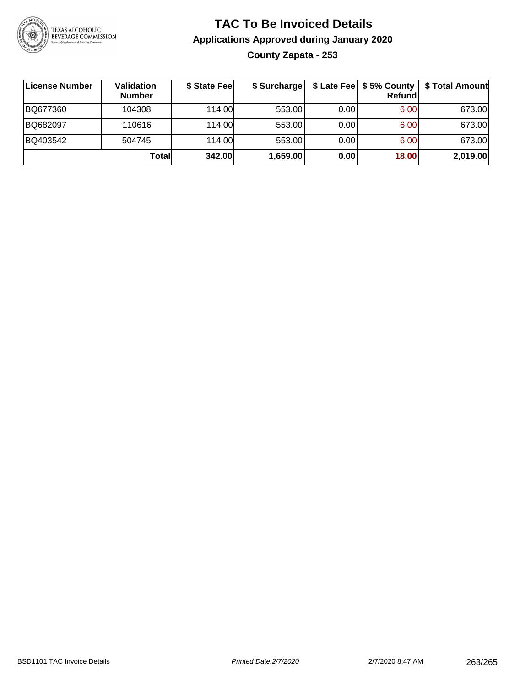

#### **TAC To Be Invoiced Details Applications Approved during January 2020 County Zapata - 253**

| License Number | Validation<br><b>Number</b> | \$ State Feel | \$ Surcharge |      | Refund | \$ Late Fee   \$5% County   \$ Total Amount |
|----------------|-----------------------------|---------------|--------------|------|--------|---------------------------------------------|
| BQ677360       | 104308                      | 114.00L       | 553.00       | 0.00 | 6.00   | 673.00                                      |
| BQ682097       | 110616                      | 114.00L       | 553.00       | 0.00 | 6.00   | 673.00                                      |
| BQ403542       | 504745                      | 114.00L       | 553.00       | 0.00 | 6.00   | 673.00                                      |
|                | Total                       | 342.00        | 1,659.00     | 0.00 | 18.00  | 2,019.00                                    |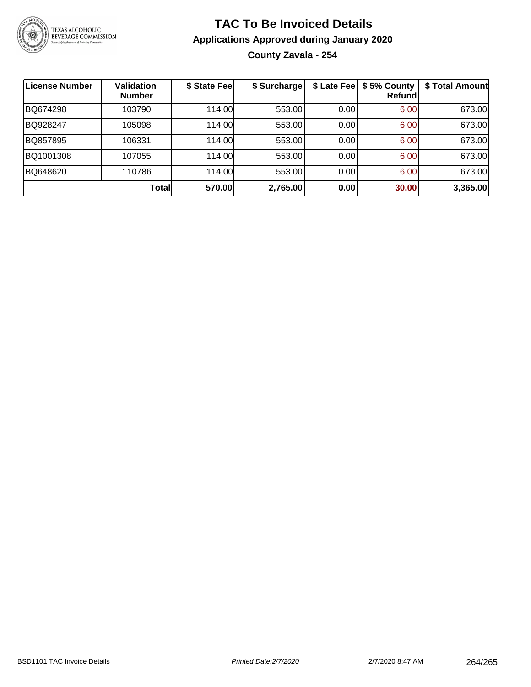

## **TAC To Be Invoiced Details Applications Approved during January 2020 County Zavala - 254**

| License Number | <b>Validation</b><br><b>Number</b> | \$ State Feel | \$ Surcharge | \$ Late Fee | \$5% County<br>Refundl | \$ Total Amount |
|----------------|------------------------------------|---------------|--------------|-------------|------------------------|-----------------|
| BQ674298       | 103790                             | 114.00L       | 553.00       | 0.00        | 6.00                   | 673.00          |
| BQ928247       | 105098                             | 114.00        | 553.00       | 0.00        | 6.00                   | 673.00          |
| BQ857895       | 106331                             | 114.00L       | 553.00       | 0.00        | 6.00                   | 673.00          |
| BQ1001308      | 107055                             | 114.00        | 553.00       | 0.00        | 6.00                   | 673.00          |
| BQ648620       | 110786                             | 114.00L       | 553.00       | 0.00        | 6.00                   | 673.00          |
|                | Total                              | 570.00        | 2,765.00     | 0.00        | 30.00                  | 3,365.00        |